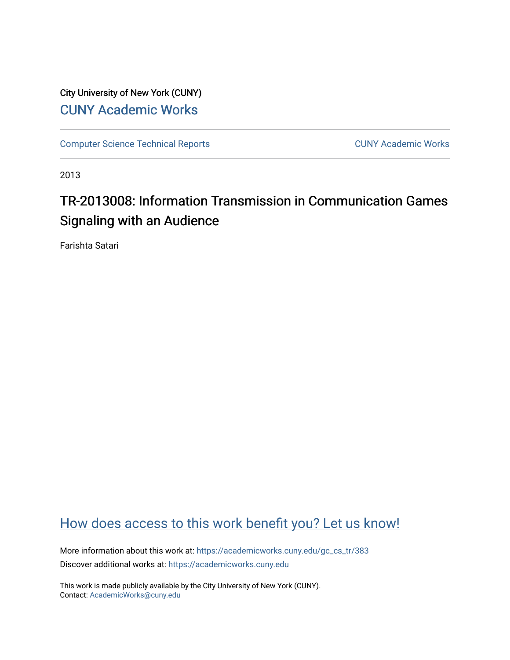City University of New York (CUNY) [CUNY Academic Works](https://academicworks.cuny.edu/) 

[Computer Science Technical Reports](https://academicworks.cuny.edu/gc_cs_tr) **CUNY Academic Works** CUNY Academic Works

2013

# TR-2013008: Information Transmission in Communication Games Signaling with an Audience

Farishta Satari

## [How does access to this work benefit you? Let us know!](http://ols.cuny.edu/academicworks/?ref=https://academicworks.cuny.edu/gc_cs_tr/383)

More information about this work at: https://academicworks.cuny.edu/gc\_cs\_tr/383 Discover additional works at: [https://academicworks.cuny.edu](https://academicworks.cuny.edu/?)

This work is made publicly available by the City University of New York (CUNY). Contact: [AcademicWorks@cuny.edu](mailto:AcademicWorks@cuny.edu)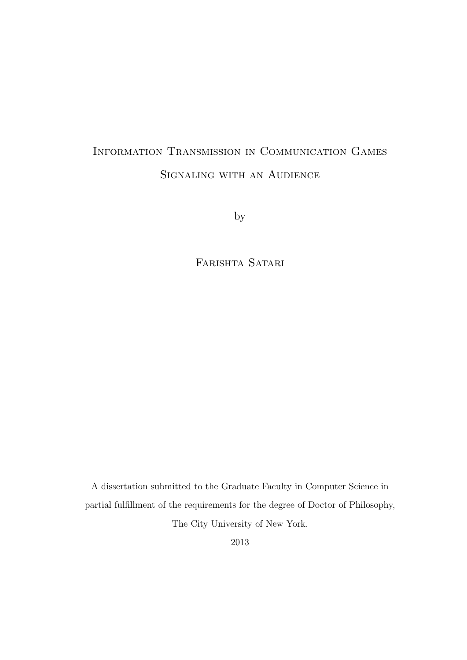# Information Transmission in Communication Games Signaling with an Audience

by

Farishta Satari

A dissertation submitted to the Graduate Faculty in Computer Science in partial fulfillment of the requirements for the degree of Doctor of Philosophy, The City University of New York.

2013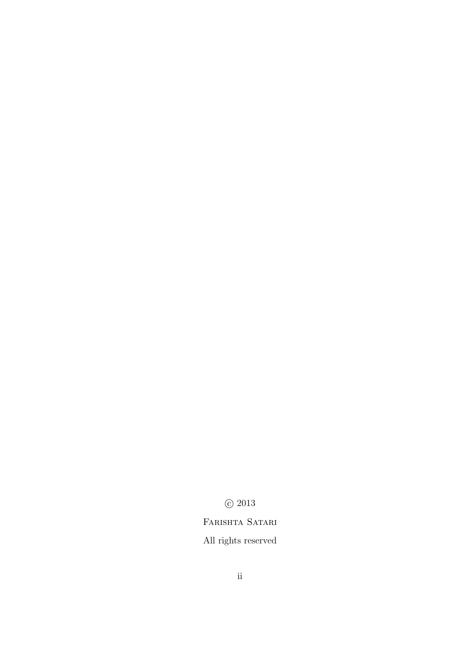### c 2013

### FARISHTA SATARI

### All rights reserved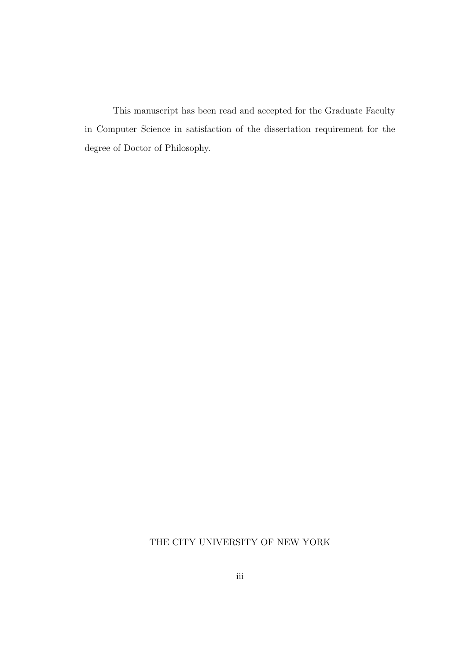This manuscript has been read and accepted for the Graduate Faculty in Computer Science in satisfaction of the dissertation requirement for the degree of Doctor of Philosophy.

### THE CITY UNIVERSITY OF NEW YORK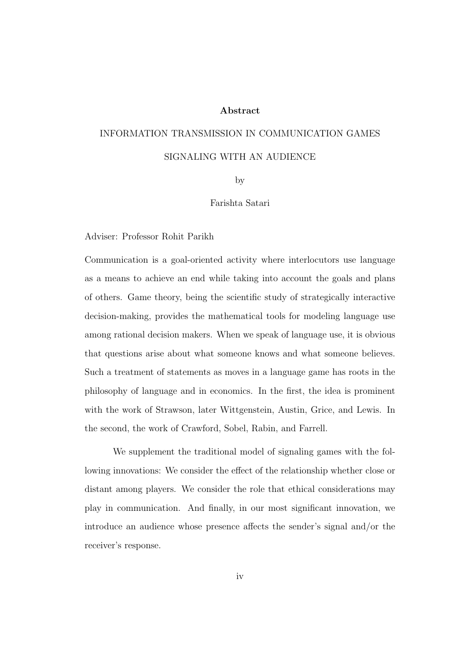#### Abstract

# INFORMATION TRANSMISSION IN COMMUNICATION GAMES SIGNALING WITH AN AUDIENCE

by

#### Farishta Satari

Adviser: Professor Rohit Parikh

Communication is a goal-oriented activity where interlocutors use language as a means to achieve an end while taking into account the goals and plans of others. Game theory, being the scientific study of strategically interactive decision-making, provides the mathematical tools for modeling language use among rational decision makers. When we speak of language use, it is obvious that questions arise about what someone knows and what someone believes. Such a treatment of statements as moves in a language game has roots in the philosophy of language and in economics. In the first, the idea is prominent with the work of Strawson, later Wittgenstein, Austin, Grice, and Lewis. In the second, the work of Crawford, Sobel, Rabin, and Farrell.

We supplement the traditional model of signaling games with the following innovations: We consider the effect of the relationship whether close or distant among players. We consider the role that ethical considerations may play in communication. And finally, in our most significant innovation, we introduce an audience whose presence affects the sender's signal and/or the receiver's response.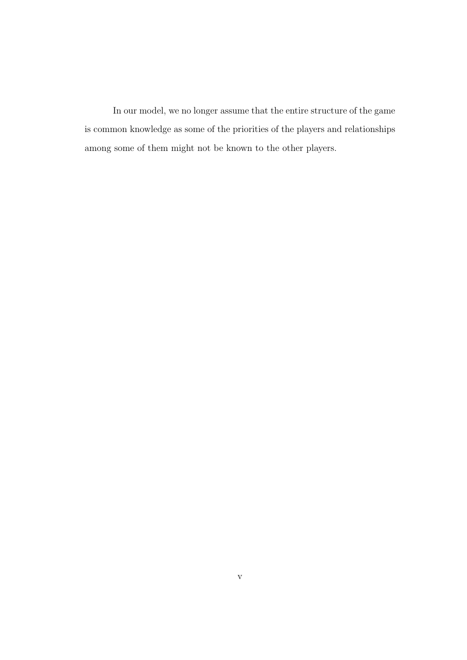In our model, we no longer assume that the entire structure of the game is common knowledge as some of the priorities of the players and relationships among some of them might not be known to the other players.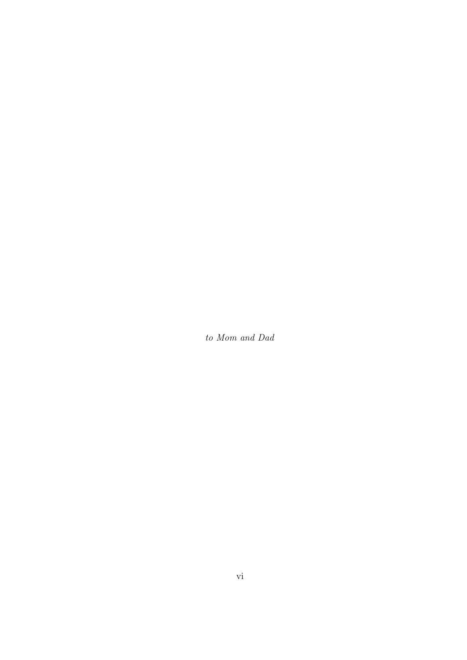to Mom and Dad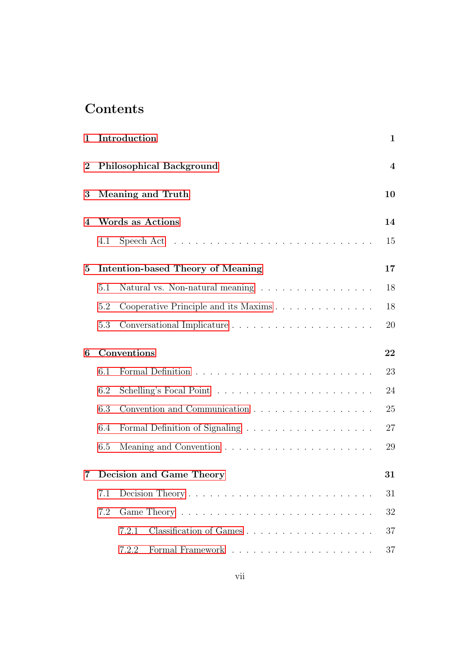## Contents

| 1        |                                 | Introduction                                                                   | $\mathbf 1$ |
|----------|---------------------------------|--------------------------------------------------------------------------------|-------------|
| $\bf{2}$ | <b>Philosophical Background</b> |                                                                                |             |
| 3        |                                 | Meaning and Truth                                                              | 10          |
| 4        |                                 | <b>Words as Actions</b>                                                        | 14          |
|          | 4.1                             | Speech Act $\dots \dots \dots \dots \dots \dots \dots \dots \dots \dots \dots$ | 15          |
| 5        |                                 | Intention-based Theory of Meaning                                              | 17          |
|          | 5.1                             | Natural vs. Non-natural meaning $\ldots \ldots \ldots \ldots \ldots$           | 18          |
|          | 5.2                             | Cooperative Principle and its Maxims                                           | 18          |
|          | 5.3                             |                                                                                | 20          |
| 6        |                                 | Conventions                                                                    | 22          |
|          | 6.1                             |                                                                                | 23          |
|          | 6.2                             |                                                                                | 24          |
|          | 6.3                             | Convention and Communication                                                   | 25          |
|          | 6.4                             |                                                                                | 27          |
|          | 6.5                             |                                                                                | 29          |
| 7        |                                 | Decision and Game Theory                                                       | $31\,$      |
|          | 7.1                             |                                                                                | 31          |
|          | 7.2                             |                                                                                | 32          |
|          |                                 | 7.2.1                                                                          | 37          |
|          |                                 | 7.2.2                                                                          | 37          |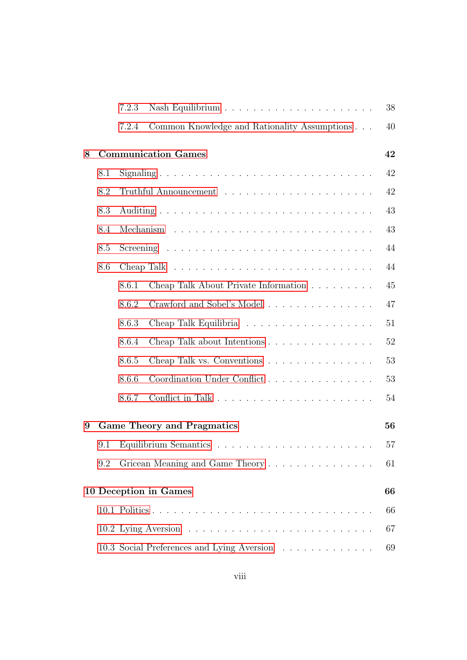|   |     | 7.2.3 |                                                                             | 38 |
|---|-----|-------|-----------------------------------------------------------------------------|----|
|   |     | 7.2.4 | Common Knowledge and Rationality Assumptions                                | 40 |
| 8 |     |       | <b>Communication Games</b>                                                  | 42 |
|   | 8.1 |       |                                                                             | 42 |
|   | 8.2 |       |                                                                             | 42 |
|   | 8.3 |       |                                                                             | 43 |
|   | 8.4 |       |                                                                             | 43 |
|   | 8.5 |       |                                                                             | 44 |
|   | 8.6 |       | Cheap Talk $\ldots \ldots \ldots \ldots \ldots \ldots \ldots \ldots \ldots$ | 44 |
|   |     | 8.6.1 | Cheap Talk About Private Information                                        | 45 |
|   |     | 8.6.2 | Crawford and Sobel's Model                                                  | 47 |
|   |     | 8.6.3 |                                                                             | 51 |
|   |     | 8.6.4 | Cheap Talk about Intentions                                                 | 52 |
|   |     | 8.6.5 | Cheap Talk vs. Conventions                                                  | 53 |
|   |     | 8.6.6 | Coordination Under Conflict                                                 | 53 |
|   |     | 8.6.7 |                                                                             | 54 |
| 9 |     |       | <b>Game Theory and Pragmatics</b>                                           | 56 |
|   | 9.1 |       |                                                                             | 57 |
|   | 9.2 |       | Gricean Meaning and Game Theory                                             | 61 |
|   |     |       | 10 Deception in Games                                                       | 66 |
|   |     |       |                                                                             | 66 |
|   |     |       |                                                                             | 67 |
|   |     |       | 10.3 Social Preferences and Lying Aversion                                  | 69 |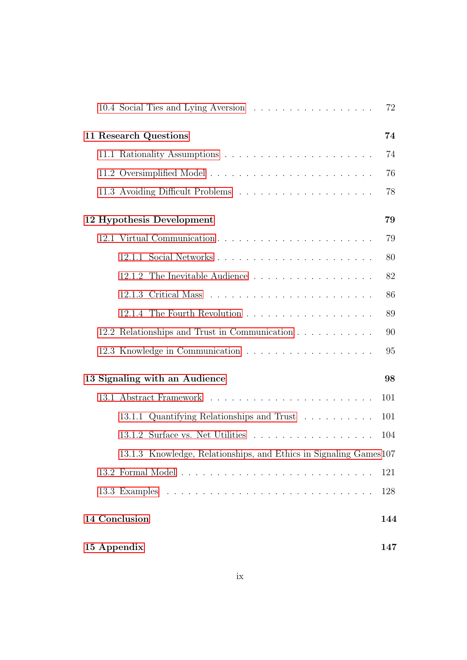|                                                                             | 72  |  |
|-----------------------------------------------------------------------------|-----|--|
| 11 Research Questions                                                       |     |  |
|                                                                             | 74  |  |
|                                                                             | 76  |  |
|                                                                             | 78  |  |
| 12 Hypothesis Development                                                   | 79  |  |
|                                                                             | 79  |  |
|                                                                             | 80  |  |
| 12.1.2 The Inevitable Audience                                              | 82  |  |
|                                                                             | 86  |  |
|                                                                             | 89  |  |
| 12.2 Relationships and Trust in Communication                               | 90  |  |
| 12.3 Knowledge in Communication $\ldots \ldots \ldots \ldots \ldots \ldots$ | 95  |  |
| 13 Signaling with an Audience                                               |     |  |
|                                                                             | 101 |  |
| 13.1.1 Quantifying Relationships and Trust                                  | 101 |  |
| 13.1.2 Surface vs. Net Utilities $\ldots \ldots \ldots \ldots \ldots$       | 104 |  |
| 13.1.3 Knowledge, Relationships, and Ethics in Signaling Games 107          |     |  |
|                                                                             | 121 |  |
|                                                                             | 128 |  |
| 14 Conclusion                                                               | 144 |  |
| 15 Appendix                                                                 |     |  |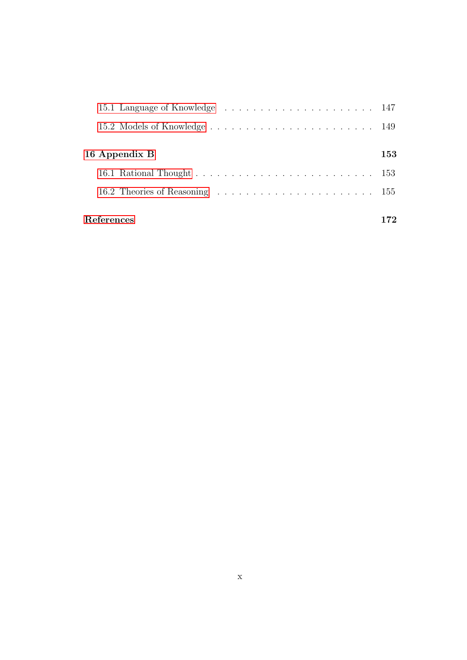| 16 Appendix B | 153 |  |
|---------------|-----|--|
|               |     |  |
|               |     |  |
| References    |     |  |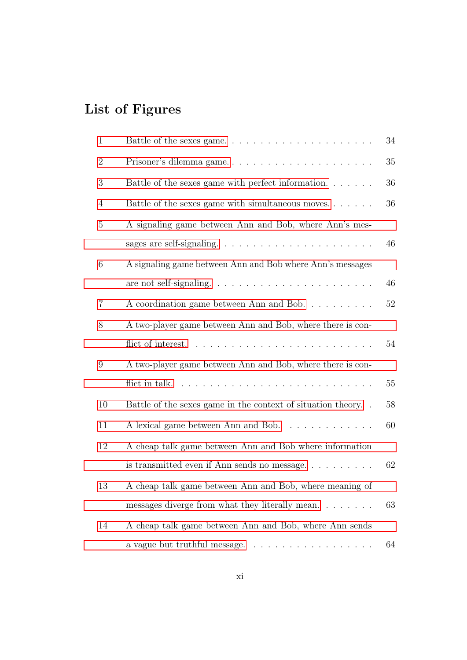# List of Figures

| $\mathbf{1}$   |                                                                              | 34     |
|----------------|------------------------------------------------------------------------------|--------|
| $\overline{2}$ | Prisoner's dilemma game                                                      | 35     |
| 3              | Battle of the sexes game with perfect information. $\dots \dots$             | 36     |
| $\overline{4}$ | Battle of the sexes game with simultaneous moves                             | 36     |
| 5              | A signaling game between Ann and Bob, where Ann's mes-                       |        |
|                | sages are self-signaling. $\ldots \ldots \ldots \ldots \ldots \ldots \ldots$ | 46     |
| 6              | A signaling game between Ann and Bob where Ann's messages                    |        |
|                |                                                                              | 46     |
| $\overline{7}$ | A coordination game between Ann and Bob                                      | $52\,$ |
| 8              | A two-player game between Ann and Bob, where there is con-                   |        |
|                |                                                                              | 54     |
| 9              | A two-player game between Ann and Bob, where there is con-                   |        |
|                |                                                                              | $55\,$ |
| 10             | Battle of the sexes game in the context of situation theory                  | 58     |
| 11             | A lexical game between Ann and Bob.                                          | 60     |
| 12             | A cheap talk game between Ann and Bob where information                      |        |
|                | is transmitted even if Ann sends no message                                  | 62     |
| 13             | A cheap talk game between Ann and Bob, where meaning of                      |        |
|                | messages diverge from what they literally mean                               | 63     |
| 14             | A cheap talk game between Ann and Bob, where Ann sends                       |        |
|                | a vague but truthful message                                                 | 64     |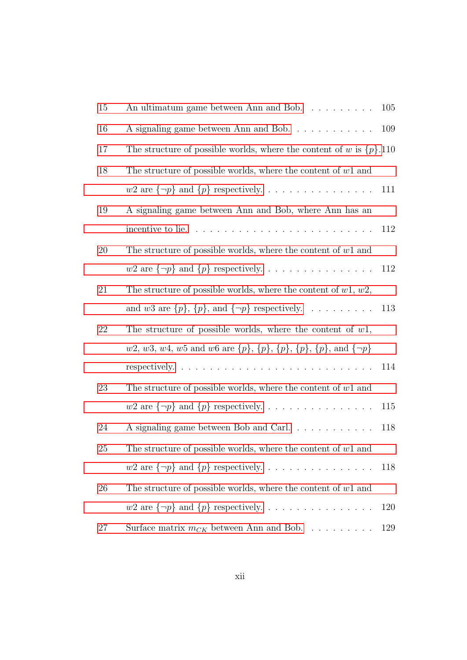| 15 | An ultimatum game between Ann and Bob. $\dots \dots \dots \dots$ 105                                   |     |
|----|--------------------------------------------------------------------------------------------------------|-----|
| 16 |                                                                                                        | 109 |
| 17 | The structure of possible worlds, where the content of w is $\{p\}.110$                                |     |
| 18 | The structure of possible worlds, where the content of $w1$ and                                        |     |
|    | $w2$ are $\{\neg p\}$ and $\{p\}$ respectively.                                                        | 111 |
| 19 | A signaling game between Ann and Bob, where Ann has an                                                 |     |
|    |                                                                                                        | 112 |
| 20 | The structure of possible worlds, where the content of $w1$ and                                        |     |
|    | $w2$ are $\{\neg p\}$ and $\{p\}$ respectively.                                                        | 112 |
| 21 | The structure of possible worlds, where the content of $w1, w2$ ,                                      |     |
|    | and $w3$ are $\{p\}$ , $\{p\}$ , and $\{\neg p\}$ respectively.                                        | 113 |
| 22 | The structure of possible worlds, where the content of $w1$ ,                                          |     |
|    | w2, w3, w4, w5 and w6 are $\{p\}$ , $\{p\}$ , $\{p\}$ , $\{p\}$ , $\{p\}$ , $\{p\}$ , and $\{\neg p\}$ |     |
|    |                                                                                                        | 114 |
| 23 | The structure of possible worlds, where the content of $w1$ and                                        |     |
|    | $w2$ are $\{\neg p\}$ and $\{p\}$ respectively.                                                        | 115 |
| 24 |                                                                                                        | 118 |
| 25 | The structure of possible worlds, where the content of $w1$ and                                        |     |
|    | $w2$ are $\{\neg p\}$ and $\{p\}$ respectively.                                                        | 118 |
| 26 | The structure of possible worlds, where the content of $w1$ and                                        |     |
|    | $w2$ are $\{\neg p\}$ and $\{p\}$ respectively.                                                        | 120 |
| 27 | Surface matrix $m_{CK}$ between Ann and Bob.                                                           | 129 |
|    |                                                                                                        |     |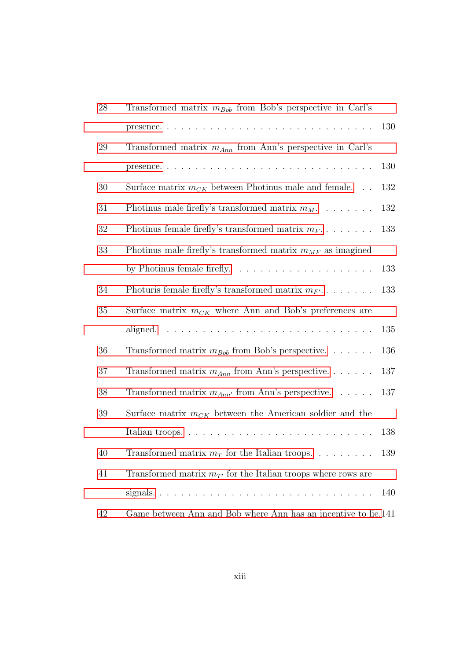| $28\,$ | Transformed matrix $m_{Bob}$ from Bob's perspective in Carl's     |     |
|--------|-------------------------------------------------------------------|-----|
|        |                                                                   | 130 |
| 29     | Transformed matrix $m_{Ann}$ from Ann's perspective in Carl's     |     |
|        |                                                                   | 130 |
| 30     | Surface matrix $m_{CK}$ between Photinus male and female          | 132 |
| 31     | Photinus male firefly's transformed matrix $m_M$ .                | 132 |
| 32     | Photinus female firefly's transformed matrix $m_F$                | 133 |
| 33     | Photinus male firefly's transformed matrix $m_{MF}$ as imagined   |     |
|        |                                                                   | 133 |
| 34     | Photuris female firefly's transformed matrix $m_{F'}$             | 133 |
| 35     | Surface matrix $m_{CK}$ where Ann and Bob's preferences are       |     |
|        |                                                                   | 135 |
| 36     | Transformed matrix $m_{Bob}$ from Bob's perspective               | 136 |
| 37     | Transformed matrix $m_{Ann}$ from Ann's perspective               | 137 |
| $38\,$ | Transformed matrix $m_{Ann'}$ from Ann's perspective.             | 137 |
| 39     | Surface matrix $m_{CK}$ between the American soldier and the      |     |
|        |                                                                   | 138 |
| 40     | Transformed matrix $m_T$ for the Italian troops. 139              |     |
| 41     | Transformed matrix $m_{T'}$ for the Italian troops where rows are |     |
|        |                                                                   | 140 |
| 42     | Game between Ann and Bob where Ann has an incentive to lie.141    |     |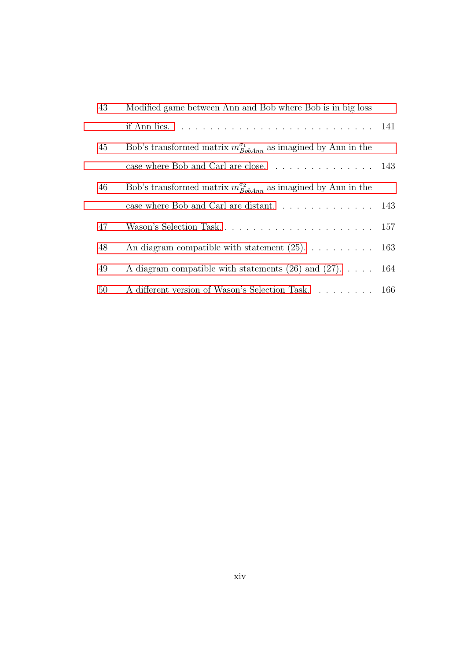| 43 | Modified game between Ann and Bob where Bob is in big loss                               |  |
|----|------------------------------------------------------------------------------------------|--|
|    | if Ann lies. $\ldots \ldots \ldots \ldots \ldots \ldots \ldots \ldots \ldots \ldots 141$ |  |
| 45 | Bob's transformed matrix $m_{BobAnn}^{\sigma_1}$ as imagined by Ann in the               |  |
|    |                                                                                          |  |
| 46 | Bob's transformed matrix $m_{BobAnn}^{\sigma_2}$ as imagined by Ann in the               |  |
|    | case where Bob and Carl are distant. $\ldots \ldots \ldots \ldots 143$                   |  |
| 47 |                                                                                          |  |
| 48 | An diagram compatible with statement $(25)$ . 163                                        |  |
| 49 | A diagram compatible with statements $(26)$ and $(27)$ 164                               |  |
| 50 | A different version of Wason's Selection Task. 166                                       |  |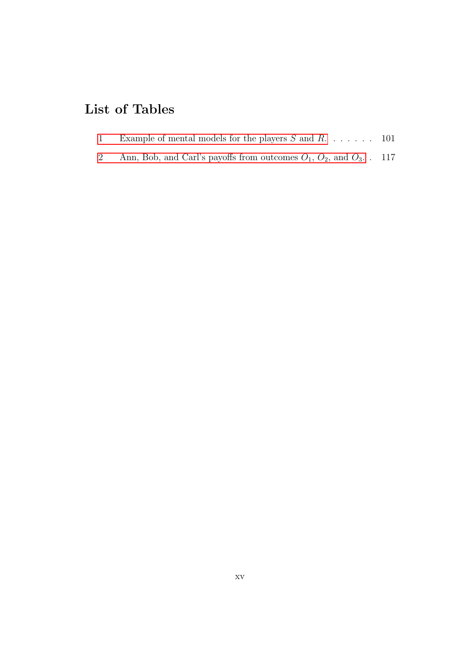# List of Tables

- [1 Example of mental models for the players](#page-116-2)  $S$  and  $R$ . . . . . . . 101
- [2 Ann, Bob, and Carl's payoffs from outcomes](#page-132-0)  $O_1$ ,  $O_2$ , and  $O_3$ . . 117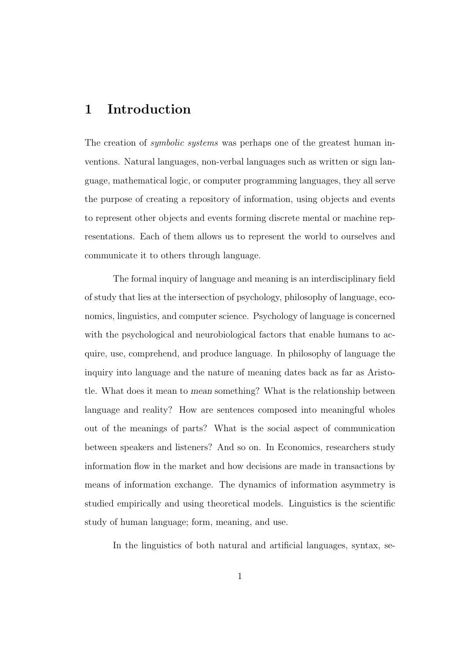### <span id="page-16-0"></span>1 Introduction

The creation of *symbolic systems* was perhaps one of the greatest human inventions. Natural languages, non-verbal languages such as written or sign language, mathematical logic, or computer programming languages, they all serve the purpose of creating a repository of information, using objects and events to represent other objects and events forming discrete mental or machine representations. Each of them allows us to represent the world to ourselves and communicate it to others through language.

The formal inquiry of language and meaning is an interdisciplinary field of study that lies at the intersection of psychology, philosophy of language, economics, linguistics, and computer science. Psychology of language is concerned with the psychological and neurobiological factors that enable humans to acquire, use, comprehend, and produce language. In philosophy of language the inquiry into language and the nature of meaning dates back as far as Aristotle. What does it mean to mean something? What is the relationship between language and reality? How are sentences composed into meaningful wholes out of the meanings of parts? What is the social aspect of communication between speakers and listeners? And so on. In Economics, researchers study information flow in the market and how decisions are made in transactions by means of information exchange. The dynamics of information asymmetry is studied empirically and using theoretical models. Linguistics is the scientific study of human language; form, meaning, and use.

In the linguistics of both natural and artificial languages, syntax, se-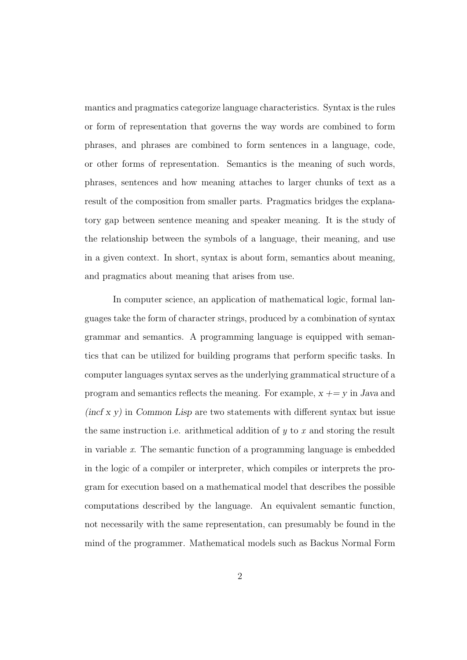mantics and pragmatics categorize language characteristics. Syntax is the rules or form of representation that governs the way words are combined to form phrases, and phrases are combined to form sentences in a language, code, or other forms of representation. Semantics is the meaning of such words, phrases, sentences and how meaning attaches to larger chunks of text as a result of the composition from smaller parts. Pragmatics bridges the explanatory gap between sentence meaning and speaker meaning. It is the study of the relationship between the symbols of a language, their meaning, and use in a given context. In short, syntax is about form, semantics about meaning, and pragmatics about meaning that arises from use.

In computer science, an application of mathematical logic, formal languages take the form of character strings, produced by a combination of syntax grammar and semantics. A programming language is equipped with semantics that can be utilized for building programs that perform specific tasks. In computer languages syntax serves as the underlying grammatical structure of a program and semantics reflects the meaning. For example,  $x \rightarrow y$  in Java and  $(incf x y)$  in Common Lisp are two statements with different syntax but issue the same instruction i.e. arithmetical addition of  $y$  to  $x$  and storing the result in variable  $x$ . The semantic function of a programming language is embedded in the logic of a compiler or interpreter, which compiles or interprets the program for execution based on a mathematical model that describes the possible computations described by the language. An equivalent semantic function, not necessarily with the same representation, can presumably be found in the mind of the programmer. Mathematical models such as Backus Normal Form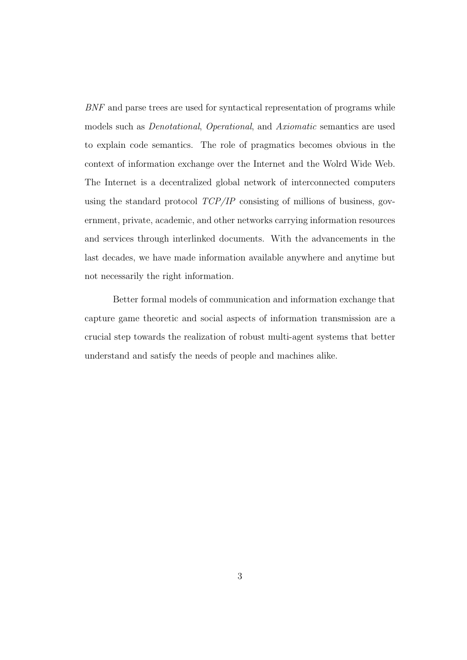BNF and parse trees are used for syntactical representation of programs while models such as Denotational, Operational, and Axiomatic semantics are used to explain code semantics. The role of pragmatics becomes obvious in the context of information exchange over the Internet and the Wolrd Wide Web. The Internet is a decentralized global network of interconnected computers using the standard protocol  $TCP/IP$  consisting of millions of business, government, private, academic, and other networks carrying information resources and services through interlinked documents. With the advancements in the last decades, we have made information available anywhere and anytime but not necessarily the right information.

Better formal models of communication and information exchange that capture game theoretic and social aspects of information transmission are a crucial step towards the realization of robust multi-agent systems that better understand and satisfy the needs of people and machines alike.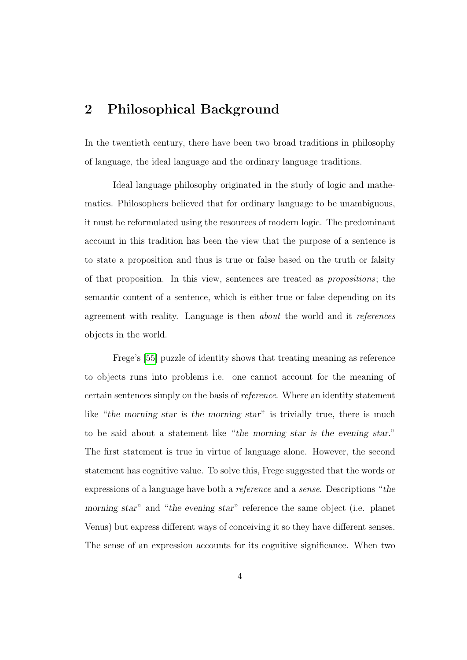### <span id="page-19-0"></span>2 Philosophical Background

In the twentieth century, there have been two broad traditions in philosophy of language, the ideal language and the ordinary language traditions.

Ideal language philosophy originated in the study of logic and mathematics. Philosophers believed that for ordinary language to be unambiguous, it must be reformulated using the resources of modern logic. The predominant account in this tradition has been the view that the purpose of a sentence is to state a proposition and thus is true or false based on the truth or falsity of that proposition. In this view, sentences are treated as propositions; the semantic content of a sentence, which is either true or false depending on its agreement with reality. Language is then about the world and it references objects in the world.

Frege's [\[55\]](#page-193-0) puzzle of identity shows that treating meaning as reference to objects runs into problems i.e. one cannot account for the meaning of certain sentences simply on the basis of reference. Where an identity statement like "the morning star is the morning star" is trivially true, there is much to be said about a statement like "the morning star is the evening star." The first statement is true in virtue of language alone. However, the second statement has cognitive value. To solve this, Frege suggested that the words or expressions of a language have both a reference and a sense. Descriptions "the morning star" and "the evening star" reference the same object (i.e. planet Venus) but express different ways of conceiving it so they have different senses. The sense of an expression accounts for its cognitive significance. When two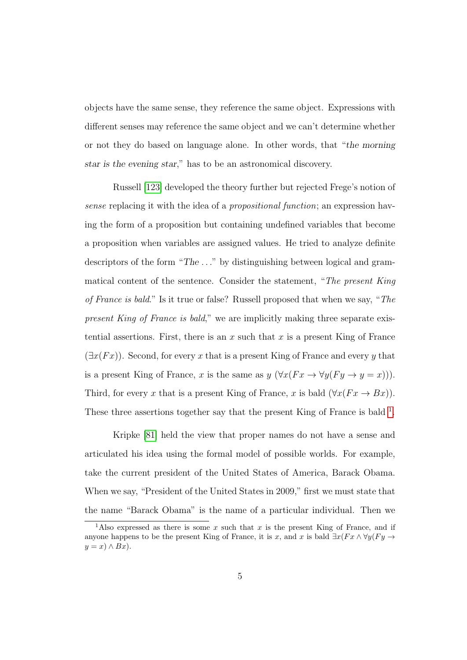objects have the same sense, they reference the same object. Expressions with different senses may reference the same object and we can't determine whether or not they do based on language alone. In other words, that "the morning star is the evening star," has to be an astronomical discovery.

Russell [\[123\]](#page-201-0) developed the theory further but rejected Frege's notion of sense replacing it with the idea of a *propositional function*; an expression having the form of a proposition but containing undefined variables that become a proposition when variables are assigned values. He tried to analyze definite descriptors of the form "The . . ." by distinguishing between logical and grammatical content of the sentence. Consider the statement, "The present King of France is bald." Is it true or false? Russell proposed that when we say, "The present King of France is bald," we are implicitly making three separate existential assertions. First, there is an x such that x is a present King of France  $(\exists x(Fx))$ . Second, for every x that is a present King of France and every y that is a present King of France, x is the same as  $y (\forall x (Fx \rightarrow \forall y (Fy \rightarrow y = x)))$ . Third, for every x that is a present King of France, x is bald  $(\forall x(Fx \rightarrow Bx))$ . These three assertions together say that the present King of France is bald <sup>[1](#page-20-0)</sup>.

Kripke [\[81\]](#page-196-0) held the view that proper names do not have a sense and articulated his idea using the formal model of possible worlds. For example, take the current president of the United States of America, Barack Obama. When we say, "President of the United States in 2009," first we must state that the name "Barack Obama" is the name of a particular individual. Then we

<span id="page-20-0"></span><sup>&</sup>lt;sup>1</sup>Also expressed as there is some x such that x is the present King of France, and if anyone happens to be the present King of France, it is x, and x is bald  $\exists x(Fx \land \forall y(Fy \rightarrow$  $y = x \land Bx$ .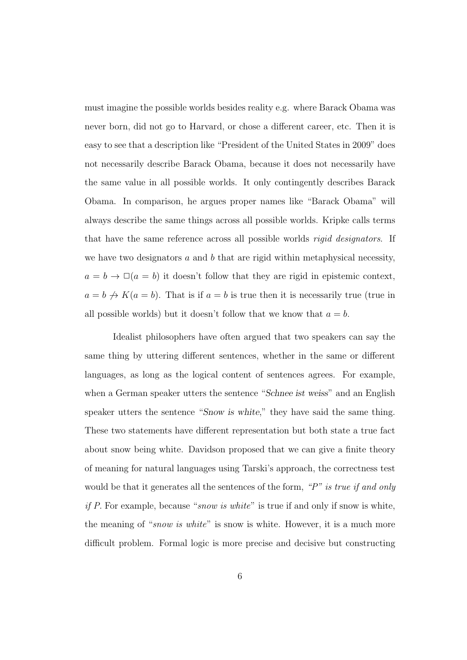must imagine the possible worlds besides reality e.g. where Barack Obama was never born, did not go to Harvard, or chose a different career, etc. Then it is easy to see that a description like "President of the United States in 2009" does not necessarily describe Barack Obama, because it does not necessarily have the same value in all possible worlds. It only contingently describes Barack Obama. In comparison, he argues proper names like "Barack Obama" will always describe the same things across all possible worlds. Kripke calls terms that have the same reference across all possible worlds rigid designators. If we have two designators  $a$  and  $b$  that are rigid within metaphysical necessity,  $a = b \rightarrow \Box(a = b)$  it doesn't follow that they are rigid in epistemic context,  $a = b \nightharpoonup K(a = b)$ . That is if  $a = b$  is true then it is necessarily true (true in all possible worlds) but it doesn't follow that we know that  $a = b$ .

Idealist philosophers have often argued that two speakers can say the same thing by uttering different sentences, whether in the same or different languages, as long as the logical content of sentences agrees. For example, when a German speaker utters the sentence "Schnee ist weiss" and an English speaker utters the sentence "Snow is white," they have said the same thing. These two statements have different representation but both state a true fact about snow being white. Davidson proposed that we can give a finite theory of meaning for natural languages using Tarski's approach, the correctness test would be that it generates all the sentences of the form, " $P$ " is true if and only if P. For example, because "snow is white" is true if and only if snow is white, the meaning of "snow is white" is snow is white. However, it is a much more difficult problem. Formal logic is more precise and decisive but constructing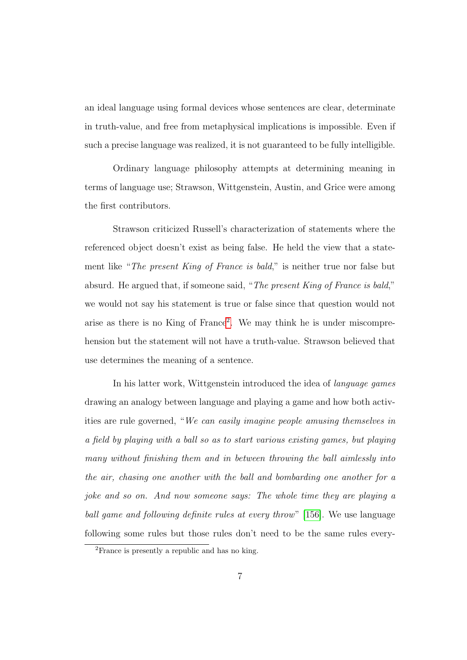an ideal language using formal devices whose sentences are clear, determinate in truth-value, and free from metaphysical implications is impossible. Even if such a precise language was realized, it is not guaranteed to be fully intelligible.

Ordinary language philosophy attempts at determining meaning in terms of language use; Strawson, Wittgenstein, Austin, and Grice were among the first contributors.

Strawson criticized Russell's characterization of statements where the referenced object doesn't exist as being false. He held the view that a statement like "The present King of France is bald," is neither true nor false but absurd. He argued that, if someone said, "The present King of France is bald," we would not say his statement is true or false since that question would not arise as there is no King of France<sup>[2](#page-22-0)</sup>. We may think he is under miscomprehension but the statement will not have a truth-value. Strawson believed that use determines the meaning of a sentence.

In his latter work, Wittgenstein introduced the idea of language games drawing an analogy between language and playing a game and how both activities are rule governed, "We can easily imagine people amusing themselves in a field by playing with a ball so as to start various existing games, but playing many without finishing them and in between throwing the ball aimlessly into the air, chasing one another with the ball and bombarding one another for a joke and so on. And now someone says: The whole time they are playing a ball game and following definite rules at every throw" [\[156\]](#page-205-0). We use language following some rules but those rules don't need to be the same rules every-

<span id="page-22-0"></span><sup>2</sup>France is presently a republic and has no king.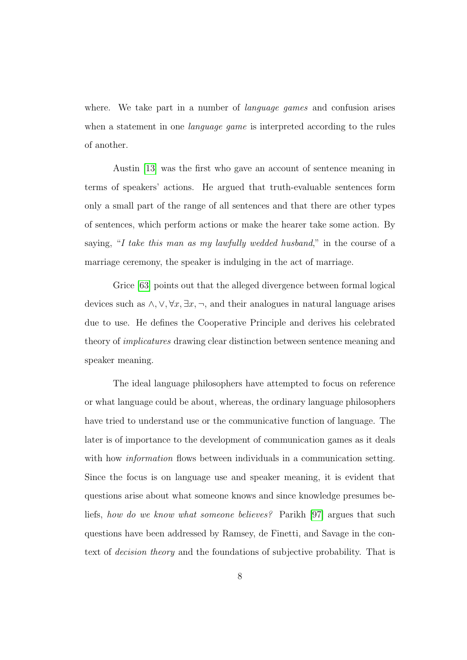where. We take part in a number of *language games* and confusion arises when a statement in one *language game* is interpreted according to the rules of another.

Austin [\[13\]](#page-188-0) was the first who gave an account of sentence meaning in terms of speakers' actions. He argued that truth-evaluable sentences form only a small part of the range of all sentences and that there are other types of sentences, which perform actions or make the hearer take some action. By saying, "I take this man as my lawfully wedded husband," in the course of a marriage ceremony, the speaker is indulging in the act of marriage.

Grice [\[63\]](#page-194-0) points out that the alleged divergence between formal logical devices such as  $\wedge$ ,  $\vee$ ,  $\forall x, \exists x, \neg$ , and their analogues in natural language arises due to use. He defines the Cooperative Principle and derives his celebrated theory of implicatures drawing clear distinction between sentence meaning and speaker meaning.

The ideal language philosophers have attempted to focus on reference or what language could be about, whereas, the ordinary language philosophers have tried to understand use or the communicative function of language. The later is of importance to the development of communication games as it deals with how *information* flows between individuals in a communication setting. Since the focus is on language use and speaker meaning, it is evident that questions arise about what someone knows and since knowledge presumes beliefs, how do we know what someone believes? Parikh [\[97\]](#page-198-0) argues that such questions have been addressed by Ramsey, de Finetti, and Savage in the context of decision theory and the foundations of subjective probability. That is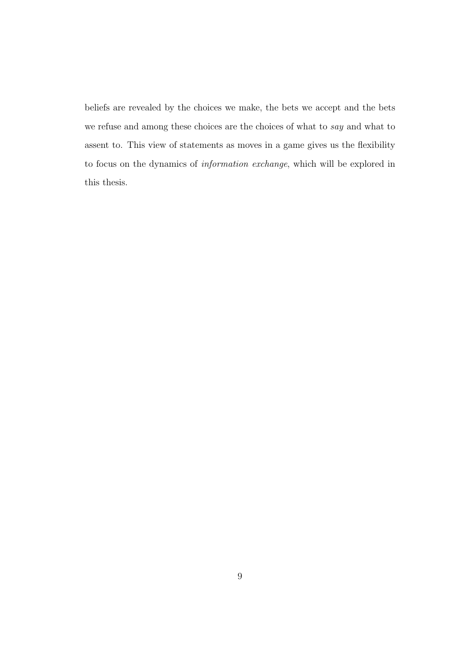beliefs are revealed by the choices we make, the bets we accept and the bets we refuse and among these choices are the choices of what to say and what to assent to. This view of statements as moves in a game gives us the flexibility to focus on the dynamics of information exchange, which will be explored in this thesis.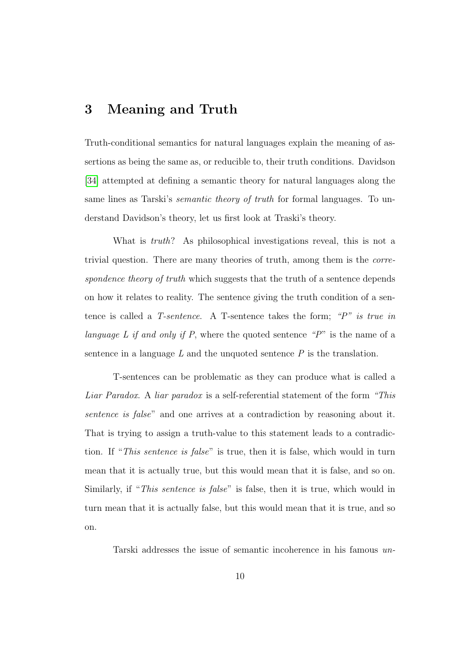### <span id="page-25-0"></span>3 Meaning and Truth

Truth-conditional semantics for natural languages explain the meaning of assertions as being the same as, or reducible to, their truth conditions. Davidson [\[34\]](#page-191-0) attempted at defining a semantic theory for natural languages along the same lines as Tarski's semantic theory of truth for formal languages. To understand Davidson's theory, let us first look at Traski's theory.

What is *truth*? As philosophical investigations reveal, this is not a trivial question. There are many theories of truth, among them is the correspondence theory of truth which suggests that the truth of a sentence depends on how it relates to reality. The sentence giving the truth condition of a sentence is called a T-sentence. A T-sentence takes the form; "P" is true in language L if and only if P, where the quoted sentence "P" is the name of a sentence in a language  $L$  and the unquoted sentence  $P$  is the translation.

T-sentences can be problematic as they can produce what is called a Liar Paradox. A liar paradox is a self-referential statement of the form "This sentence is false" and one arrives at a contradiction by reasoning about it. That is trying to assign a truth-value to this statement leads to a contradiction. If "This sentence is false" is true, then it is false, which would in turn mean that it is actually true, but this would mean that it is false, and so on. Similarly, if "This sentence is false" is false, then it is true, which would in turn mean that it is actually false, but this would mean that it is true, and so on.

Tarski addresses the issue of semantic incoherence in his famous un-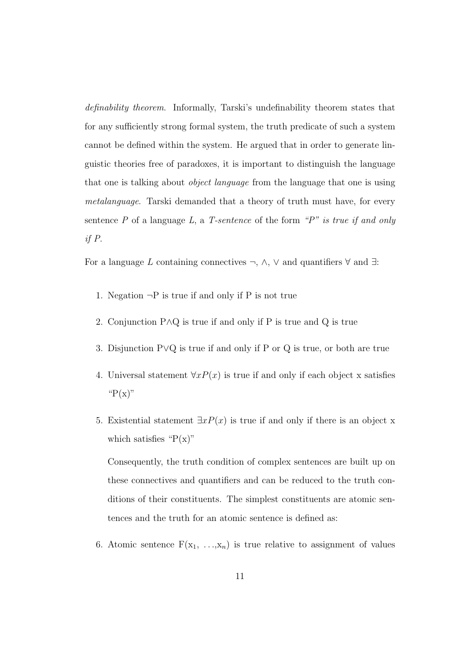definability theorem. Informally, Tarski's undefinability theorem states that for any sufficiently strong formal system, the truth predicate of such a system cannot be defined within the system. He argued that in order to generate linguistic theories free of paradoxes, it is important to distinguish the language that one is talking about object language from the language that one is using metalanguage. Tarski demanded that a theory of truth must have, for every sentence  $P$  of a language  $L$ , a  $T$ -sentence of the form " $P$ " is true if and only if P.

For a language L containing connectives  $\neg$ ,  $\wedge$ ,  $\vee$  and quantifiers  $\forall$  and  $\exists$ :

- 1. Negation  $\neg P$  is true if and only if P is not true
- 2. Conjunction P∧Q is true if and only if P is true and Q is true
- 3. Disjunction P∨Q is true if and only if P or Q is true, or both are true
- 4. Universal statement  $\forall x P(x)$  is true if and only if each object x satisfies " $P(x)$ "
- 5. Existential statement  $\exists x P(x)$  is true if and only if there is an object x which satisfies " $P(x)$ "

Consequently, the truth condition of complex sentences are built up on these connectives and quantifiers and can be reduced to the truth conditions of their constituents. The simplest constituents are atomic sentences and the truth for an atomic sentence is defined as:

6. Atomic sentence  $F(x_1, \ldots, x_n)$  is true relative to assignment of values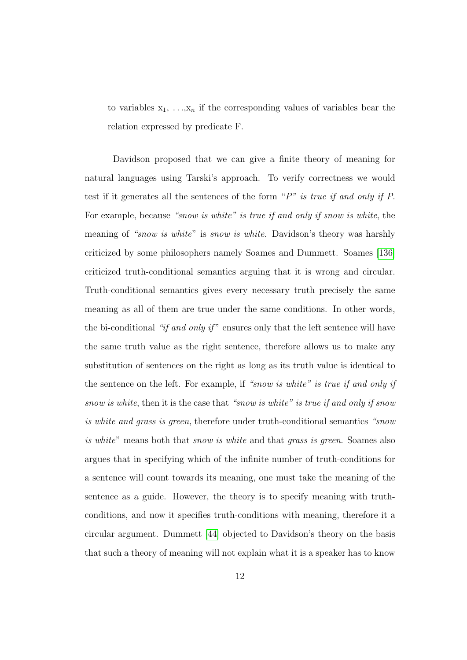to variables  $x_1, \ldots, x_n$  if the corresponding values of variables bear the relation expressed by predicate F.

Davidson proposed that we can give a finite theory of meaning for natural languages using Tarski's approach. To verify correctness we would test if it generates all the sentences of the form " $P$ " is true if and only if P. For example, because "snow is white" is true if and only if snow is white, the meaning of "snow is white" is snow is white. Davidson's theory was harshly criticized by some philosophers namely Soames and Dummett. Soames [\[136\]](#page-202-0) criticized truth-conditional semantics arguing that it is wrong and circular. Truth-conditional semantics gives every necessary truth precisely the same meaning as all of them are true under the same conditions. In other words, the bi-conditional "if and only if" ensures only that the left sentence will have the same truth value as the right sentence, therefore allows us to make any substitution of sentences on the right as long as its truth value is identical to the sentence on the left. For example, if "snow is white" is true if and only if snow is white, then it is the case that "snow is white" is true if and only if snow is white and grass is green, therefore under truth-conditional semantics "snow is white" means both that *snow is white* and that *grass is green*. Soames also argues that in specifying which of the infinite number of truth-conditions for a sentence will count towards its meaning, one must take the meaning of the sentence as a guide. However, the theory is to specify meaning with truthconditions, and now it specifies truth-conditions with meaning, therefore it a circular argument. Dummett [\[44\]](#page-192-0) objected to Davidson's theory on the basis that such a theory of meaning will not explain what it is a speaker has to know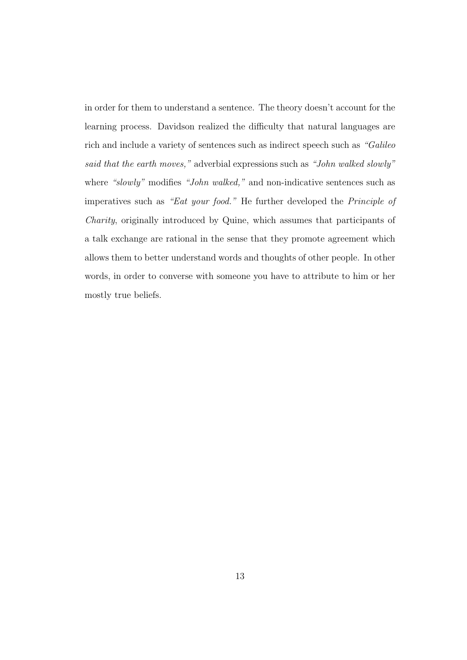in order for them to understand a sentence. The theory doesn't account for the learning process. Davidson realized the difficulty that natural languages are rich and include a variety of sentences such as indirect speech such as "Galileo said that the earth moves," adverbial expressions such as "John walked slowly" where "slowly" modifies "John walked," and non-indicative sentences such as imperatives such as "Eat your food." He further developed the Principle of Charity, originally introduced by Quine, which assumes that participants of a talk exchange are rational in the sense that they promote agreement which allows them to better understand words and thoughts of other people. In other words, in order to converse with someone you have to attribute to him or her mostly true beliefs.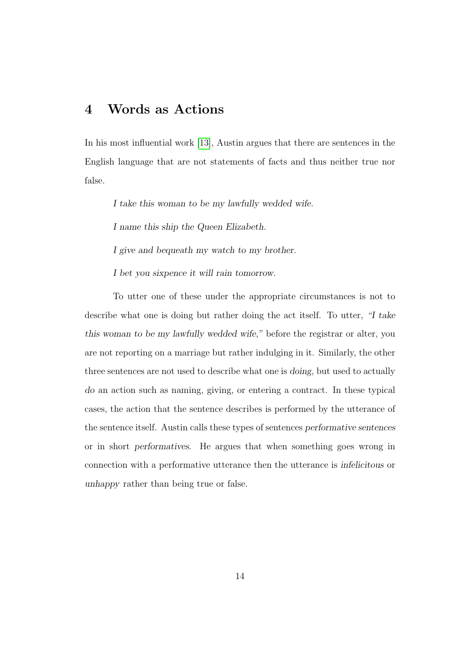### <span id="page-29-0"></span>4 Words as Actions

In his most influential work [\[13\]](#page-188-0), Austin argues that there are sentences in the English language that are not statements of facts and thus neither true nor false.

I take this woman to be my lawfully wedded wife.

I name this ship the Queen Elizabeth.

I give and bequeath my watch to my brother.

I bet you sixpence it will rain tomorrow.

To utter one of these under the appropriate circumstances is not to describe what one is doing but rather doing the act itself. To utter, "I take this woman to be my lawfully wedded wife," before the registrar or alter, you are not reporting on a marriage but rather indulging in it. Similarly, the other three sentences are not used to describe what one is doing, but used to actually do an action such as naming, giving, or entering a contract. In these typical cases, the action that the sentence describes is performed by the utterance of the sentence itself. Austin calls these types of sentences performative sentences or in short performatives. He argues that when something goes wrong in connection with a performative utterance then the utterance is infelicitous or unhappy rather than being true or false.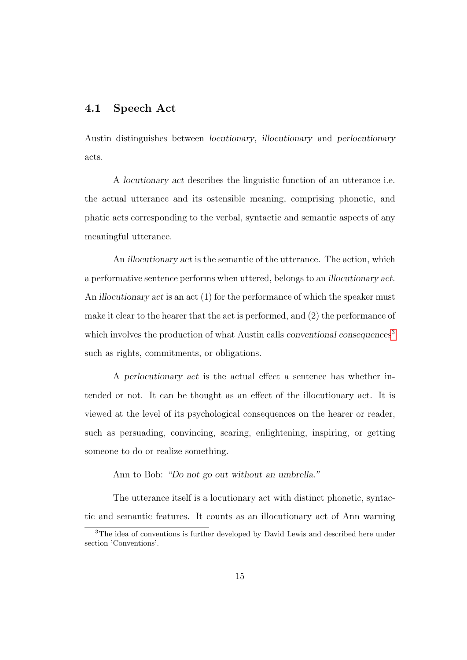### <span id="page-30-0"></span>4.1 Speech Act

Austin distinguishes between locutionary, illocutionary and perlocutionary acts.

A locutionary act describes the linguistic function of an utterance i.e. the actual utterance and its ostensible meaning, comprising phonetic, and phatic acts corresponding to the verbal, syntactic and semantic aspects of any meaningful utterance.

An illocutionary act is the semantic of the utterance. The action, which a performative sentence performs when uttered, belongs to an illocutionary act. An *illocutionary act* is an act (1) for the performance of which the speaker must make it clear to the hearer that the act is performed, and (2) the performance of which involves the production of what Austin calls conventional consequences<sup>[3](#page-30-1)</sup> such as rights, commitments, or obligations.

A perlocutionary act is the actual effect a sentence has whether intended or not. It can be thought as an effect of the illocutionary act. It is viewed at the level of its psychological consequences on the hearer or reader, such as persuading, convincing, scaring, enlightening, inspiring, or getting someone to do or realize something.

Ann to Bob: "Do not go out without an umbrella."

The utterance itself is a locutionary act with distinct phonetic, syntactic and semantic features. It counts as an illocutionary act of Ann warning

<span id="page-30-1"></span><sup>&</sup>lt;sup>3</sup>The idea of conventions is further developed by David Lewis and described here under section 'Conventions'.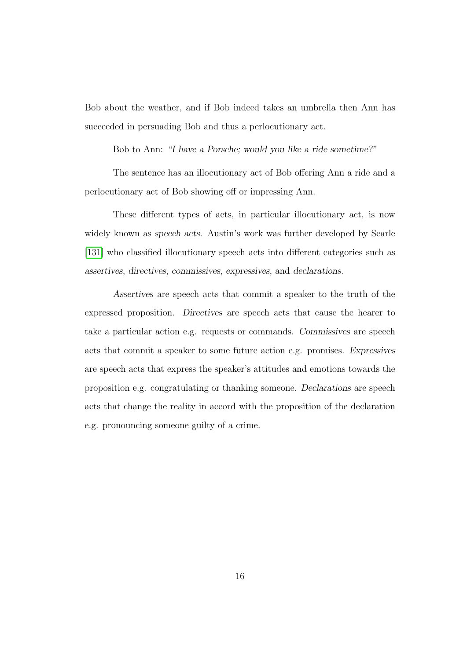Bob about the weather, and if Bob indeed takes an umbrella then Ann has succeeded in persuading Bob and thus a perlocutionary act.

Bob to Ann: "I have a Porsche; would you like a ride sometime?"

The sentence has an illocutionary act of Bob offering Ann a ride and a perlocutionary act of Bob showing off or impressing Ann.

These different types of acts, in particular illocutionary act, is now widely known as speech acts. Austin's work was further developed by Searle [\[131\]](#page-202-1) who classified illocutionary speech acts into different categories such as assertives, directives, commissives, expressives, and declarations.

Assertives are speech acts that commit a speaker to the truth of the expressed proposition. Directives are speech acts that cause the hearer to take a particular action e.g. requests or commands. Commissives are speech acts that commit a speaker to some future action e.g. promises. Expressives are speech acts that express the speaker's attitudes and emotions towards the proposition e.g. congratulating or thanking someone. Declarations are speech acts that change the reality in accord with the proposition of the declaration e.g. pronouncing someone guilty of a crime.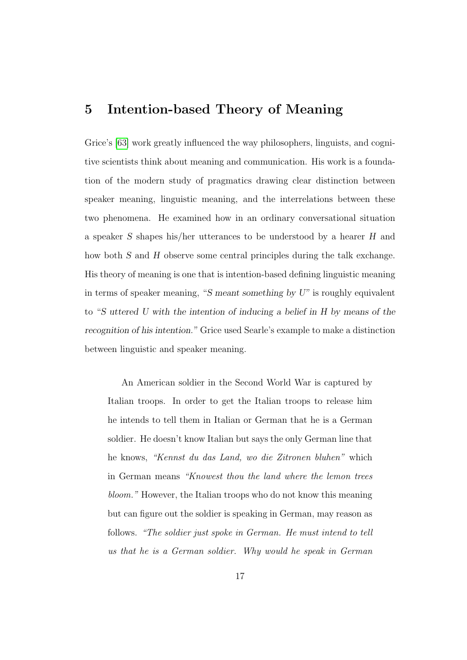### <span id="page-32-0"></span>5 Intention-based Theory of Meaning

Grice's [\[63\]](#page-194-0) work greatly influenced the way philosophers, linguists, and cognitive scientists think about meaning and communication. His work is a foundation of the modern study of pragmatics drawing clear distinction between speaker meaning, linguistic meaning, and the interrelations between these two phenomena. He examined how in an ordinary conversational situation a speaker S shapes his/her utterances to be understood by a hearer H and how both S and H observe some central principles during the talk exchange. His theory of meaning is one that is intention-based defining linguistic meaning in terms of speaker meaning, "S meant something by U" is roughly equivalent to "S uttered U with the intention of inducing a belief in H by means of the recognition of his intention." Grice used Searle's example to make a distinction between linguistic and speaker meaning.

An American soldier in the Second World War is captured by Italian troops. In order to get the Italian troops to release him he intends to tell them in Italian or German that he is a German soldier. He doesn't know Italian but says the only German line that he knows, "Kennst du das Land, wo die Zitronen bluhen" which in German means "Knowest thou the land where the lemon trees bloom." However, the Italian troops who do not know this meaning but can figure out the soldier is speaking in German, may reason as follows. "The soldier just spoke in German. He must intend to tell us that he is a German soldier. Why would he speak in German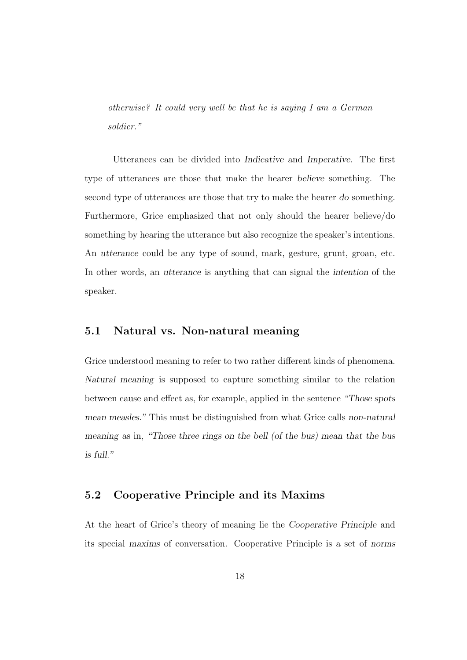otherwise? It could very well be that he is saying I am a German soldier."

Utterances can be divided into Indicative and Imperative. The first type of utterances are those that make the hearer believe something. The second type of utterances are those that try to make the hearer do something. Furthermore, Grice emphasized that not only should the hearer believe/do something by hearing the utterance but also recognize the speaker's intentions. An utterance could be any type of sound, mark, gesture, grunt, groan, etc. In other words, an utterance is anything that can signal the intention of the speaker.

### <span id="page-33-0"></span>5.1 Natural vs. Non-natural meaning

Grice understood meaning to refer to two rather different kinds of phenomena. Natural meaning is supposed to capture something similar to the relation between cause and effect as, for example, applied in the sentence "Those spots mean measles." This must be distinguished from what Grice calls non-natural meaning as in, "Those three rings on the bell (of the bus) mean that the bus is full."

#### <span id="page-33-1"></span>5.2 Cooperative Principle and its Maxims

At the heart of Grice's theory of meaning lie the Cooperative Principle and its special maxims of conversation. Cooperative Principle is a set of norms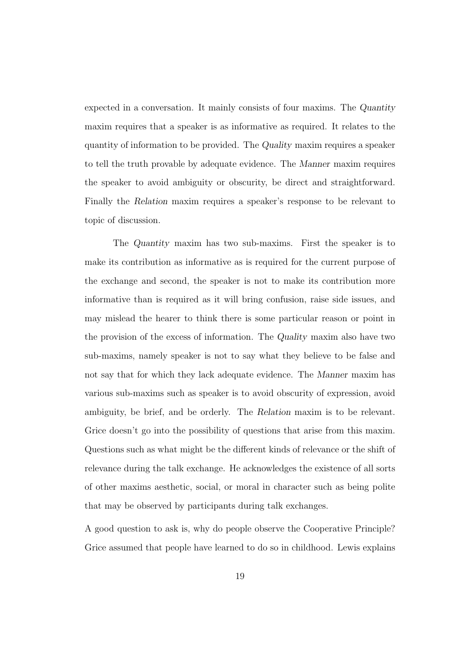expected in a conversation. It mainly consists of four maxims. The Quantity maxim requires that a speaker is as informative as required. It relates to the quantity of information to be provided. The Quality maxim requires a speaker to tell the truth provable by adequate evidence. The Manner maxim requires the speaker to avoid ambiguity or obscurity, be direct and straightforward. Finally the Relation maxim requires a speaker's response to be relevant to topic of discussion.

The Quantity maxim has two sub-maxims. First the speaker is to make its contribution as informative as is required for the current purpose of the exchange and second, the speaker is not to make its contribution more informative than is required as it will bring confusion, raise side issues, and may mislead the hearer to think there is some particular reason or point in the provision of the excess of information. The Quality maxim also have two sub-maxims, namely speaker is not to say what they believe to be false and not say that for which they lack adequate evidence. The Manner maxim has various sub-maxims such as speaker is to avoid obscurity of expression, avoid ambiguity, be brief, and be orderly. The Relation maxim is to be relevant. Grice doesn't go into the possibility of questions that arise from this maxim. Questions such as what might be the different kinds of relevance or the shift of relevance during the talk exchange. He acknowledges the existence of all sorts of other maxims aesthetic, social, or moral in character such as being polite that may be observed by participants during talk exchanges.

A good question to ask is, why do people observe the Cooperative Principle? Grice assumed that people have learned to do so in childhood. Lewis explains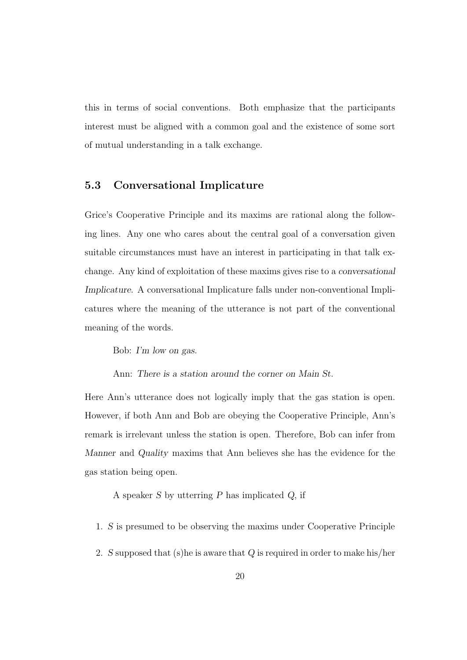this in terms of social conventions. Both emphasize that the participants interest must be aligned with a common goal and the existence of some sort of mutual understanding in a talk exchange.

### <span id="page-35-0"></span>5.3 Conversational Implicature

Grice's Cooperative Principle and its maxims are rational along the following lines. Any one who cares about the central goal of a conversation given suitable circumstances must have an interest in participating in that talk exchange. Any kind of exploitation of these maxims gives rise to a conversational Implicature. A conversational Implicature falls under non-conventional Implicatures where the meaning of the utterance is not part of the conventional meaning of the words.

Bob: I'm low on gas.

Ann: There is a station around the corner on Main St.

Here Ann's utterance does not logically imply that the gas station is open. However, if both Ann and Bob are obeying the Cooperative Principle, Ann's remark is irrelevant unless the station is open. Therefore, Bob can infer from Manner and Quality maxims that Ann believes she has the evidence for the gas station being open.

A speaker S by utterring P has implicated Q, if

- 1. S is presumed to be observing the maxims under Cooperative Principle
- 2. S supposed that  $(s)$ he is aware that  $Q$  is required in order to make his/her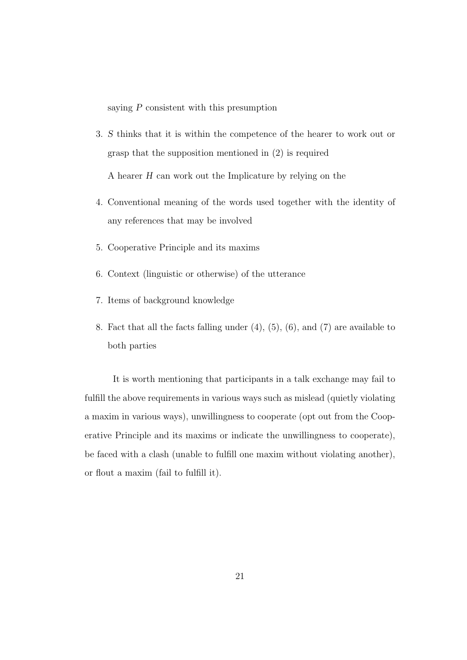saying P consistent with this presumption

3. S thinks that it is within the competence of the hearer to work out or grasp that the supposition mentioned in (2) is required

A hearer H can work out the Implicature by relying on the

- 4. Conventional meaning of the words used together with the identity of any references that may be involved
- 5. Cooperative Principle and its maxims
- 6. Context (linguistic or otherwise) of the utterance
- 7. Items of background knowledge
- 8. Fact that all the facts falling under (4), (5), (6), and (7) are available to both parties

It is worth mentioning that participants in a talk exchange may fail to fulfill the above requirements in various ways such as mislead (quietly violating a maxim in various ways), unwillingness to cooperate (opt out from the Cooperative Principle and its maxims or indicate the unwillingness to cooperate), be faced with a clash (unable to fulfill one maxim without violating another), or flout a maxim (fail to fulfill it).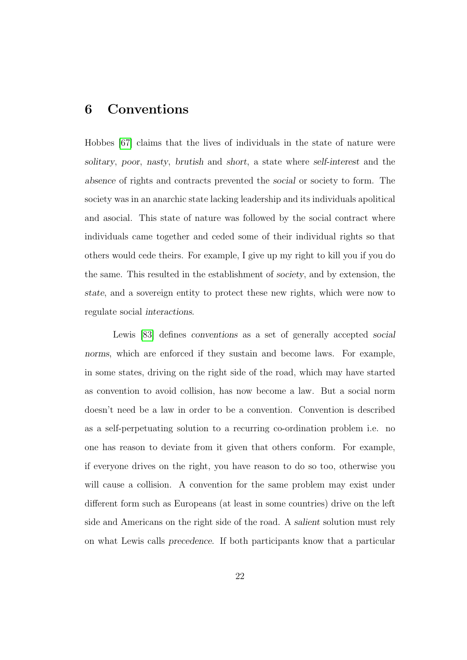# 6 Conventions

Hobbes [\[67\]](#page-194-0) claims that the lives of individuals in the state of nature were solitary, poor, nasty, brutish and short, a state where self-interest and the absence of rights and contracts prevented the social or society to form. The society was in an anarchic state lacking leadership and its individuals apolitical and asocial. This state of nature was followed by the social contract where individuals came together and ceded some of their individual rights so that others would cede theirs. For example, I give up my right to kill you if you do the same. This resulted in the establishment of society, and by extension, the state, and a sovereign entity to protect these new rights, which were now to regulate social interactions.

Lewis [\[83\]](#page-196-0) defines conventions as a set of generally accepted social norms, which are enforced if they sustain and become laws. For example, in some states, driving on the right side of the road, which may have started as convention to avoid collision, has now become a law. But a social norm doesn't need be a law in order to be a convention. Convention is described as a self-perpetuating solution to a recurring co-ordination problem i.e. no one has reason to deviate from it given that others conform. For example, if everyone drives on the right, you have reason to do so too, otherwise you will cause a collision. A convention for the same problem may exist under different form such as Europeans (at least in some countries) drive on the left side and Americans on the right side of the road. A salient solution must rely on what Lewis calls precedence. If both participants know that a particular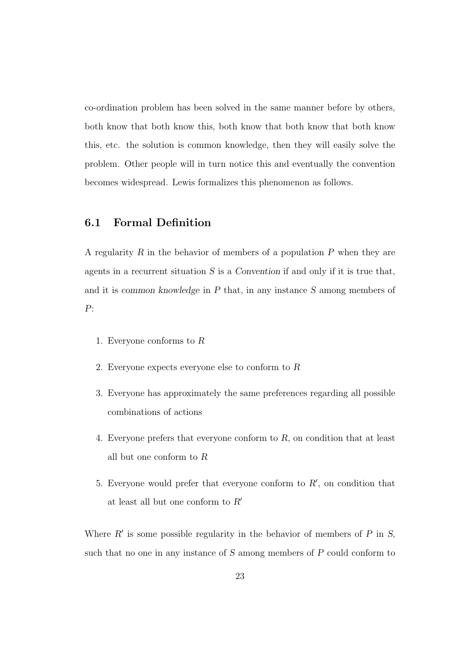co-ordination problem has been solved in the same manner before by others, both know that both know this, both know that both know that both know this, etc. the solution is common knowledge, then they will easily solve the problem. Other people will in turn notice this and eventually the convention becomes widespread. Lewis formalizes this phenomenon as follows.

## 6.1 Formal Definition

A regularity  $R$  in the behavior of members of a population  $P$  when they are agents in a recurrent situation  $S$  is a Convention if and only if it is true that, and it is common knowledge in P that, in any instance S among members of P:

- 1. Everyone conforms to R
- 2. Everyone expects everyone else to conform to R
- 3. Everyone has approximately the same preferences regarding all possible combinations of actions
- 4. Everyone prefers that everyone conform to R, on condition that at least all but one conform to R
- 5. Everyone would prefer that everyone conform to  $R'$ , on condition that at least all but one conform to  $R^\prime$

Where  $R'$  is some possible regularity in the behavior of members of  $P$  in  $S$ , such that no one in any instance of S among members of P could conform to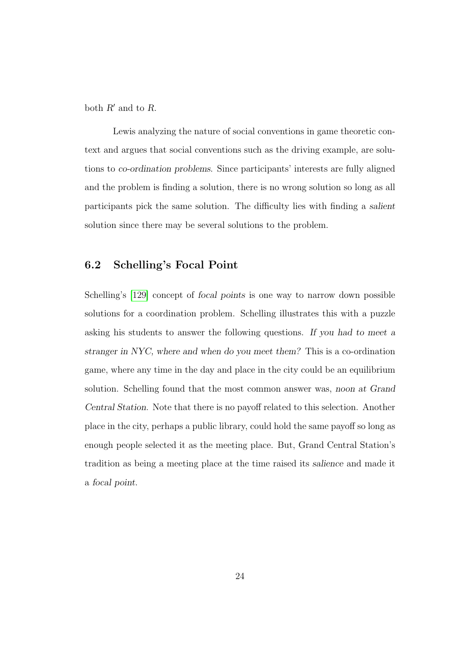both  $R'$  and to  $R$ .

Lewis analyzing the nature of social conventions in game theoretic context and argues that social conventions such as the driving example, are solutions to co-ordination problems. Since participants' interests are fully aligned and the problem is finding a solution, there is no wrong solution so long as all participants pick the same solution. The difficulty lies with finding a salient solution since there may be several solutions to the problem.

# 6.2 Schelling's Focal Point

Schelling's [\[129\]](#page-201-0) concept of focal points is one way to narrow down possible solutions for a coordination problem. Schelling illustrates this with a puzzle asking his students to answer the following questions. If you had to meet a stranger in NYC, where and when do you meet them? This is a co-ordination game, where any time in the day and place in the city could be an equilibrium solution. Schelling found that the most common answer was, noon at Grand Central Station. Note that there is no payoff related to this selection. Another place in the city, perhaps a public library, could hold the same payoff so long as enough people selected it as the meeting place. But, Grand Central Station's tradition as being a meeting place at the time raised its salience and made it a focal point.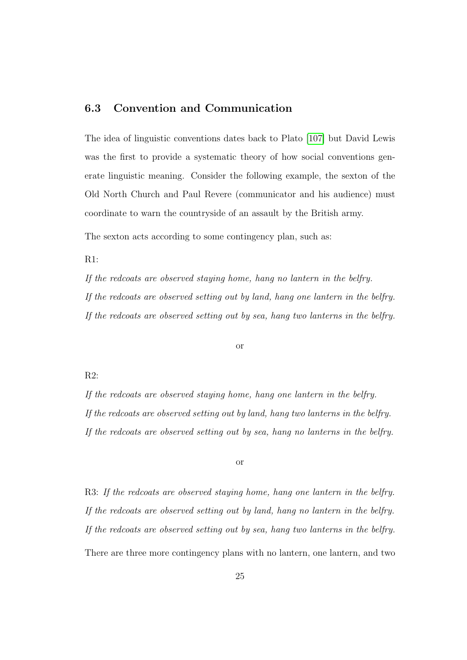# 6.3 Convention and Communication

The idea of linguistic conventions dates back to Plato [\[107\]](#page-199-0) but David Lewis was the first to provide a systematic theory of how social conventions generate linguistic meaning. Consider the following example, the sexton of the Old North Church and Paul Revere (communicator and his audience) must coordinate to warn the countryside of an assault by the British army.

The sexton acts according to some contingency plan, such as:

R1:

If the redcoats are observed staying home, hang no lantern in the belfry. If the redcoats are observed setting out by land, hang one lantern in the belfry. If the redcoats are observed setting out by sea, hang two lanterns in the belfry.

#### or

R2:

If the redcoats are observed staying home, hang one lantern in the belfry. If the redcoats are observed setting out by land, hang two lanterns in the belfry. If the redcoats are observed setting out by sea, hang no lanterns in the belfry.

#### or

R3: If the redcoats are observed staying home, hang one lantern in the belfry. If the redcoats are observed setting out by land, hang no lantern in the belfry. If the redcoats are observed setting out by sea, hang two lanterns in the belfry. There are three more contingency plans with no lantern, one lantern, and two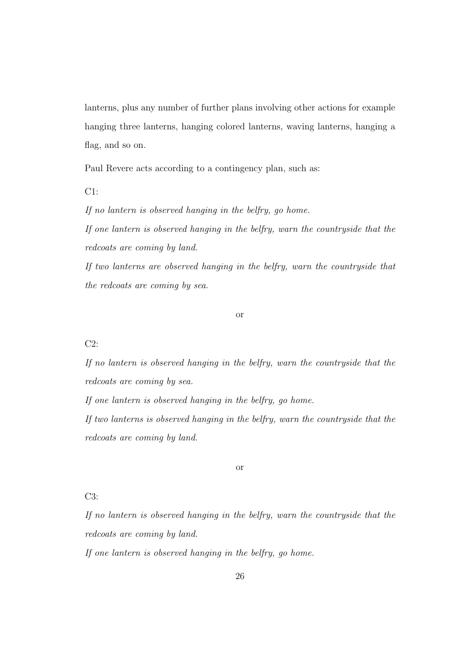lanterns, plus any number of further plans involving other actions for example hanging three lanterns, hanging colored lanterns, waving lanterns, hanging a flag, and so on.

Paul Revere acts according to a contingency plan, such as:

C1:

If no lantern is observed hanging in the belfry, go home.

If one lantern is observed hanging in the belfry, warn the countryside that the redcoats are coming by land.

If two lanterns are observed hanging in the belfry, warn the countryside that the redcoats are coming by sea.

or

### C2:

If no lantern is observed hanging in the belfry, warn the countryside that the redcoats are coming by sea.

If one lantern is observed hanging in the belfry, go home.

If two lanterns is observed hanging in the belfry, warn the countryside that the redcoats are coming by land.

#### or

## C3:

If no lantern is observed hanging in the belfry, warn the countryside that the redcoats are coming by land.

If one lantern is observed hanging in the belfry, go home.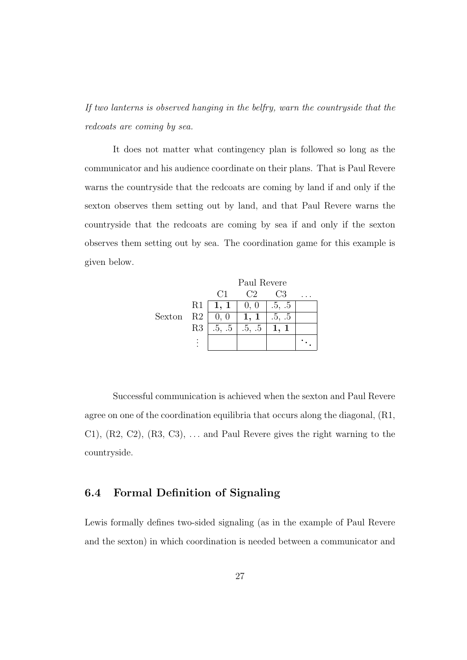If two lanterns is observed hanging in the belfry, warn the countryside that the redcoats are coming by sea.

It does not matter what contingency plan is followed so long as the communicator and his audience coordinate on their plans. That is Paul Revere warns the countryside that the redcoats are coming by land if and only if the sexton observes them setting out by land, and that Paul Revere warns the countryside that the redcoats are coming by sea if and only if the sexton observes them setting out by sea. The coordination game for this example is given below.



Successful communication is achieved when the sexton and Paul Revere agree on one of the coordination equilibria that occurs along the diagonal, (R1, C1),  $(R2, C2)$ ,  $(R3, C3)$ , ... and Paul Revere gives the right warning to the countryside.

# 6.4 Formal Definition of Signaling

Lewis formally defines two-sided signaling (as in the example of Paul Revere and the sexton) in which coordination is needed between a communicator and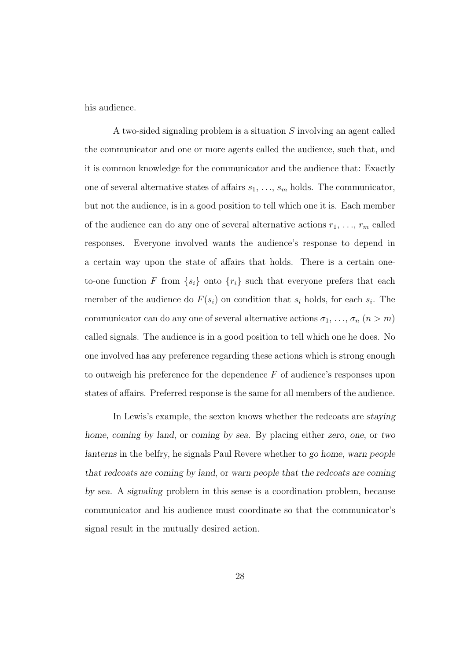his audience.

A two-sided signaling problem is a situation S involving an agent called the communicator and one or more agents called the audience, such that, and it is common knowledge for the communicator and the audience that: Exactly one of several alternative states of affairs  $s_1, \ldots, s_m$  holds. The communicator, but not the audience, is in a good position to tell which one it is. Each member of the audience can do any one of several alternative actions  $r_1, \ldots, r_m$  called responses. Everyone involved wants the audience's response to depend in a certain way upon the state of affairs that holds. There is a certain oneto-one function F from  $\{s_i\}$  onto  $\{r_i\}$  such that everyone prefers that each member of the audience do  $F(s_i)$  on condition that  $s_i$  holds, for each  $s_i$ . The communicator can do any one of several alternative actions  $\sigma_1, \ldots, \sigma_n$   $(n > m)$ called signals. The audience is in a good position to tell which one he does. No one involved has any preference regarding these actions which is strong enough to outweigh his preference for the dependence  $F$  of audience's responses upon states of affairs. Preferred response is the same for all members of the audience.

In Lewis's example, the sexton knows whether the redcoats are staying home, coming by land, or coming by sea. By placing either zero, one, or two lanterns in the belfry, he signals Paul Revere whether to go home, warn people that redcoats are coming by land, or warn people that the redcoats are coming by sea. A signaling problem in this sense is a coordination problem, because communicator and his audience must coordinate so that the communicator's signal result in the mutually desired action.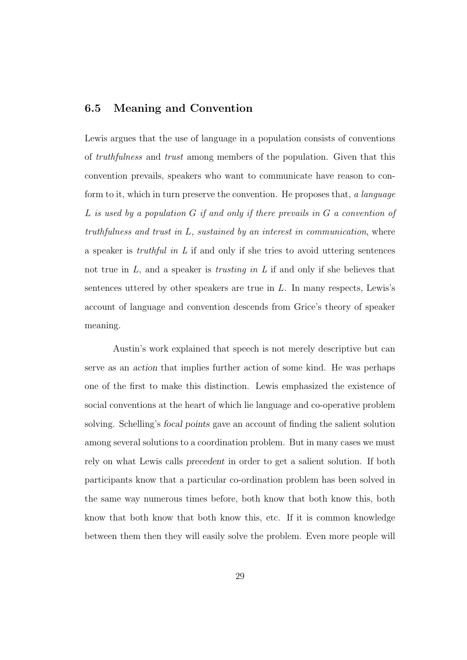## 6.5 Meaning and Convention

Lewis argues that the use of language in a population consists of conventions of truthfulness and trust among members of the population. Given that this convention prevails, speakers who want to communicate have reason to conform to it, which in turn preserve the convention. He proposes that, a language L is used by a population G if and only if there prevails in G a convention of truthfulness and trust in  $L$ , sustained by an interest in communication, where a speaker is *truthful in L* if and only if she tries to avoid uttering sentences not true in  $L$ , and a speaker is *trusting in*  $L$  if and only if she believes that sentences uttered by other speakers are true in L. In many respects, Lewis's account of language and convention descends from Grice's theory of speaker meaning.

Austin's work explained that speech is not merely descriptive but can serve as an action that implies further action of some kind. He was perhaps one of the first to make this distinction. Lewis emphasized the existence of social conventions at the heart of which lie language and co-operative problem solving. Schelling's focal points gave an account of finding the salient solution among several solutions to a coordination problem. But in many cases we must rely on what Lewis calls precedent in order to get a salient solution. If both participants know that a particular co-ordination problem has been solved in the same way numerous times before, both know that both know this, both know that both know that both know this, etc. If it is common knowledge between them then they will easily solve the problem. Even more people will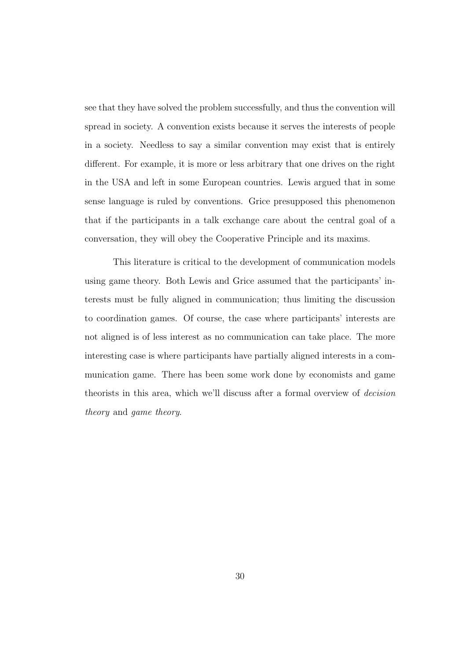see that they have solved the problem successfully, and thus the convention will spread in society. A convention exists because it serves the interests of people in a society. Needless to say a similar convention may exist that is entirely different. For example, it is more or less arbitrary that one drives on the right in the USA and left in some European countries. Lewis argued that in some sense language is ruled by conventions. Grice presupposed this phenomenon that if the participants in a talk exchange care about the central goal of a conversation, they will obey the Cooperative Principle and its maxims.

This literature is critical to the development of communication models using game theory. Both Lewis and Grice assumed that the participants' interests must be fully aligned in communication; thus limiting the discussion to coordination games. Of course, the case where participants' interests are not aligned is of less interest as no communication can take place. The more interesting case is where participants have partially aligned interests in a communication game. There has been some work done by economists and game theorists in this area, which we'll discuss after a formal overview of decision theory and game theory.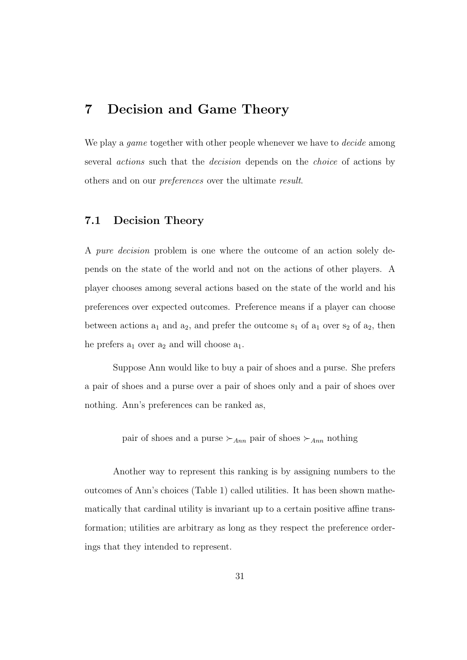# 7 Decision and Game Theory

We play a *game* together with other people whenever we have to *decide* among several actions such that the decision depends on the choice of actions by others and on our preferences over the ultimate result.

# 7.1 Decision Theory

A pure decision problem is one where the outcome of an action solely depends on the state of the world and not on the actions of other players. A player chooses among several actions based on the state of the world and his preferences over expected outcomes. Preference means if a player can choose between actions  $a_1$  and  $a_2$ , and prefer the outcome  $s_1$  of  $a_1$  over  $s_2$  of  $a_2$ , then he prefers  $a_1$  over  $a_2$  and will choose  $a_1$ .

Suppose Ann would like to buy a pair of shoes and a purse. She prefers a pair of shoes and a purse over a pair of shoes only and a pair of shoes over nothing. Ann's preferences can be ranked as,

pair of shoes and a purse  $\succ_{Ann}$  pair of shoes  $\succ_{Ann}$  nothing

Another way to represent this ranking is by assigning numbers to the outcomes of Ann's choices (Table 1) called utilities. It has been shown mathematically that cardinal utility is invariant up to a certain positive affine transformation; utilities are arbitrary as long as they respect the preference orderings that they intended to represent.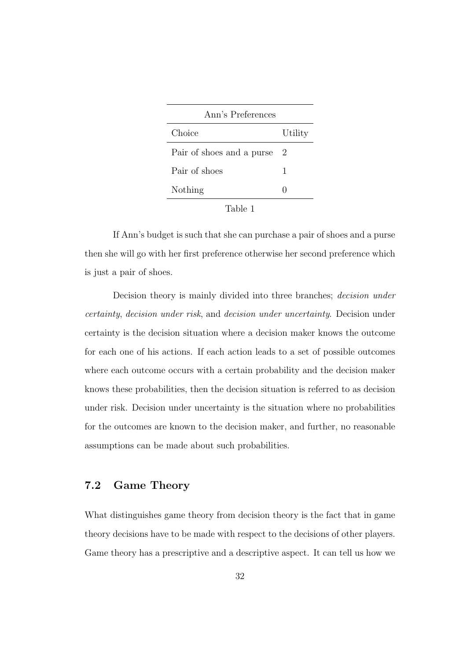| Ann's Preferences         |              |  |  |
|---------------------------|--------------|--|--|
| Choice                    | Utility      |  |  |
| Pair of shoes and a purse | $\dot{2}$    |  |  |
| Pair of shoes             | 1            |  |  |
| Nothing                   | $\mathbf{I}$ |  |  |
| .                         |              |  |  |

| `able |  |
|-------|--|
|       |  |
|       |  |

If Ann's budget is such that she can purchase a pair of shoes and a purse then she will go with her first preference otherwise her second preference which is just a pair of shoes.

Decision theory is mainly divided into three branches; *decision under* certainty, decision under risk, and decision under uncertainty. Decision under certainty is the decision situation where a decision maker knows the outcome for each one of his actions. If each action leads to a set of possible outcomes where each outcome occurs with a certain probability and the decision maker knows these probabilities, then the decision situation is referred to as decision under risk. Decision under uncertainty is the situation where no probabilities for the outcomes are known to the decision maker, and further, no reasonable assumptions can be made about such probabilities.

# 7.2 Game Theory

What distinguishes game theory from decision theory is the fact that in game theory decisions have to be made with respect to the decisions of other players. Game theory has a prescriptive and a descriptive aspect. It can tell us how we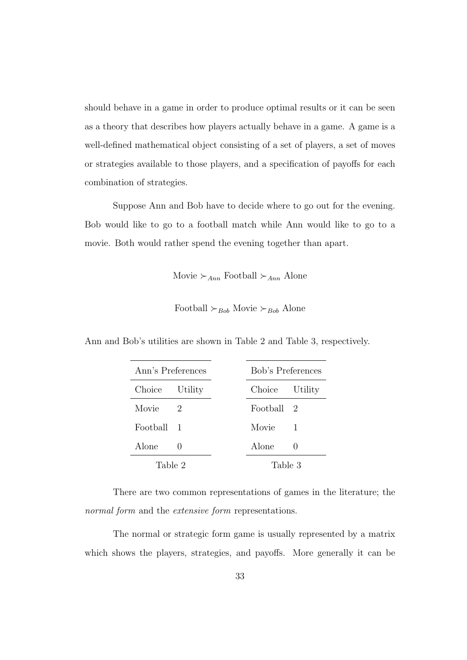should behave in a game in order to produce optimal results or it can be seen as a theory that describes how players actually behave in a game. A game is a well-defined mathematical object consisting of a set of players, a set of moves or strategies available to those players, and a specification of payoffs for each combination of strategies.

Suppose Ann and Bob have to decide where to go out for the evening. Bob would like to go to a football match while Ann would like to go to a movie. Both would rather spend the evening together than apart.

Movie  $\succ_{Ann}$  Football  $\succ_{Ann}$  Alone

Football  $\succ_{Bob}$  Movie  $\succ_{Bob}$  Alone

| Ann's Preferences      |  | Bob's Preferences |        |
|------------------------|--|-------------------|--------|
| Choice Utility         |  | Choice Utility    |        |
| Movie<br>$\mathcal{L}$ |  | Football 2        |        |
| Football 1             |  | Movie             | 1      |
| Alone                  |  | Alone             | $\cup$ |
| Table 2<br>Table 3     |  |                   |        |

Ann and Bob's utilities are shown in Table 2 and Table 3, respectively.

There are two common representations of games in the literature; the normal form and the *extensive* form representations.

The normal or strategic form game is usually represented by a matrix which shows the players, strategies, and payoffs. More generally it can be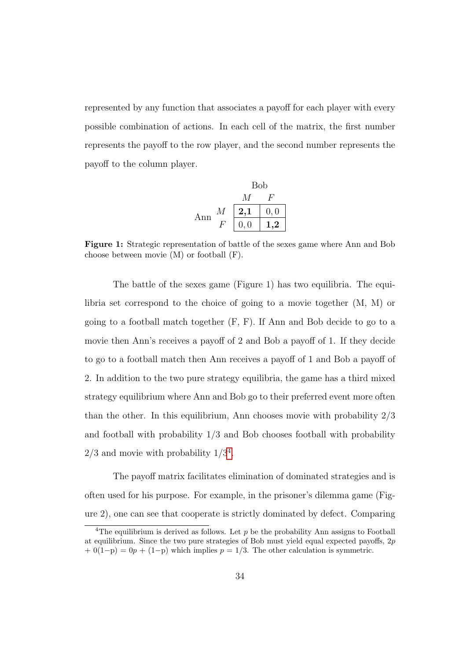represented by any function that associates a payoff for each player with every possible combination of actions. In each cell of the matrix, the first number represents the payoff to the row player, and the second number represents the payoff to the column player.

|     |   | <b>Bob</b> |           |
|-----|---|------------|-----------|
|     |   | M          | н.        |
| Ann | М | 2,1        | 0, 0      |
|     |   | 0, 0       | $\cdot$ 2 |

Figure 1: Strategic representation of battle of the sexes game where Ann and Bob choose between movie (M) or football (F).

The battle of the sexes game (Figure 1) has two equilibria. The equilibria set correspond to the choice of going to a movie together (M, M) or going to a football match together (F, F). If Ann and Bob decide to go to a movie then Ann's receives a payoff of 2 and Bob a payoff of 1. If they decide to go to a football match then Ann receives a payoff of 1 and Bob a payoff of 2. In addition to the two pure strategy equilibria, the game has a third mixed strategy equilibrium where Ann and Bob go to their preferred event more often than the other. In this equilibrium, Ann chooses movie with probability 2/3 and football with probability 1/3 and Bob chooses football with probability  $2/3$  and movie with probability  $1/3^4$  $1/3^4$ .

The payoff matrix facilitates elimination of dominated strategies and is often used for his purpose. For example, in the prisoner's dilemma game (Figure 2), one can see that cooperate is strictly dominated by defect. Comparing

<span id="page-49-0"></span><sup>&</sup>lt;sup>4</sup>The equilibrium is derived as follows. Let  $p$  be the probability Ann assigns to Football at equilibrium. Since the two pure strategies of Bob must yield equal expected payoffs, 2p  $+ 0(1-p) = 0p + (1-p)$  which implies  $p = 1/3$ . The other calculation is symmetric.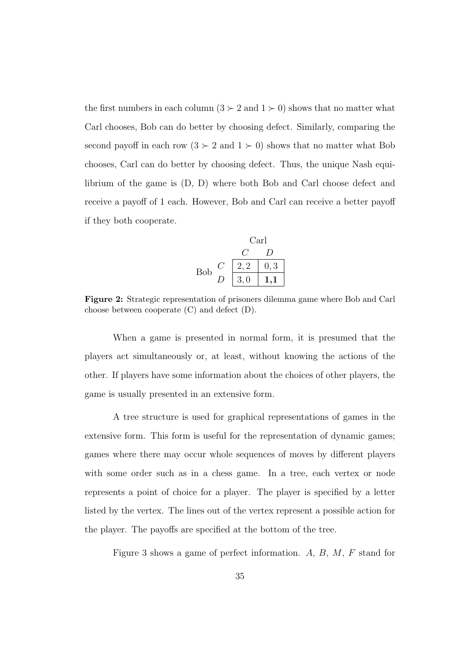the first numbers in each column  $(3 \succ 2 \text{ and } 1 \succ 0)$  shows that no matter what Carl chooses, Bob can do better by choosing defect. Similarly, comparing the second payoff in each row  $(3 \succ 2 \text{ and } 1 \succ 0)$  shows that no matter what Bob chooses, Carl can do better by choosing defect. Thus, the unique Nash equilibrium of the game is (D, D) where both Bob and Carl choose defect and receive a payoff of 1 each. However, Bob and Carl can receive a better payoff if they both cooperate.

Carl

\n
$$
\begin{array}{c|c}\n & C & D \\
\hline\nC & 2,2 & 0,3 \\
D & 3,0 & 1,1\n\end{array}
$$

Figure 2: Strategic representation of prisoners dilemma game where Bob and Carl choose between cooperate (C) and defect (D).

When a game is presented in normal form, it is presumed that the players act simultaneously or, at least, without knowing the actions of the other. If players have some information about the choices of other players, the game is usually presented in an extensive form.

A tree structure is used for graphical representations of games in the extensive form. This form is useful for the representation of dynamic games; games where there may occur whole sequences of moves by different players with some order such as in a chess game. In a tree, each vertex or node represents a point of choice for a player. The player is specified by a letter listed by the vertex. The lines out of the vertex represent a possible action for the player. The payoffs are specified at the bottom of the tree.

Figure 3 shows a game of perfect information. A, B, M, F stand for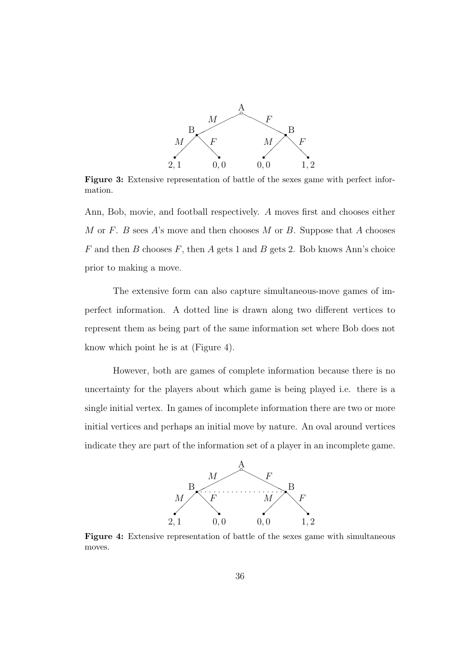

Figure 3: Extensive representation of battle of the sexes game with perfect information.

Ann, Bob, movie, and football respectively. A moves first and chooses either M or F. B sees A's move and then chooses M or B. Suppose that A chooses  $F$  and then  $B$  chooses  $F$ , then  $A$  gets 1 and  $B$  gets 2. Bob knows Ann's choice prior to making a move.

The extensive form can also capture simultaneous-move games of imperfect information. A dotted line is drawn along two different vertices to represent them as being part of the same information set where Bob does not know which point he is at (Figure 4).

However, both are games of complete information because there is no uncertainty for the players about which game is being played i.e. there is a single initial vertex. In games of incomplete information there are two or more initial vertices and perhaps an initial move by nature. An oval around vertices indicate they are part of the information set of a player in an incomplete game.



Figure 4: Extensive representation of battle of the sexes game with simultaneous moves.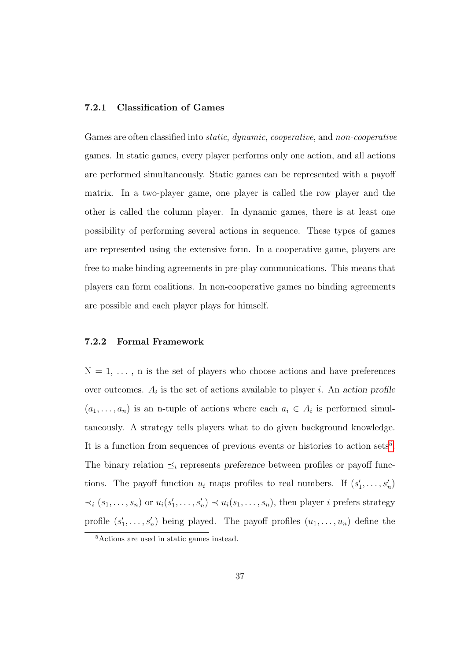## 7.2.1 Classification of Games

Games are often classified into *static*, *dynamic*, *cooperative*, and *non-cooperative* games. In static games, every player performs only one action, and all actions are performed simultaneously. Static games can be represented with a payoff matrix. In a two-player game, one player is called the row player and the other is called the column player. In dynamic games, there is at least one possibility of performing several actions in sequence. These types of games are represented using the extensive form. In a cooperative game, players are free to make binding agreements in pre-play communications. This means that players can form coalitions. In non-cooperative games no binding agreements are possible and each player plays for himself.

## 7.2.2 Formal Framework

 $N = 1, \ldots, n$  is the set of players who choose actions and have preferences over outcomes.  $A_i$  is the set of actions available to player *i*. An action profile  $(a_1, \ldots, a_n)$  is an n-tuple of actions where each  $a_i \in A_i$  is performed simultaneously. A strategy tells players what to do given background knowledge. It is a function from sequences of previous events or histories to action sets<sup>[5](#page-52-0)</sup>. The binary relation  $\preceq_i$  represents preference between profiles or payoff functions. The payoff function  $u_i$  maps profiles to real numbers. If  $(s'_1, \ldots, s'_n)$  $\prec_i (s_1,\ldots,s_n)$  or  $u_i(s'_1,\ldots,s'_n) \prec u_i(s_1,\ldots,s_n)$ , then player *i* prefers strategy profile  $(s'_1, \ldots, s'_n)$  being played. The payoff profiles  $(u_1, \ldots, u_n)$  define the

<span id="page-52-0"></span><sup>5</sup>Actions are used in static games instead.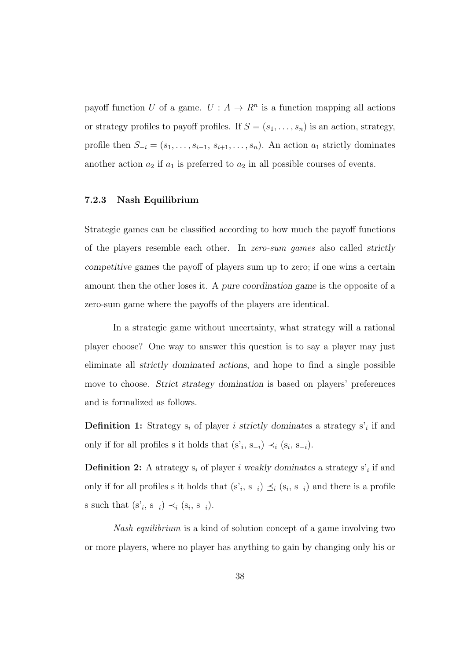payoff function U of a game.  $U: A \to R^n$  is a function mapping all actions or strategy profiles to payoff profiles. If  $S = (s_1, \ldots, s_n)$  is an action, strategy, profile then  $S_{-i} = (s_1, \ldots, s_{i-1}, s_{i+1}, \ldots, s_n)$ . An action  $a_1$  strictly dominates another action  $a_2$  if  $a_1$  is preferred to  $a_2$  in all possible courses of events.

### 7.2.3 Nash Equilibrium

Strategic games can be classified according to how much the payoff functions of the players resemble each other. In zero-sum games also called strictly competitive games the payoff of players sum up to zero; if one wins a certain amount then the other loses it. A pure coordination game is the opposite of a zero-sum game where the payoffs of the players are identical.

In a strategic game without uncertainty, what strategy will a rational player choose? One way to answer this question is to say a player may just eliminate all strictly dominated actions, and hope to find a single possible move to choose. Strict strategy domination is based on players' preferences and is formalized as follows.

**Definition 1:** Strategy  $s_i$  of player i strictly dominates a strategy  $s'_i$  if and only if for all profiles s it holds that  $(s_i, s_{-i}) \prec_i (s_i, s_{-i}).$ 

**Definition 2:** A atrategy  $s_i$  of player i weakly dominates a strategy  $s'_i$  if and only if for all profiles s it holds that  $(s_i, s_{-i}) \preceq_i (s_i, s_{-i})$  and there is a profile s such that  $(s_i, s_{-i}) \prec_i (s_i, s_{-i}).$ 

Nash equilibrium is a kind of solution concept of a game involving two or more players, where no player has anything to gain by changing only his or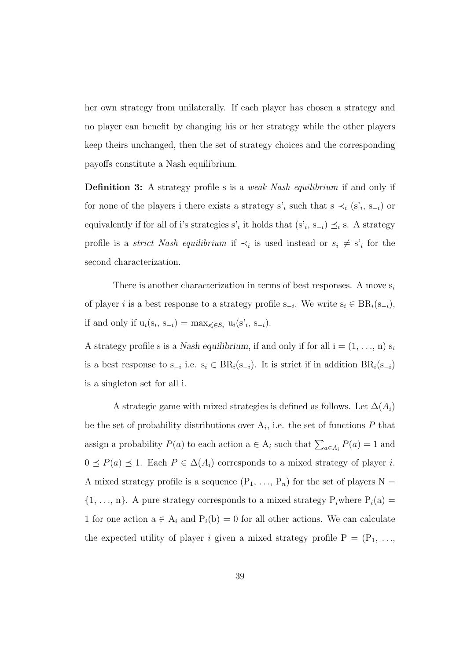her own strategy from unilaterally. If each player has chosen a strategy and no player can benefit by changing his or her strategy while the other players keep theirs unchanged, then the set of strategy choices and the corresponding payoffs constitute a Nash equilibrium.

**Definition 3:** A strategy profile s is a *weak Nash equilibrium* if and only if for none of the players i there exists a strategy s'<sub>i</sub> such that  $s \prec_i (s'_i, s_{-i})$  or equivalently if for all of i's strategies s'<sub>i</sub> it holds that  $(s<sub>i</sub>, s<sub>-i</sub>) \preceq_i s$ . A strategy profile is a *strict Nash equilibrium* if  $\prec_i$  is used instead or  $s_i \neq s'_i$  for the second characterization.

There is another characterization in terms of best responses. A move  $s_i$ of player i is a best response to a strategy profile  $s_{-i}$ . We write  $s_i \in BR_i(s_{-i}),$ if and only if  $u_i(s_i, s_{-i}) = \max_{s'_i \in S_i} u_i(s'_i, s_{-i}).$ 

A strategy profile s is a Nash equilibrium, if and only if for all  $i = (1, \ldots, n) s_i$ is a best response to  $s_{-i}$  i.e.  $s_i \in BR_i(s_{-i})$ . It is strict if in addition  $BR_i(s_{-i})$ is a singleton set for all i.

A strategic game with mixed strategies is defined as follows. Let  $\Delta(A_i)$ be the set of probability distributions over  $A_i$ , i.e. the set of functions  $P$  that assign a probability  $P(a)$  to each action  $a \in A_i$  such that  $\sum_{a \in A_i} P(a) = 1$  and  $0 \leq P(a) \leq 1$ . Each  $P \in \Delta(A_i)$  corresponds to a mixed strategy of player *i*. A mixed strategy profile is a sequence  $(P_1, ..., P_n)$  for the set of players  $N =$  $\{1, \ldots, n\}$ . A pure strategy corresponds to a mixed strategy  $P_i$  where  $P_i(a) =$ 1 for one action  $a \in A_i$  and  $P_i(b) = 0$  for all other actions. We can calculate the expected utility of player i given a mixed strategy profile  $P = (P_1, \ldots, P_n)$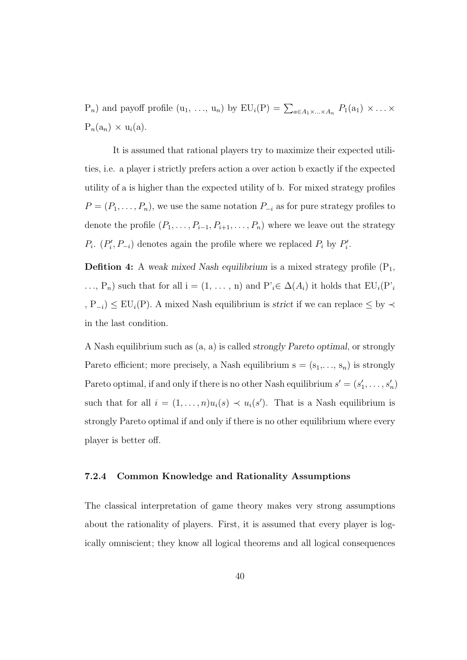$P_n$ ) and payoff profile  $(u_1, ..., u_n)$  by  $EU_i(P) = \sum_{a \in A_1 \times ... \times A_n} P_1(a_1) \times ... \times P_n$  $P_n(a_n) \times u_i(a)$ .

It is assumed that rational players try to maximize their expected utilities, i.e. a player i strictly prefers action a over action b exactly if the expected utility of a is higher than the expected utility of b. For mixed strategy profiles  $P = (P_1, \ldots, P_n)$ , we use the same notation  $P_{-i}$  as for pure strategy profiles to denote the profile  $(P_1, \ldots, P_{i-1}, P_{i+1}, \ldots, P_n)$  where we leave out the strategy  $P_i$ .  $(P'_i, P_{-i})$  denotes again the profile where we replaced  $P_i$  by  $P'_i$ .

**Defition 4:** A weak mixed Nash equilibrium is a mixed strategy profile  $(P_1,$ ..., P<sub>n</sub>) such that for all i = (1, ..., n) and P'<sub>i</sub>∈  $\Delta(A_i)$  it holds that EU<sub>i</sub>(P'<sub>i</sub> , P<sub>−i</sub>)  $\leq$  EU<sub>i</sub>(P). A mixed Nash equilibrium is *strict* if we can replace  $\leq$  by  $\prec$ in the last condition.

A Nash equilibrium such as (a, a) is called strongly Pareto optimal, or strongly Pareto efficient; more precisely, a Nash equilibrium  $s = (s_1, \ldots, s_n)$  is strongly Pareto optimal, if and only if there is no other Nash equilibrium  $s' = (s'_1, \ldots, s'_n)$ such that for all  $i = (1, ..., n)u_i(s) \prec u_i(s')$ . That is a Nash equilibrium is strongly Pareto optimal if and only if there is no other equilibrium where every player is better off.

### 7.2.4 Common Knowledge and Rationality Assumptions

The classical interpretation of game theory makes very strong assumptions about the rationality of players. First, it is assumed that every player is logically omniscient; they know all logical theorems and all logical consequences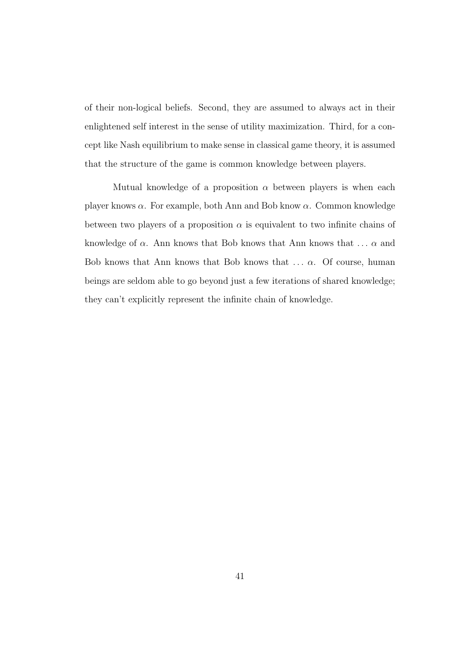of their non-logical beliefs. Second, they are assumed to always act in their enlightened self interest in the sense of utility maximization. Third, for a concept like Nash equilibrium to make sense in classical game theory, it is assumed that the structure of the game is common knowledge between players.

Mutual knowledge of a proposition  $\alpha$  between players is when each player knows  $\alpha$ . For example, both Ann and Bob know  $\alpha$ . Common knowledge between two players of a proposition  $\alpha$  is equivalent to two infinite chains of knowledge of  $\alpha$ . Ann knows that Bob knows that Ann knows that  $\ldots$   $\alpha$  and Bob knows that Ann knows that Bob knows that  $\ldots$   $\alpha$ . Of course, human beings are seldom able to go beyond just a few iterations of shared knowledge; they can't explicitly represent the infinite chain of knowledge.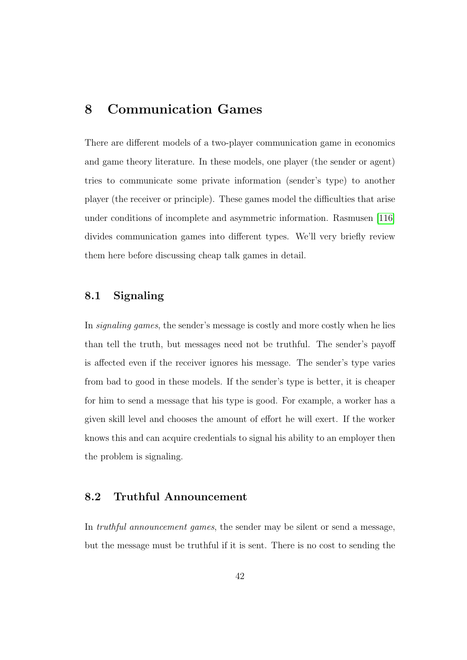# 8 Communication Games

There are different models of a two-player communication game in economics and game theory literature. In these models, one player (the sender or agent) tries to communicate some private information (sender's type) to another player (the receiver or principle). These games model the difficulties that arise under conditions of incomplete and asymmetric information. Rasmusen [\[116\]](#page-200-0) divides communication games into different types. We'll very briefly review them here before discussing cheap talk games in detail.

# 8.1 Signaling

In signaling games, the sender's message is costly and more costly when he lies than tell the truth, but messages need not be truthful. The sender's payoff is affected even if the receiver ignores his message. The sender's type varies from bad to good in these models. If the sender's type is better, it is cheaper for him to send a message that his type is good. For example, a worker has a given skill level and chooses the amount of effort he will exert. If the worker knows this and can acquire credentials to signal his ability to an employer then the problem is signaling.

# 8.2 Truthful Announcement

In truthful announcement games, the sender may be silent or send a message, but the message must be truthful if it is sent. There is no cost to sending the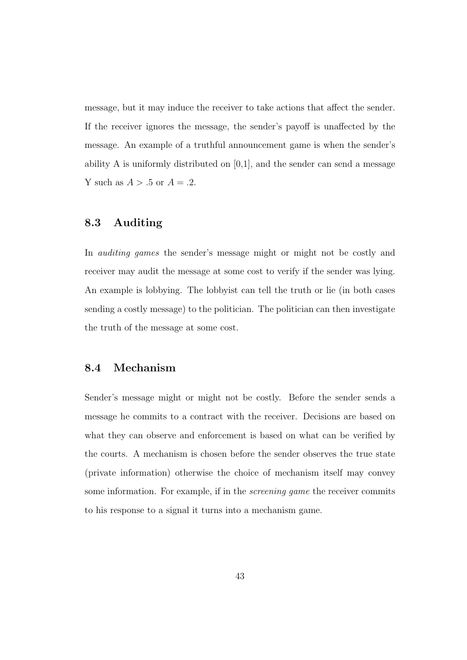message, but it may induce the receiver to take actions that affect the sender. If the receiver ignores the message, the sender's payoff is unaffected by the message. An example of a truthful announcement game is when the sender's ability A is uniformly distributed on  $[0,1]$ , and the sender can send a message Y such as  $A > .5$  or  $A = .2$ .

## 8.3 Auditing

In auditing games the sender's message might or might not be costly and receiver may audit the message at some cost to verify if the sender was lying. An example is lobbying. The lobbyist can tell the truth or lie (in both cases sending a costly message) to the politician. The politician can then investigate the truth of the message at some cost.

## 8.4 Mechanism

Sender's message might or might not be costly. Before the sender sends a message he commits to a contract with the receiver. Decisions are based on what they can observe and enforcement is based on what can be verified by the courts. A mechanism is chosen before the sender observes the true state (private information) otherwise the choice of mechanism itself may convey some information. For example, if in the screening game the receiver commits to his response to a signal it turns into a mechanism game.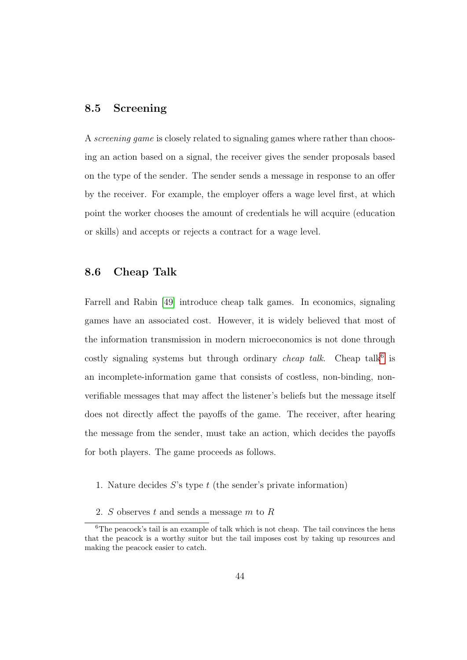## 8.5 Screening

A screening game is closely related to signaling games where rather than choosing an action based on a signal, the receiver gives the sender proposals based on the type of the sender. The sender sends a message in response to an offer by the receiver. For example, the employer offers a wage level first, at which point the worker chooses the amount of credentials he will acquire (education or skills) and accepts or rejects a contract for a wage level.

## 8.6 Cheap Talk

Farrell and Rabin [\[49\]](#page-193-0) introduce cheap talk games. In economics, signaling games have an associated cost. However, it is widely believed that most of the information transmission in modern microeconomics is not done through costly signaling systems but through ordinary *cheap talk*. Cheap talk $6$  is an incomplete-information game that consists of costless, non-binding, nonverifiable messages that may affect the listener's beliefs but the message itself does not directly affect the payoffs of the game. The receiver, after hearing the message from the sender, must take an action, which decides the payoffs for both players. The game proceeds as follows.

- 1. Nature decides  $S$ 's type t (the sender's private information)
- <span id="page-59-0"></span>2. S observes t and sends a message m to R

<sup>&</sup>lt;sup>6</sup>The peacock's tail is an example of talk which is not cheap. The tail convinces the hens that the peacock is a worthy suitor but the tail imposes cost by taking up resources and making the peacock easier to catch.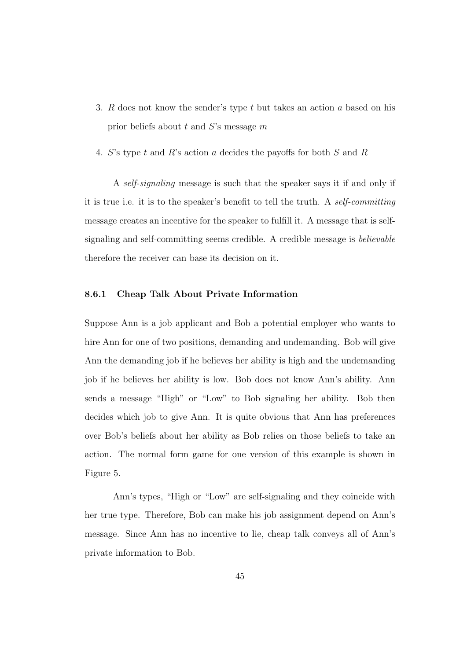- 3. R does not know the sender's type t but takes an action a based on his prior beliefs about t and  $S$ 's message m
- 4. S's type t and R's action a decides the payoffs for both S and R

A self-signaling message is such that the speaker says it if and only if it is true i.e. it is to the speaker's benefit to tell the truth. A self-committing message creates an incentive for the speaker to fulfill it. A message that is selfsignaling and self-committing seems credible. A credible message is believable therefore the receiver can base its decision on it.

### 8.6.1 Cheap Talk About Private Information

Suppose Ann is a job applicant and Bob a potential employer who wants to hire Ann for one of two positions, demanding and undemanding. Bob will give Ann the demanding job if he believes her ability is high and the undemanding job if he believes her ability is low. Bob does not know Ann's ability. Ann sends a message "High" or "Low" to Bob signaling her ability. Bob then decides which job to give Ann. It is quite obvious that Ann has preferences over Bob's beliefs about her ability as Bob relies on those beliefs to take an action. The normal form game for one version of this example is shown in Figure 5.

Ann's types, "High or "Low" are self-signaling and they coincide with her true type. Therefore, Bob can make his job assignment depend on Ann's message. Since Ann has no incentive to lie, cheap talk conveys all of Ann's private information to Bob.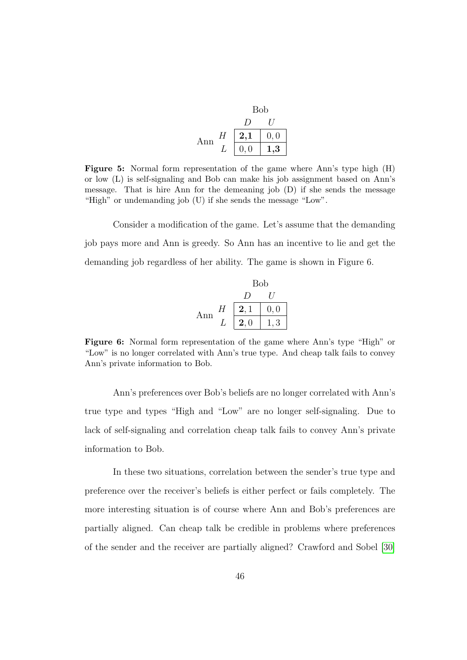|     |   | <b>Bob</b> |          |
|-----|---|------------|----------|
|     |   | ,,         |          |
| Ann | H | 2,1        | 0, 0     |
|     |   | 0, 0       | $_{1,3}$ |

Figure 5: Normal form representation of the game where Ann's type high (H) or low (L) is self-signaling and Bob can make his job assignment based on Ann's message. That is hire Ann for the demeaning job (D) if she sends the message "High" or undemanding job (U) if she sends the message "Low".

Consider a modification of the game. Let's assume that the demanding job pays more and Ann is greedy. So Ann has an incentive to lie and get the demanding job regardless of her ability. The game is shown in Figure 6.

Bob  
\n
$$
D U
$$
\nAnn  $\frac{H}{L}$   $\begin{bmatrix} 2,1 & 0,0 \\ 2,0 & 1,3 \end{bmatrix}$ 

Figure 6: Normal form representation of the game where Ann's type "High" or "Low" is no longer correlated with Ann's true type. And cheap talk fails to convey Ann's private information to Bob.

Ann's preferences over Bob's beliefs are no longer correlated with Ann's true type and types "High and "Low" are no longer self-signaling. Due to lack of self-signaling and correlation cheap talk fails to convey Ann's private information to Bob.

In these two situations, correlation between the sender's true type and preference over the receiver's beliefs is either perfect or fails completely. The more interesting situation is of course where Ann and Bob's preferences are partially aligned. Can cheap talk be credible in problems where preferences of the sender and the receiver are partially aligned? Crawford and Sobel [\[30\]](#page-190-0)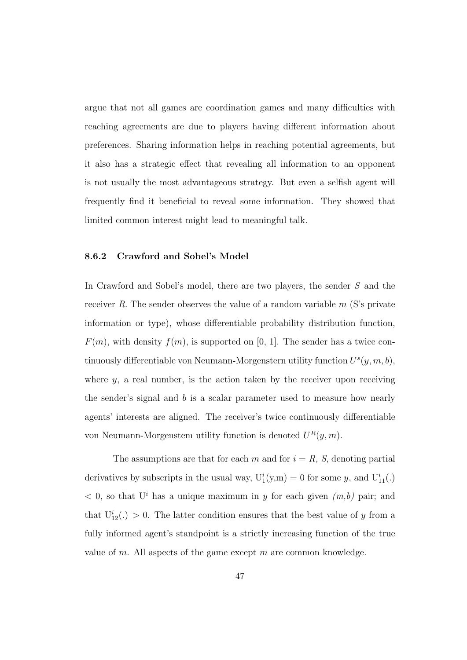argue that not all games are coordination games and many difficulties with reaching agreements are due to players having different information about preferences. Sharing information helps in reaching potential agreements, but it also has a strategic effect that revealing all information to an opponent is not usually the most advantageous strategy. But even a selfish agent will frequently find it beneficial to reveal some information. They showed that limited common interest might lead to meaningful talk.

## 8.6.2 Crawford and Sobel's Model

In Crawford and Sobel's model, there are two players, the sender S and the receiver R. The sender observes the value of a random variable  $m$  (S's private information or type), whose differentiable probability distribution function,  $F(m)$ , with density  $f(m)$ , is supported on [0, 1]. The sender has a twice continuously differentiable von Neumann-Morgenstern utility function  $U^{s}(y, m, b)$ , where  $y$ , a real number, is the action taken by the receiver upon receiving the sender's signal and b is a scalar parameter used to measure how nearly agents' interests are aligned. The receiver's twice continuously differentiable von Neumann-Morgenstem utility function is denoted  $U^R(y, m)$ .

The assumptions are that for each m and for  $i = R$ , S, denoting partial derivatives by subscripts in the usual way,  $U_1^i(y,m) = 0$  for some y, and  $U_{11}^i(.)$  $< 0$ , so that U<sup>i</sup> has a unique maximum in y for each given  $(m, b)$  pair; and that  $U_{12}^i(.) > 0$ . The latter condition ensures that the best value of y from a fully informed agent's standpoint is a strictly increasing function of the true value of m. All aspects of the game except  $m$  are common knowledge.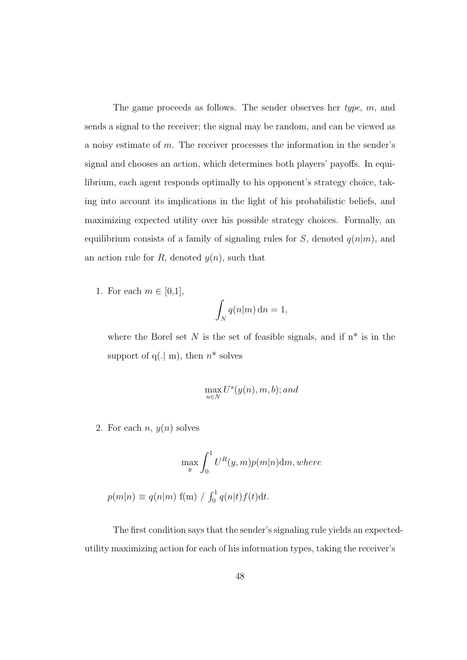The game proceeds as follows. The sender observes her type, m, and sends a signal to the receiver; the signal may be random, and can be viewed as a noisy estimate of  $m$ . The receiver processes the information in the sender's signal and chooses an action, which determines both players' payoffs. In equilibrium, each agent responds optimally to his opponent's strategy choice, taking into account its implications in the light of his probabilistic beliefs, and maximizing expected utility over his possible strategy choices. Formally, an equilibrium consists of a family of signaling rules for S, denoted  $q(n|m)$ , and an action rule for R, denoted  $y(n)$ , such that

1. For each  $m \in [0,1]$ ,

$$
\int_N q(n|m) \, \mathrm{d}n = 1,
$$

where the Borel set  $N$  is the set of feasible signals, and if  $n^*$  is in the support of  $q(. | m)$ , then  $n^*$  solves

$$
\max_{n \in N} U^s(y(n), m, b); and
$$

2. For each  $n, y(n)$  solves

$$
\max_{y} \int_{0}^{1} U^{R}(y, m)p(m|n) \mathrm{d}m, where
$$

 $p(m|n) \equiv q(n|m) \, \text{f(m)} / \int_0^1 q(n|t) f(t) \, \text{d}t.$ 

The first condition says that the sender's signaling rule yields an expectedutility maximizing action for each of his information types, taking the receiver's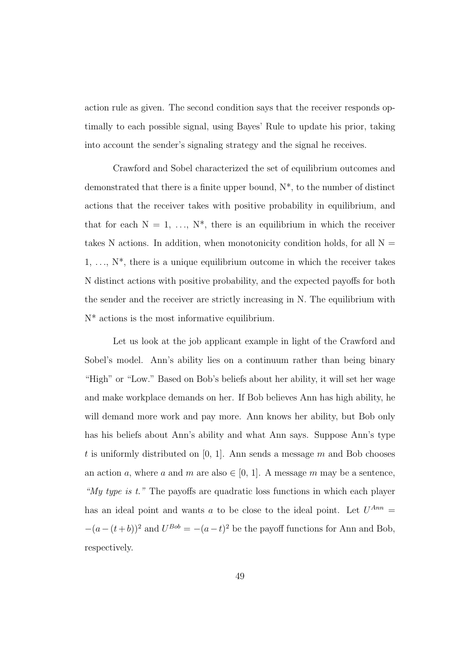action rule as given. The second condition says that the receiver responds optimally to each possible signal, using Bayes' Rule to update his prior, taking into account the sender's signaling strategy and the signal he receives.

Crawford and Sobel characterized the set of equilibrium outcomes and demonstrated that there is a finite upper bound,  $N^*$ , to the number of distinct actions that the receiver takes with positive probability in equilibrium, and that for each  $N = 1, \ldots, N^*$ , there is an equilibrium in which the receiver takes N actions. In addition, when monotonicity condition holds, for all  $N =$  $1, \ldots, N^*$ , there is a unique equilibrium outcome in which the receiver takes N distinct actions with positive probability, and the expected payoffs for both the sender and the receiver are strictly increasing in N. The equilibrium with N\* actions is the most informative equilibrium.

Let us look at the job applicant example in light of the Crawford and Sobel's model. Ann's ability lies on a continuum rather than being binary "High" or "Low." Based on Bob's beliefs about her ability, it will set her wage and make workplace demands on her. If Bob believes Ann has high ability, he will demand more work and pay more. Ann knows her ability, but Bob only has his beliefs about Ann's ability and what Ann says. Suppose Ann's type t is uniformly distributed on  $[0, 1]$ . Ann sends a message m and Bob chooses an action a, where a and m are also  $\in [0, 1]$ . A message m may be a sentence, "My type is  $t$ ." The payoffs are quadratic loss functions in which each player has an ideal point and wants a to be close to the ideal point. Let  $U^{Ann} =$  $-(a-(t+b))^{2}$  and  $U^{Bob} = -(a-t)^{2}$  be the payoff functions for Ann and Bob, respectively.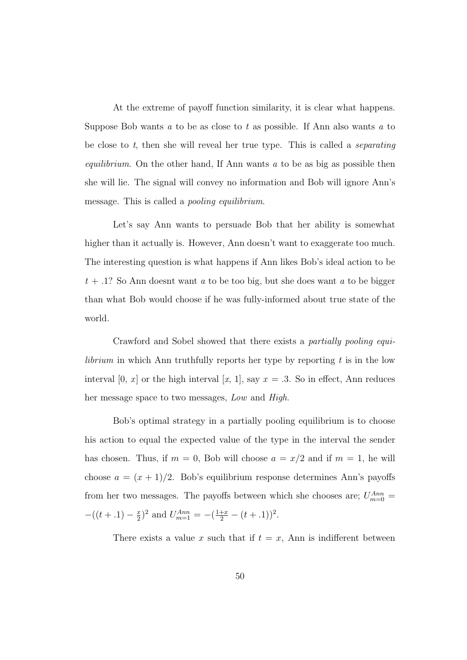At the extreme of payoff function similarity, it is clear what happens. Suppose Bob wants  $a$  to be as close to  $t$  as possible. If Ann also wants  $a$  to be close to t, then she will reveal her true type. This is called a *separating equilibrium*. On the other hand, If Ann wants  $\alpha$  to be as big as possible then she will lie. The signal will convey no information and Bob will ignore Ann's message. This is called a pooling equilibrium.

Let's say Ann wants to persuade Bob that her ability is somewhat higher than it actually is. However, Ann doesn't want to exaggerate too much. The interesting question is what happens if Ann likes Bob's ideal action to be  $t + .1$ ? So Ann doesnt want a to be too big, but she does want a to be bigger than what Bob would choose if he was fully-informed about true state of the world.

Crawford and Sobel showed that there exists a partially pooling equi*librium* in which Ann truthfully reports her type by reporting  $t$  is in the low interval [0, x] or the high interval [x, 1], say  $x = .3$ . So in effect, Ann reduces her message space to two messages, Low and High.

Bob's optimal strategy in a partially pooling equilibrium is to choose his action to equal the expected value of the type in the interval the sender has chosen. Thus, if  $m = 0$ , Bob will choose  $a = x/2$  and if  $m = 1$ , he will choose  $a = (x + 1)/2$ . Bob's equilibrium response determines Ann's payoffs from her two messages. The payoffs between which she chooses are;  $U_{m=0}^{Ann}$  $-(t+1) - \frac{x}{2}$  $(\frac{x}{2})^2$  and  $U_{m=1}^{Ann} = -(\frac{1+x}{2} - (t+.1))^2$ .

There exists a value x such that if  $t = x$ , Ann is indifferent between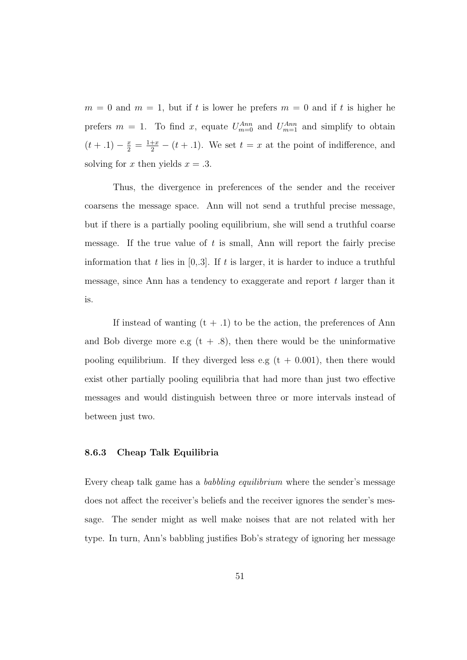$m = 0$  and  $m = 1$ , but if t is lower he prefers  $m = 0$  and if t is higher he prefers  $m = 1$ . To find x, equate  $U_{m=0}^{Ann}$  and  $U_{m=1}^{Ann}$  and simplify to obtain  $(t + .1) - \frac{x}{2} = \frac{1+x}{2} - (t + .1)$ . We set  $t = x$  at the point of indifference, and solving for x then yields  $x = .3$ .

Thus, the divergence in preferences of the sender and the receiver coarsens the message space. Ann will not send a truthful precise message, but if there is a partially pooling equilibrium, she will send a truthful coarse message. If the true value of t is small, Ann will report the fairly precise information that t lies in  $[0,3]$ . If t is larger, it is harder to induce a truthful message, since Ann has a tendency to exaggerate and report t larger than it is.

If instead of wanting  $(t + .1)$  to be the action, the preferences of Ann and Bob diverge more e.g  $(t + .8)$ , then there would be the uninformative pooling equilibrium. If they diverged less e.g  $(t + 0.001)$ , then there would exist other partially pooling equilibria that had more than just two effective messages and would distinguish between three or more intervals instead of between just two.

### 8.6.3 Cheap Talk Equilibria

Every cheap talk game has a babbling equilibrium where the sender's message does not affect the receiver's beliefs and the receiver ignores the sender's message. The sender might as well make noises that are not related with her type. In turn, Ann's babbling justifies Bob's strategy of ignoring her message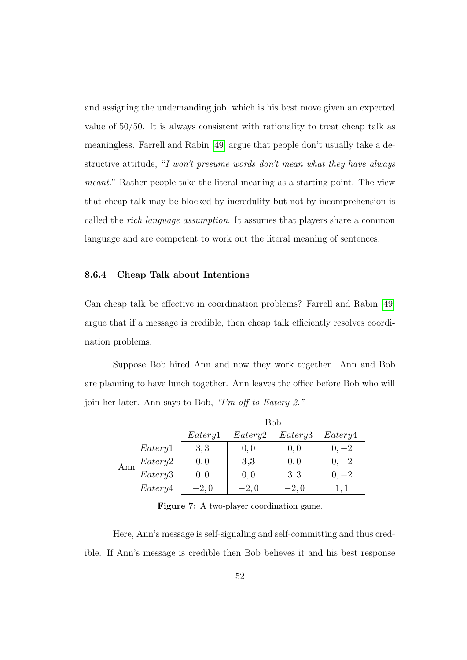and assigning the undemanding job, which is his best move given an expected value of 50/50. It is always consistent with rationality to treat cheap talk as meaningless. Farrell and Rabin [\[49\]](#page-193-0) argue that people don't usually take a destructive attitude, "I won't presume words don't mean what they have always meant." Rather people take the literal meaning as a starting point. The view that cheap talk may be blocked by incredulity but not by incomprehension is called the rich language assumption. It assumes that players share a common language and are competent to work out the literal meaning of sentences.

### 8.6.4 Cheap Talk about Intentions

Can cheap talk be effective in coordination problems? Farrell and Rabin [\[49\]](#page-193-0) argue that if a message is credible, then cheap talk efficiently resolves coordination problems.

Suppose Bob hired Ann and now they work together. Ann and Bob are planning to have lunch together. Ann leaves the office before Bob who will join her later. Ann says to Bob, "I'm off to Eatery 2."

|     |         | <b>Bob</b> |         |         |         |
|-----|---------|------------|---------|---------|---------|
|     |         | Eatery1    | Eatery2 | Eatery3 | Eatery4 |
|     | Eatery1 | 3, 3       | 0, 0    | 0,0     | $0, -2$ |
| Ann | Eatery2 | 0, 0       | 3,3     | 0, 0    | $0, -2$ |
|     | Eatery3 | 0, 0       | 0, 0    | 3,3     | $0, -2$ |
|     | Eatery4 | $-2,0$     | $-2,0$  | $-2,0$  | 1, 1    |

Figure 7: A two-player coordination game.

Here, Ann's message is self-signaling and self-committing and thus credible. If Ann's message is credible then Bob believes it and his best response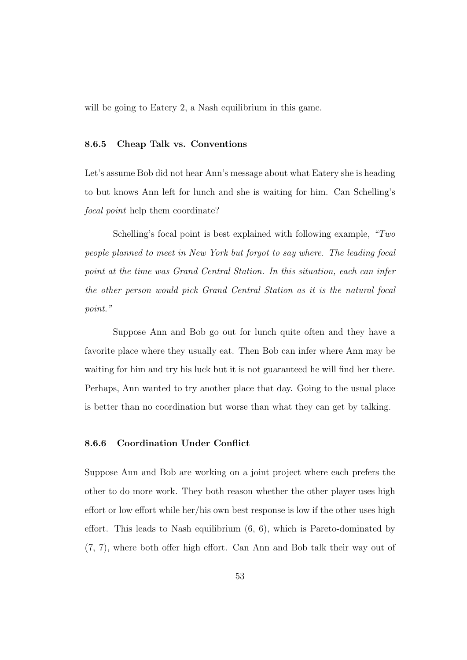will be going to Eatery 2, a Nash equilibrium in this game.

## 8.6.5 Cheap Talk vs. Conventions

Let's assume Bob did not hear Ann's message about what Eatery she is heading to but knows Ann left for lunch and she is waiting for him. Can Schelling's focal point help them coordinate?

Schelling's focal point is best explained with following example, "Two people planned to meet in New York but forgot to say where. The leading focal point at the time was Grand Central Station. In this situation, each can infer the other person would pick Grand Central Station as it is the natural focal point."

Suppose Ann and Bob go out for lunch quite often and they have a favorite place where they usually eat. Then Bob can infer where Ann may be waiting for him and try his luck but it is not guaranteed he will find her there. Perhaps, Ann wanted to try another place that day. Going to the usual place is better than no coordination but worse than what they can get by talking.

## 8.6.6 Coordination Under Conflict

Suppose Ann and Bob are working on a joint project where each prefers the other to do more work. They both reason whether the other player uses high effort or low effort while her/his own best response is low if the other uses high effort. This leads to Nash equilibrium (6, 6), which is Pareto-dominated by (7, 7), where both offer high effort. Can Ann and Bob talk their way out of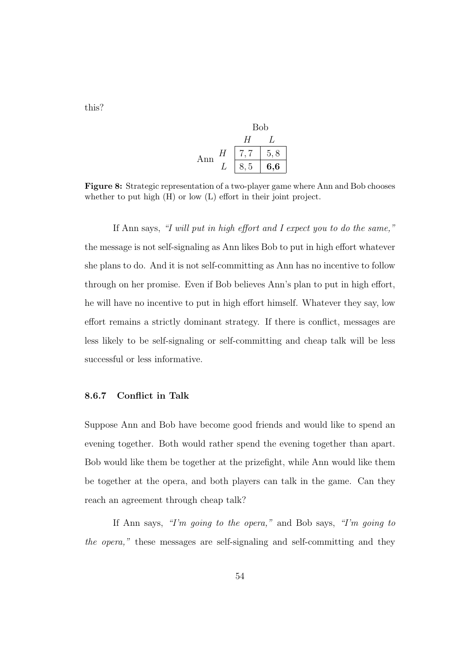this?

Bob  
\n
$$
\begin{array}{c|c}\n & H & L \\
\hline\nH & 7,7 & 5,8 \\
L & 8,5 & 6,6\n\end{array}
$$

Figure 8: Strategic representation of a two-player game where Ann and Bob chooses whether to put high  $(H)$  or low  $(L)$  effort in their joint project.

If Ann says, "I will put in high effort and I expect you to do the same," the message is not self-signaling as Ann likes Bob to put in high effort whatever she plans to do. And it is not self-committing as Ann has no incentive to follow through on her promise. Even if Bob believes Ann's plan to put in high effort, he will have no incentive to put in high effort himself. Whatever they say, low effort remains a strictly dominant strategy. If there is conflict, messages are less likely to be self-signaling or self-committing and cheap talk will be less successful or less informative.

#### 8.6.7 Conflict in Talk

Suppose Ann and Bob have become good friends and would like to spend an evening together. Both would rather spend the evening together than apart. Bob would like them be together at the prizefight, while Ann would like them be together at the opera, and both players can talk in the game. Can they reach an agreement through cheap talk?

If Ann says, "I'm going to the opera," and Bob says, "I'm going to the opera," these messages are self-signaling and self-committing and they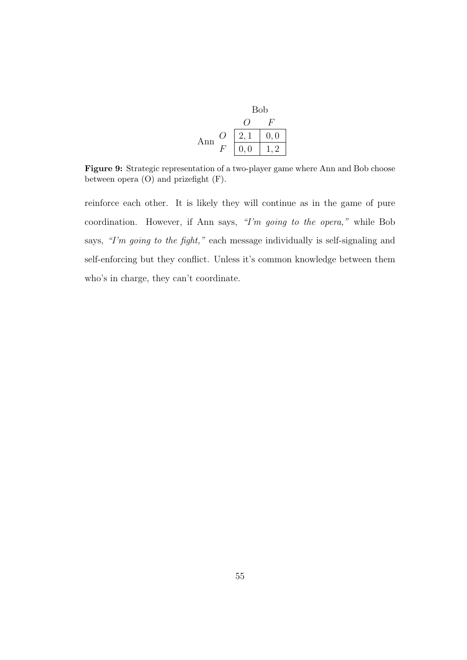|     | <b>Bob</b> |      |
|-----|------------|------|
|     |            |      |
| Ann |            | 0, 0 |
|     | 0, 0       |      |

Figure 9: Strategic representation of a two-player game where Ann and Bob choose between opera (O) and prizefight (F).

reinforce each other. It is likely they will continue as in the game of pure coordination. However, if Ann says, "I'm going to the opera," while Bob says, "I'm going to the fight," each message individually is self-signaling and self-enforcing but they conflict. Unless it's common knowledge between them who's in charge, they can't coordinate.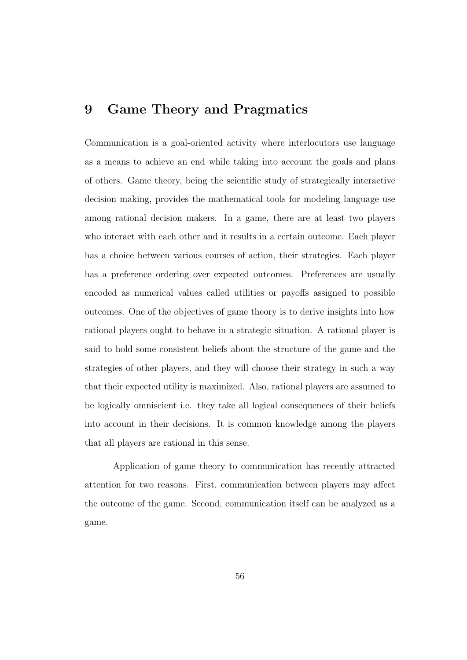# 9 Game Theory and Pragmatics

Communication is a goal-oriented activity where interlocutors use language as a means to achieve an end while taking into account the goals and plans of others. Game theory, being the scientific study of strategically interactive decision making, provides the mathematical tools for modeling language use among rational decision makers. In a game, there are at least two players who interact with each other and it results in a certain outcome. Each player has a choice between various courses of action, their strategies. Each player has a preference ordering over expected outcomes. Preferences are usually encoded as numerical values called utilities or payoffs assigned to possible outcomes. One of the objectives of game theory is to derive insights into how rational players ought to behave in a strategic situation. A rational player is said to hold some consistent beliefs about the structure of the game and the strategies of other players, and they will choose their strategy in such a way that their expected utility is maximized. Also, rational players are assumed to be logically omniscient i.e. they take all logical consequences of their beliefs into account in their decisions. It is common knowledge among the players that all players are rational in this sense.

Application of game theory to communication has recently attracted attention for two reasons. First, communication between players may affect the outcome of the game. Second, communication itself can be analyzed as a game.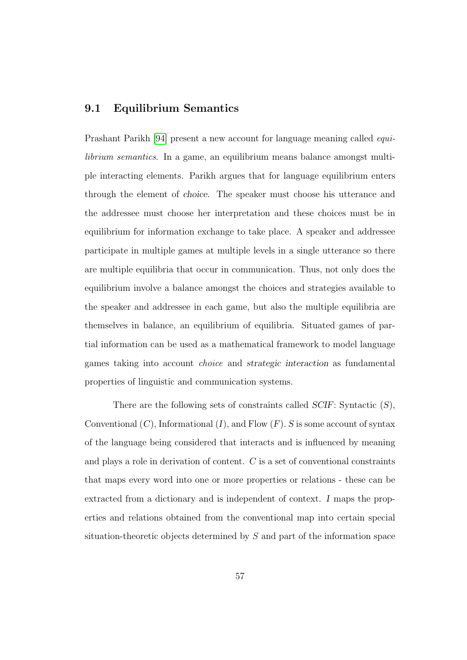## 9.1 Equilibrium Semantics

Prashant Parikh [\[94\]](#page-198-0) present a new account for language meaning called equilibrium semantics. In a game, an equilibrium means balance amongst multiple interacting elements. Parikh argues that for language equilibrium enters through the element of choice. The speaker must choose his utterance and the addressee must choose her interpretation and these choices must be in equilibrium for information exchange to take place. A speaker and addressee participate in multiple games at multiple levels in a single utterance so there are multiple equilibria that occur in communication. Thus, not only does the equilibrium involve a balance amongst the choices and strategies available to the speaker and addressee in each game, but also the multiple equilibria are themselves in balance, an equilibrium of equilibria. Situated games of partial information can be used as a mathematical framework to model language games taking into account choice and strategic interaction as fundamental properties of linguistic and communication systems.

There are the following sets of constraints called SCIF: Syntactic (S), Conventional  $(C)$ , Informational  $(I)$ , and Flow  $(F)$ . S is some account of syntax of the language being considered that interacts and is influenced by meaning and plays a role in derivation of content. C is a set of conventional constraints that maps every word into one or more properties or relations - these can be extracted from a dictionary and is independent of context. I maps the properties and relations obtained from the conventional map into certain special situation-theoretic objects determined by S and part of the information space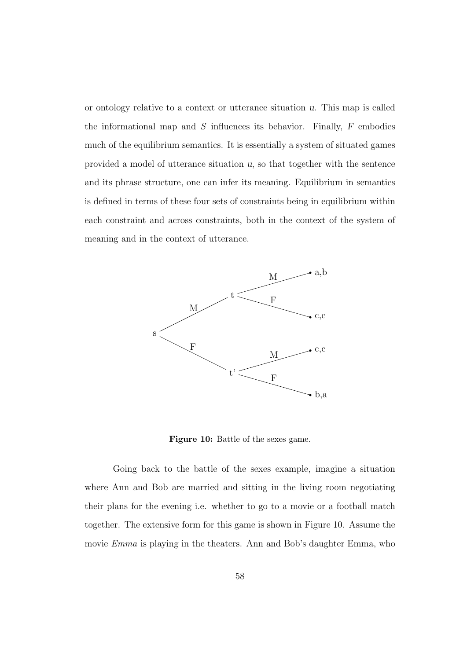or ontology relative to a context or utterance situation u. This map is called the informational map and  $S$  influences its behavior. Finally,  $F$  embodies much of the equilibrium semantics. It is essentially a system of situated games provided a model of utterance situation u, so that together with the sentence and its phrase structure, one can infer its meaning. Equilibrium in semantics is defined in terms of these four sets of constraints being in equilibrium within each constraint and across constraints, both in the context of the system of meaning and in the context of utterance.



Figure 10: Battle of the sexes game.

Going back to the battle of the sexes example, imagine a situation where Ann and Bob are married and sitting in the living room negotiating their plans for the evening i.e. whether to go to a movie or a football match together. The extensive form for this game is shown in Figure 10. Assume the movie Emma is playing in the theaters. Ann and Bob's daughter Emma, who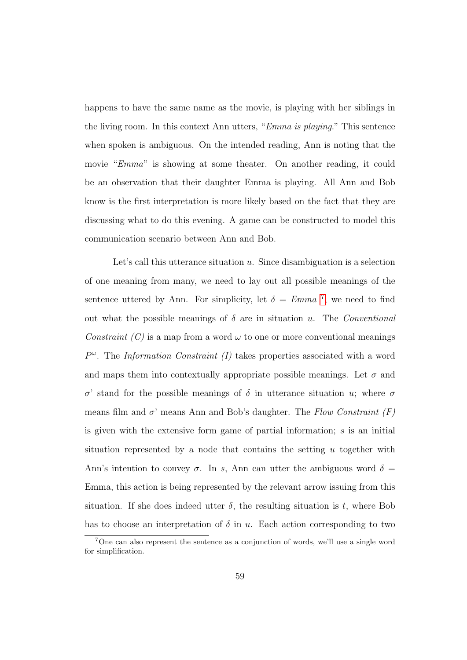happens to have the same name as the movie, is playing with her siblings in the living room. In this context Ann utters, "Emma is playing." This sentence when spoken is ambiguous. On the intended reading, Ann is noting that the movie "Emma" is showing at some theater. On another reading, it could be an observation that their daughter Emma is playing. All Ann and Bob know is the first interpretation is more likely based on the fact that they are discussing what to do this evening. A game can be constructed to model this communication scenario between Ann and Bob.

Let's call this utterance situation  $u$ . Since disambiguation is a selection of one meaning from many, we need to lay out all possible meanings of the sentence uttered by Ann. For simplicity, let  $\delta = Emma^{-7}$  $\delta = Emma^{-7}$  $\delta = Emma^{-7}$ , we need to find out what the possible meanings of  $\delta$  are in situation u. The *Conventional* Constraint (C) is a map from a word  $\omega$  to one or more conventional meanings  $P^{\omega}$ . The Information Constraint (I) takes properties associated with a word and maps them into contextually appropriate possible meanings. Let  $\sigma$  and σ' stand for the possible meanings of δ in utterance situation u; where σ means film and  $\sigma'$  means Ann and Bob's daughter. The Flow Constraint (F) is given with the extensive form game of partial information;  $s$  is an initial situation represented by a node that contains the setting  $u$  together with Ann's intention to convey  $\sigma$ . In s, Ann can utter the ambiguous word  $\delta =$ Emma, this action is being represented by the relevant arrow issuing from this situation. If she does indeed utter  $\delta$ , the resulting situation is t, where Bob has to choose an interpretation of  $\delta$  in u. Each action corresponding to two

<span id="page-74-0"></span><sup>7</sup>One can also represent the sentence as a conjunction of words, we'll use a single word for simplification.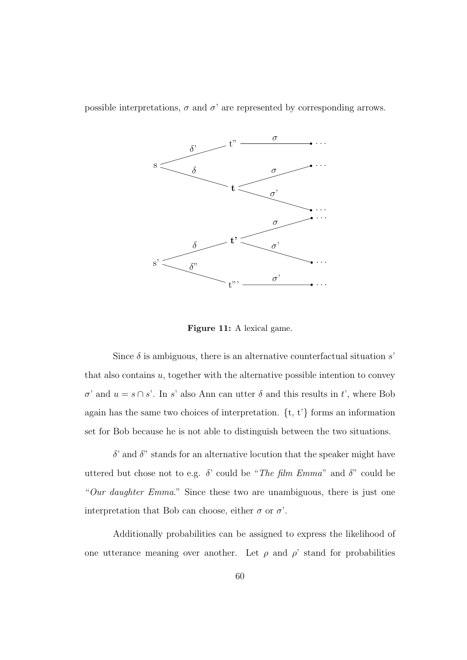possible interpretations,  $\sigma$  and  $\sigma'$  are represented by corresponding arrows.



Figure 11: A lexical game.

Since  $\delta$  is ambiguous, there is an alternative counterfactual situation s' that also contains  $u$ , together with the alternative possible intention to convey  $σ'$  and  $u = s \cap s'$ . In s' also Ann can utter δ and this results in t', where Bob again has the same two choices of interpretation. {t, t'} forms an information set for Bob because he is not able to distinguish between the two situations.

 $\delta$ ' and  $\delta$ " stands for an alternative locution that the speaker might have uttered but chose not to e.g.  $\delta$ ' could be "The film Emma" and  $\delta$ " could be "Our daughter Emma." Since these two are unambiguous, there is just one interpretation that Bob can choose, either  $\sigma$  or  $\sigma'$ .

Additionally probabilities can be assigned to express the likelihood of one utterance meaning over another. Let  $\rho$  and  $\rho'$  stand for probabilities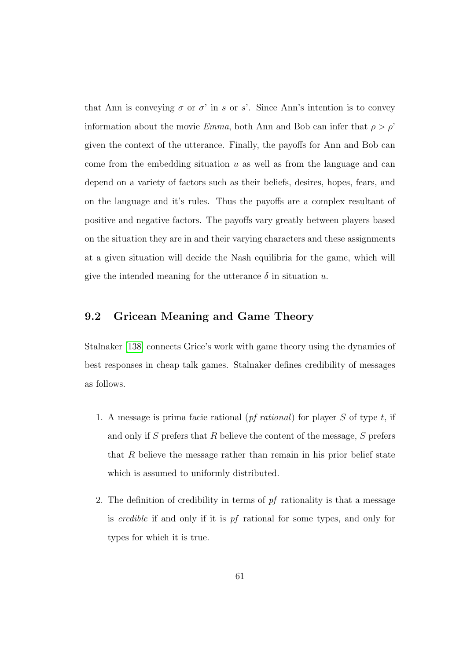that Ann is conveying  $\sigma$  or  $\sigma'$  in s or s'. Since Ann's intention is to convey information about the movie *Emma*, both Ann and Bob can infer that  $\rho > \rho'$ given the context of the utterance. Finally, the payoffs for Ann and Bob can come from the embedding situation  $u$  as well as from the language and can depend on a variety of factors such as their beliefs, desires, hopes, fears, and on the language and it's rules. Thus the payoffs are a complex resultant of positive and negative factors. The payoffs vary greatly between players based on the situation they are in and their varying characters and these assignments at a given situation will decide the Nash equilibria for the game, which will give the intended meaning for the utterance  $\delta$  in situation u.

# 9.2 Gricean Meaning and Game Theory

Stalnaker [\[138\]](#page-202-0) connects Grice's work with game theory using the dynamics of best responses in cheap talk games. Stalnaker defines credibility of messages as follows.

- 1. A message is prima facie rational  $(pf$  *rational*) for player S of type t, if and only if S prefers that R believe the content of the message,  $S$  prefers that  $R$  believe the message rather than remain in his prior belief state which is assumed to uniformly distributed.
- 2. The definition of credibility in terms of  $pf$  rationality is that a message is credible if and only if it is pf rational for some types, and only for types for which it is true.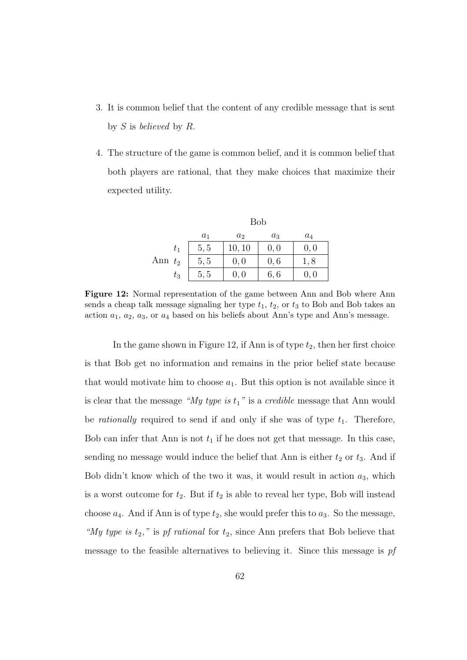- 3. It is common belief that the content of any credible message that is sent by  $S$  is believed by  $R$ .
- 4. The structure of the game is common belief, and it is common belief that both players are rational, that they make choices that maximize their expected utility.

|           | <b>Bob</b> |                |       |       |  |  |
|-----------|------------|----------------|-------|-------|--|--|
|           | $a_1$      | a <sub>2</sub> | $a_3$ | $a_4$ |  |  |
| $t_1$     | 5, 5       | 10, 10         | 0, 0  | 0, 0  |  |  |
| Ann $t_2$ | 5, 5       | 0, 0           | 0, 6  | 1,8   |  |  |
| $t_3\$    | 5, 5       | 0, 0           | 6, 6  | 0, 0  |  |  |

Figure 12: Normal representation of the game between Ann and Bob where Ann sends a cheap talk message signaling her type  $t_1$ ,  $t_2$ , or  $t_3$  to Bob and Bob takes an action  $a_1, a_2, a_3$ , or  $a_4$  based on his beliefs about Ann's type and Ann's message.

In the game shown in Figure 12, if Ann is of type  $t_2$ , then her first choice is that Bob get no information and remains in the prior belief state because that would motivate him to choose  $a_1$ . But this option is not available since it is clear that the message "My type is  $t_1$ " is a credible message that Ann would be *rationally* required to send if and only if she was of type  $t_1$ . Therefore, Bob can infer that Ann is not  $t_1$  if he does not get that message. In this case, sending no message would induce the belief that Ann is either  $t_2$  or  $t_3$ . And if Bob didn't know which of the two it was, it would result in action  $a_3$ , which is a worst outcome for  $t_2$ . But if  $t_2$  is able to reveal her type, Bob will instead choose  $a_4$ . And if Ann is of type  $t_2$ , she would prefer this to  $a_3$ . So the message, "My type is  $t_2$ ," is pf rational for  $t_2$ , since Ann prefers that Bob believe that message to the feasible alternatives to believing it. Since this message is pf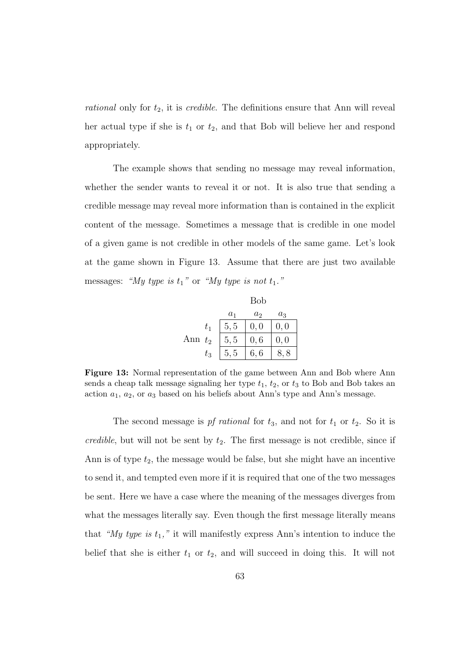rational only for  $t_2$ , it is *credible*. The definitions ensure that Ann will reveal her actual type if she is  $t_1$  or  $t_2$ , and that Bob will believe her and respond appropriately.

The example shows that sending no message may reveal information, whether the sender wants to reveal it or not. It is also true that sending a credible message may reveal more information than is contained in the explicit content of the message. Sometimes a message that is credible in one model of a given game is not credible in other models of the same game. Let's look at the game shown in Figure 13. Assume that there are just two available messages: "My type is  $t_1$ " or "My type is not  $t_1$ ."

|     |         |       | Bob            |       |
|-----|---------|-------|----------------|-------|
|     |         | $a_1$ | a <sub>2</sub> | $a_3$ |
|     | $t_{1}$ | 5, 5  | 0, 0           | 0,0   |
| Ann | $t_{2}$ | 5, 5  | 0, 6           | 0, 0  |
|     | $t_{3}$ | 5, 5  | 6,6            | 8     |

Figure 13: Normal representation of the game between Ann and Bob where Ann sends a cheap talk message signaling her type  $t_1$ ,  $t_2$ , or  $t_3$  to Bob and Bob takes an action  $a_1$ ,  $a_2$ , or  $a_3$  based on his beliefs about Ann's type and Ann's message.

The second message is pf rational for  $t_3$ , and not for  $t_1$  or  $t_2$ . So it is credible, but will not be sent by  $t_2$ . The first message is not credible, since if Ann is of type  $t_2$ , the message would be false, but she might have an incentive to send it, and tempted even more if it is required that one of the two messages be sent. Here we have a case where the meaning of the messages diverges from what the messages literally say. Even though the first message literally means that "My type is  $t_1$ ," it will manifestly express Ann's intention to induce the belief that she is either  $t_1$  or  $t_2$ , and will succeed in doing this. It will not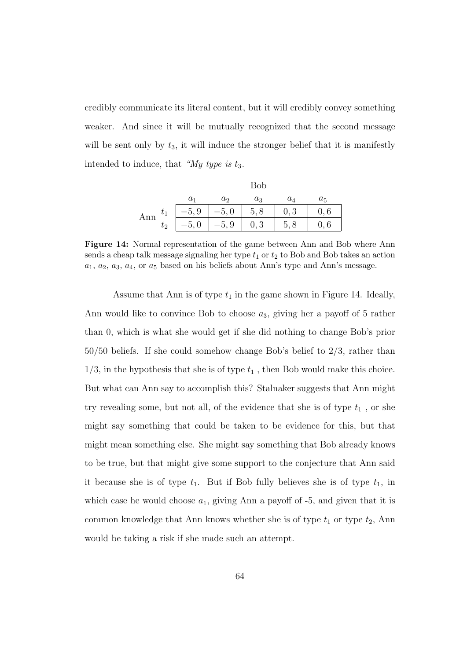credibly communicate its literal content, but it will credibly convey something weaker. And since it will be mutually recognized that the second message will be sent only by  $t_3$ , it will induce the stronger belief that it is manifestly intended to induce, that " $My$  type is  $t_3$ .

|     |       | Bob     |         |       |       |       |  |
|-----|-------|---------|---------|-------|-------|-------|--|
|     |       | $a_1$   | $a_2$   | $a_3$ | $a_4$ | $a_5$ |  |
| Ann | $t_1$ | $-5, 9$ | $-5,0$  | 5, 8  | 0,3   | 0,6   |  |
|     | $t_2$ | $-5,0$  | $-5, 9$ | 0, 3  |       | U, b  |  |

Figure 14: Normal representation of the game between Ann and Bob where Ann sends a cheap talk message signaling her type  $t_1$  or  $t_2$  to Bob and Bob takes an action  $a_1, a_2, a_3, a_4$ , or  $a_5$  based on his beliefs about Ann's type and Ann's message.

Assume that Ann is of type  $t_1$  in the game shown in Figure 14. Ideally, Ann would like to convince Bob to choose  $a_3$ , giving her a payoff of 5 rather than 0, which is what she would get if she did nothing to change Bob's prior 50/50 beliefs. If she could somehow change Bob's belief to 2/3, rather than  $1/3$ , in the hypothesis that she is of type  $t_1$ , then Bob would make this choice. But what can Ann say to accomplish this? Stalnaker suggests that Ann might try revealing some, but not all, of the evidence that she is of type  $t_1$ , or she might say something that could be taken to be evidence for this, but that might mean something else. She might say something that Bob already knows to be true, but that might give some support to the conjecture that Ann said it because she is of type  $t_1$ . But if Bob fully believes she is of type  $t_1$ , in which case he would choose  $a_1$ , giving Ann a payoff of  $-5$ , and given that it is common knowledge that Ann knows whether she is of type  $t_1$  or type  $t_2$ , Ann would be taking a risk if she made such an attempt.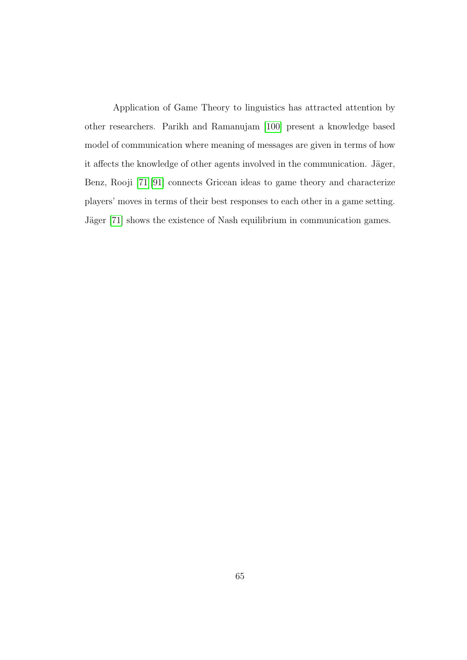Application of Game Theory to linguistics has attracted attention by other researchers. Parikh and Ramanujam [\[100\]](#page-198-1) present a knowledge based model of communication where meaning of messages are given in terms of how it affects the knowledge of other agents involved in the communication. Jäger, Benz, Rooji [\[71\]](#page-195-0)[\[91\]](#page-197-0) connects Gricean ideas to game theory and characterize players' moves in terms of their best responses to each other in a game setting. Jäger [\[71\]](#page-195-0) shows the existence of Nash equilibrium in communication games.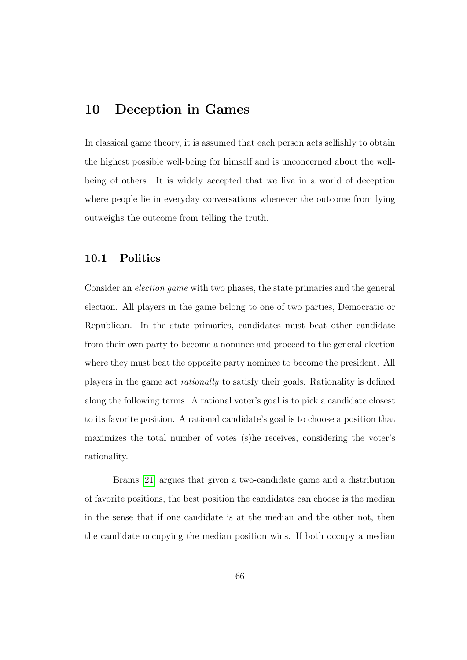# 10 Deception in Games

In classical game theory, it is assumed that each person acts selfishly to obtain the highest possible well-being for himself and is unconcerned about the wellbeing of others. It is widely accepted that we live in a world of deception where people lie in everyday conversations whenever the outcome from lying outweighs the outcome from telling the truth.

#### 10.1 Politics

Consider an election game with two phases, the state primaries and the general election. All players in the game belong to one of two parties, Democratic or Republican. In the state primaries, candidates must beat other candidate from their own party to become a nominee and proceed to the general election where they must beat the opposite party nominee to become the president. All players in the game act rationally to satisfy their goals. Rationality is defined along the following terms. A rational voter's goal is to pick a candidate closest to its favorite position. A rational candidate's goal is to choose a position that maximizes the total number of votes (s)he receives, considering the voter's rationality.

Brams [\[21\]](#page-189-0) argues that given a two-candidate game and a distribution of favorite positions, the best position the candidates can choose is the median in the sense that if one candidate is at the median and the other not, then the candidate occupying the median position wins. If both occupy a median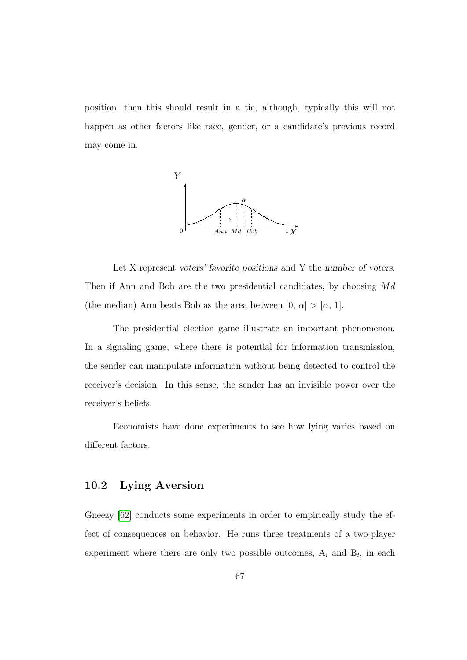position, then this should result in a tie, although, typically this will not happen as other factors like race, gender, or a candidate's previous record may come in.



Let X represent voters' favorite positions and Y the number of voters. Then if Ann and Bob are the two presidential candidates, by choosing  $Md$ (the median) Ann beats Bob as the area between  $[0, \alpha] > [\alpha, 1]$ .

The presidential election game illustrate an important phenomenon. In a signaling game, where there is potential for information transmission, the sender can manipulate information without being detected to control the receiver's decision. In this sense, the sender has an invisible power over the receiver's beliefs.

Economists have done experiments to see how lying varies based on different factors.

# 10.2 Lying Aversion

Gneezy [\[62\]](#page-194-0) conducts some experiments in order to empirically study the effect of consequences on behavior. He runs three treatments of a two-player experiment where there are only two possible outcomes,  $A_i$  and  $B_i$ , in each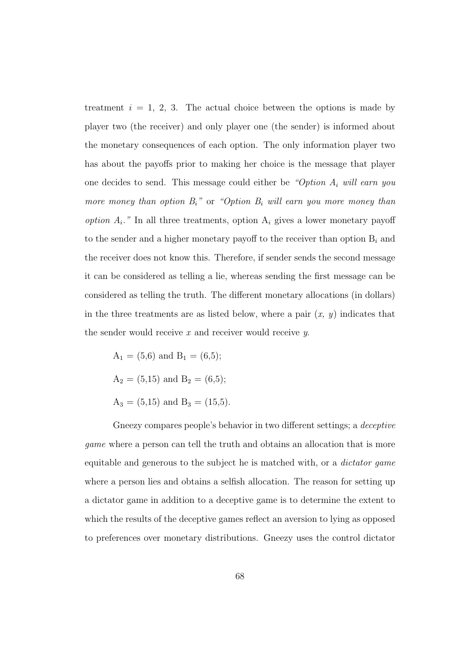treatment  $i = 1, 2, 3$ . The actual choice between the options is made by player two (the receiver) and only player one (the sender) is informed about the monetary consequences of each option. The only information player two has about the payoffs prior to making her choice is the message that player one decides to send. This message could either be "Option  $A_i$  will earn you more money than option  $B_i$ " or "Option  $B_i$  will earn you more money than option  $A_i$ ." In all three treatments, option  $A_i$  gives a lower monetary payoff to the sender and a higher monetary payoff to the receiver than option  $B_i$  and the receiver does not know this. Therefore, if sender sends the second message it can be considered as telling a lie, whereas sending the first message can be considered as telling the truth. The different monetary allocations (in dollars) in the three treatments are as listed below, where a pair  $(x, y)$  indicates that the sender would receive  $x$  and receiver would receive  $y$ .

 $A_1 = (5,6)$  and  $B_1 = (6,5);$  $A_2 = (5,15)$  and  $B_2 = (6,5);$  $A_3 = (5,15)$  and  $B_3 = (15,5)$ .

Gneezy compares people's behavior in two different settings; a deceptive game where a person can tell the truth and obtains an allocation that is more equitable and generous to the subject he is matched with, or a *dictator game* where a person lies and obtains a selfish allocation. The reason for setting up a dictator game in addition to a deceptive game is to determine the extent to which the results of the deceptive games reflect an aversion to lying as opposed to preferences over monetary distributions. Gneezy uses the control dictator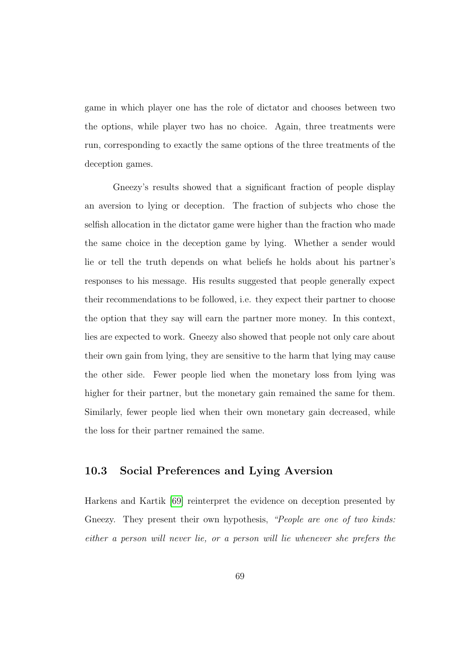game in which player one has the role of dictator and chooses between two the options, while player two has no choice. Again, three treatments were run, corresponding to exactly the same options of the three treatments of the deception games.

Gneezy's results showed that a significant fraction of people display an aversion to lying or deception. The fraction of subjects who chose the selfish allocation in the dictator game were higher than the fraction who made the same choice in the deception game by lying. Whether a sender would lie or tell the truth depends on what beliefs he holds about his partner's responses to his message. His results suggested that people generally expect their recommendations to be followed, i.e. they expect their partner to choose the option that they say will earn the partner more money. In this context, lies are expected to work. Gneezy also showed that people not only care about their own gain from lying, they are sensitive to the harm that lying may cause the other side. Fewer people lied when the monetary loss from lying was higher for their partner, but the monetary gain remained the same for them. Similarly, fewer people lied when their own monetary gain decreased, while the loss for their partner remained the same.

#### 10.3 Social Preferences and Lying Aversion

Harkens and Kartik [\[69\]](#page-195-1) reinterpret the evidence on deception presented by Gneezy. They present their own hypothesis, "People are one of two kinds: either a person will never lie, or a person will lie whenever she prefers the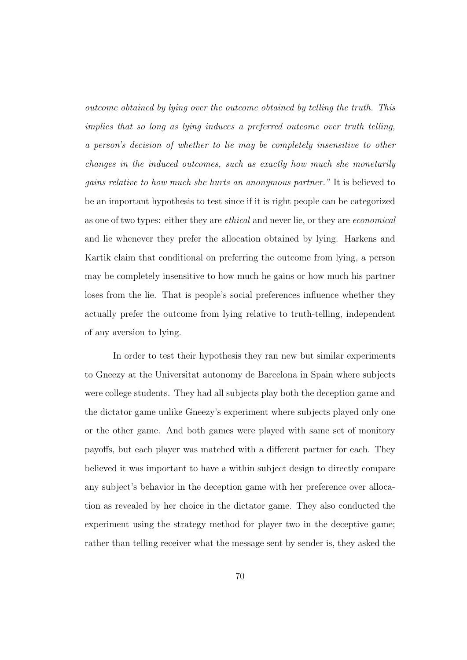outcome obtained by lying over the outcome obtained by telling the truth. This implies that so long as lying induces a preferred outcome over truth telling, a person's decision of whether to lie may be completely insensitive to other changes in the induced outcomes, such as exactly how much she monetarily gains relative to how much she hurts an anonymous partner." It is believed to be an important hypothesis to test since if it is right people can be categorized as one of two types: either they are ethical and never lie, or they are economical and lie whenever they prefer the allocation obtained by lying. Harkens and Kartik claim that conditional on preferring the outcome from lying, a person may be completely insensitive to how much he gains or how much his partner loses from the lie. That is people's social preferences influence whether they actually prefer the outcome from lying relative to truth-telling, independent of any aversion to lying.

In order to test their hypothesis they ran new but similar experiments to Gneezy at the Universitat autonomy de Barcelona in Spain where subjects were college students. They had all subjects play both the deception game and the dictator game unlike Gneezy's experiment where subjects played only one or the other game. And both games were played with same set of monitory payoffs, but each player was matched with a different partner for each. They believed it was important to have a within subject design to directly compare any subject's behavior in the deception game with her preference over allocation as revealed by her choice in the dictator game. They also conducted the experiment using the strategy method for player two in the deceptive game; rather than telling receiver what the message sent by sender is, they asked the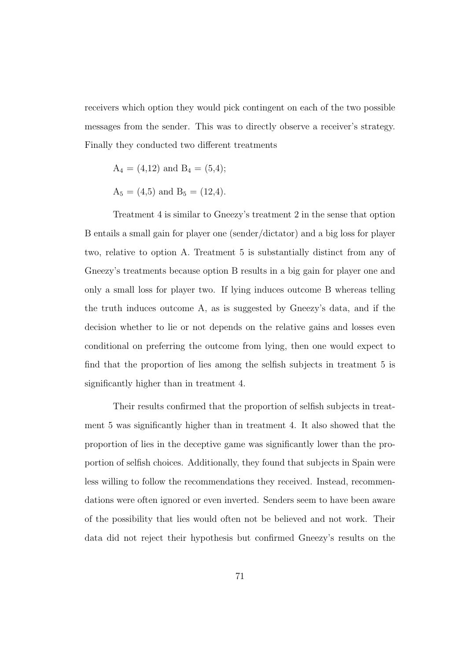receivers which option they would pick contingent on each of the two possible messages from the sender. This was to directly observe a receiver's strategy. Finally they conducted two different treatments

$$
A_4 = (4.12)
$$
 and  $B_4 = (5.4)$ ;

$$
A_5 = (4.5)
$$
 and  $B_5 = (12.4)$ .

Treatment 4 is similar to Gneezy's treatment 2 in the sense that option B entails a small gain for player one (sender/dictator) and a big loss for player two, relative to option A. Treatment 5 is substantially distinct from any of Gneezy's treatments because option B results in a big gain for player one and only a small loss for player two. If lying induces outcome B whereas telling the truth induces outcome A, as is suggested by Gneezy's data, and if the decision whether to lie or not depends on the relative gains and losses even conditional on preferring the outcome from lying, then one would expect to find that the proportion of lies among the selfish subjects in treatment 5 is significantly higher than in treatment 4.

Their results confirmed that the proportion of selfish subjects in treatment 5 was significantly higher than in treatment 4. It also showed that the proportion of lies in the deceptive game was significantly lower than the proportion of selfish choices. Additionally, they found that subjects in Spain were less willing to follow the recommendations they received. Instead, recommendations were often ignored or even inverted. Senders seem to have been aware of the possibility that lies would often not be believed and not work. Their data did not reject their hypothesis but confirmed Gneezy's results on the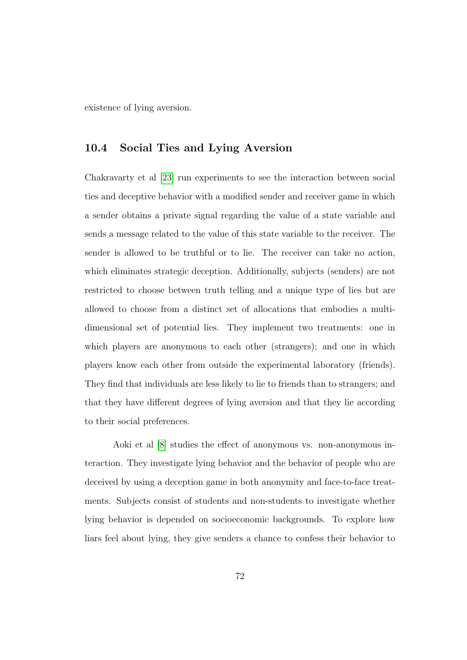existence of lying aversion.

## 10.4 Social Ties and Lying Aversion

Chakravarty et al [\[23\]](#page-190-0) run experiments to see the interaction between social ties and deceptive behavior with a modified sender and receiver game in which a sender obtains a private signal regarding the value of a state variable and sends a message related to the value of this state variable to the receiver. The sender is allowed to be truthful or to lie. The receiver can take no action, which eliminates strategic deception. Additionally, subjects (senders) are not restricted to choose between truth telling and a unique type of lies but are allowed to choose from a distinct set of allocations that embodies a multidimensional set of potential lies. They implement two treatments: one in which players are anonymous to each other (strangers); and one in which players know each other from outside the experimental laboratory (friends). They find that individuals are less likely to lie to friends than to strangers; and that they have different degrees of lying aversion and that they lie according to their social preferences.

Aoki et al [\[8\]](#page-188-0) studies the effect of anonymous vs. non-anonymous interaction. They investigate lying behavior and the behavior of people who are deceived by using a deception game in both anonymity and face-to-face treatments. Subjects consist of students and non-students to investigate whether lying behavior is depended on socioeconomic backgrounds. To explore how liars feel about lying, they give senders a chance to confess their behavior to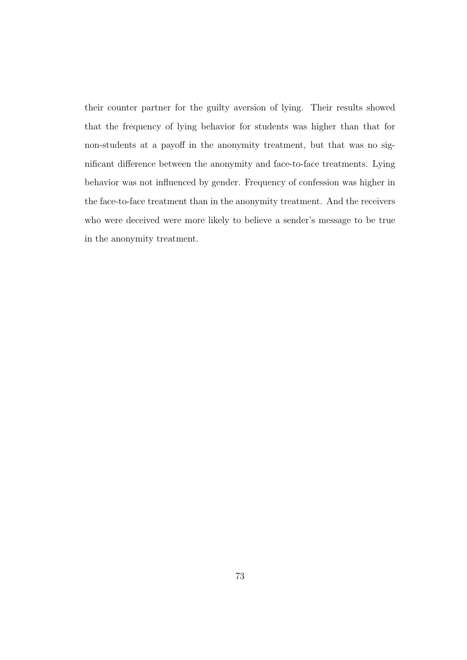their counter partner for the guilty aversion of lying. Their results showed that the frequency of lying behavior for students was higher than that for non-students at a payoff in the anonymity treatment, but that was no significant difference between the anonymity and face-to-face treatments. Lying behavior was not influenced by gender. Frequency of confession was higher in the face-to-face treatment than in the anonymity treatment. And the receivers who were deceived were more likely to believe a sender's message to be true in the anonymity treatment.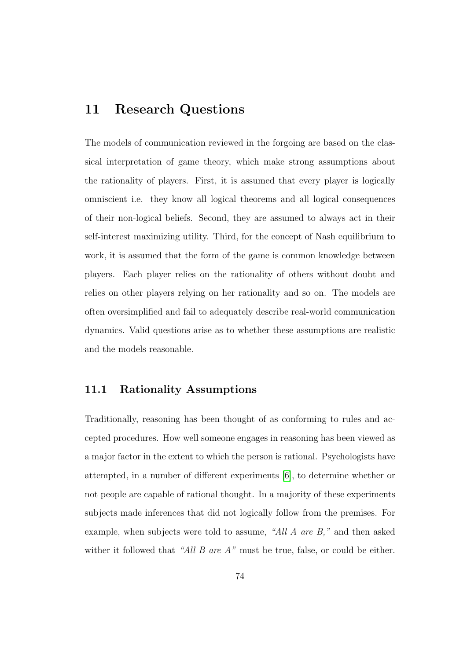# 11 Research Questions

The models of communication reviewed in the forgoing are based on the classical interpretation of game theory, which make strong assumptions about the rationality of players. First, it is assumed that every player is logically omniscient i.e. they know all logical theorems and all logical consequences of their non-logical beliefs. Second, they are assumed to always act in their self-interest maximizing utility. Third, for the concept of Nash equilibrium to work, it is assumed that the form of the game is common knowledge between players. Each player relies on the rationality of others without doubt and relies on other players relying on her rationality and so on. The models are often oversimplified and fail to adequately describe real-world communication dynamics. Valid questions arise as to whether these assumptions are realistic and the models reasonable.

## 11.1 Rationality Assumptions

Traditionally, reasoning has been thought of as conforming to rules and accepted procedures. How well someone engages in reasoning has been viewed as a major factor in the extent to which the person is rational. Psychologists have attempted, in a number of different experiments [\[6\]](#page-187-0), to determine whether or not people are capable of rational thought. In a majority of these experiments subjects made inferences that did not logically follow from the premises. For example, when subjects were told to assume, "All A are B," and then asked wither it followed that "All B are  $A$ " must be true, false, or could be either.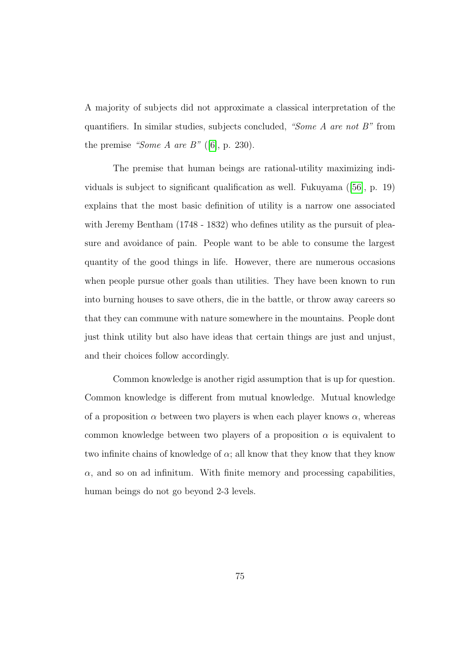A majority of subjects did not approximate a classical interpretation of the quantifiers. In similar studies, subjects concluded, "Some A are not  $B$ " from the premise "Some  $A$  are  $B$ " ([\[6\]](#page-187-0), p. 230).

The premise that human beings are rational-utility maximizing individuals is subject to significant qualification as well. Fukuyama ([\[56\]](#page-193-0), p. 19) explains that the most basic definition of utility is a narrow one associated with Jeremy Bentham (1748 - 1832) who defines utility as the pursuit of pleasure and avoidance of pain. People want to be able to consume the largest quantity of the good things in life. However, there are numerous occasions when people pursue other goals than utilities. They have been known to run into burning houses to save others, die in the battle, or throw away careers so that they can commune with nature somewhere in the mountains. People dont just think utility but also have ideas that certain things are just and unjust, and their choices follow accordingly.

Common knowledge is another rigid assumption that is up for question. Common knowledge is different from mutual knowledge. Mutual knowledge of a proposition  $\alpha$  between two players is when each player knows  $\alpha$ , whereas common knowledge between two players of a proposition  $\alpha$  is equivalent to two infinite chains of knowledge of  $\alpha$ ; all know that they know that they know  $\alpha$ , and so on ad infinitum. With finite memory and processing capabilities, human beings do not go beyond 2-3 levels.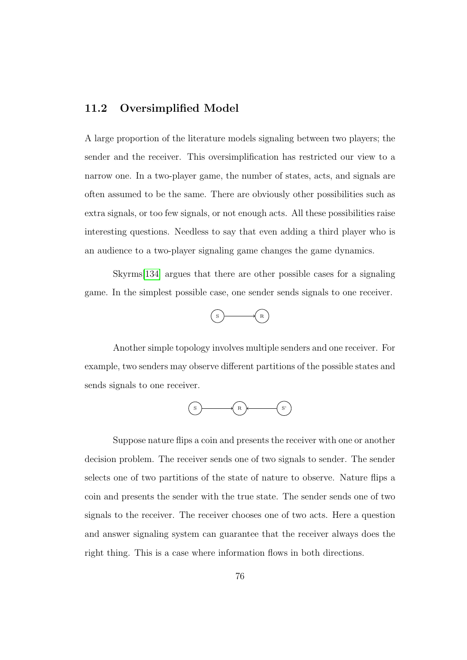## 11.2 Oversimplified Model

A large proportion of the literature models signaling between two players; the sender and the receiver. This oversimplification has restricted our view to a narrow one. In a two-player game, the number of states, acts, and signals are often assumed to be the same. There are obviously other possibilities such as extra signals, or too few signals, or not enough acts. All these possibilities raise interesting questions. Needless to say that even adding a third player who is an audience to a two-player signaling game changes the game dynamics.

Skyrms[\[134\]](#page-202-1) argues that there are other possible cases for a signaling game. In the simplest possible case, one sender sends signals to one receiver.



Another simple topology involves multiple senders and one receiver. For example, two senders may observe different partitions of the possible states and sends signals to one receiver.



Suppose nature flips a coin and presents the receiver with one or another decision problem. The receiver sends one of two signals to sender. The sender selects one of two partitions of the state of nature to observe. Nature flips a coin and presents the sender with the true state. The sender sends one of two signals to the receiver. The receiver chooses one of two acts. Here a question and answer signaling system can guarantee that the receiver always does the right thing. This is a case where information flows in both directions.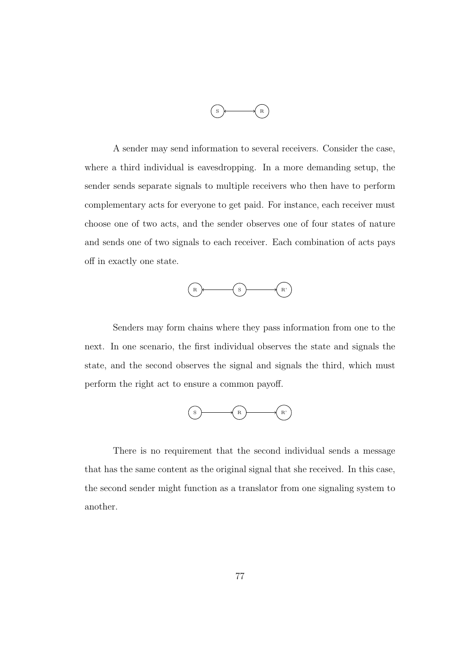

A sender may send information to several receivers. Consider the case, where a third individual is eavesdropping. In a more demanding setup, the sender sends separate signals to multiple receivers who then have to perform complementary acts for everyone to get paid. For instance, each receiver must choose one of two acts, and the sender observes one of four states of nature and sends one of two signals to each receiver. Each combination of acts pays off in exactly one state.



Senders may form chains where they pass information from one to the next. In one scenario, the first individual observes the state and signals the state, and the second observes the signal and signals the third, which must perform the right act to ensure a common payoff.



There is no requirement that the second individual sends a message that has the same content as the original signal that she received. In this case, the second sender might function as a translator from one signaling system to another.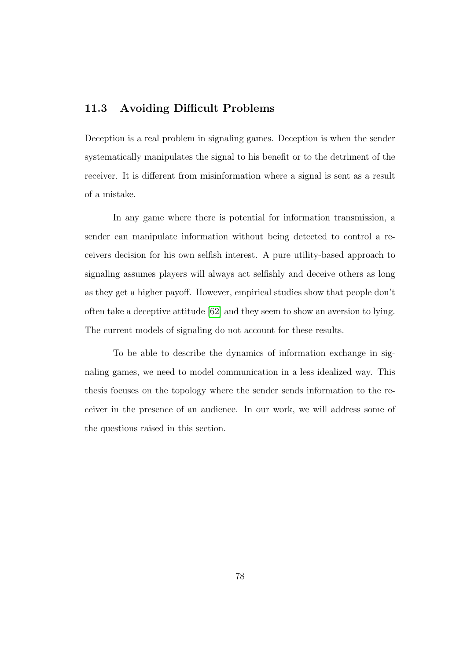# 11.3 Avoiding Difficult Problems

Deception is a real problem in signaling games. Deception is when the sender systematically manipulates the signal to his benefit or to the detriment of the receiver. It is different from misinformation where a signal is sent as a result of a mistake.

In any game where there is potential for information transmission, a sender can manipulate information without being detected to control a receivers decision for his own selfish interest. A pure utility-based approach to signaling assumes players will always act selfishly and deceive others as long as they get a higher payoff. However, empirical studies show that people don't often take a deceptive attitude [\[62\]](#page-194-0) and they seem to show an aversion to lying. The current models of signaling do not account for these results.

To be able to describe the dynamics of information exchange in signaling games, we need to model communication in a less idealized way. This thesis focuses on the topology where the sender sends information to the receiver in the presence of an audience. In our work, we will address some of the questions raised in this section.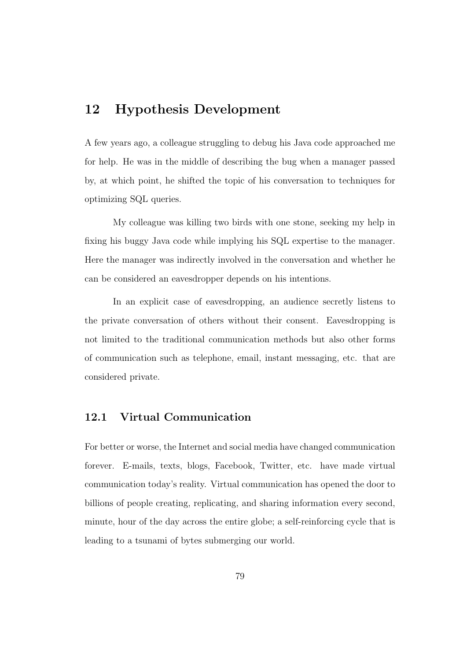# 12 Hypothesis Development

A few years ago, a colleague struggling to debug his Java code approached me for help. He was in the middle of describing the bug when a manager passed by, at which point, he shifted the topic of his conversation to techniques for optimizing SQL queries.

My colleague was killing two birds with one stone, seeking my help in fixing his buggy Java code while implying his SQL expertise to the manager. Here the manager was indirectly involved in the conversation and whether he can be considered an eavesdropper depends on his intentions.

In an explicit case of eavesdropping, an audience secretly listens to the private conversation of others without their consent. Eavesdropping is not limited to the traditional communication methods but also other forms of communication such as telephone, email, instant messaging, etc. that are considered private.

## 12.1 Virtual Communication

For better or worse, the Internet and social media have changed communication forever. E-mails, texts, blogs, Facebook, Twitter, etc. have made virtual communication today's reality. Virtual communication has opened the door to billions of people creating, replicating, and sharing information every second, minute, hour of the day across the entire globe; a self-reinforcing cycle that is leading to a tsunami of bytes submerging our world.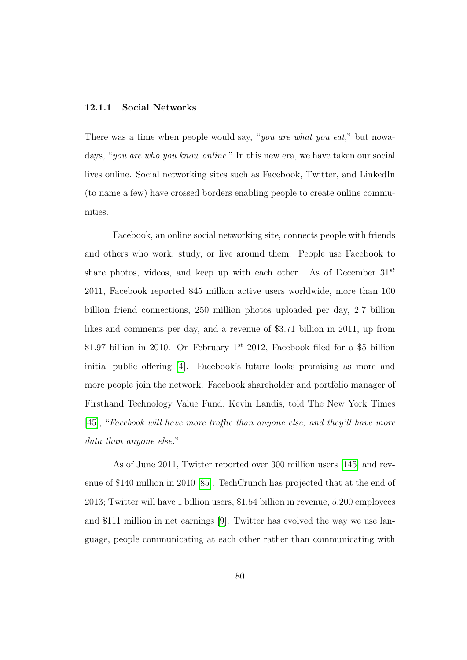#### 12.1.1 Social Networks

There was a time when people would say, "you are what you eat," but nowadays, "you are who you know online." In this new era, we have taken our social lives online. Social networking sites such as Facebook, Twitter, and LinkedIn (to name a few) have crossed borders enabling people to create online communities.

Facebook, an online social networking site, connects people with friends and others who work, study, or live around them. People use Facebook to share photos, videos, and keep up with each other. As of December  $31^{st}$ 2011, Facebook reported 845 million active users worldwide, more than 100 billion friend connections, 250 million photos uploaded per day, 2.7 billion likes and comments per day, and a revenue of \$3.71 billion in 2011, up from \$1.97 billion in 2010. On February  $1^{st}$  2012, Facebook filed for a \$5 billion initial public offering [\[4\]](#page-187-1). Facebook's future looks promising as more and more people join the network. Facebook shareholder and portfolio manager of Firsthand Technology Value Fund, Kevin Landis, told The New York Times [\[45\]](#page-192-0), "Facebook will have more traffic than anyone else, and they'll have more data than anyone else."

As of June 2011, Twitter reported over 300 million users [\[145\]](#page-203-0) and revenue of \$140 million in 2010 [\[85\]](#page-197-1). TechCrunch has projected that at the end of 2013; Twitter will have 1 billion users, \$1.54 billion in revenue, 5,200 employees and \$111 million in net earnings [\[9\]](#page-188-1). Twitter has evolved the way we use language, people communicating at each other rather than communicating with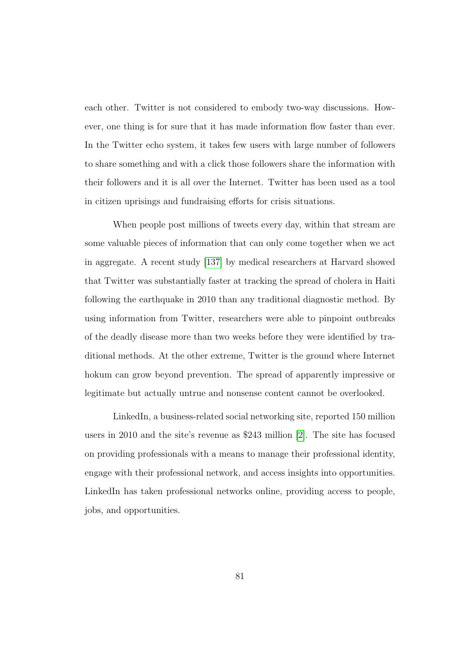each other. Twitter is not considered to embody two-way discussions. However, one thing is for sure that it has made information flow faster than ever. In the Twitter echo system, it takes few users with large number of followers to share something and with a click those followers share the information with their followers and it is all over the Internet. Twitter has been used as a tool in citizen uprisings and fundraising efforts for crisis situations.

When people post millions of tweets every day, within that stream are some valuable pieces of information that can only come together when we act in aggregate. A recent study [\[137\]](#page-202-2) by medical researchers at Harvard showed that Twitter was substantially faster at tracking the spread of cholera in Haiti following the earthquake in 2010 than any traditional diagnostic method. By using information from Twitter, researchers were able to pinpoint outbreaks of the deadly disease more than two weeks before they were identified by traditional methods. At the other extreme, Twitter is the ground where Internet hokum can grow beyond prevention. The spread of apparently impressive or legitimate but actually untrue and nonsense content cannot be overlooked.

LinkedIn, a business-related social networking site, reported 150 million users in 2010 and the site's revenue as \$243 million [\[2\]](#page-187-2). The site has focused on providing professionals with a means to manage their professional identity, engage with their professional network, and access insights into opportunities. LinkedIn has taken professional networks online, providing access to people, jobs, and opportunities.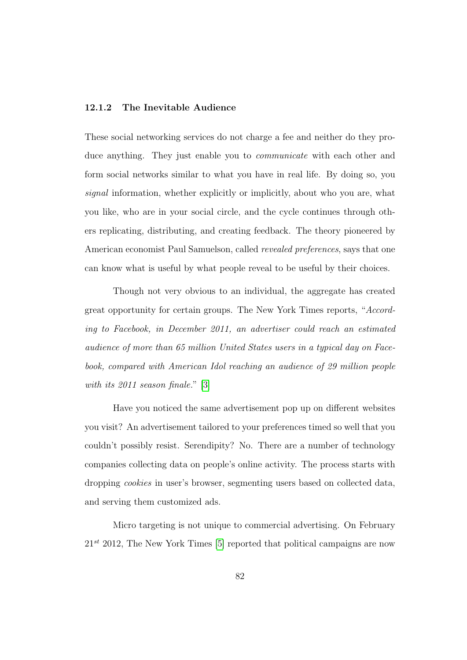#### 12.1.2 The Inevitable Audience

These social networking services do not charge a fee and neither do they produce anything. They just enable you to communicate with each other and form social networks similar to what you have in real life. By doing so, you signal information, whether explicitly or implicitly, about who you are, what you like, who are in your social circle, and the cycle continues through others replicating, distributing, and creating feedback. The theory pioneered by American economist Paul Samuelson, called revealed preferences, says that one can know what is useful by what people reveal to be useful by their choices.

Though not very obvious to an individual, the aggregate has created great opportunity for certain groups. The New York Times reports, "According to Facebook, in December 2011, an advertiser could reach an estimated audience of more than 65 million United States users in a typical day on Facebook, compared with American Idol reaching an audience of 29 million people with its 2011 season finale." [\[3\]](#page-187-3)

Have you noticed the same advertisement pop up on different websites you visit? An advertisement tailored to your preferences timed so well that you couldn't possibly resist. Serendipity? No. There are a number of technology companies collecting data on people's online activity. The process starts with dropping cookies in user's browser, segmenting users based on collected data, and serving them customized ads.

Micro targeting is not unique to commercial advertising. On February  $21^{st}$  2012, The New York Times [\[5\]](#page-187-4) reported that political campaigns are now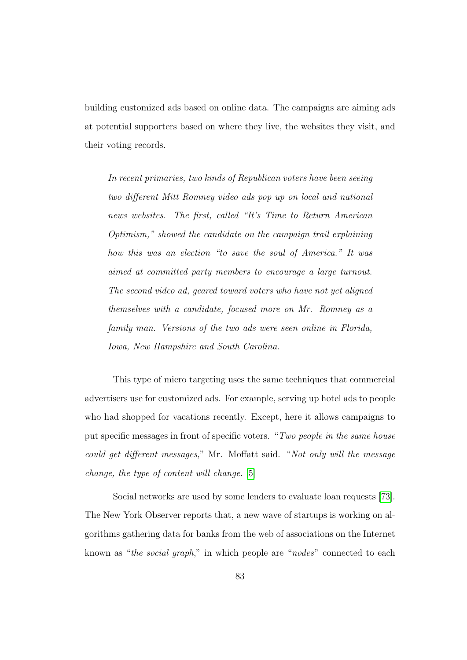building customized ads based on online data. The campaigns are aiming ads at potential supporters based on where they live, the websites they visit, and their voting records.

In recent primaries, two kinds of Republican voters have been seeing two different Mitt Romney video ads pop up on local and national news websites. The first, called "It's Time to Return American Optimism," showed the candidate on the campaign trail explaining how this was an election "to save the soul of America." It was aimed at committed party members to encourage a large turnout. The second video ad, geared toward voters who have not yet aligned themselves with a candidate, focused more on Mr. Romney as a family man. Versions of the two ads were seen online in Florida, Iowa, New Hampshire and South Carolina.

This type of micro targeting uses the same techniques that commercial advertisers use for customized ads. For example, serving up hotel ads to people who had shopped for vacations recently. Except, here it allows campaigns to put specific messages in front of specific voters. "Two people in the same house could get different messages," Mr. Moffatt said. "Not only will the message change, the type of content will change. [\[5\]](#page-187-4)

Social networks are used by some lenders to evaluate loan requests [\[73\]](#page-195-2). The New York Observer reports that, a new wave of startups is working on algorithms gathering data for banks from the web of associations on the Internet known as "the social graph," in which people are "nodes" connected to each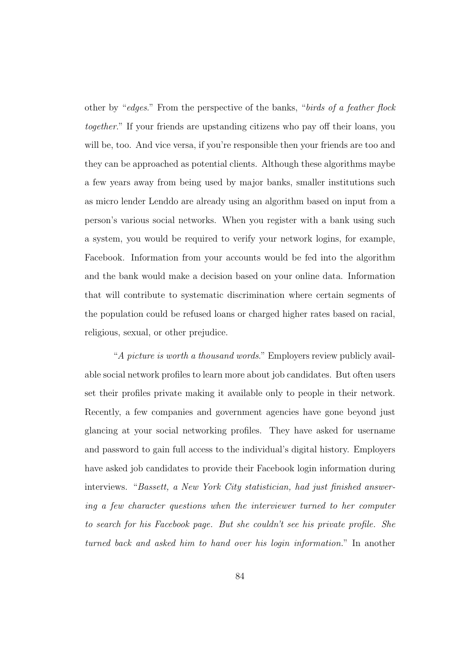other by "edges." From the perspective of the banks, "birds of a feather flock together." If your friends are upstanding citizens who pay off their loans, you will be, too. And vice versa, if you're responsible then your friends are too and they can be approached as potential clients. Although these algorithms maybe a few years away from being used by major banks, smaller institutions such as micro lender Lenddo are already using an algorithm based on input from a person's various social networks. When you register with a bank using such a system, you would be required to verify your network logins, for example, Facebook. Information from your accounts would be fed into the algorithm and the bank would make a decision based on your online data. Information that will contribute to systematic discrimination where certain segments of the population could be refused loans or charged higher rates based on racial, religious, sexual, or other prejudice.

"A picture is worth a thousand words." Employers review publicly available social network profiles to learn more about job candidates. But often users set their profiles private making it available only to people in their network. Recently, a few companies and government agencies have gone beyond just glancing at your social networking profiles. They have asked for username and password to gain full access to the individual's digital history. Employers have asked job candidates to provide their Facebook login information during interviews. "Bassett, a New York City statistician, had just finished answering a few character questions when the interviewer turned to her computer to search for his Facebook page. But she couldn't see his private profile. She turned back and asked him to hand over his login information." In another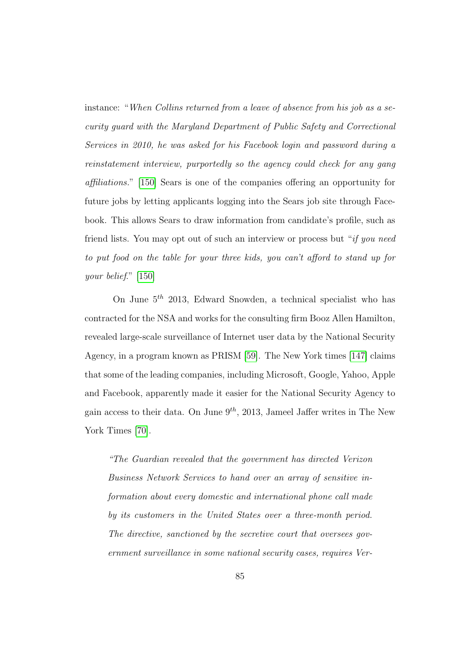instance: "When Collins returned from a leave of absence from his job as a security guard with the Maryland Department of Public Safety and Correctional Services in 2010, he was asked for his Facebook login and password during a reinstatement interview, purportedly so the agency could check for any gang affiliations." [\[150\]](#page-204-0) Sears is one of the companies offering an opportunity for future jobs by letting applicants logging into the Sears job site through Facebook. This allows Sears to draw information from candidate's profile, such as friend lists. You may opt out of such an interview or process but "if you need to put food on the table for your three kids, you can't afford to stand up for your belief." [\[150\]](#page-204-0)

On June  $5<sup>th</sup>$  2013, Edward Snowden, a technical specialist who has contracted for the NSA and works for the consulting firm Booz Allen Hamilton, revealed large-scale surveillance of Internet user data by the National Security Agency, in a program known as PRISM [\[59\]](#page-193-1). The New York times [\[147\]](#page-203-1) claims that some of the leading companies, including Microsoft, Google, Yahoo, Apple and Facebook, apparently made it easier for the National Security Agency to gain access to their data. On June  $9^{th}$ , 2013, Jameel Jaffer writes in The New York Times [\[70\]](#page-195-3).

"The Guardian revealed that the government has directed Verizon Business Network Services to hand over an array of sensitive information about every domestic and international phone call made by its customers in the United States over a three-month period. The directive, sanctioned by the secretive court that oversees government surveillance in some national security cases, requires Ver-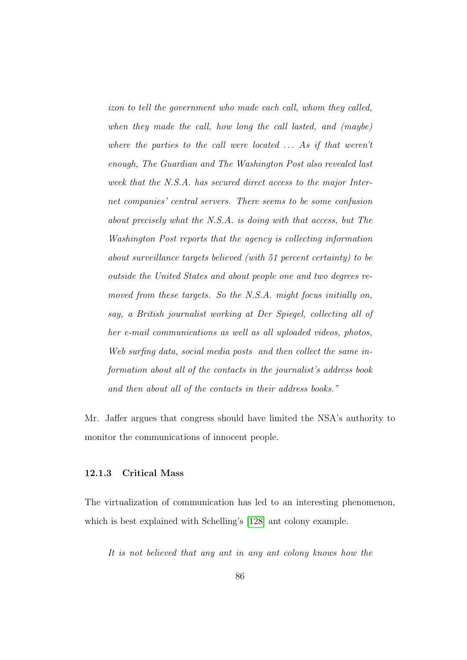izon to tell the government who made each call, whom they called, when they made the call, how long the call lasted, and (maybe) where the parties to the call were located  $\ldots$  As if that weren't enough, The Guardian and The Washington Post also revealed last week that the N.S.A. has secured direct access to the major Internet companies' central servers. There seems to be some confusion about precisely what the N.S.A. is doing with that access, but The Washington Post reports that the agency is collecting information about surveillance targets believed (with 51 percent certainty) to be outside the United States and about people one and two degrees removed from these targets. So the N.S.A. might focus initially on, say, a British journalist working at Der Spiegel, collecting all of her e-mail communications as well as all uploaded videos, photos, Web surfing data, social media posts and then collect the same information about all of the contacts in the journalist's address book and then about all of the contacts in their address books."

Mr. Jaffer argues that congress should have limited the NSA's authority to monitor the communications of innocent people.

#### 12.1.3 Critical Mass

The virtualization of communication has led to an interesting phenomenon, which is best explained with Schelling's [\[128\]](#page-201-0) ant colony example.

It is not believed that any ant in any ant colony knows how the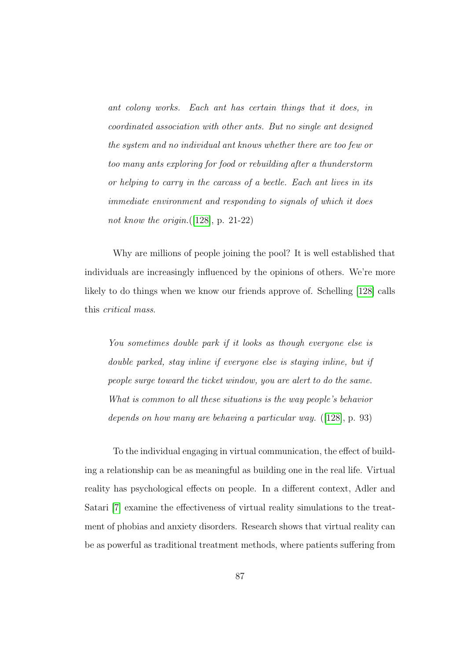ant colony works. Each ant has certain things that it does, in coordinated association with other ants. But no single ant designed the system and no individual ant knows whether there are too few or too many ants exploring for food or rebuilding after a thunderstorm or helping to carry in the carcass of a beetle. Each ant lives in its immediate environment and responding to signals of which it does not know the origin. $([128], p. 21-22)$  $([128], p. 21-22)$  $([128], p. 21-22)$ 

Why are millions of people joining the pool? It is well established that individuals are increasingly influenced by the opinions of others. We're more likely to do things when we know our friends approve of. Schelling [\[128\]](#page-201-0) calls this critical mass.

You sometimes double park if it looks as though everyone else is double parked, stay inline if everyone else is staying inline, but if people surge toward the ticket window, you are alert to do the same. What is common to all these situations is the way people's behavior depends on how many are behaving a particular way. ([\[128\]](#page-201-0), p. 93)

To the individual engaging in virtual communication, the effect of building a relationship can be as meaningful as building one in the real life. Virtual reality has psychological effects on people. In a different context, Adler and Satari [\[7\]](#page-188-2) examine the effectiveness of virtual reality simulations to the treatment of phobias and anxiety disorders. Research shows that virtual reality can be as powerful as traditional treatment methods, where patients suffering from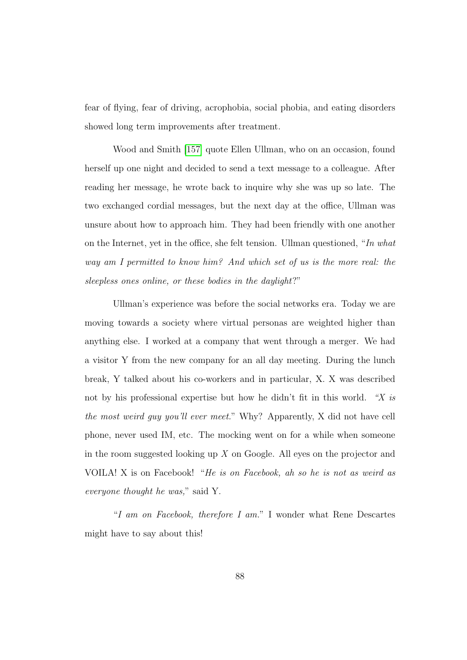fear of flying, fear of driving, acrophobia, social phobia, and eating disorders showed long term improvements after treatment.

Wood and Smith [\[157\]](#page-205-0) quote Ellen Ullman, who on an occasion, found herself up one night and decided to send a text message to a colleague. After reading her message, he wrote back to inquire why she was up so late. The two exchanged cordial messages, but the next day at the office, Ullman was unsure about how to approach him. They had been friendly with one another on the Internet, yet in the office, she felt tension. Ullman questioned, "In what way am I permitted to know him? And which set of us is the more real: the sleepless ones online, or these bodies in the daylight?"

Ullman's experience was before the social networks era. Today we are moving towards a society where virtual personas are weighted higher than anything else. I worked at a company that went through a merger. We had a visitor Y from the new company for an all day meeting. During the lunch break, Y talked about his co-workers and in particular, X. X was described not by his professional expertise but how he didn't fit in this world. "X is the most weird guy you'll ever meet." Why? Apparently, X did not have cell phone, never used IM, etc. The mocking went on for a while when someone in the room suggested looking up  $X$  on Google. All eyes on the projector and VOILA! X is on Facebook! "He is on Facebook, ah so he is not as weird as everyone thought he was," said Y.

"I am on Facebook, therefore I am." I wonder what Rene Descartes might have to say about this!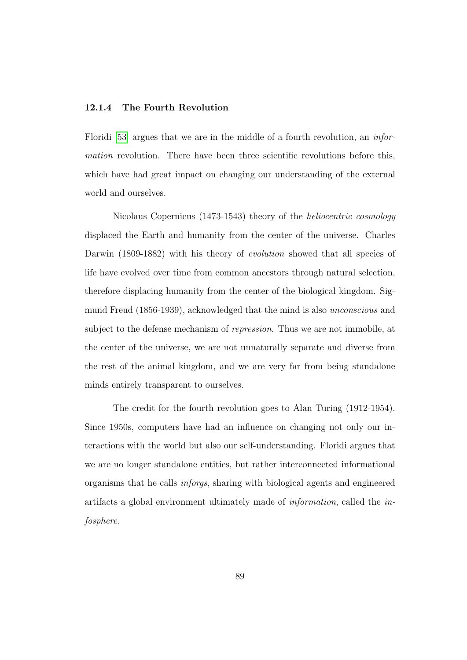#### 12.1.4 The Fourth Revolution

Floridi [\[53\]](#page-193-2) argues that we are in the middle of a fourth revolution, an information revolution. There have been three scientific revolutions before this, which have had great impact on changing our understanding of the external world and ourselves.

Nicolaus Copernicus (1473-1543) theory of the heliocentric cosmology displaced the Earth and humanity from the center of the universe. Charles Darwin (1809-1882) with his theory of *evolution* showed that all species of life have evolved over time from common ancestors through natural selection, therefore displacing humanity from the center of the biological kingdom. Sigmund Freud (1856-1939), acknowledged that the mind is also unconscious and subject to the defense mechanism of repression. Thus we are not immobile, at the center of the universe, we are not unnaturally separate and diverse from the rest of the animal kingdom, and we are very far from being standalone minds entirely transparent to ourselves.

The credit for the fourth revolution goes to Alan Turing (1912-1954). Since 1950s, computers have had an influence on changing not only our interactions with the world but also our self-understanding. Floridi argues that we are no longer standalone entities, but rather interconnected informational organisms that he calls inforgs, sharing with biological agents and engineered artifacts a global environment ultimately made of information, called the infosphere.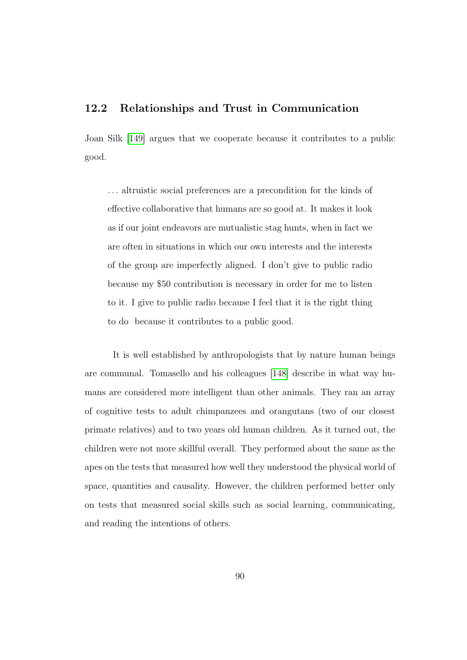## 12.2 Relationships and Trust in Communication

Joan Silk [\[149\]](#page-204-1) argues that we cooperate because it contributes to a public good.

. . . altruistic social preferences are a precondition for the kinds of effective collaborative that humans are so good at. It makes it look as if our joint endeavors are mutualistic stag hunts, when in fact we are often in situations in which our own interests and the interests of the group are imperfectly aligned. I don't give to public radio because my \$50 contribution is necessary in order for me to listen to it. I give to public radio because I feel that it is the right thing to do because it contributes to a public good.

It is well established by anthropologists that by nature human beings are communal. Tomasello and his colleagues [\[148\]](#page-204-2) describe in what way humans are considered more intelligent than other animals. They ran an array of cognitive tests to adult chimpanzees and orangutans (two of our closest primate relatives) and to two years old human children. As it turned out, the children were not more skillful overall. They performed about the same as the apes on the tests that measured how well they understood the physical world of space, quantities and causality. However, the children performed better only on tests that measured social skills such as social learning, communicating, and reading the intentions of others.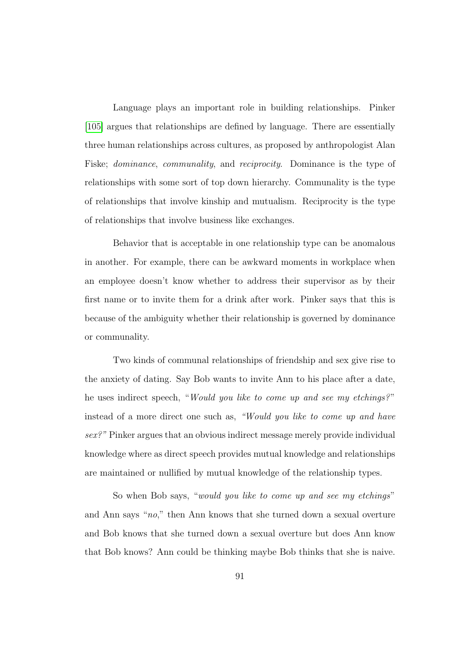Language plays an important role in building relationships. Pinker [\[105\]](#page-199-0) argues that relationships are defined by language. There are essentially three human relationships across cultures, as proposed by anthropologist Alan Fiske; dominance, communality, and reciprocity. Dominance is the type of relationships with some sort of top down hierarchy. Communality is the type of relationships that involve kinship and mutualism. Reciprocity is the type of relationships that involve business like exchanges.

Behavior that is acceptable in one relationship type can be anomalous in another. For example, there can be awkward moments in workplace when an employee doesn't know whether to address their supervisor as by their first name or to invite them for a drink after work. Pinker says that this is because of the ambiguity whether their relationship is governed by dominance or communality.

Two kinds of communal relationships of friendship and sex give rise to the anxiety of dating. Say Bob wants to invite Ann to his place after a date, he uses indirect speech, "Would you like to come up and see my etchings?" instead of a more direct one such as, "Would you like to come up and have sex?" Pinker argues that an obvious indirect message merely provide individual knowledge where as direct speech provides mutual knowledge and relationships are maintained or nullified by mutual knowledge of the relationship types.

So when Bob says, "would you like to come up and see my etchings" and Ann says "no," then Ann knows that she turned down a sexual overture and Bob knows that she turned down a sexual overture but does Ann know that Bob knows? Ann could be thinking maybe Bob thinks that she is naive.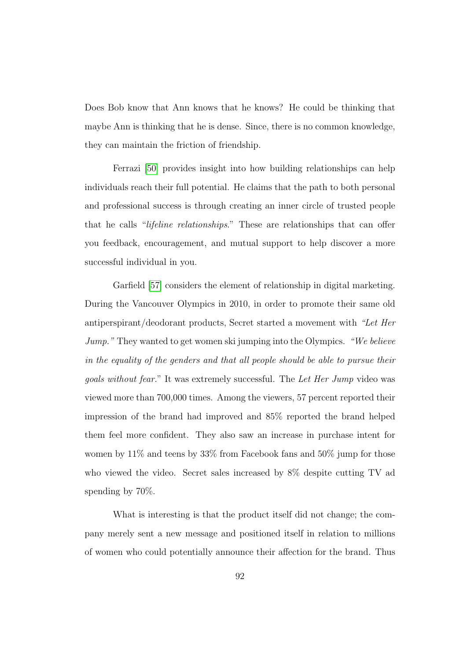Does Bob know that Ann knows that he knows? He could be thinking that maybe Ann is thinking that he is dense. Since, there is no common knowledge, they can maintain the friction of friendship.

Ferrazi [\[50\]](#page-193-3) provides insight into how building relationships can help individuals reach their full potential. He claims that the path to both personal and professional success is through creating an inner circle of trusted people that he calls "lifeline relationships." These are relationships that can offer you feedback, encouragement, and mutual support to help discover a more successful individual in you.

Garfield [\[57\]](#page-193-4) considers the element of relationship in digital marketing. During the Vancouver Olympics in 2010, in order to promote their same old antiperspirant/deodorant products, Secret started a movement with "Let Her Jump." They wanted to get women ski jumping into the Olympics. "We believe in the equality of the genders and that all people should be able to pursue their goals without fear." It was extremely successful. The Let Her Jump video was viewed more than 700,000 times. Among the viewers, 57 percent reported their impression of the brand had improved and 85% reported the brand helped them feel more confident. They also saw an increase in purchase intent for women by 11% and teens by 33% from Facebook fans and 50% jump for those who viewed the video. Secret sales increased by 8% despite cutting TV ad spending by 70%.

What is interesting is that the product itself did not change; the company merely sent a new message and positioned itself in relation to millions of women who could potentially announce their affection for the brand. Thus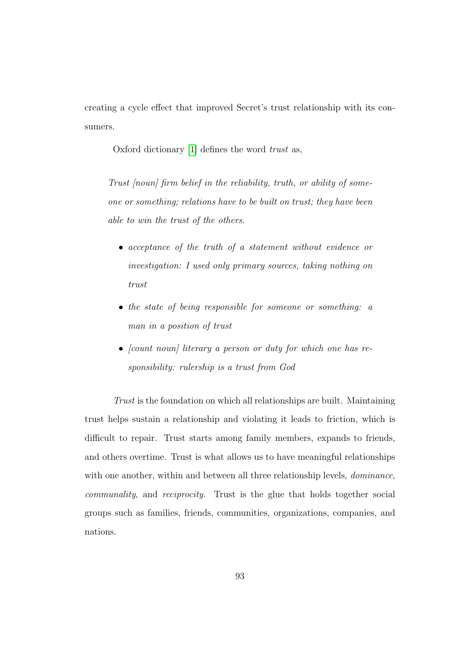creating a cycle effect that improved Secret's trust relationship with its consumers.

Oxford dictionary [\[1\]](#page-187-0) defines the word trust as,

Trust [noun] firm belief in the reliability, truth, or ability of someone or something; relations have to be built on trust; they have been able to win the trust of the others.

- acceptance of the truth of a statement without evidence or investigation: I used only primary sources, taking nothing on trust
- the state of being responsible for someone or something: a man in a position of trust
- (count noun) literary a person or duty for which one has responsibility: rulership is a trust from God

Trust is the foundation on which all relationships are built. Maintaining trust helps sustain a relationship and violating it leads to friction, which is difficult to repair. Trust starts among family members, expands to friends, and others overtime. Trust is what allows us to have meaningful relationships with one another, within and between all three relationship levels, *dominance*, communality, and reciprocity. Trust is the glue that holds together social groups such as families, friends, communities, organizations, companies, and nations.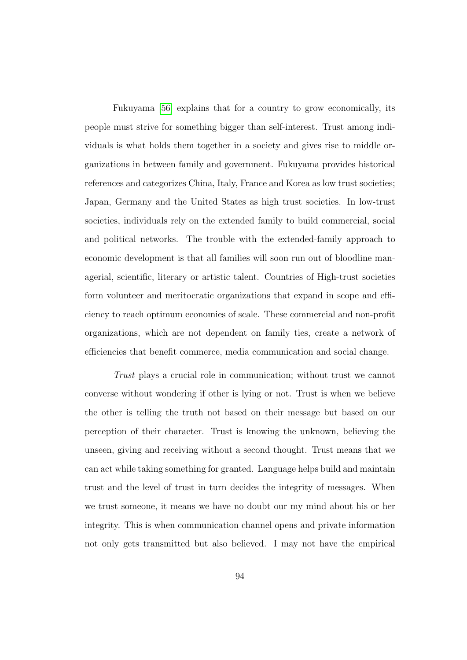Fukuyama [\[56\]](#page-193-0) explains that for a country to grow economically, its people must strive for something bigger than self-interest. Trust among individuals is what holds them together in a society and gives rise to middle organizations in between family and government. Fukuyama provides historical references and categorizes China, Italy, France and Korea as low trust societies; Japan, Germany and the United States as high trust societies. In low-trust societies, individuals rely on the extended family to build commercial, social and political networks. The trouble with the extended-family approach to economic development is that all families will soon run out of bloodline managerial, scientific, literary or artistic talent. Countries of High-trust societies form volunteer and meritocratic organizations that expand in scope and efficiency to reach optimum economies of scale. These commercial and non-profit organizations, which are not dependent on family ties, create a network of efficiencies that benefit commerce, media communication and social change.

Trust plays a crucial role in communication; without trust we cannot converse without wondering if other is lying or not. Trust is when we believe the other is telling the truth not based on their message but based on our perception of their character. Trust is knowing the unknown, believing the unseen, giving and receiving without a second thought. Trust means that we can act while taking something for granted. Language helps build and maintain trust and the level of trust in turn decides the integrity of messages. When we trust someone, it means we have no doubt our my mind about his or her integrity. This is when communication channel opens and private information not only gets transmitted but also believed. I may not have the empirical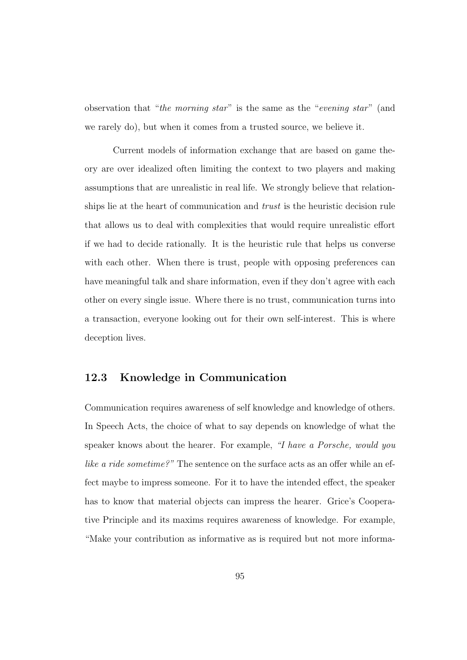observation that "the morning star" is the same as the "evening star" (and we rarely do), but when it comes from a trusted source, we believe it.

Current models of information exchange that are based on game theory are over idealized often limiting the context to two players and making assumptions that are unrealistic in real life. We strongly believe that relationships lie at the heart of communication and *trust* is the heuristic decision rule that allows us to deal with complexities that would require unrealistic effort if we had to decide rationally. It is the heuristic rule that helps us converse with each other. When there is trust, people with opposing preferences can have meaningful talk and share information, even if they don't agree with each other on every single issue. Where there is no trust, communication turns into a transaction, everyone looking out for their own self-interest. This is where deception lives.

# 12.3 Knowledge in Communication

Communication requires awareness of self knowledge and knowledge of others. In Speech Acts, the choice of what to say depends on knowledge of what the speaker knows about the hearer. For example, "I have a Porsche, would you like a ride sometime?" The sentence on the surface acts as an offer while an effect maybe to impress someone. For it to have the intended effect, the speaker has to know that material objects can impress the hearer. Grice's Cooperative Principle and its maxims requires awareness of knowledge. For example, "Make your contribution as informative as is required but not more informa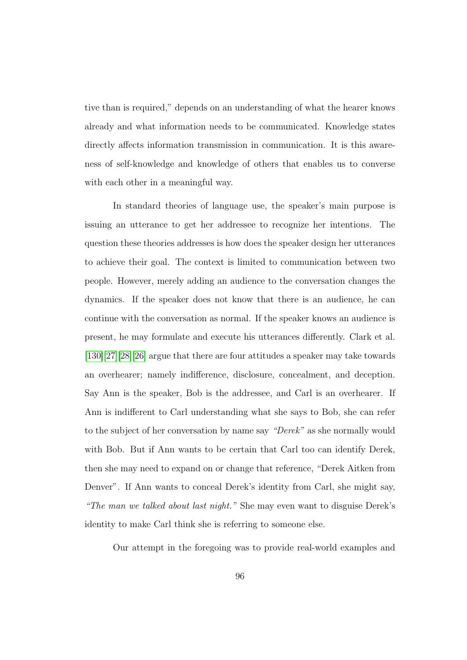tive than is required," depends on an understanding of what the hearer knows already and what information needs to be communicated. Knowledge states directly affects information transmission in communication. It is this awareness of self-knowledge and knowledge of others that enables us to converse with each other in a meaningful way.

In standard theories of language use, the speaker's main purpose is issuing an utterance to get her addressee to recognize her intentions. The question these theories addresses is how does the speaker design her utterances to achieve their goal. The context is limited to communication between two people. However, merely adding an audience to the conversation changes the dynamics. If the speaker does not know that there is an audience, he can continue with the conversation as normal. If the speaker knows an audience is present, he may formulate and execute his utterances differently. Clark et al. [\[130\]](#page-201-0)[\[27\]](#page-190-0)[\[28\]](#page-190-1)[\[26\]](#page-190-2) argue that there are four attitudes a speaker may take towards an overhearer; namely indifference, disclosure, concealment, and deception. Say Ann is the speaker, Bob is the addressee, and Carl is an overhearer. If Ann is indifferent to Carl understanding what she says to Bob, she can refer to the subject of her conversation by name say "Derek" as she normally would with Bob. But if Ann wants to be certain that Carl too can identify Derek, then she may need to expand on or change that reference, "Derek Aitken from Denver". If Ann wants to conceal Derek's identity from Carl, she might say, "The man we talked about last night." She may even want to disguise Derek's identity to make Carl think she is referring to someone else.

Our attempt in the foregoing was to provide real-world examples and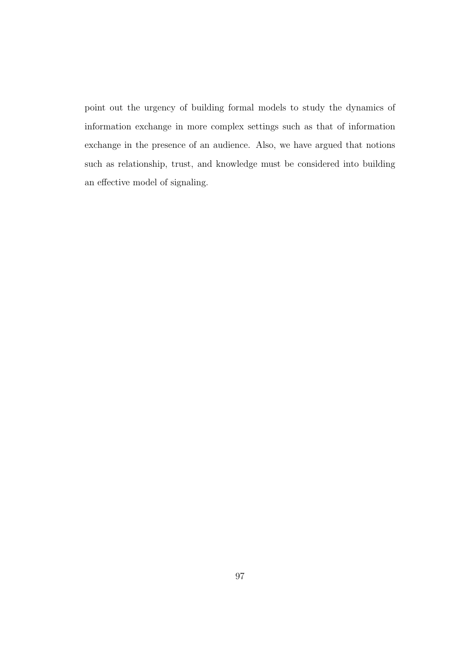point out the urgency of building formal models to study the dynamics of information exchange in more complex settings such as that of information exchange in the presence of an audience. Also, we have argued that notions such as relationship, trust, and knowledge must be considered into building an effective model of signaling.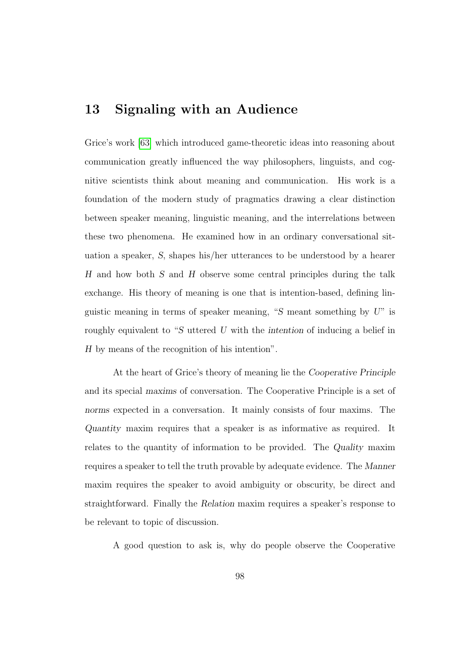# 13 Signaling with an Audience

Grice's work [\[63\]](#page-194-0) which introduced game-theoretic ideas into reasoning about communication greatly influenced the way philosophers, linguists, and cognitive scientists think about meaning and communication. His work is a foundation of the modern study of pragmatics drawing a clear distinction between speaker meaning, linguistic meaning, and the interrelations between these two phenomena. He examined how in an ordinary conversational situation a speaker, S, shapes his/her utterances to be understood by a hearer H and how both S and H observe some central principles during the talk exchange. His theory of meaning is one that is intention-based, defining linguistic meaning in terms of speaker meaning, "S meant something by  $U$ " is roughly equivalent to "S uttered U with the intention of inducing a belief in H by means of the recognition of his intention".

At the heart of Grice's theory of meaning lie the Cooperative Principle and its special maxims of conversation. The Cooperative Principle is a set of norms expected in a conversation. It mainly consists of four maxims. The Quantity maxim requires that a speaker is as informative as required. It relates to the quantity of information to be provided. The Quality maxim requires a speaker to tell the truth provable by adequate evidence. The Manner maxim requires the speaker to avoid ambiguity or obscurity, be direct and straightforward. Finally the Relation maxim requires a speaker's response to be relevant to topic of discussion.

A good question to ask is, why do people observe the Cooperative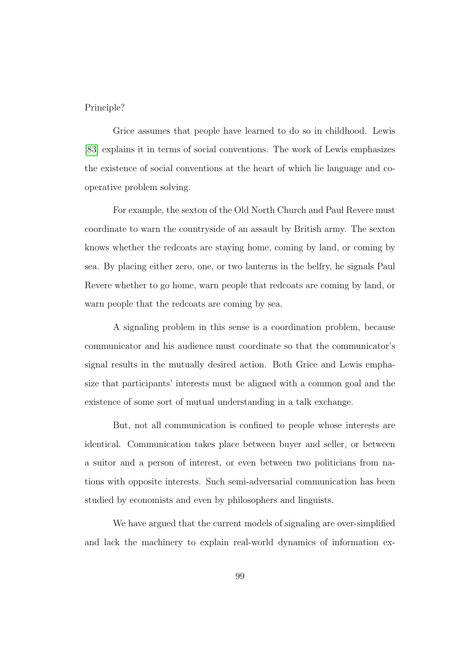#### Principle?

Grice assumes that people have learned to do so in childhood. Lewis [\[83\]](#page-196-0) explains it in terms of social conventions. The work of Lewis emphasizes the existence of social conventions at the heart of which lie language and cooperative problem solving.

For example, the sexton of the Old North Church and Paul Revere must coordinate to warn the countryside of an assault by British army. The sexton knows whether the redcoats are staying home, coming by land, or coming by sea. By placing either zero, one, or two lanterns in the belfry, he signals Paul Revere whether to go home, warn people that redcoats are coming by land, or warn people that the redcoats are coming by sea.

A signaling problem in this sense is a coordination problem, because communicator and his audience must coordinate so that the communicator's signal results in the mutually desired action. Both Grice and Lewis emphasize that participants' interests must be aligned with a common goal and the existence of some sort of mutual understanding in a talk exchange.

But, not all communication is confined to people whose interests are identical. Communication takes place between buyer and seller, or between a suitor and a person of interest, or even between two politicians from nations with opposite interests. Such semi-adversarial communication has been studied by economists and even by philosophers and linguists.

We have argued that the current models of signaling are over-simplified and lack the machinery to explain real-world dynamics of information ex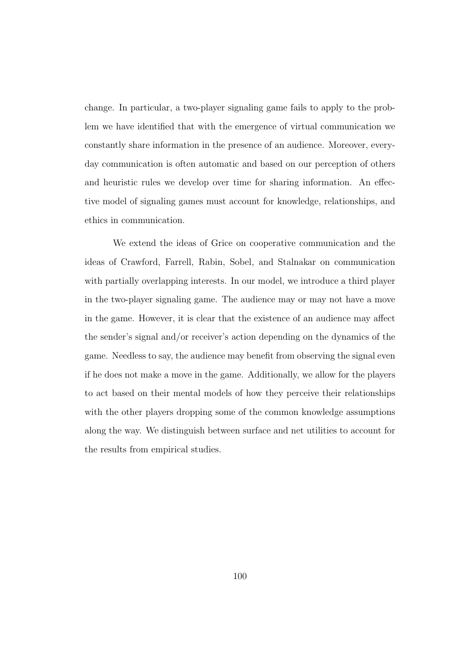change. In particular, a two-player signaling game fails to apply to the problem we have identified that with the emergence of virtual communication we constantly share information in the presence of an audience. Moreover, everyday communication is often automatic and based on our perception of others and heuristic rules we develop over time for sharing information. An effective model of signaling games must account for knowledge, relationships, and ethics in communication.

We extend the ideas of Grice on cooperative communication and the ideas of Crawford, Farrell, Rabin, Sobel, and Stalnakar on communication with partially overlapping interests. In our model, we introduce a third player in the two-player signaling game. The audience may or may not have a move in the game. However, it is clear that the existence of an audience may affect the sender's signal and/or receiver's action depending on the dynamics of the game. Needless to say, the audience may benefit from observing the signal even if he does not make a move in the game. Additionally, we allow for the players to act based on their mental models of how they perceive their relationships with the other players dropping some of the common knowledge assumptions along the way. We distinguish between surface and net utilities to account for the results from empirical studies.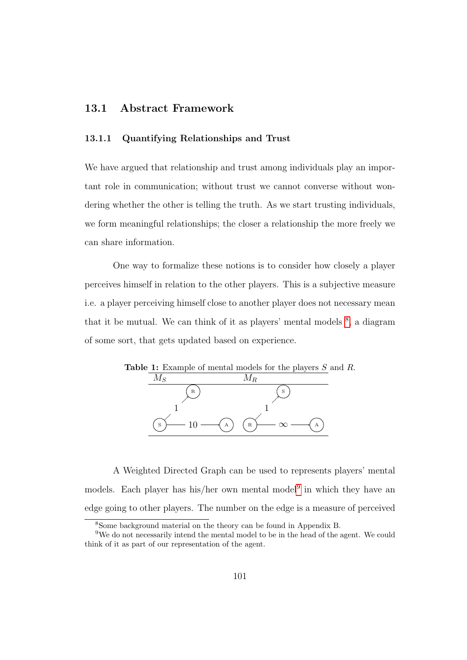# 13.1 Abstract Framework

#### 13.1.1 Quantifying Relationships and Trust

We have argued that relationship and trust among individuals play an important role in communication; without trust we cannot converse without wondering whether the other is telling the truth. As we start trusting individuals, we form meaningful relationships; the closer a relationship the more freely we can share information.

One way to formalize these notions is to consider how closely a player perceives himself in relation to the other players. This is a subjective measure i.e. a player perceiving himself close to another player does not necessary mean that it be mutual. We can think of it as players' mental models  $\delta$ , a diagram of some sort, that gets updated based on experience.



A Weighted Directed Graph can be used to represents players' mental models. Each player has his/her own mental model<sup>[9](#page-116-1)</sup> in which they have an edge going to other players. The number on the edge is a measure of perceived

<span id="page-116-1"></span><span id="page-116-0"></span><sup>8</sup>Some background material on the theory can be found in Appendix B.

<sup>9</sup>We do not necessarily intend the mental model to be in the head of the agent. We could think of it as part of our representation of the agent.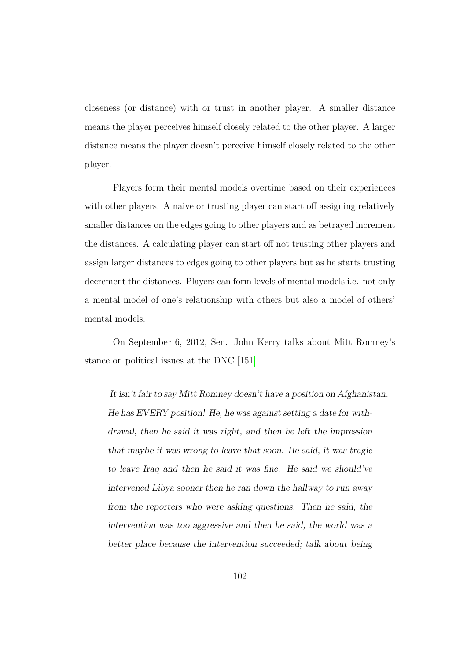closeness (or distance) with or trust in another player. A smaller distance means the player perceives himself closely related to the other player. A larger distance means the player doesn't perceive himself closely related to the other player.

Players form their mental models overtime based on their experiences with other players. A naive or trusting player can start off assigning relatively smaller distances on the edges going to other players and as betrayed increment the distances. A calculating player can start off not trusting other players and assign larger distances to edges going to other players but as he starts trusting decrement the distances. Players can form levels of mental models i.e. not only a mental model of one's relationship with others but also a model of others' mental models.

On September 6, 2012, Sen. John Kerry talks about Mitt Romney's stance on political issues at the DNC [\[151\]](#page-204-0).

It isn't fair to say Mitt Romney doesn't have a position on Afghanistan. He has EVERY position! He, he was against setting a date for withdrawal, then he said it was right, and then he left the impression that maybe it was wrong to leave that soon. He said, it was tragic to leave Iraq and then he said it was fine. He said we should've intervened Libya sooner then he ran down the hallway to run away from the reporters who were asking questions. Then he said, the intervention was too aggressive and then he said, the world was a better place because the intervention succeeded; talk about being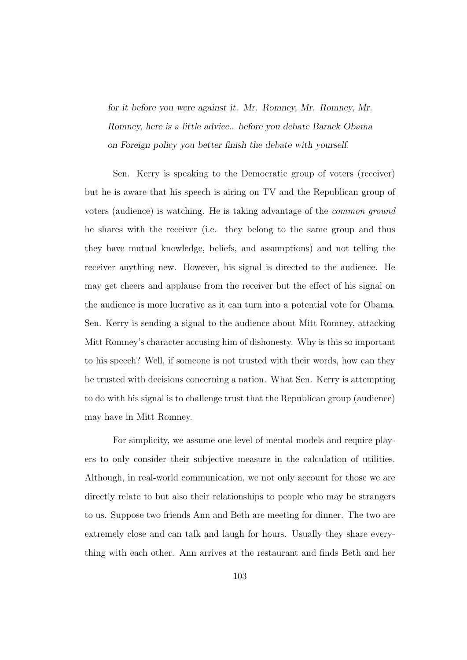for it before you were against it. Mr. Romney, Mr. Romney, Mr. Romney, here is a little advice.. before you debate Barack Obama on Foreign policy you better finish the debate with yourself.

Sen. Kerry is speaking to the Democratic group of voters (receiver) but he is aware that his speech is airing on TV and the Republican group of voters (audience) is watching. He is taking advantage of the common ground he shares with the receiver (i.e. they belong to the same group and thus they have mutual knowledge, beliefs, and assumptions) and not telling the receiver anything new. However, his signal is directed to the audience. He may get cheers and applause from the receiver but the effect of his signal on the audience is more lucrative as it can turn into a potential vote for Obama. Sen. Kerry is sending a signal to the audience about Mitt Romney, attacking Mitt Romney's character accusing him of dishonesty. Why is this so important to his speech? Well, if someone is not trusted with their words, how can they be trusted with decisions concerning a nation. What Sen. Kerry is attempting to do with his signal is to challenge trust that the Republican group (audience) may have in Mitt Romney.

For simplicity, we assume one level of mental models and require players to only consider their subjective measure in the calculation of utilities. Although, in real-world communication, we not only account for those we are directly relate to but also their relationships to people who may be strangers to us. Suppose two friends Ann and Beth are meeting for dinner. The two are extremely close and can talk and laugh for hours. Usually they share everything with each other. Ann arrives at the restaurant and finds Beth and her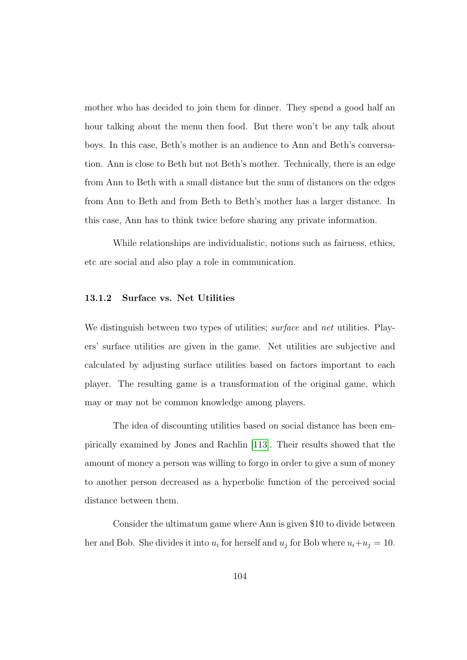mother who has decided to join them for dinner. They spend a good half an hour talking about the menu then food. But there won't be any talk about boys. In this case, Beth's mother is an audience to Ann and Beth's conversation. Ann is close to Beth but not Beth's mother. Technically, there is an edge from Ann to Beth with a small distance but the sum of distances on the edges from Ann to Beth and from Beth to Beth's mother has a larger distance. In this case, Ann has to think twice before sharing any private information.

While relationships are individualistic, notions such as fairness, ethics, etc are social and also play a role in communication.

#### 13.1.2 Surface vs. Net Utilities

We distinguish between two types of utilities; *surface* and *net* utilities. Players' surface utilities are given in the game. Net utilities are subjective and calculated by adjusting surface utilities based on factors important to each player. The resulting game is a transformation of the original game, which may or may not be common knowledge among players.

The idea of discounting utilities based on social distance has been empirically examined by Jones and Rachlin [\[113\]](#page-200-0). Their results showed that the amount of money a person was willing to forgo in order to give a sum of money to another person decreased as a hyperbolic function of the perceived social distance between them.

Consider the ultimatum game where Ann is given \$10 to divide between her and Bob. She divides it into  $u_i$  for herself and  $u_j$  for Bob where  $u_i+u_j=10$ .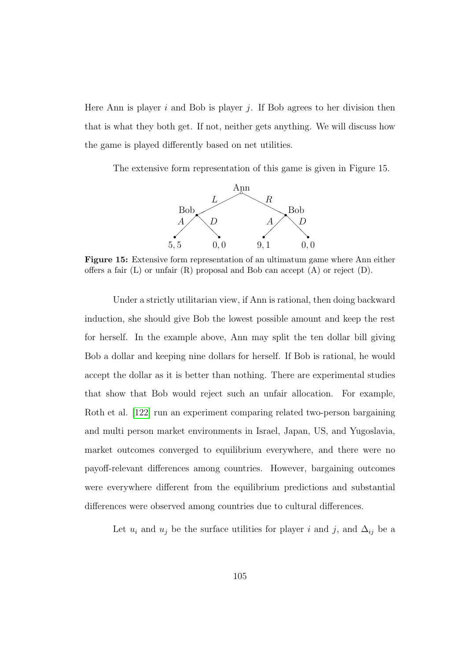Here Ann is player i and Bob is player i. If Bob agrees to her division then that is what they both get. If not, neither gets anything. We will discuss how the game is played differently based on net utilities.

The extensive form representation of this game is given in Figure 15.



Figure 15: Extensive form representation of an ultimatum game where Ann either offers a fair  $(L)$  or unfair  $(R)$  proposal and Bob can accept  $(A)$  or reject  $(D)$ .

Under a strictly utilitarian view, if Ann is rational, then doing backward induction, she should give Bob the lowest possible amount and keep the rest for herself. In the example above, Ann may split the ten dollar bill giving Bob a dollar and keeping nine dollars for herself. If Bob is rational, he would accept the dollar as it is better than nothing. There are experimental studies that show that Bob would reject such an unfair allocation. For example, Roth et al. [\[122\]](#page-201-1) run an experiment comparing related two-person bargaining and multi person market environments in Israel, Japan, US, and Yugoslavia, market outcomes converged to equilibrium everywhere, and there were no payoff-relevant differences among countries. However, bargaining outcomes were everywhere different from the equilibrium predictions and substantial differences were observed among countries due to cultural differences.

Let  $u_i$  and  $u_j$  be the surface utilities for player i and j, and  $\Delta_{ij}$  be a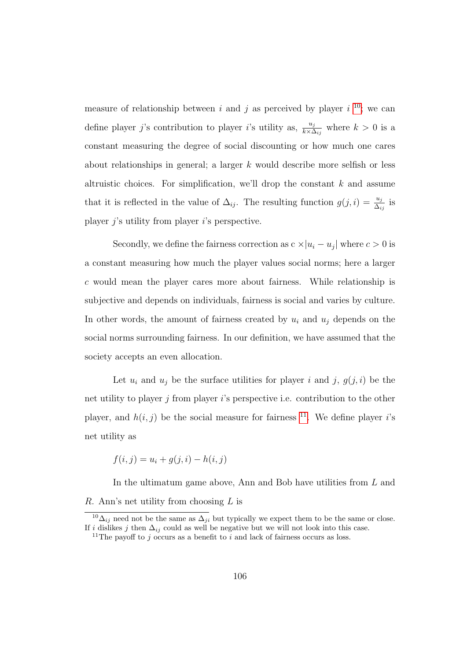measure of relationship between i and j as perceived by player i <sup>[10](#page-121-0)</sup>; we can define player j's contribution to player i's utility as,  $\frac{u_j}{k \times \Delta_{ij}}$  where  $k > 0$  is a constant measuring the degree of social discounting or how much one cares about relationships in general; a larger k would describe more selfish or less altruistic choices. For simplification, we'll drop the constant  $k$  and assume that it is reflected in the value of  $\Delta_{ij}$ . The resulting function  $g(j,i) = \frac{u_j}{\Delta_{ij}}$  is player  $i$ 's utility from player  $i$ 's perspective.

Secondly, we define the fairness correction as  $c \times |u_i - u_j|$  where  $c > 0$  is a constant measuring how much the player values social norms; here a larger c would mean the player cares more about fairness. While relationship is subjective and depends on individuals, fairness is social and varies by culture. In other words, the amount of fairness created by  $u_i$  and  $u_j$  depends on the social norms surrounding fairness. In our definition, we have assumed that the society accepts an even allocation.

Let  $u_i$  and  $u_j$  be the surface utilities for player i and j,  $g(j, i)$  be the net utility to player  $i$  from player  $i$ 's perspective i.e. contribution to the other player, and  $h(i, j)$  be the social measure for fairness <sup>[11](#page-121-1)</sup>. We define player is net utility as

$$
f(i, j) = u_i + g(j, i) - h(i, j)
$$

In the ultimatum game above, Ann and Bob have utilities from L and R. Ann's net utility from choosing  $L$  is

<span id="page-121-0"></span><sup>&</sup>lt;sup>10</sup> $\Delta_{ij}$  need not be the same as  $\Delta_{ji}$  but typically we expect them to be the same or close. If i dislikes j then  $\Delta_{ij}$  could as well be negative but we will not look into this case.

<span id="page-121-1"></span><sup>&</sup>lt;sup>11</sup>The payoff to j occurs as a benefit to i and lack of fairness occurs as loss.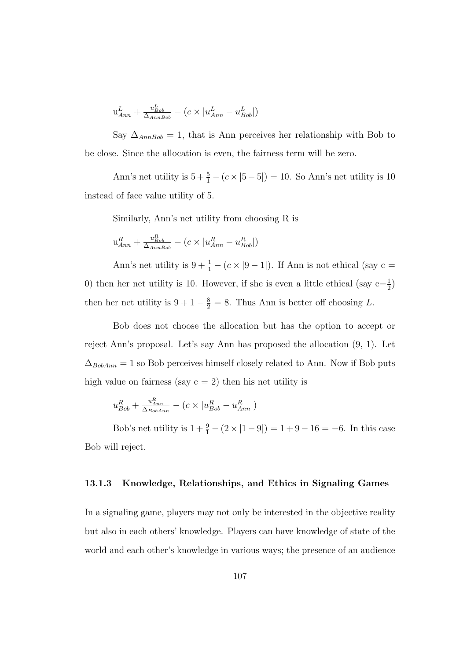$$
u_{Ann}^L + \frac{u_{Bob}^L}{\Delta_{AnnBob}} - (c \times |u_{Ann}^L - u_{Bob}^L|)
$$

Say  $\Delta_{AnnBob} = 1$ , that is Ann perceives her relationship with Bob to be close. Since the allocation is even, the fairness term will be zero.

Ann's net utility is  $5 + \frac{5}{1} - (c \times |5 - 5|) = 10$ . So Ann's net utility is 10 instead of face value utility of 5.

Similarly, Ann's net utility from choosing R is

$$
u_{Ann}^R + \frac{u_{Bob}^R}{\Delta_{AnnBob}} - (c \times |u_{Ann}^R - u_{Bob}^R|)
$$

Ann's net utility is  $9 + \frac{1}{1} - (c \times |9 - 1|)$ . If Ann is not ethical (say c = 0) then her net utility is 10. However, if she is even a little ethical (say  $c = \frac{1}{2}$ ) then her net utility is  $9 + 1 - \frac{8}{2} = 8$ . Thus Ann is better off choosing L.

Bob does not choose the allocation but has the option to accept or reject Ann's proposal. Let's say Ann has proposed the allocation (9, 1). Let  $\Delta_{BobAnn}=1$  so Bob perceives himself closely related to Ann. Now if Bob puts high value on fairness (say  $c = 2$ ) then his net utility is

$$
u_{Bob}^R + \frac{u_{Ann}^R}{\Delta_{BobAnn}} - (c \times |u_{Bob}^R - u_{Ann}^R|)
$$

Bob's net utility is  $1 + \frac{9}{1} - (2 \times |1 - 9|) = 1 + 9 - 16 = -6$ . In this case Bob will reject.

#### 13.1.3 Knowledge, Relationships, and Ethics in Signaling Games

In a signaling game, players may not only be interested in the objective reality but also in each others' knowledge. Players can have knowledge of state of the world and each other's knowledge in various ways; the presence of an audience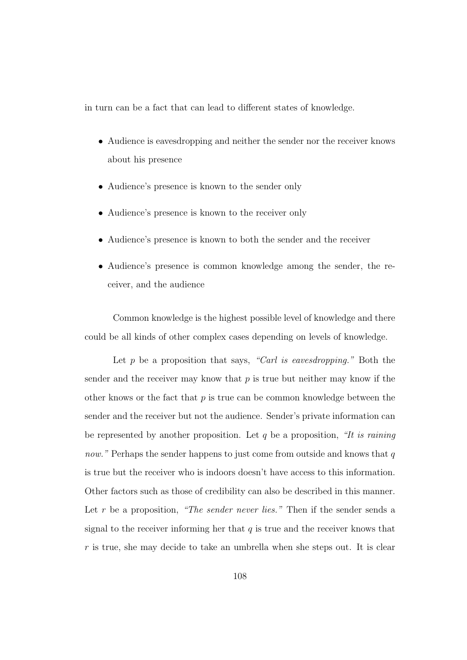in turn can be a fact that can lead to different states of knowledge.

- Audience is eavesdropping and neither the sender nor the receiver knows about his presence
- Audience's presence is known to the sender only
- Audience's presence is known to the receiver only
- Audience's presence is known to both the sender and the receiver
- Audience's presence is common knowledge among the sender, the receiver, and the audience

Common knowledge is the highest possible level of knowledge and there could be all kinds of other complex cases depending on levels of knowledge.

Let  $p$  be a proposition that says, "Carl is eavesdropping." Both the sender and the receiver may know that  $p$  is true but neither may know if the other knows or the fact that  $p$  is true can be common knowledge between the sender and the receiver but not the audience. Sender's private information can be represented by another proposition. Let q be a proposition, "It is raining now." Perhaps the sender happens to just come from outside and knows that  $q$ is true but the receiver who is indoors doesn't have access to this information. Other factors such as those of credibility can also be described in this manner. Let  $r$  be a proposition, "The sender never lies." Then if the sender sends a signal to the receiver informing her that  $q$  is true and the receiver knows that r is true, she may decide to take an umbrella when she steps out. It is clear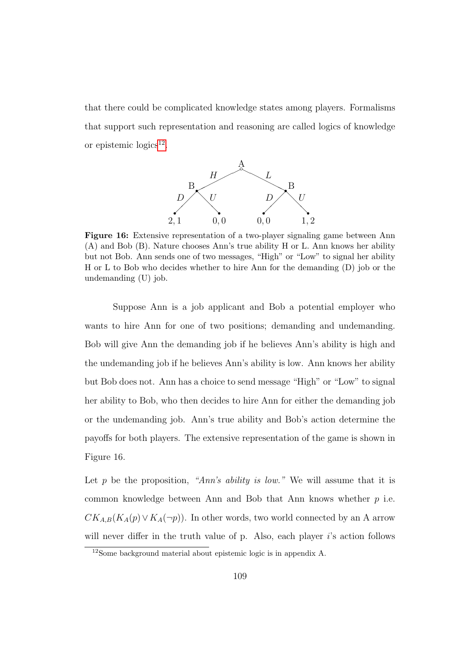that there could be complicated knowledge states among players. Formalisms that support such representation and reasoning are called logics of knowledge or epistemic  $logics<sup>12</sup>$  $logics<sup>12</sup>$  $logics<sup>12</sup>$ .



Figure 16: Extensive representation of a two-player signaling game between Ann (A) and Bob (B). Nature chooses Ann's true ability H or L. Ann knows her ability but not Bob. Ann sends one of two messages, "High" or "Low" to signal her ability H or L to Bob who decides whether to hire Ann for the demanding (D) job or the undemanding (U) job.

Suppose Ann is a job applicant and Bob a potential employer who wants to hire Ann for one of two positions; demanding and undemanding. Bob will give Ann the demanding job if he believes Ann's ability is high and the undemanding job if he believes Ann's ability is low. Ann knows her ability but Bob does not. Ann has a choice to send message "High" or "Low" to signal her ability to Bob, who then decides to hire Ann for either the demanding job or the undemanding job. Ann's true ability and Bob's action determine the payoffs for both players. The extensive representation of the game is shown in Figure 16.

Let p be the proposition, "Ann's ability is low." We will assume that it is common knowledge between Ann and Bob that Ann knows whether p i.e.  $CK_{A,B}(K_A(p) \vee K_A(\neg p))$ . In other words, two world connected by an A arrow will never differ in the truth value of p. Also, each player  $i$ 's action follows

<span id="page-124-0"></span><sup>12</sup>Some background material about epistemic logic is in appendix A.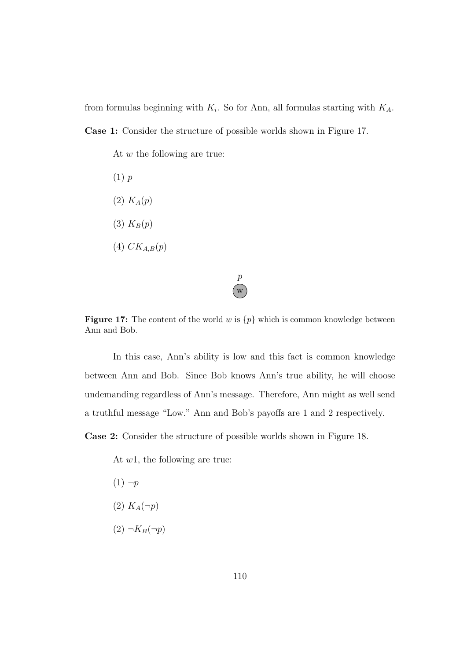from formulas beginning with  $K_i$ . So for Ann, all formulas starting with  $K_A$ . Case 1: Consider the structure of possible worlds shown in Figure 17.

At w the following are true:

(1) p  $(2) K<sub>A</sub>(p)$ (3)  $K_B(p)$  $(4)$   $CK_{A,B}(p)$ 

**Figure 17:** The content of the world w is  $\{p\}$  which is common knowledge between Ann and Bob.

w  $\boldsymbol{p}$ 

In this case, Ann's ability is low and this fact is common knowledge between Ann and Bob. Since Bob knows Ann's true ability, he will choose undemanding regardless of Ann's message. Therefore, Ann might as well send a truthful message "Low." Ann and Bob's payoffs are 1 and 2 respectively.

Case 2: Consider the structure of possible worlds shown in Figure 18.

At w1, the following are true:

- $(1) \neg p$
- (2)  $K_A(\neg p)$
- $(2) \neg K_B(\neg p)$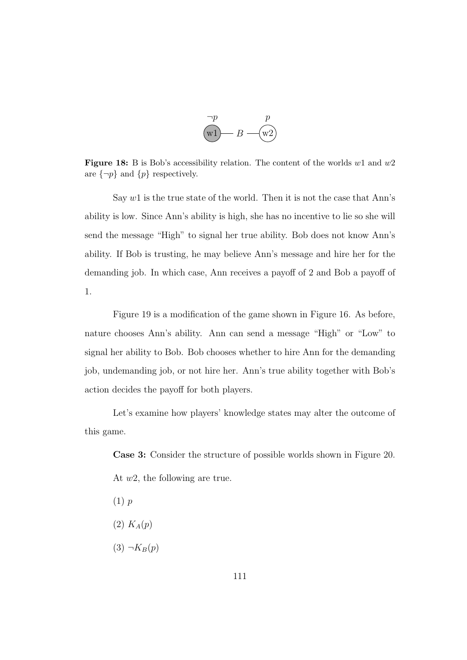

Figure 18: B is Bob's accessibility relation. The content of the worlds  $w1$  and  $w2$ are  $\{\neg p\}$  and  $\{p\}$  respectively.

Say  $w1$  is the true state of the world. Then it is not the case that Ann's ability is low. Since Ann's ability is high, she has no incentive to lie so she will send the message "High" to signal her true ability. Bob does not know Ann's ability. If Bob is trusting, he may believe Ann's message and hire her for the demanding job. In which case, Ann receives a payoff of 2 and Bob a payoff of 1.

Figure 19 is a modification of the game shown in Figure 16. As before, nature chooses Ann's ability. Ann can send a message "High" or "Low" to signal her ability to Bob. Bob chooses whether to hire Ann for the demanding job, undemanding job, or not hire her. Ann's true ability together with Bob's action decides the payoff for both players.

Let's examine how players' knowledge states may alter the outcome of this game.

Case 3: Consider the structure of possible worlds shown in Figure 20.

At w2, the following are true.

- $(1)$  p
- $(2)$   $K_A(p)$
- $(3) \neg K_B(p)$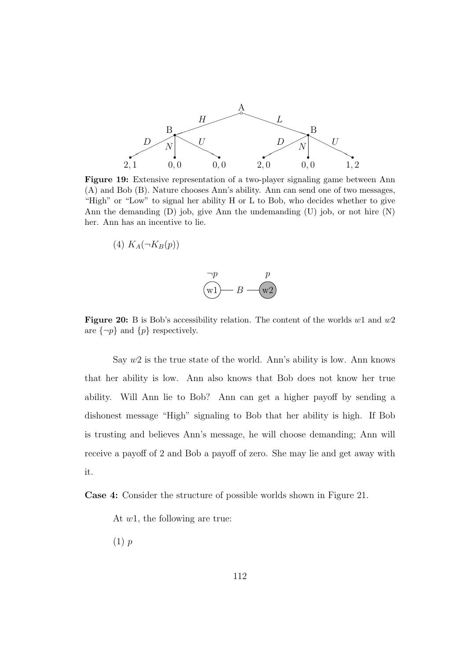

Figure 19: Extensive representation of a two-player signaling game between Ann (A) and Bob (B). Nature chooses Ann's ability. Ann can send one of two messages, "High" or "Low" to signal her ability H or L to Bob, who decides whether to give Ann the demanding (D) job, give Ann the undemanding (U) job, or not hire (N) her. Ann has an incentive to lie.

$$
(4) K_A(\neg K_B(p))
$$



Figure 20: B is Bob's accessibility relation. The content of the worlds  $w1$  and  $w2$ are  $\{\neg p\}$  and  $\{p\}$  respectively.

Say  $w2$  is the true state of the world. Ann's ability is low. Ann knows that her ability is low. Ann also knows that Bob does not know her true ability. Will Ann lie to Bob? Ann can get a higher payoff by sending a dishonest message "High" signaling to Bob that her ability is high. If Bob is trusting and believes Ann's message, he will choose demanding; Ann will receive a payoff of 2 and Bob a payoff of zero. She may lie and get away with it.

Case 4: Consider the structure of possible worlds shown in Figure 21.

At w1, the following are true:

(1) p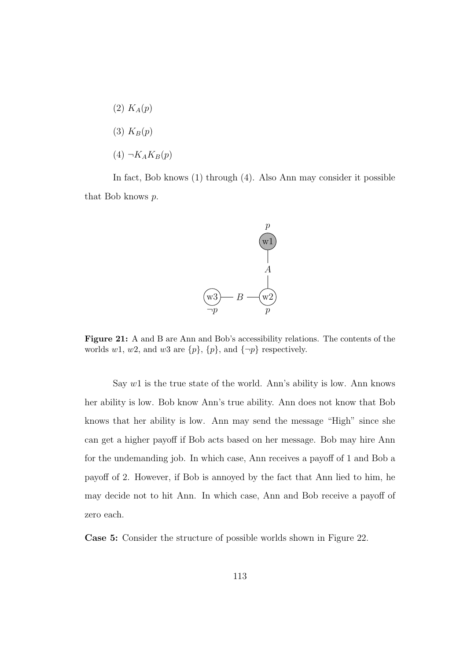$(2) K<sub>A</sub>(p)$  $(3)$   $K_B(p)$  $(4) \neg K_A K_B(p)$ 

In fact, Bob knows (1) through (4). Also Ann may consider it possible that Bob knows p.



Figure 21: A and B are Ann and Bob's accessibility relations. The contents of the worlds w1, w2, and w3 are  $\{p\}$ ,  $\{p\}$ , and  $\{\neg p\}$  respectively.

Say  $w1$  is the true state of the world. Ann's ability is low. Ann knows her ability is low. Bob know Ann's true ability. Ann does not know that Bob knows that her ability is low. Ann may send the message "High" since she can get a higher payoff if Bob acts based on her message. Bob may hire Ann for the undemanding job. In which case, Ann receives a payoff of 1 and Bob a payoff of 2. However, if Bob is annoyed by the fact that Ann lied to him, he may decide not to hit Ann. In which case, Ann and Bob receive a payoff of zero each.

Case 5: Consider the structure of possible worlds shown in Figure 22.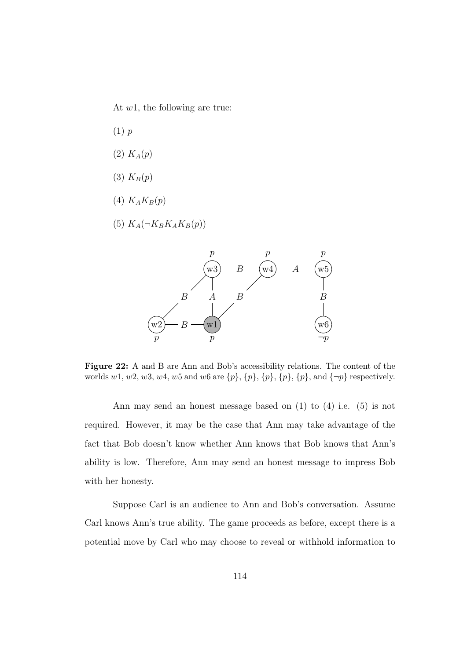At  $w1$ , the following are true:

- (1) p
- $(2)$   $K_A(p)$
- $(3)$   $K_B(p)$
- (4)  $K_A K_B(p)$
- (5)  $K_A(\neg K_B K_A K_B(p))$



Figure 22: A and B are Ann and Bob's accessibility relations. The content of the worlds w1, w2, w3, w4, w5 and w6 are  $\{p\}$ ,  $\{p\}$ ,  $\{p\}$ ,  $\{p\}$ ,  $\{p\}$ , and  $\{\neg p\}$  respectively.

Ann may send an honest message based on (1) to (4) i.e. (5) is not required. However, it may be the case that Ann may take advantage of the fact that Bob doesn't know whether Ann knows that Bob knows that Ann's ability is low. Therefore, Ann may send an honest message to impress Bob with her honesty.

Suppose Carl is an audience to Ann and Bob's conversation. Assume Carl knows Ann's true ability. The game proceeds as before, except there is a potential move by Carl who may choose to reveal or withhold information to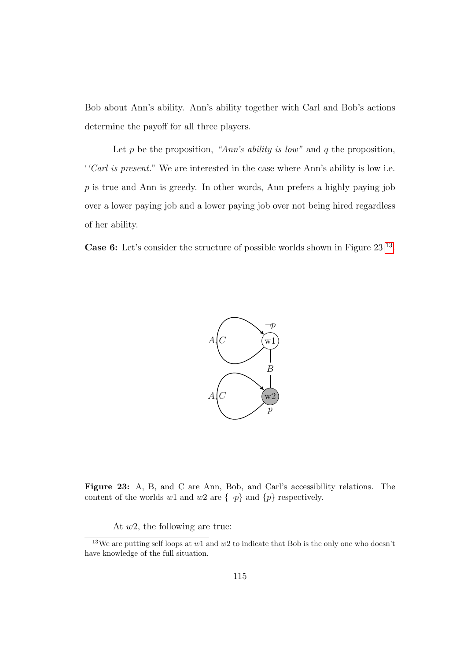Bob about Ann's ability. Ann's ability together with Carl and Bob's actions determine the payoff for all three players.

Let p be the proposition, "Ann's ability is low" and q the proposition, ''Carl is present." We are interested in the case where Ann's ability is low i.e.  $p$  is true and Ann is greedy. In other words, Ann prefers a highly paying job over a lower paying job and a lower paying job over not being hired regardless of her ability.

Case 6: Let's consider the structure of possible worlds shown in Figure 23<sup>[13](#page-130-0)</sup>.



Figure 23: A, B, and C are Ann, Bob, and Carl's accessibility relations. The content of the worlds w1 and w2 are  $\{\neg p\}$  and  $\{p\}$  respectively.

At  $w_2$ , the following are true:

<span id="page-130-0"></span><sup>&</sup>lt;sup>13</sup>We are putting self loops at  $w1$  and  $w2$  to indicate that Bob is the only one who doesn't have knowledge of the full situation.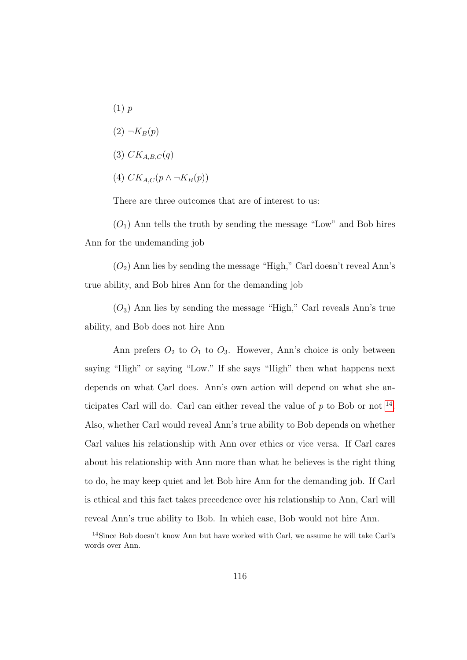$(1)$  p  $(2) \neg K_B(p)$ (3)  $CK_{A,B,C}(q)$ (4)  $CK_{AC}(p \wedge \neg K_B(p))$ 

There are three outcomes that are of interest to us:

 $(O_1)$  Ann tells the truth by sending the message "Low" and Bob hires Ann for the undemanding job

 $(O<sub>2</sub>)$  Ann lies by sending the message "High," Carl doesn't reveal Ann's true ability, and Bob hires Ann for the demanding job

 $(O_3)$  Ann lies by sending the message "High," Carl reveals Ann's true ability, and Bob does not hire Ann

Ann prefers  $O_2$  to  $O_1$  to  $O_3$ . However, Ann's choice is only between saying "High" or saying "Low." If she says "High" then what happens next depends on what Carl does. Ann's own action will depend on what she anticipates Carl will do. Carl can either reveal the value of  $p$  to Bob or not  $^{14}$  $^{14}$  $^{14}$ . Also, whether Carl would reveal Ann's true ability to Bob depends on whether Carl values his relationship with Ann over ethics or vice versa. If Carl cares about his relationship with Ann more than what he believes is the right thing to do, he may keep quiet and let Bob hire Ann for the demanding job. If Carl is ethical and this fact takes precedence over his relationship to Ann, Carl will reveal Ann's true ability to Bob. In which case, Bob would not hire Ann.

<span id="page-131-0"></span><sup>14</sup>Since Bob doesn't know Ann but have worked with Carl, we assume he will take Carl's words over Ann.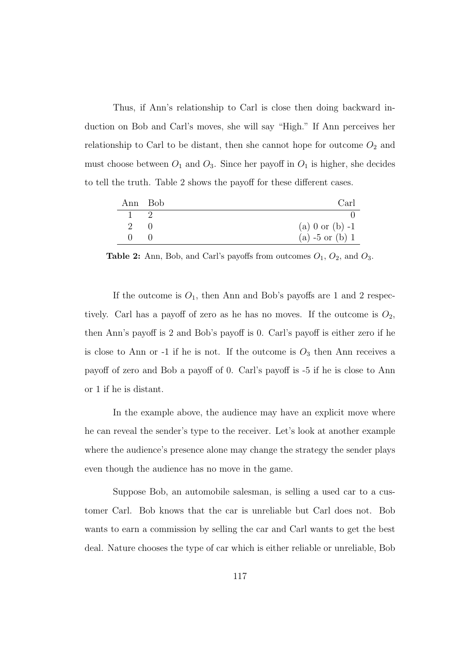Thus, if Ann's relationship to Carl is close then doing backward induction on Bob and Carl's moves, she will say "High." If Ann perceives her relationship to Carl to be distant, then she cannot hope for outcome  $O_2$  and must choose between  $O_1$  and  $O_3$ . Since her payoff in  $O_1$  is higher, she decides to tell the truth. Table 2 shows the payoff for these different cases.

| Ann Bob      |           | Carl              |
|--------------|-----------|-------------------|
|              |           |                   |
| $2^{\circ}$  | $\bigcap$ | (a) 0 or (b) $-1$ |
| $\mathbf{U}$ |           | (a) $-5$ or (b) 1 |

**Table 2:** Ann, Bob, and Carl's payoffs from outcomes  $O_1$ ,  $O_2$ , and  $O_3$ .

If the outcome is  $O_1$ , then Ann and Bob's payoffs are 1 and 2 respectively. Carl has a payoff of zero as he has no moves. If the outcome is  $O_2$ , then Ann's payoff is 2 and Bob's payoff is 0. Carl's payoff is either zero if he is close to Ann or -1 if he is not. If the outcome is  $O_3$  then Ann receives a payoff of zero and Bob a payoff of 0. Carl's payoff is -5 if he is close to Ann or 1 if he is distant.

In the example above, the audience may have an explicit move where he can reveal the sender's type to the receiver. Let's look at another example where the audience's presence alone may change the strategy the sender plays even though the audience has no move in the game.

Suppose Bob, an automobile salesman, is selling a used car to a customer Carl. Bob knows that the car is unreliable but Carl does not. Bob wants to earn a commission by selling the car and Carl wants to get the best deal. Nature chooses the type of car which is either reliable or unreliable, Bob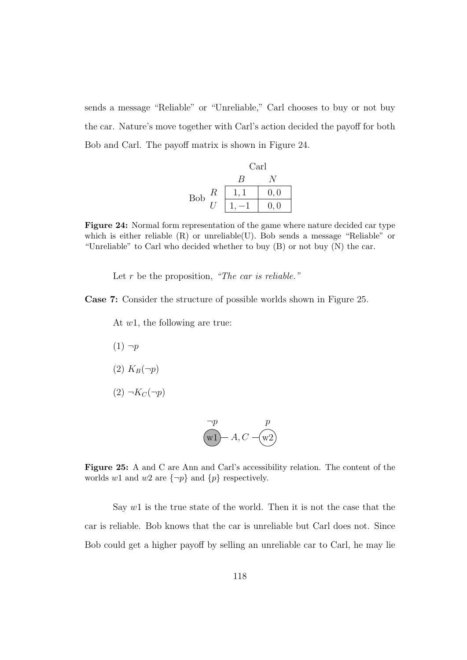sends a message "Reliable" or "Unreliable," Carl chooses to buy or not buy the car. Nature's move together with Carl's action decided the payoff for both Bob and Carl. The payoff matrix is shown in Figure 24.

Carl

\nBob

\n
$$
\begin{array}{c|cc}\n & B & N \\
\hline\nB & 1, 1 & 0, 0 \\
\hline\nU & 1, -1 & 0, 0\n\end{array}
$$

Figure 24: Normal form representation of the game where nature decided car type which is either reliable (R) or unreliable(U). Bob sends a message "Reliable" or "Unreliable" to Carl who decided whether to buy  $(B)$  or not buy  $(N)$  the car.

Let  $r$  be the proposition, "The car is reliable."

Case 7: Consider the structure of possible worlds shown in Figure 25.

At w1, the following are true:

- $(1) \neg p$
- $(2) K_B(\neg p)$
- $(2) \neg K_C(\neg p)$

$$
\overline{\text{wt}} \rightarrow A, C - \overline{\text{wt}} \rightarrow B
$$

Figure 25: A and C are Ann and Carl's accessibility relation. The content of the worlds w1 and w2 are  $\{\neg p\}$  and  $\{p\}$  respectively.

Say  $w1$  is the true state of the world. Then it is not the case that the car is reliable. Bob knows that the car is unreliable but Carl does not. Since Bob could get a higher payoff by selling an unreliable car to Carl, he may lie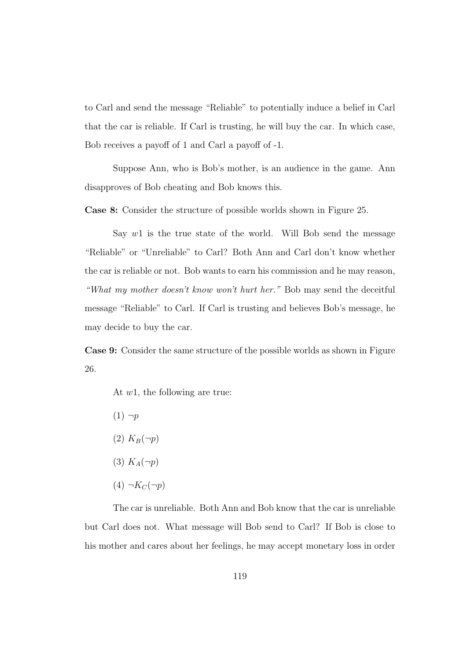to Carl and send the message "Reliable" to potentially induce a belief in Carl that the car is reliable. If Carl is trusting, he will buy the car. In which case, Bob receives a payoff of 1 and Carl a payoff of -1.

Suppose Ann, who is Bob's mother, is an audience in the game. Ann disapproves of Bob cheating and Bob knows this.

Case 8: Consider the structure of possible worlds shown in Figure 25.

Say  $w1$  is the true state of the world. Will Bob send the message "Reliable" or "Unreliable" to Carl? Both Ann and Carl don't know whether the car is reliable or not. Bob wants to earn his commission and he may reason, "What my mother doesn't know won't hurt her." Bob may send the deceitful message "Reliable" to Carl. If Carl is trusting and believes Bob's message, he may decide to buy the car.

Case 9: Consider the same structure of the possible worlds as shown in Figure 26.

At  $w_1$ , the following are true:

- $(1) \neg p$  $(2) K_B(\neg p)$ (3)  $K_A(\neg p)$
- $(4) \neg K_C(\neg p)$

The car is unreliable. Both Ann and Bob know that the car is unreliable but Carl does not. What message will Bob send to Carl? If Bob is close to his mother and cares about her feelings, he may accept monetary loss in order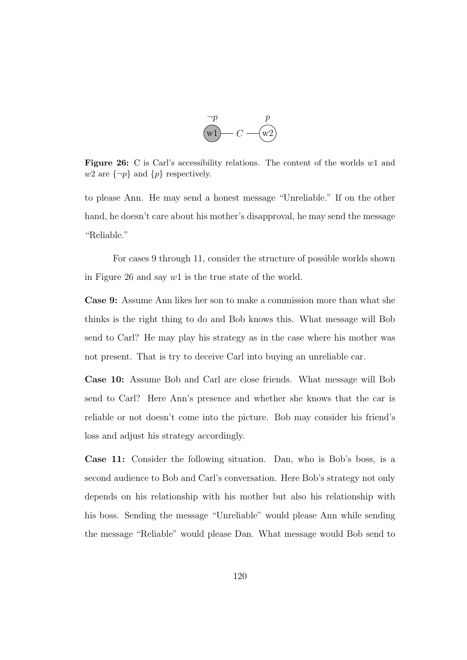

Figure 26: C is Carl's accessibility relations. The content of the worlds w1 and w2 are  $\{\neg p\}$  and  $\{p\}$  respectively.

to please Ann. He may send a honest message "Unreliable." If on the other hand, he doesn't care about his mother's disapproval, he may send the message "Reliable."

For cases 9 through 11, consider the structure of possible worlds shown in Figure 26 and say w1 is the true state of the world.

Case 9: Assume Ann likes her son to make a commission more than what she thinks is the right thing to do and Bob knows this. What message will Bob send to Carl? He may play his strategy as in the case where his mother was not present. That is try to deceive Carl into buying an unreliable car.

Case 10: Assume Bob and Carl are close friends. What message will Bob send to Carl? Here Ann's presence and whether she knows that the car is reliable or not doesn't come into the picture. Bob may consider his friend's loss and adjust his strategy accordingly.

Case 11: Consider the following situation. Dan, who is Bob's boss, is a second audience to Bob and Carl's conversation. Here Bob's strategy not only depends on his relationship with his mother but also his relationship with his boss. Sending the message "Unreliable" would please Ann while sending the message "Reliable" would please Dan. What message would Bob send to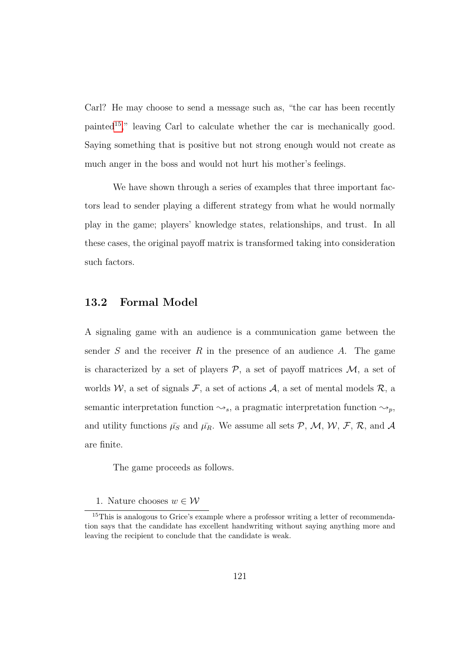Carl? He may choose to send a message such as, "the car has been recently painted[15](#page-136-0)," leaving Carl to calculate whether the car is mechanically good. Saying something that is positive but not strong enough would not create as much anger in the boss and would not hurt his mother's feelings.

We have shown through a series of examples that three important factors lead to sender playing a different strategy from what he would normally play in the game; players' knowledge states, relationships, and trust. In all these cases, the original payoff matrix is transformed taking into consideration such factors.

## 13.2 Formal Model

A signaling game with an audience is a communication game between the sender S and the receiver R in the presence of an audience A. The game is characterized by a set of players  $P$ , a set of payoff matrices  $M$ , a set of worlds W, a set of signals F, a set of actions A, a set of mental models R, a semantic interpretation function  $\leadsto_s$ , a pragmatic interpretation function  $\leadsto_p$ , and utility functions  $\bar{\mu_S}$  and  $\bar{\mu_R}$ . We assume all sets  $\mathcal{P}, \mathcal{M}, \mathcal{W}, \mathcal{F}, \mathcal{R},$  and A are finite.

The game proceeds as follows.

<span id="page-136-0"></span><sup>1.</sup> Nature chooses  $w \in \mathcal{W}$ 

<sup>&</sup>lt;sup>15</sup>This is analogous to Grice's example where a professor writing a letter of recommendation says that the candidate has excellent handwriting without saying anything more and leaving the recipient to conclude that the candidate is weak.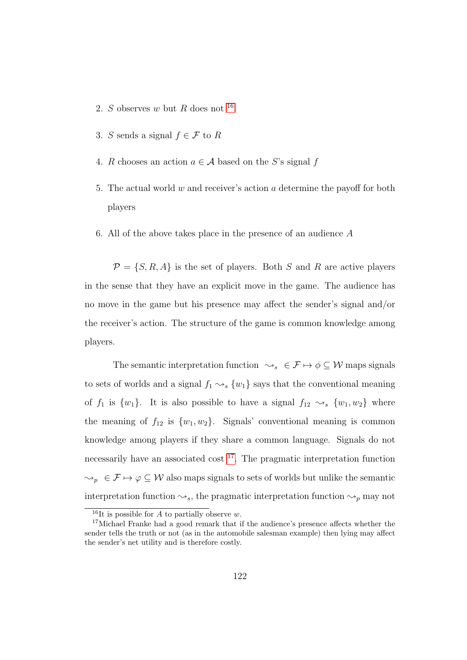- 2. S observes w but R does not  $16$
- 3. S sends a signal  $f \in \mathcal{F}$  to R
- 4. R chooses an action  $a \in \mathcal{A}$  based on the S's signal f
- 5. The actual world w and receiver's action a determine the payoff for both players
- 6. All of the above takes place in the presence of an audience A

 $\mathcal{P} = \{S, R, A\}$  is the set of players. Both S and R are active players in the sense that they have an explicit move in the game. The audience has no move in the game but his presence may affect the sender's signal and/or the receiver's action. The structure of the game is common knowledge among players.

The semantic interpretation function  $\leadsto_s \in \mathcal{F} \mapsto \phi \subseteq \mathcal{W}$  maps signals to sets of worlds and a signal  $f_1 \leadsto_s \{w_1\}$  says that the conventional meaning of  $f_1$  is  $\{w_1\}$ . It is also possible to have a signal  $f_{12} \rightsquigarrow_s \{w_1, w_2\}$  where the meaning of  $f_{12}$  is  $\{w_1, w_2\}$ . Signals' conventional meaning is common knowledge among players if they share a common language. Signals do not necessarily have an associated cost [17](#page-137-1). The pragmatic interpretation function  $\{\phi_p \in \mathcal{F} \mapsto \phi \subseteq \mathcal{W}$  also maps signals to sets of worlds but unlike the semantic interpretation function  $\leadsto_s$ , the pragmatic interpretation function  $\leadsto_p$  may not

<span id="page-137-1"></span><span id="page-137-0"></span><sup>&</sup>lt;sup>16</sup>It is possible for A to partially observe w.

<sup>&</sup>lt;sup>17</sup>Michael Franke had a good remark that if the audience's presence affects whether the sender tells the truth or not (as in the automobile salesman example) then lying may affect the sender's net utility and is therefore costly.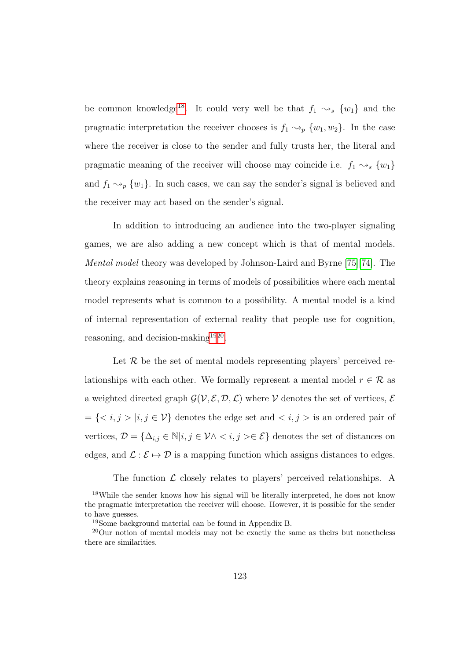be common knowledge<sup>[18](#page-138-0)</sup>. It could very well be that  $f_1 \rightsquigarrow_s \{w_1\}$  and the pragmatic interpretation the receiver chooses is  $f_1 \sim_p \{w_1, w_2\}$ . In the case where the receiver is close to the sender and fully trusts her, the literal and pragmatic meaning of the receiver will choose may coincide i.e.  $f_1 \rightsquigarrow_s \{w_1\}$ and  $f_1 \sim_p \{w_1\}$ . In such cases, we can say the sender's signal is believed and the receiver may act based on the sender's signal.

In addition to introducing an audience into the two-player signaling games, we are also adding a new concept which is that of mental models. Mental model theory was developed by Johnson-Laird and Byrne [\[75\]](#page-196-1)[\[74\]](#page-195-0). The theory explains reasoning in terms of models of possibilities where each mental model represents what is common to a possibility. A mental model is a kind of internal representation of external reality that people use for cognition, reasoning, and decision-making<sup>[19](#page-138-1)[20](#page-138-2)</sup>.

Let  $R$  be the set of mental models representing players' perceived relationships with each other. We formally represent a mental model  $r \in \mathcal{R}$  as a weighted directed graph  $\mathcal{G}(\mathcal{V}, \mathcal{E}, \mathcal{D}, \mathcal{L})$  where V denotes the set of vertices,  $\mathcal{E}$  $=\{ |i,j\in\mathcal{V}\}$  denotes the edge set and  $$  is an ordered pair of vertices,  $\mathcal{D} = \{\Delta_{i,j} \in \mathbb{N} | i,j \in \mathcal{V} \land \langle i,j \rangle \in \mathcal{E}\}$  denotes the set of distances on edges, and  $\mathcal{L}: \mathcal{E} \mapsto \mathcal{D}$  is a mapping function which assigns distances to edges.

The function  $\mathcal L$  closely relates to players' perceived relationships. A

<span id="page-138-0"></span><sup>&</sup>lt;sup>18</sup>While the sender knows how his signal will be literally interpreted, he does not know the pragmatic interpretation the receiver will choose. However, it is possible for the sender to have guesses.

<span id="page-138-2"></span><span id="page-138-1"></span><sup>19</sup>Some background material can be found in Appendix B.

 $20$ Our notion of mental models may not be exactly the same as theirs but nonetheless there are similarities.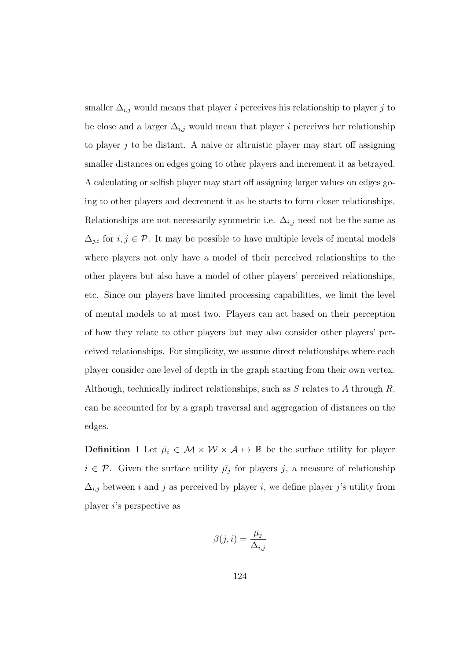smaller  $\Delta_{i,j}$  would means that player *i* perceives his relationship to player *j* to be close and a larger  $\Delta_{i,j}$  would mean that player i perceives her relationship to player  $j$  to be distant. A naive or altruistic player may start off assigning smaller distances on edges going to other players and increment it as betrayed. A calculating or selfish player may start off assigning larger values on edges going to other players and decrement it as he starts to form closer relationships. Relationships are not necessarily symmetric i.e.  $\Delta_{i,j}$  need not be the same as  $\Delta_{j,i}$  for  $i, j \in \mathcal{P}$ . It may be possible to have multiple levels of mental models where players not only have a model of their perceived relationships to the other players but also have a model of other players' perceived relationships, etc. Since our players have limited processing capabilities, we limit the level of mental models to at most two. Players can act based on their perception of how they relate to other players but may also consider other players' perceived relationships. For simplicity, we assume direct relationships where each player consider one level of depth in the graph starting from their own vertex. Although, technically indirect relationships, such as  $S$  relates to  $A$  through  $R$ , can be accounted for by a graph traversal and aggregation of distances on the edges.

**Definition 1** Let  $\bar{\mu}_i \in \mathcal{M} \times \mathcal{W} \times \mathcal{A} \mapsto \mathbb{R}$  be the surface utility for player  $i \in \mathcal{P}$ . Given the surface utility  $\bar{\mu}_j$  for players j, a measure of relationship  $\Delta_{i,j}$  between i and j as perceived by player i, we define player j's utility from player i's perspective as

$$
\beta(j,i) = \frac{\bar{\mu_j}}{\Delta_{i,j}}
$$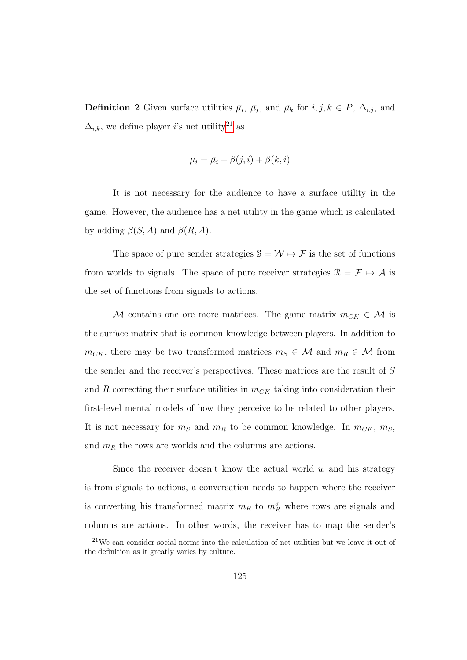**Definition 2** Given surface utilities  $\bar{\mu}_i$ ,  $\bar{\mu}_j$ , and  $\bar{\mu}_k$  for  $i, j, k \in P$ ,  $\Delta_{i,j}$ , and  $\Delta_{i,k}$ , we define player *i*'s net utility<sup>[21](#page-140-0)</sup> as

$$
\mu_i = \bar{\mu}_i + \beta(j, i) + \beta(k, i)
$$

It is not necessary for the audience to have a surface utility in the game. However, the audience has a net utility in the game which is calculated by adding  $\beta(S, A)$  and  $\beta(R, A)$ .

The space of pure sender strategies  $S = W \mapsto \mathcal{F}$  is the set of functions from worlds to signals. The space of pure receiver strategies  $\mathcal{R} = \mathcal{F} \mapsto \mathcal{A}$  is the set of functions from signals to actions.

M contains one ore more matrices. The game matrix  $m_{CK} \in \mathcal{M}$  is the surface matrix that is common knowledge between players. In addition to  $m_{CK}$ , there may be two transformed matrices  $m_S \in \mathcal{M}$  and  $m_R \in \mathcal{M}$  from the sender and the receiver's perspectives. These matrices are the result of S and R correcting their surface utilities in  $m_{CK}$  taking into consideration their first-level mental models of how they perceive to be related to other players. It is not necessary for  $m_S$  and  $m_R$  to be common knowledge. In  $m_{CK}$ ,  $m_S$ , and  $m_R$  the rows are worlds and the columns are actions.

Since the receiver doesn't know the actual world  $w$  and his strategy is from signals to actions, a conversation needs to happen where the receiver is converting his transformed matrix  $m_R$  to  $m_R^{\sigma}$  where rows are signals and columns are actions. In other words, the receiver has to map the sender's

<span id="page-140-0"></span><sup>21</sup>We can consider social norms into the calculation of net utilities but we leave it out of the definition as it greatly varies by culture.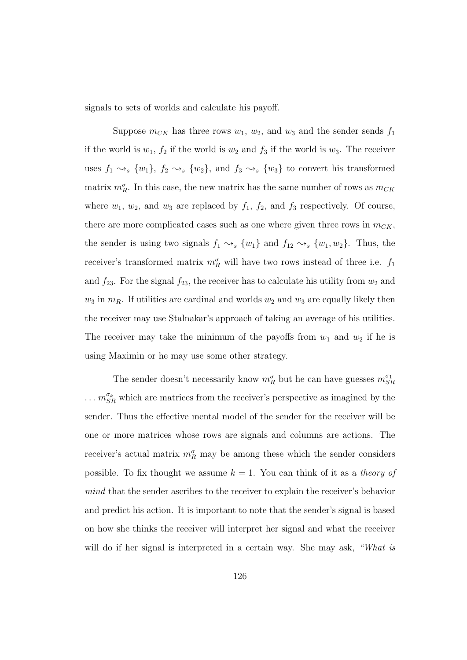signals to sets of worlds and calculate his payoff.

Suppose  $m_{CK}$  has three rows  $w_1$ ,  $w_2$ , and  $w_3$  and the sender sends  $f_1$ if the world is  $w_1$ ,  $f_2$  if the world is  $w_2$  and  $f_3$  if the world is  $w_3$ . The receiver uses  $f_1 \rightsquigarrow_s \{w_1\}$ ,  $f_2 \rightsquigarrow_s \{w_2\}$ , and  $f_3 \rightsquigarrow_s \{w_3\}$  to convert his transformed matrix  $m_R^{\sigma}$ . In this case, the new matrix has the same number of rows as  $m_{CK}$ where  $w_1$ ,  $w_2$ , and  $w_3$  are replaced by  $f_1$ ,  $f_2$ , and  $f_3$  respectively. Of course, there are more complicated cases such as one where given three rows in  $m_{CK}$ , the sender is using two signals  $f_1 \rightsquigarrow_s \{w_1\}$  and  $f_{12} \rightsquigarrow_s \{w_1, w_2\}$ . Thus, the receiver's transformed matrix  $m_R^{\sigma}$  will have two rows instead of three i.e.  $f_1$ and  $f_{23}$ . For the signal  $f_{23}$ , the receiver has to calculate his utility from  $w_2$  and  $w_3$  in  $m_R$ . If utilities are cardinal and worlds  $w_2$  and  $w_3$  are equally likely then the receiver may use Stalnakar's approach of taking an average of his utilities. The receiver may take the minimum of the payoffs from  $w_1$  and  $w_2$  if he is using Maximin or he may use some other strategy.

The sender doesn't necessarily know  $m_R^{\sigma}$  but he can have guesses  $m_{SR}^{\sigma_1}$  $\ldots$   $m_{SR}^{\sigma_k}$  which are matrices from the receiver's perspective as imagined by the sender. Thus the effective mental model of the sender for the receiver will be one or more matrices whose rows are signals and columns are actions. The receiver's actual matrix  $m_R^{\sigma}$  may be among these which the sender considers possible. To fix thought we assume  $k = 1$ . You can think of it as a theory of mind that the sender ascribes to the receiver to explain the receiver's behavior and predict his action. It is important to note that the sender's signal is based on how she thinks the receiver will interpret her signal and what the receiver will do if her signal is interpreted in a certain way. She may ask, "What is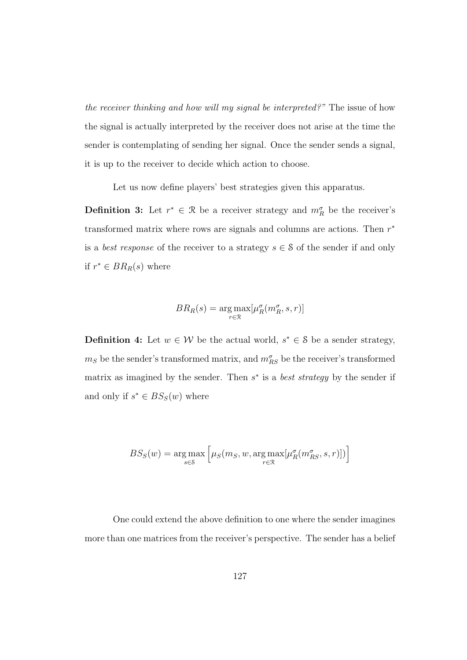the receiver thinking and how will my signal be interpreted?" The issue of how the signal is actually interpreted by the receiver does not arise at the time the sender is contemplating of sending her signal. Once the sender sends a signal, it is up to the receiver to decide which action to choose.

Let us now define players' best strategies given this apparatus.

**Definition 3:** Let  $r^* \in \mathcal{R}$  be a receiver strategy and  $m_R^{\sigma}$  be the receiver's transformed matrix where rows are signals and columns are actions. Then  $r^*$ is a *best response* of the receiver to a strategy  $s \in \mathcal{S}$  of the sender if and only if  $r^* \in BR_R(s)$  where

$$
BR_R(s) = \underset{r \in \mathcal{R}}{\arg \max} [\mu_R^{\sigma}(m_R^{\sigma}, s, r)]
$$

**Definition 4:** Let  $w \in \mathcal{W}$  be the actual world,  $s^* \in \mathcal{S}$  be a sender strategy,  $m_S$  be the sender's transformed matrix, and  $m_{RS}^{\sigma}$  be the receiver's transformed matrix as imagined by the sender. Then  $s^*$  is a *best strategy* by the sender if and only if  $s^* \in BS_S(w)$  where

$$
BS_S(w) = \underset{s \in \mathcal{S}}{\arg \max} \left[ \mu_S(m_S, w, \underset{r \in \mathcal{R}}{\arg \max} [\mu_R^{\sigma}(m_{RS}^{\sigma}, s, r)]) \right]
$$

One could extend the above definition to one where the sender imagines more than one matrices from the receiver's perspective. The sender has a belief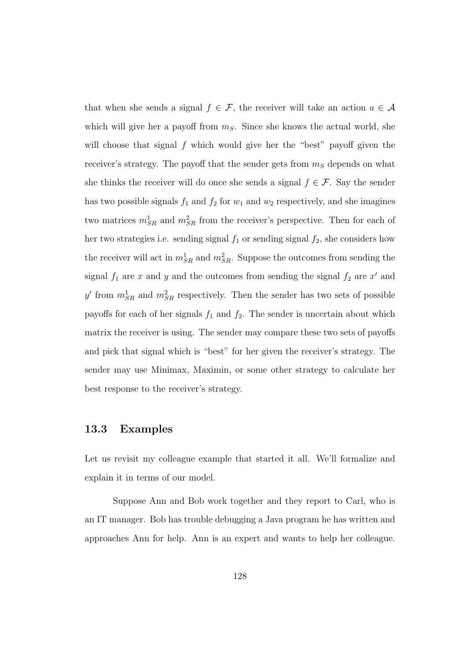that when she sends a signal  $f \in \mathcal{F}$ , the receiver will take an action  $a \in \mathcal{A}$ which will give her a payoff from  $m<sub>S</sub>$ . Since she knows the actual world, she will choose that signal f which would give her the "best" payoff given the receiver's strategy. The payoff that the sender gets from  $m<sub>S</sub>$  depends on what she thinks the receiver will do once she sends a signal  $f \in \mathcal{F}$ . Say the sender has two possible signals  $f_1$  and  $f_2$  for  $w_1$  and  $w_2$  respectively, and she imagines two matrices  $m_{SR}^1$  and  $m_{SR}^2$  from the receiver's perspective. Then for each of her two strategies i.e. sending signal  $f_1$  or sending signal  $f_2$ , she considers how the receiver will act in  $m_{SR}^1$  and  $m_{SR}^2$ . Suppose the outcomes from sending the signal  $f_1$  are x and y and the outcomes from sending the signal  $f_2$  are x' and y' from  $m_{SR}^1$  and  $m_{SR}^2$  respectively. Then the sender has two sets of possible payoffs for each of her signals  $f_1$  and  $f_2$ . The sender is uncertain about which matrix the receiver is using. The sender may compare these two sets of payoffs and pick that signal which is "best" for her given the receiver's strategy. The sender may use Minimax, Maximin, or some other strategy to calculate her best response to the receiver's strategy.

### 13.3 Examples

Let us revisit my colleague example that started it all. We'll formalize and explain it in terms of our model.

Suppose Ann and Bob work together and they report to Carl, who is an IT manager. Bob has trouble debugging a Java program he has written and approaches Ann for help. Ann is an expert and wants to help her colleague.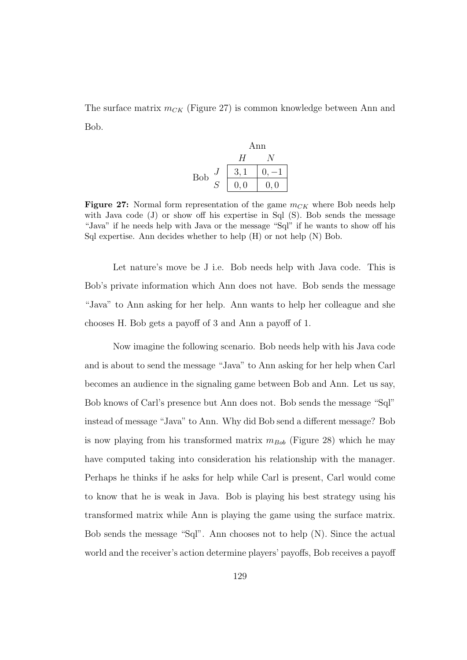The surface matrix  $m_{CK}$  (Figure 27) is common knowledge between Ann and Bob.

Ann  
\n
$$
H
$$
 N  
\nBob  $J$   $\begin{array}{c|c}\n 3,1 & 0,-1 \\
 \hline\n 0,0 & 0,0\n \end{array}$ 

**Figure 27:** Normal form representation of the game  $m_{CK}$  where Bob needs help with Java code  $(J)$  or show off his expertise in Sql  $(S)$ . Bob sends the message "Java" if he needs help with Java or the message "Sql" if he wants to show off his Sql expertise. Ann decides whether to help (H) or not help (N) Bob.

Let nature's move be J i.e. Bob needs help with Java code. This is Bob's private information which Ann does not have. Bob sends the message "Java" to Ann asking for her help. Ann wants to help her colleague and she chooses H. Bob gets a payoff of 3 and Ann a payoff of 1.

Now imagine the following scenario. Bob needs help with his Java code and is about to send the message "Java" to Ann asking for her help when Carl becomes an audience in the signaling game between Bob and Ann. Let us say, Bob knows of Carl's presence but Ann does not. Bob sends the message "Sql" instead of message "Java" to Ann. Why did Bob send a different message? Bob is now playing from his transformed matrix  $m_{Bob}$  (Figure 28) which he may have computed taking into consideration his relationship with the manager. Perhaps he thinks if he asks for help while Carl is present, Carl would come to know that he is weak in Java. Bob is playing his best strategy using his transformed matrix while Ann is playing the game using the surface matrix. Bob sends the message "Sql". Ann chooses not to help (N). Since the actual world and the receiver's action determine players' payoffs, Bob receives a payoff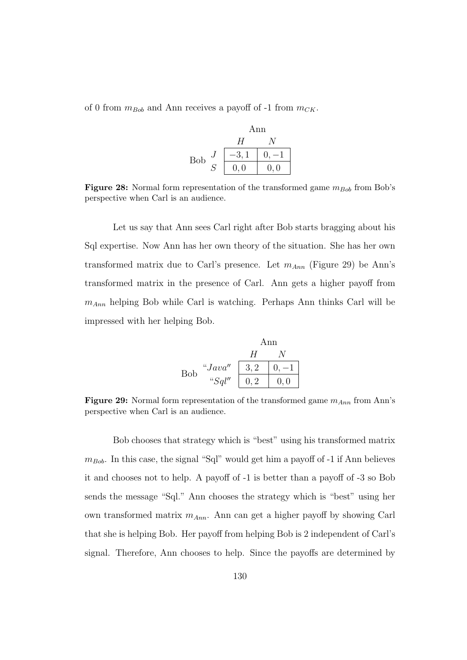of 0 from  $m_{Bob}$  and Ann receives a payoff of -1 from  $m_{CK}$ .

|     | Ann     |     |
|-----|---------|-----|
|     | H       |     |
| Bob | $-3, 1$ |     |
|     | 0,0     | 0,0 |

Figure 28: Normal form representation of the transformed game  $m_{Bob}$  from Bob's perspective when Carl is an audience.

Let us say that Ann sees Carl right after Bob starts bragging about his Sql expertise. Now Ann has her own theory of the situation. She has her own transformed matrix due to Carl's presence. Let  $m_{Ann}$  (Figure 29) be Ann's transformed matrix in the presence of Carl. Ann gets a higher payoff from  $m_{Ann}$  helping Bob while Carl is watching. Perhaps Ann thinks Carl will be impressed with her helping Bob.

$$
\begin{array}{c}\n\text{Ann} \\
\hline\nH & N \\
\text{Bob} \quad \text{``Java''} \\
\text{``Sql''} \quad\n\begin{array}{c|c}\n3,2 & 0, -1 \\
\hline\n0,2 & 0, 0\n\end{array}\n\end{array}
$$

**Figure 29:** Normal form representation of the transformed game  $m_{Ann}$  from Ann's perspective when Carl is an audience.

Bob chooses that strategy which is "best" using his transformed matrix  $m_{Bob}$ . In this case, the signal "Sql" would get him a payoff of -1 if Ann believes it and chooses not to help. A payoff of -1 is better than a payoff of -3 so Bob sends the message "Sql." Ann chooses the strategy which is "best" using her own transformed matrix  $m_{Ann}$ . Ann can get a higher payoff by showing Carl that she is helping Bob. Her payoff from helping Bob is 2 independent of Carl's signal. Therefore, Ann chooses to help. Since the payoffs are determined by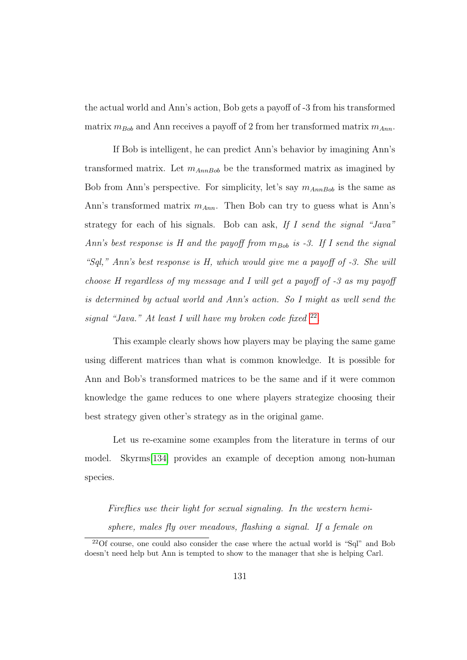the actual world and Ann's action, Bob gets a payoff of -3 from his transformed matrix  $m_{Bob}$  and Ann receives a payoff of 2 from her transformed matrix  $m_{Ann}$ .

If Bob is intelligent, he can predict Ann's behavior by imagining Ann's transformed matrix. Let  $m_{AnnBob}$  be the transformed matrix as imagined by Bob from Ann's perspective. For simplicity, let's say  $m_{AnnBob}$  is the same as Ann's transformed matrix  $m_{Ann}$ . Then Bob can try to guess what is Ann's strategy for each of his signals. Bob can ask, If I send the signal "Java" Ann's best response is H and the payoff from  $m_{Bob}$  is -3. If I send the signal "Sql," Ann's best response is  $H$ , which would give me a payoff of  $-3$ . She will choose H regardless of my message and I will get a payoff of -3 as my payoff is determined by actual world and Ann's action. So I might as well send the signal "Java." At least I will have my broken code fixed <sup>[22](#page-146-0)</sup>.

This example clearly shows how players may be playing the same game using different matrices than what is common knowledge. It is possible for Ann and Bob's transformed matrices to be the same and if it were common knowledge the game reduces to one where players strategize choosing their best strategy given other's strategy as in the original game.

Let us re-examine some examples from the literature in terms of our model. Skyrms[\[134\]](#page-202-0) provides an example of deception among non-human species.

Fireflies use their light for sexual signaling. In the western hemisphere, males fly over meadows, flashing a signal. If a female on

<span id="page-146-0"></span><sup>22</sup>Of course, one could also consider the case where the actual world is "Sql" and Bob doesn't need help but Ann is tempted to show to the manager that she is helping Carl.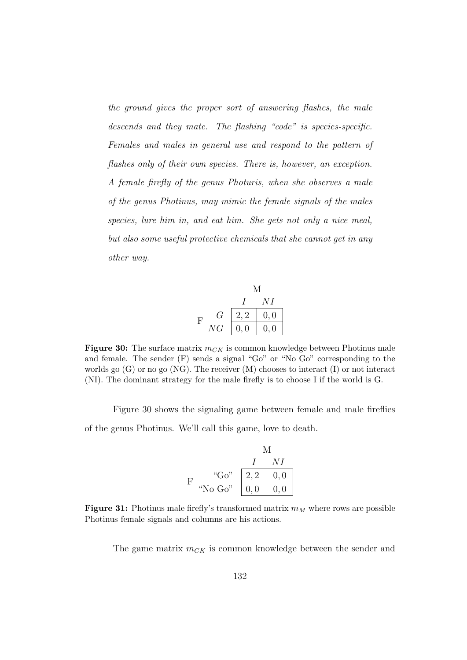the ground gives the proper sort of answering flashes, the male descends and they mate. The flashing "code" is species-specific. Females and males in general use and respond to the pattern of flashes only of their own species. There is, however, an exception. A female firefly of the genus Photuris, when she observes a male of the genus Photinus, may mimic the female signals of the males species, lure him in, and eat him. She gets not only a nice meal, but also some useful protective chemicals that she cannot get in any other way.



Figure 30: The surface matrix  $m_{CK}$  is common knowledge between Photinus male and female. The sender (F) sends a signal "Go" or "No Go" corresponding to the worlds go  $(G)$  or no go  $(NG)$ . The receiver  $(M)$  chooses to interact  $(I)$  or not interact (NI). The dominant strategy for the male firefly is to choose I if the world is G.

Figure 30 shows the signaling game between female and male fireflies of the genus Photinus. We'll call this game, love to death.

M  
\n
$$
I
$$
 NI  
\nF  
\n"Go"  
\n $Q_0$ "  
\n $2, 2$  0, 0  
\n0, 0 0, 0

**Figure 31:** Photinus male firefly's transformed matrix  $m_M$  where rows are possible Photinus female signals and columns are his actions.

The game matrix  $m_{CK}$  is common knowledge between the sender and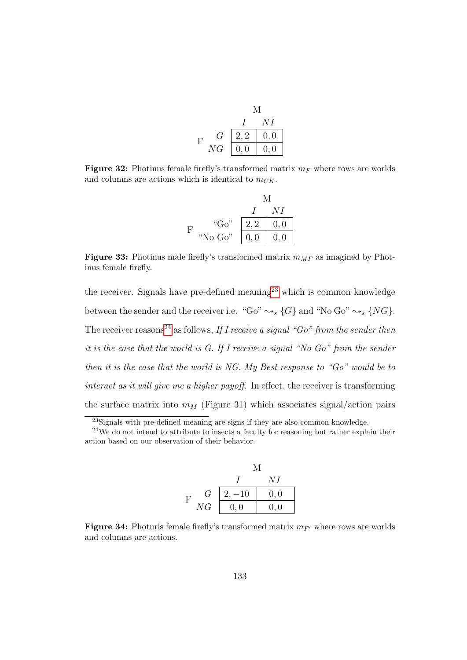|   |               | A/I  |      |
|---|---------------|------|------|
|   |               |      | NΙ   |
| F | G             | 2, 2 | 0, 0 |
|   | $\mathit{NG}$ | 0, 0 | 0,0  |

**Figure 32:** Photinus female firefly's transformed matrix  $m_F$  where rows are worlds and columns are actions which is identical to  $m_{CK}$ .

|   |          | M    |      |
|---|----------|------|------|
|   |          |      | N L  |
| H | " $Go$ " | 2, 2 | 0, 0 |
|   | "No Go"  | 0, 0 | 0, 0 |

Figure 33: Photinus male firefly's transformed matrix  $m_{MF}$  as imagined by Photinus female firefly.

the receiver. Signals have pre-defined meaning<sup>[23](#page-148-0)</sup> which is common knowledge between the sender and the receiver i.e. "Go"  $\rightsquigarrow_s \{G\}$  and "No Go"  $\rightsquigarrow_s \{NG\}$ . The receiver reasons<sup>[24](#page-148-1)</sup> as follows, If I receive a signal "Go" from the sender then it is the case that the world is G. If I receive a signal "No Go" from the sender then it is the case that the world is NG. My Best response to " $Go$ " would be to interact as it will give me a higher payoff. In effect, the receiver is transforming the surface matrix into  $m_M$  (Figure 31) which associates signal/action pairs

<sup>&</sup>lt;sup>24</sup>We do not intend to attribute to insects a faculty for reasoning but rather explain their action based on our observation of their behavior.

|   |    | М        |      |
|---|----|----------|------|
|   |    |          | NΙ   |
| F | G  | $2, -10$ | 0, 0 |
|   | NG | 0,0      | 0, 0 |

Figure 34: Photuris female firefly's transformed matrix  $m_{F}$  where rows are worlds and columns are actions.

<span id="page-148-1"></span><span id="page-148-0"></span><sup>&</sup>lt;sup>23</sup>Signals with pre-defined meaning are signs if they are also common knowledge.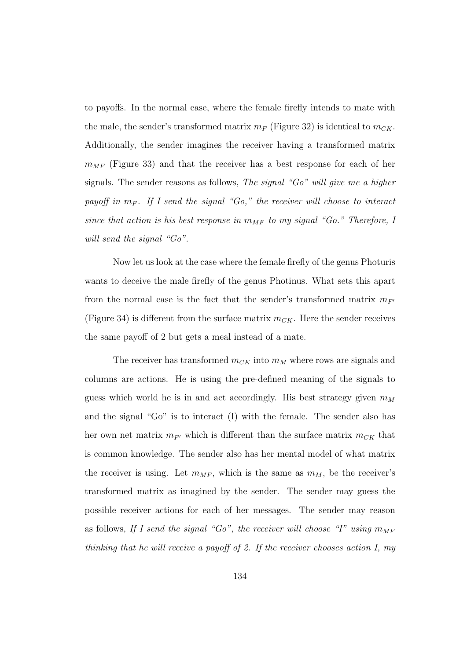to payoffs. In the normal case, where the female firefly intends to mate with the male, the sender's transformed matrix  $m_F$  (Figure 32) is identical to  $m_{CK}$ . Additionally, the sender imagines the receiver having a transformed matrix  $m_{MF}$  (Figure 33) and that the receiver has a best response for each of her signals. The sender reasons as follows, The signal "Go" will give me a higher payoff in  $m_F$ . If I send the signal "Go," the receiver will choose to interact since that action is his best response in  $m_{MF}$  to my signal "Go." Therefore, I will send the signal "Go".

Now let us look at the case where the female firefly of the genus Photuris wants to deceive the male firefly of the genus Photinus. What sets this apart from the normal case is the fact that the sender's transformed matrix  $m_{F}$ (Figure 34) is different from the surface matrix  $m_{CK}$ . Here the sender receives the same payoff of 2 but gets a meal instead of a mate.

The receiver has transformed  $m_{CK}$  into  $m_M$  where rows are signals and columns are actions. He is using the pre-defined meaning of the signals to guess which world he is in and act accordingly. His best strategy given  $m_M$ and the signal "Go" is to interact (I) with the female. The sender also has her own net matrix  $m_{F}$  which is different than the surface matrix  $m_{CK}$  that is common knowledge. The sender also has her mental model of what matrix the receiver is using. Let  $m_{MF}$ , which is the same as  $m_M$ , be the receiver's transformed matrix as imagined by the sender. The sender may guess the possible receiver actions for each of her messages. The sender may reason as follows, If I send the signal "Go", the receiver will choose "I" using  $m_{MF}$ thinking that he will receive a payoff of 2. If the receiver chooses action I, my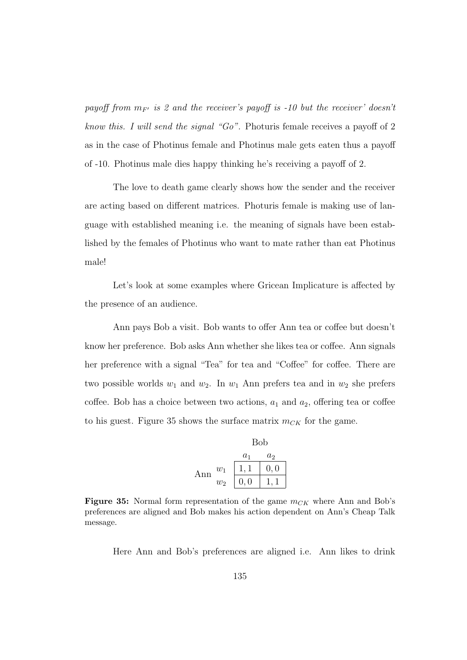payoff from  $m_{F'}$  is 2 and the receiver's payoff is -10 but the receiver' doesn't know this. I will send the signal "Go". Photuris female receives a payoff of 2 as in the case of Photinus female and Photinus male gets eaten thus a payoff of -10. Photinus male dies happy thinking he's receiving a payoff of 2.

The love to death game clearly shows how the sender and the receiver are acting based on different matrices. Photuris female is making use of language with established meaning i.e. the meaning of signals have been established by the females of Photinus who want to mate rather than eat Photinus male!

Let's look at some examples where Gricean Implicature is affected by the presence of an audience.

Ann pays Bob a visit. Bob wants to offer Ann tea or coffee but doesn't know her preference. Bob asks Ann whether she likes tea or coffee. Ann signals her preference with a signal "Tea" for tea and "Coffee" for coffee. There are two possible worlds  $w_1$  and  $w_2$ . In  $w_1$  Ann prefers tea and in  $w_2$  she prefers coffee. Bob has a choice between two actions,  $a_1$  and  $a_2$ , offering tea or coffee to his guest. Figure 35 shows the surface matrix  $m_{CK}$  for the game.



Figure 35: Normal form representation of the game  $m_{CK}$  where Ann and Bob's preferences are aligned and Bob makes his action dependent on Ann's Cheap Talk message.

Here Ann and Bob's preferences are aligned i.e. Ann likes to drink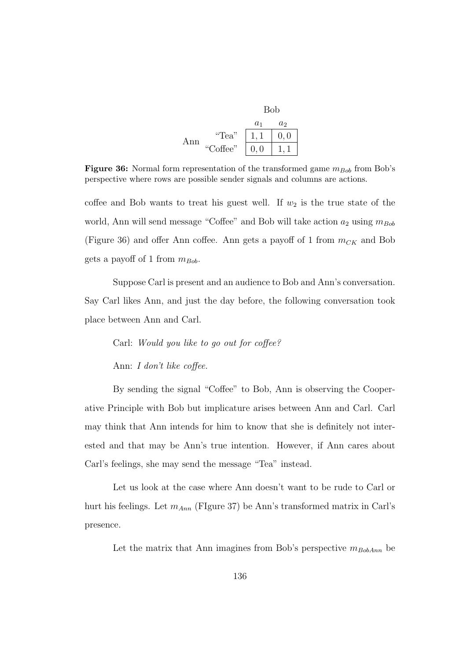|     |          | <b>Bob</b> |       |
|-----|----------|------------|-------|
|     |          | $a_1$      | $a_2$ |
| ⊾nn | "Tea"    |            | 0, 0  |
|     | "Coffee" | 0,0        |       |

Figure 36: Normal form representation of the transformed game  $m_{Bob}$  from Bob's perspective where rows are possible sender signals and columns are actions.

coffee and Bob wants to treat his guest well. If  $w_2$  is the true state of the world, Ann will send message "Coffee" and Bob will take action  $a_2$  using  $m_{Bob}$ (Figure 36) and offer Ann coffee. Ann gets a payoff of 1 from  $m_{CK}$  and Bob gets a payoff of 1 from  $m_{Bob}$ .

Suppose Carl is present and an audience to Bob and Ann's conversation. Say Carl likes Ann, and just the day before, the following conversation took place between Ann and Carl.

Carl: Would you like to go out for coffee?

Ann: I don't like coffee.

By sending the signal "Coffee" to Bob, Ann is observing the Cooperative Principle with Bob but implicature arises between Ann and Carl. Carl may think that Ann intends for him to know that she is definitely not interested and that may be Ann's true intention. However, if Ann cares about Carl's feelings, she may send the message "Tea" instead.

Let us look at the case where Ann doesn't want to be rude to Carl or hurt his feelings. Let  $m_{Ann}$  (FIgure 37) be Ann's transformed matrix in Carl's presence.

Let the matrix that Ann imagines from Bob's perspective  $m_{BobAnn}$  be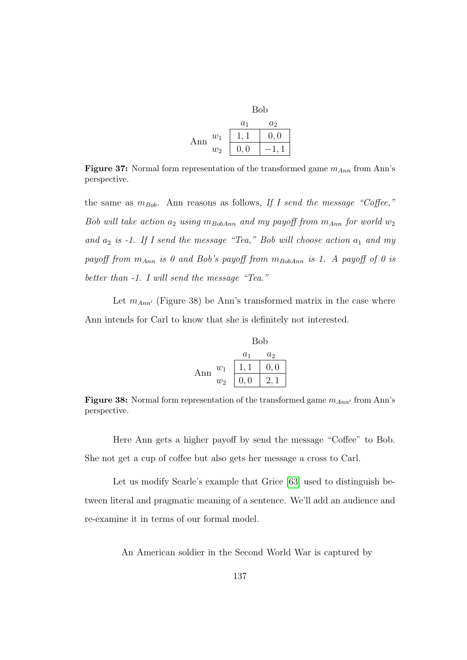|     |       | <b>Bob</b> |       |
|-----|-------|------------|-------|
|     |       | $a_1$      | $a_2$ |
| Ann | $w_1$ |            | 0, 0  |
|     | $w_2$ | 0, 0       |       |

**Figure 37:** Normal form representation of the transformed game  $m_{Ann}$  from Ann's perspective.

the same as  $m_{Bob}$ . Ann reasons as follows, If I send the message "Coffee," Bob will take action  $a_2$  using  $m_{BobAnn}$  and my payoff from  $m_{Ann}$  for world  $w_2$ and  $a_2$  is  $-1$ . If I send the message "Tea," Bob will choose action  $a_1$  and my payoff from  $m_{Ann}$  is 0 and Bob's payoff from  $m_{BobAnn}$  is 1. A payoff of 0 is better than  $-1$ . I will send the message "Tea."

Let  $m_{Ann'}$  (Figure 38) be Ann's transformed matrix in the case where Ann intends for Carl to know that she is definitely not interested.

|     |       | Bob   |                |
|-----|-------|-------|----------------|
|     |       | $a_1$ | a <sub>2</sub> |
| Ann | $w_1$ |       | 0, 0           |
|     | $w_2$ | 0, 0  |                |

Figure 38: Normal form representation of the transformed game  $m_{Ann'}$  from Ann's perspective.

Here Ann gets a higher payoff by send the message "Coffee" to Bob. She not get a cup of coffee but also gets her message a cross to Carl.

Let us modify Searle's example that Grice [\[63\]](#page-194-0) used to distinguish between literal and pragmatic meaning of a sentence. We'll add an audience and re-examine it in terms of our formal model.

An American soldier in the Second World War is captured by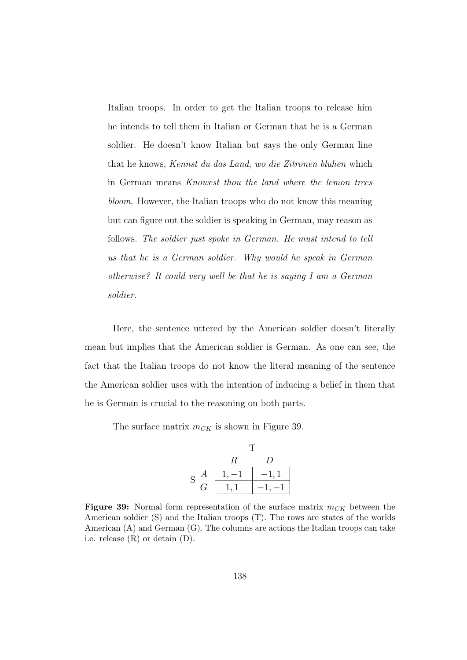Italian troops. In order to get the Italian troops to release him he intends to tell them in Italian or German that he is a German soldier. He doesn't know Italian but says the only German line that he knows, Kennst du das Land, wo die Zitronen bluhen which in German means Knowest thou the land where the lemon trees bloom. However, the Italian troops who do not know this meaning but can figure out the soldier is speaking in German, may reason as follows. The soldier just spoke in German. He must intend to tell us that he is a German soldier. Why would he speak in German otherwise? It could very well be that he is saying I am a German soldier.

Here, the sentence uttered by the American soldier doesn't literally mean but implies that the American soldier is German. As one can see, the fact that the Italian troops do not know the literal meaning of the sentence the American soldier uses with the intention of inducing a belief in them that he is German is crucial to the reasoning on both parts.

The surface matrix  $m_{CK}$  is shown in Figure 39.

$$
\begin{array}{c|cc}\n & T \\
 & R & D \\
 S & G & 1,1 & -1,1 \\
 \hline\n & 1,1 & -1,-1\n \end{array}
$$

**Figure 39:** Normal form representation of the surface matrix  $m_{CK}$  between the American soldier (S) and the Italian troops (T). The rows are states of the worlds American (A) and German (G). The columns are actions the Italian troops can take i.e. release (R) or detain (D).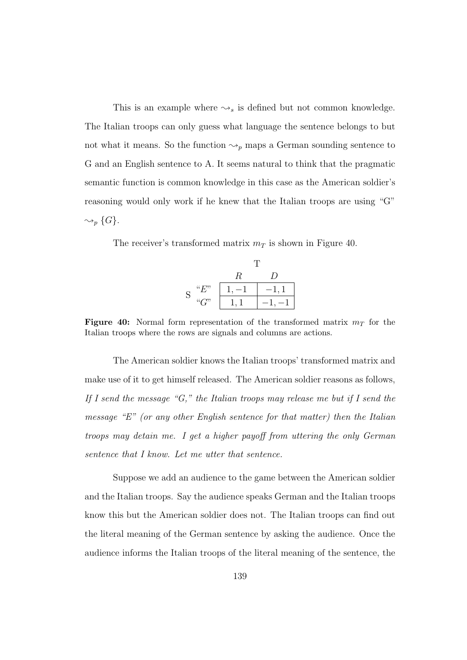This is an example where  $\rightsquigarrow_s$  is defined but not common knowledge. The Italian troops can only guess what language the sentence belongs to but not what it means. So the function  $\leadsto_p$  maps a German sounding sentence to G and an English sentence to A. It seems natural to think that the pragmatic semantic function is common knowledge in this case as the American soldier's reasoning would only work if he knew that the Italian troops are using "G"  $\rightsquigarrow_p$  {G}.

The receiver's transformed matrix  $m<sub>T</sub>$  is shown in Figure 40.

|             |      | R | , |
|-------------|------|---|---|
| $\mathbf S$ | ``F" |   |   |
|             | ``C" |   |   |

Figure 40: Normal form representation of the transformed matrix  $m<sub>T</sub>$  for the Italian troops where the rows are signals and columns are actions.

The American soldier knows the Italian troops' transformed matrix and make use of it to get himself released. The American soldier reasons as follows, If I send the message "G," the Italian troops may release me but if I send the message "E" (or any other English sentence for that matter) then the Italian troops may detain me. I get a higher payoff from uttering the only German sentence that I know. Let me utter that sentence.

Suppose we add an audience to the game between the American soldier and the Italian troops. Say the audience speaks German and the Italian troops know this but the American soldier does not. The Italian troops can find out the literal meaning of the German sentence by asking the audience. Once the audience informs the Italian troops of the literal meaning of the sentence, the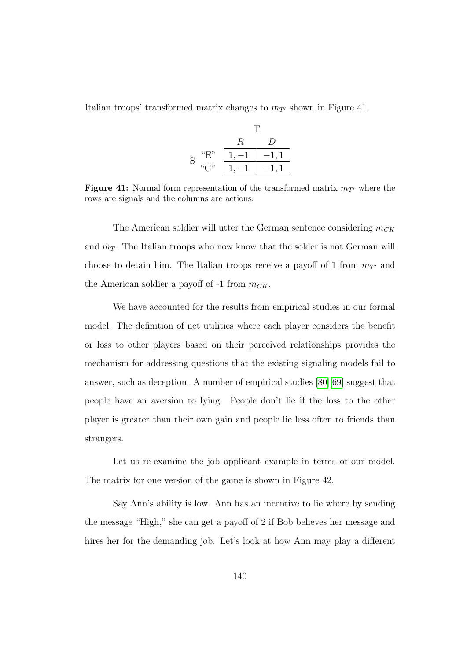Italian troops' transformed matrix changes to  $m_{T}$  shown in Figure 41.

T  
\nS "E" 
$$
\begin{array}{c|c}\n & R & D \\
\hline\n1, -1 & -1, 1 \\
\hline\n1, -1 & -1, 1\n\end{array}
$$

**Figure 41:** Normal form representation of the transformed matrix  $m_{T}$  where the rows are signals and the columns are actions.

The American soldier will utter the German sentence considering  $m_{CK}$ and  $m_T$ . The Italian troops who now know that the solder is not German will choose to detain him. The Italian troops receive a payoff of 1 from  $m_{T'}$  and the American soldier a payoff of  $-1$  from  $m_{CK}$ .

We have accounted for the results from empirical studies in our formal model. The definition of net utilities where each player considers the benefit or loss to other players based on their perceived relationships provides the mechanism for addressing questions that the existing signaling models fail to answer, such as deception. A number of empirical studies [\[80\]](#page-196-0)[\[69\]](#page-195-0) suggest that people have an aversion to lying. People don't lie if the loss to the other player is greater than their own gain and people lie less often to friends than strangers.

Let us re-examine the job applicant example in terms of our model. The matrix for one version of the game is shown in Figure 42.

Say Ann's ability is low. Ann has an incentive to lie where by sending the message "High," she can get a payoff of 2 if Bob believes her message and hires her for the demanding job. Let's look at how Ann may play a different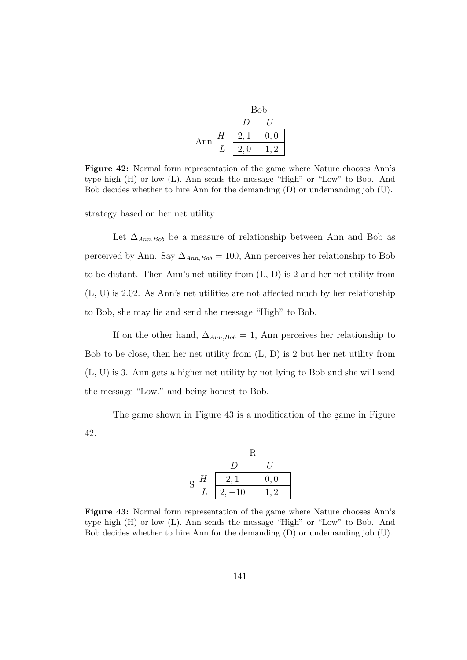|     |   | <b>Bob</b> |     |
|-----|---|------------|-----|
|     |   |            |     |
| Ann | H |            | 0,0 |
|     |   | 2,0        | ')  |

Figure 42: Normal form representation of the game where Nature chooses Ann's type high (H) or low (L). Ann sends the message "High" or "Low" to Bob. And Bob decides whether to hire Ann for the demanding (D) or undemanding job (U).

strategy based on her net utility.

Let  $\Delta_{Ann,Bob}$  be a measure of relationship between Ann and Bob as perceived by Ann. Say  $\Delta_{Ann,Bob} = 100$ , Ann perceives her relationship to Bob to be distant. Then Ann's net utility from (L, D) is 2 and her net utility from (L, U) is 2.02. As Ann's net utilities are not affected much by her relationship to Bob, she may lie and send the message "High" to Bob.

If on the other hand,  $\Delta_{Ann,Bob} = 1$ , Ann perceives her relationship to Bob to be close, then her net utility from (L, D) is 2 but her net utility from (L, U) is 3. Ann gets a higher net utility by not lying to Bob and she will send the message "Low." and being honest to Bob.

The game shown in Figure 43 is a modification of the game in Figure 42.

|        | R                |          |
|--------|------------------|----------|
|        | $\left( \right)$ | $\prime$ |
| H<br>S | 2,1              | 0, 0     |
|        | $2, -10$         | 1, 2     |

Figure 43: Normal form representation of the game where Nature chooses Ann's type high (H) or low (L). Ann sends the message "High" or "Low" to Bob. And Bob decides whether to hire Ann for the demanding (D) or undemanding job (U).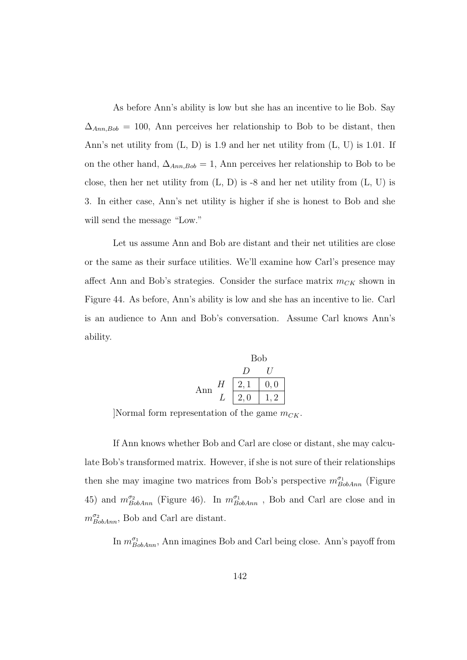As before Ann's ability is low but she has an incentive to lie Bob. Say  $\Delta_{Ann,Bob} = 100$ , Ann perceives her relationship to Bob to be distant, then Ann's net utility from (L, D) is 1.9 and her net utility from (L, U) is 1.01. If on the other hand,  $\Delta_{Ann,Bob} = 1$ , Ann perceives her relationship to Bob to be close, then her net utility from  $(L, D)$  is -8 and her net utility from  $(L, U)$  is 3. In either case, Ann's net utility is higher if she is honest to Bob and she will send the message "Low."

Let us assume Ann and Bob are distant and their net utilities are close or the same as their surface utilities. We'll examine how Carl's presence may affect Ann and Bob's strategies. Consider the surface matrix  $m_{CK}$  shown in Figure 44. As before, Ann's ability is low and she has an incentive to lie. Carl is an audience to Ann and Bob's conversation. Assume Carl knows Ann's ability.

Bob  
\n
$$
\begin{array}{c|c}\n & D & U \\
\hline\nD & U \\
 & 2,1 & 0,0 \\
 & L & 2,0 & 1,2\n\end{array}
$$

Normal form representation of the game  $m_{CK}$ .

If Ann knows whether Bob and Carl are close or distant, she may calculate Bob's transformed matrix. However, if she is not sure of their relationships then she may imagine two matrices from Bob's perspective  $m_{BobAnn}^{\sigma_1}$  (Figure 45) and  $m_{BobAnn}^{\sigma_2}$  (Figure 46). In  $m_{BobAnn}^{\sigma_1}$ , Bob and Carl are close and in  $m_{BobAnn}^{\sigma_2}$ , Bob and Carl are distant.

In  $m_{BobAnn}^{\sigma_1}$ , Ann imagines Bob and Carl being close. Ann's payoff from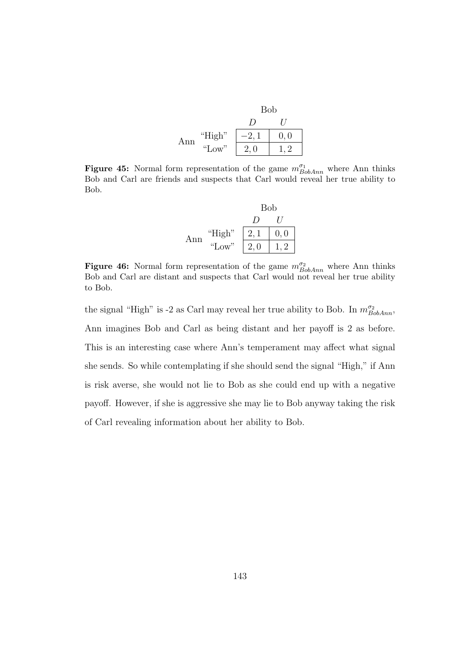|     |        | <b>Bob</b> |     |
|-----|--------|------------|-----|
|     |        | $\prime$   |     |
| Ann | "High" |            | 0,0 |
|     | "Low"  | 2,0        |     |

**Figure 45:** Normal form representation of the game  $m_{BobAnn}^{\sigma_1}$  where Ann thinks Bob and Carl are friends and suspects that Carl would reveal her true ability to Bob.

|     |        | <b>Bob</b> |      |
|-----|--------|------------|------|
|     |        | $\prime$   |      |
| Ann | "High" | 2,1        | 0, 0 |
|     | "Low"  | 2,0        |      |

**Figure 46:** Normal form representation of the game  $m_{BobAnn}^{\sigma_2}$  where Ann thinks Bob and Carl are distant and suspects that Carl would not reveal her true ability to Bob.

the signal "High" is -2 as Carl may reveal her true ability to Bob. In  $m_{BobAnn}^{\sigma_2}$ , Ann imagines Bob and Carl as being distant and her payoff is 2 as before. This is an interesting case where Ann's temperament may affect what signal she sends. So while contemplating if she should send the signal "High," if Ann is risk averse, she would not lie to Bob as she could end up with a negative payoff. However, if she is aggressive she may lie to Bob anyway taking the risk of Carl revealing information about her ability to Bob.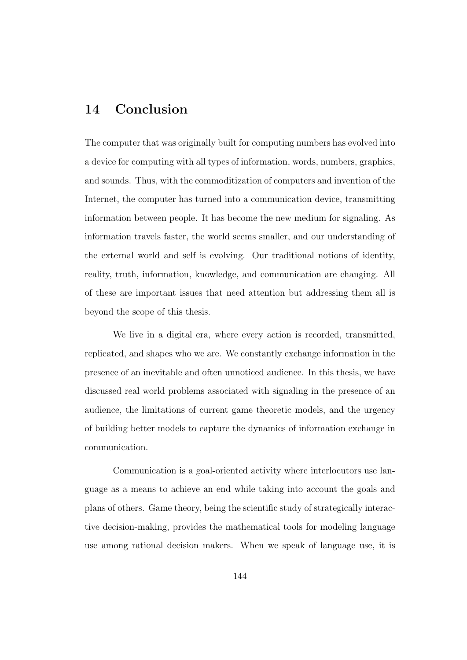## 14 Conclusion

The computer that was originally built for computing numbers has evolved into a device for computing with all types of information, words, numbers, graphics, and sounds. Thus, with the commoditization of computers and invention of the Internet, the computer has turned into a communication device, transmitting information between people. It has become the new medium for signaling. As information travels faster, the world seems smaller, and our understanding of the external world and self is evolving. Our traditional notions of identity, reality, truth, information, knowledge, and communication are changing. All of these are important issues that need attention but addressing them all is beyond the scope of this thesis.

We live in a digital era, where every action is recorded, transmitted, replicated, and shapes who we are. We constantly exchange information in the presence of an inevitable and often unnoticed audience. In this thesis, we have discussed real world problems associated with signaling in the presence of an audience, the limitations of current game theoretic models, and the urgency of building better models to capture the dynamics of information exchange in communication.

Communication is a goal-oriented activity where interlocutors use language as a means to achieve an end while taking into account the goals and plans of others. Game theory, being the scientific study of strategically interactive decision-making, provides the mathematical tools for modeling language use among rational decision makers. When we speak of language use, it is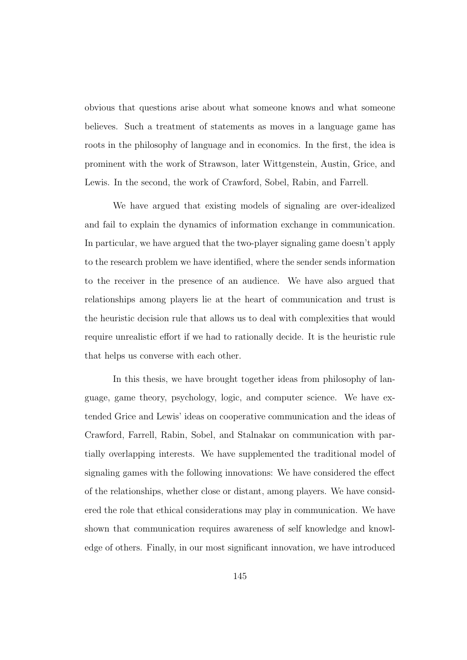obvious that questions arise about what someone knows and what someone believes. Such a treatment of statements as moves in a language game has roots in the philosophy of language and in economics. In the first, the idea is prominent with the work of Strawson, later Wittgenstein, Austin, Grice, and Lewis. In the second, the work of Crawford, Sobel, Rabin, and Farrell.

We have argued that existing models of signaling are over-idealized and fail to explain the dynamics of information exchange in communication. In particular, we have argued that the two-player signaling game doesn't apply to the research problem we have identified, where the sender sends information to the receiver in the presence of an audience. We have also argued that relationships among players lie at the heart of communication and trust is the heuristic decision rule that allows us to deal with complexities that would require unrealistic effort if we had to rationally decide. It is the heuristic rule that helps us converse with each other.

In this thesis, we have brought together ideas from philosophy of language, game theory, psychology, logic, and computer science. We have extended Grice and Lewis' ideas on cooperative communication and the ideas of Crawford, Farrell, Rabin, Sobel, and Stalnakar on communication with partially overlapping interests. We have supplemented the traditional model of signaling games with the following innovations: We have considered the effect of the relationships, whether close or distant, among players. We have considered the role that ethical considerations may play in communication. We have shown that communication requires awareness of self knowledge and knowledge of others. Finally, in our most significant innovation, we have introduced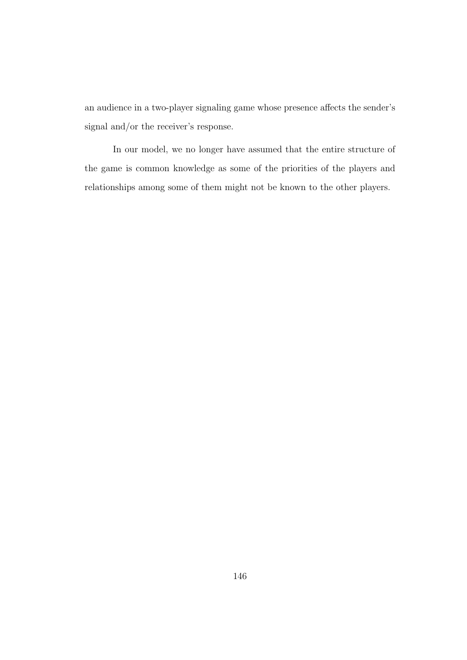an audience in a two-player signaling game whose presence affects the sender's signal and/or the receiver's response.

In our model, we no longer have assumed that the entire structure of the game is common knowledge as some of the priorities of the players and relationships among some of them might not be known to the other players.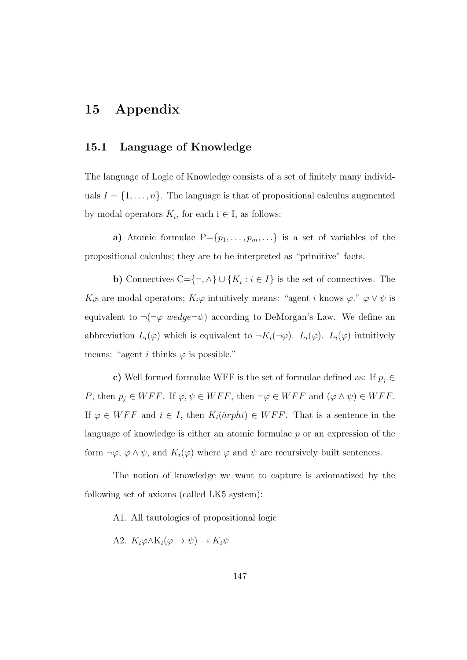# 15 Appendix

### 15.1 Language of Knowledge

The language of Logic of Knowledge consists of a set of finitely many individuals  $I = \{1, \ldots, n\}$ . The language is that of propositional calculus augmented by modal operators  $K_i$ , for each  $i \in I$ , as follows:

a) Atomic formulae  $P = \{p_1, \ldots, p_m, \ldots\}$  is a set of variables of the propositional calculus; they are to be interpreted as "primitive" facts.

**b**) Connectives C={¬,  $\land$ }  $\cup$  { $K_i : i \in I$ } is the set of connectives. The K<sub>i</sub>s are modal operators;  $K_i\varphi$  intuitively means: "agent i knows  $\varphi$ ."  $\varphi \vee \psi$  is equivalent to  $\neg(\neg \varphi \; wedge \neg \psi)$  according to DeMorgan's Law. We define an abbreviation  $L_i(\varphi)$  which is equivalent to  $\neg K_i(\neg \varphi)$ .  $L_i(\varphi)$ .  $L_i(\varphi)$  intuitively means: "agent i thinks  $\varphi$  is possible."

c) Well formed formulae WFF is the set of formulae defined as: If  $p_j \in$ P, then  $p_j \in WFF$ . If  $\varphi, \psi \in WFF$ , then  $\neg \varphi \in WFF$  and  $(\varphi \wedge \psi) \in WFF$ . If  $\varphi \in WFF$  and  $i \in I$ , then  $K_i(\text{arphi}) \in WFF$ . That is a sentence in the language of knowledge is either an atomic formulae  $p$  or an expression of the form  $\neg \varphi$ ,  $\varphi \wedge \psi$ , and  $K_i(\varphi)$  where  $\varphi$  and  $\psi$  are recursively built sentences.

The notion of knowledge we want to capture is axiomatized by the following set of axioms (called LK5 system):

A1. All tautologies of propositional logic

A2.  $K_i\varphi\wedge K_i(\varphi\rightarrow\psi)\rightarrow K_i\psi$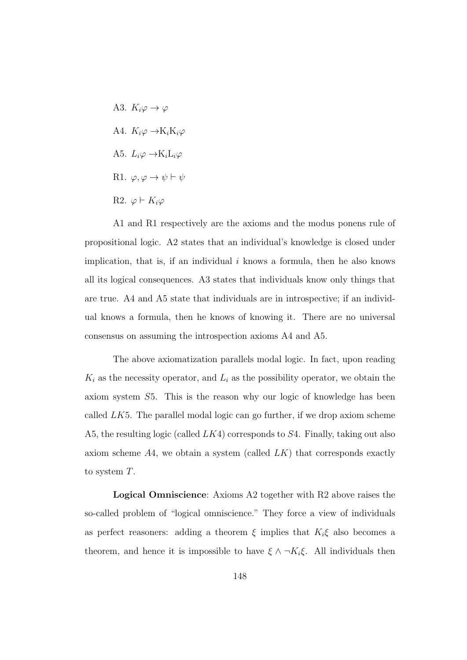A3.  $K_i\varphi \to \varphi$ A4.  $K_i\varphi \rightarrow K_iK_i\varphi$ A5.  $L_i\varphi \rightarrow K_iL_i\varphi$ R1.  $\varphi, \varphi \to \psi \vdash \psi$ R2.  $\varphi \vdash K_i \varphi$ 

A1 and R1 respectively are the axioms and the modus ponens rule of propositional logic. A2 states that an individual's knowledge is closed under implication, that is, if an individual  $i$  knows a formula, then he also knows all its logical consequences. A3 states that individuals know only things that are true. A4 and A5 state that individuals are in introspective; if an individual knows a formula, then he knows of knowing it. There are no universal consensus on assuming the introspection axioms A4 and A5.

The above axiomatization parallels modal logic. In fact, upon reading  $K_i$  as the necessity operator, and  $L_i$  as the possibility operator, we obtain the axiom system S5. This is the reason why our logic of knowledge has been called  $LK5$ . The parallel modal logic can go further, if we drop axiom scheme A5, the resulting logic (called  $LK4$ ) corresponds to  $S4$ . Finally, taking out also axiom scheme  $A4$ , we obtain a system (called  $LK$ ) that corresponds exactly to system T.

Logical Omniscience: Axioms A2 together with R2 above raises the so-called problem of "logical omniscience." They force a view of individuals as perfect reasoners: adding a theorem  $\xi$  implies that  $K_i\xi$  also becomes a theorem, and hence it is impossible to have  $\xi \wedge \neg K_i \xi$ . All individuals then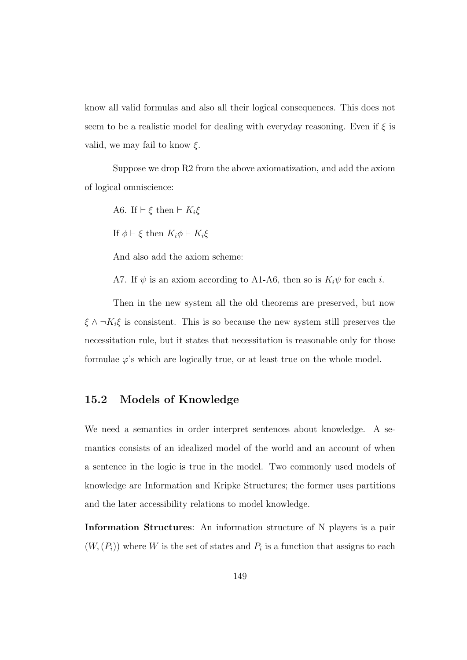know all valid formulas and also all their logical consequences. This does not seem to be a realistic model for dealing with everyday reasoning. Even if  $\xi$  is valid, we may fail to know  $\xi$ .

Suppose we drop R2 from the above axiomatization, and add the axiom of logical omniscience:

A6. If  $\vdash \xi$  then  $\vdash K_i\xi$ 

If  $\phi \vdash \xi$  then  $K_i \phi \vdash K_i \xi$ 

And also add the axiom scheme:

A7. If  $\psi$  is an axiom according to A1-A6, then so is  $K_i\psi$  for each *i*.

Then in the new system all the old theorems are preserved, but now  $\xi \wedge \neg K_i \xi$  is consistent. This is so because the new system still preserves the necessitation rule, but it states that necessitation is reasonable only for those formulae  $\varphi$ 's which are logically true, or at least true on the whole model.

## 15.2 Models of Knowledge

We need a semantics in order interpret sentences about knowledge. A semantics consists of an idealized model of the world and an account of when a sentence in the logic is true in the model. Two commonly used models of knowledge are Information and Kripke Structures; the former uses partitions and the later accessibility relations to model knowledge.

Information Structures: An information structure of N players is a pair  $(W, (P_i))$  where W is the set of states and  $P_i$  is a function that assigns to each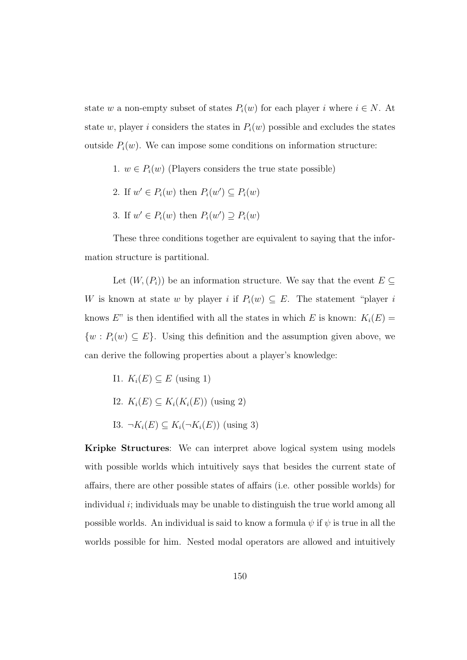state w a non-empty subset of states  $P_i(w)$  for each player i where  $i \in N$ . At state w, player i considers the states in  $P_i(w)$  possible and excludes the states outside  $P_i(w)$ . We can impose some conditions on information structure:

- 1.  $w \in P_i(w)$  (Players considers the true state possible)
- 2. If  $w' \in P_i(w)$  then  $P_i(w') \subseteq P_i(w)$
- 3. If  $w' \in P_i(w)$  then  $P_i(w') \supseteq P_i(w)$

These three conditions together are equivalent to saying that the information structure is partitional.

Let  $(W, (P_i))$  be an information structure. We say that the event  $E \subseteq$ W is known at state w by player i if  $P_i(w) \subseteq E$ . The statement "player i knows  $E$ " is then identified with all the states in which E is known:  $K_i(E)$  =  $\{w : P_i(w) \subseteq E\}$ . Using this definition and the assumption given above, we can derive the following properties about a player's knowledge:

- I1.  $K_i(E) \subseteq E$  (using 1)
- I2.  $K_i(E) \subseteq K_i(K_i(E))$  (using 2)
- I3.  $\neg K_i(E) \subseteq K_i(\neg K_i(E))$  (using 3)

Kripke Structures: We can interpret above logical system using models with possible worlds which intuitively says that besides the current state of affairs, there are other possible states of affairs (i.e. other possible worlds) for individual  $i$ ; individuals may be unable to distinguish the true world among all possible worlds. An individual is said to know a formula  $\psi$  if  $\psi$  is true in all the worlds possible for him. Nested modal operators are allowed and intuitively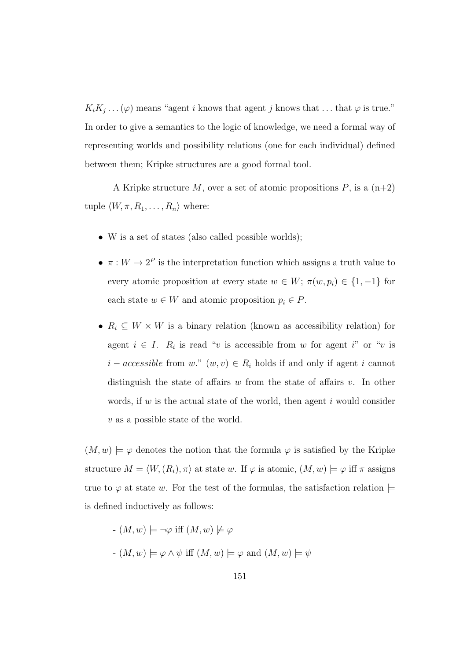$K_iK_j\ldots(\varphi)$  means "agent i knows that agent j knows that ... that  $\varphi$  is true." In order to give a semantics to the logic of knowledge, we need a formal way of representing worlds and possibility relations (one for each individual) defined between them; Kripke structures are a good formal tool.

A Kripke structure M, over a set of atomic propositions  $P$ , is a  $(n+2)$ tuple  $\langle W, \pi, R_1, \ldots, R_n \rangle$  where:

- W is a set of states (also called possible worlds);
- $\pi: W \to 2^P$  is the interpretation function which assigns a truth value to every atomic proposition at every state  $w \in W$ ;  $\pi(w, p_i) \in \{1, -1\}$  for each state  $w \in W$  and atomic proposition  $p_i \in P$ .
- $R_i \subseteq W \times W$  is a binary relation (known as accessibility relation) for agent  $i \in I$ .  $R_i$  is read "v is accessible from w for agent i" or "v is  $i - accessible$  from w."  $(w, v) \in R_i$  holds if and only if agent i cannot distinguish the state of affairs w from the state of affairs v. In other words, if  $w$  is the actual state of the world, then agent  $i$  would consider  $v$  as a possible state of the world.

 $(M, w) \models \varphi$  denotes the notion that the formula  $\varphi$  is satisfied by the Kripke structure  $M = \langle W, (R_i), \pi \rangle$  at state w. If  $\varphi$  is atomic,  $(M, w) \models \varphi$  iff  $\pi$  assigns true to  $\varphi$  at state w. For the test of the formulas, the satisfaction relation  $\models$ is defined inductively as follows:

 $-(M, w) \models \neg \varphi$  iff  $(M, w) \not\models \varphi$  $-(M, w) \models \varphi \land \psi$  iff  $(M, w) \models \varphi$  and  $(M, w) \models \psi$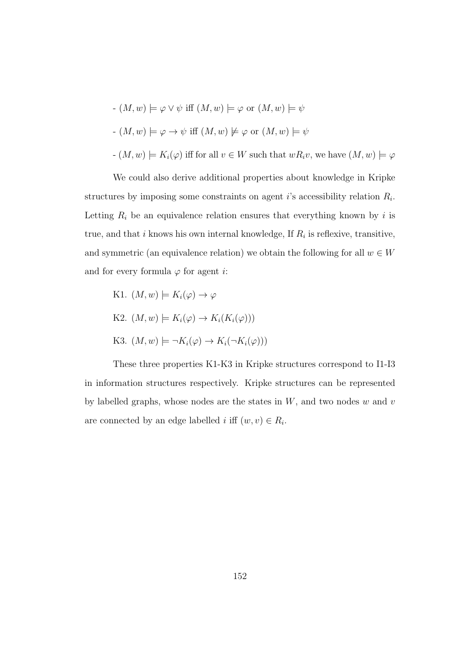- 
$$
(M, w) \models \varphi \lor \psi
$$
 iff  $(M, w) \models \varphi$  or  $(M, w) \models \psi$   
\n-  $(M, w) \models \varphi \rightarrow \psi$  iff  $(M, w) \not\models \varphi$  or  $(M, w) \models \psi$   
\n-  $(M, w) \models K_i(\varphi)$  iff for all  $v \in W$  such that  $wR_i v$ , we have  $(M, w) \models \varphi$ 

We could also derive additional properties about knowledge in Kripke structures by imposing some constraints on agent *i*'s accessibility relation  $R_i$ . Letting  $R_i$  be an equivalence relation ensures that everything known by i is true, and that  $i$  knows his own internal knowledge, If  $R_i$  is reflexive, transitive, and symmetric (an equivalence relation) we obtain the following for all  $w \in W$ and for every formula  $\varphi$  for agent *i*:

K1. 
$$
(M, w) \models K_i(\varphi) \to \varphi
$$
  
K2.  $(M, w) \models K_i(\varphi) \to K_i(K_i(\varphi)))$   
K3.  $(M, w) \models \neg K_i(\varphi) \to K_i(\neg K_i(\varphi)))$ 

These three properties K1-K3 in Kripke structures correspond to I1-I3 in information structures respectively. Kripke structures can be represented by labelled graphs, whose nodes are the states in  $W$ , and two nodes  $w$  and  $v$ are connected by an edge labelled *i* iff  $(w, v) \in R_i$ .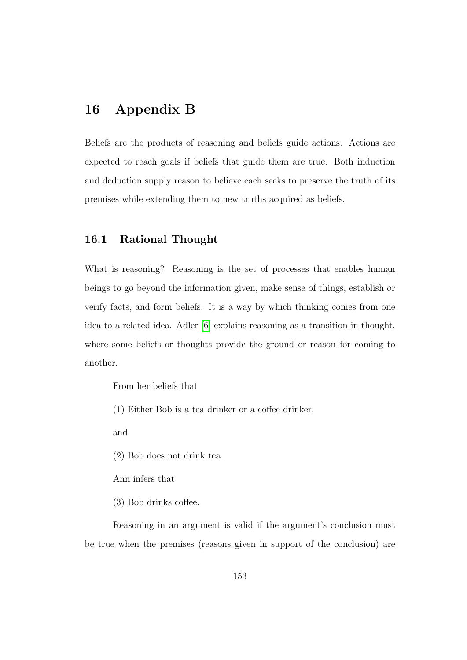## 16 Appendix B

Beliefs are the products of reasoning and beliefs guide actions. Actions are expected to reach goals if beliefs that guide them are true. Both induction and deduction supply reason to believe each seeks to preserve the truth of its premises while extending them to new truths acquired as beliefs.

### 16.1 Rational Thought

What is reasoning? Reasoning is the set of processes that enables human beings to go beyond the information given, make sense of things, establish or verify facts, and form beliefs. It is a way by which thinking comes from one idea to a related idea. Adler [\[6\]](#page-187-0) explains reasoning as a transition in thought, where some beliefs or thoughts provide the ground or reason for coming to another.

From her beliefs that

(1) Either Bob is a tea drinker or a coffee drinker.

and

(2) Bob does not drink tea.

Ann infers that

(3) Bob drinks coffee.

Reasoning in an argument is valid if the argument's conclusion must be true when the premises (reasons given in support of the conclusion) are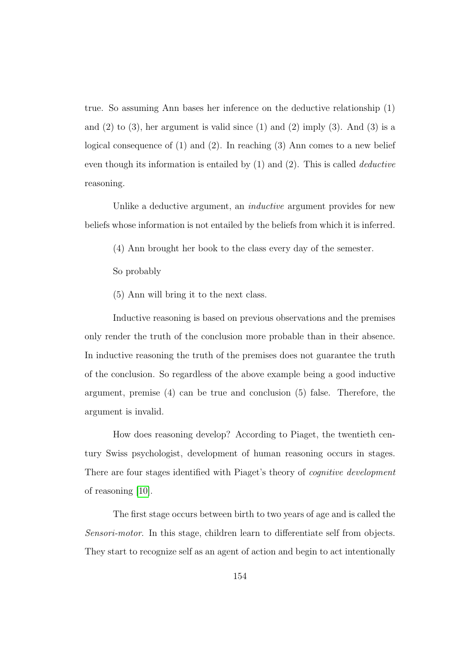true. So assuming Ann bases her inference on the deductive relationship (1) and  $(2)$  to  $(3)$ , her argument is valid since  $(1)$  and  $(2)$  imply  $(3)$ . And  $(3)$  is a logical consequence of (1) and (2). In reaching (3) Ann comes to a new belief even though its information is entailed by (1) and (2). This is called deductive reasoning.

Unlike a deductive argument, an *inductive* argument provides for new beliefs whose information is not entailed by the beliefs from which it is inferred.

- (4) Ann brought her book to the class every day of the semester.
- So probably
- (5) Ann will bring it to the next class.

Inductive reasoning is based on previous observations and the premises only render the truth of the conclusion more probable than in their absence. In inductive reasoning the truth of the premises does not guarantee the truth of the conclusion. So regardless of the above example being a good inductive argument, premise (4) can be true and conclusion (5) false. Therefore, the argument is invalid.

How does reasoning develop? According to Piaget, the twentieth century Swiss psychologist, development of human reasoning occurs in stages. There are four stages identified with Piaget's theory of *cognitive development* of reasoning [\[10\]](#page-188-0).

The first stage occurs between birth to two years of age and is called the Sensori-motor. In this stage, children learn to differentiate self from objects. They start to recognize self as an agent of action and begin to act intentionally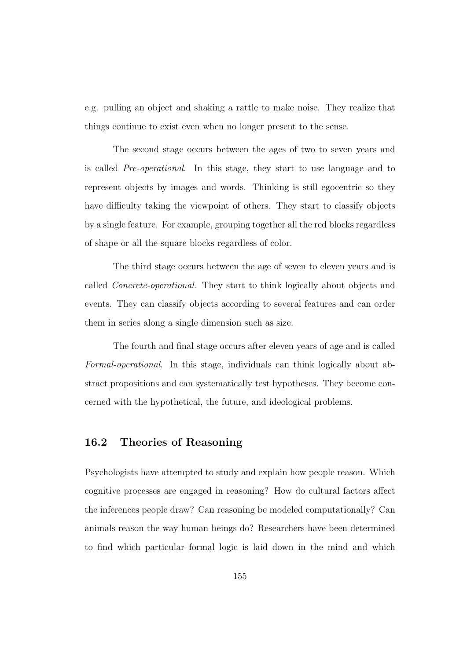e.g. pulling an object and shaking a rattle to make noise. They realize that things continue to exist even when no longer present to the sense.

The second stage occurs between the ages of two to seven years and is called Pre-operational. In this stage, they start to use language and to represent objects by images and words. Thinking is still egocentric so they have difficulty taking the viewpoint of others. They start to classify objects by a single feature. For example, grouping together all the red blocks regardless of shape or all the square blocks regardless of color.

The third stage occurs between the age of seven to eleven years and is called Concrete-operational. They start to think logically about objects and events. They can classify objects according to several features and can order them in series along a single dimension such as size.

The fourth and final stage occurs after eleven years of age and is called Formal-operational. In this stage, individuals can think logically about abstract propositions and can systematically test hypotheses. They become concerned with the hypothetical, the future, and ideological problems.

#### 16.2 Theories of Reasoning

Psychologists have attempted to study and explain how people reason. Which cognitive processes are engaged in reasoning? How do cultural factors affect the inferences people draw? Can reasoning be modeled computationally? Can animals reason the way human beings do? Researchers have been determined to find which particular formal logic is laid down in the mind and which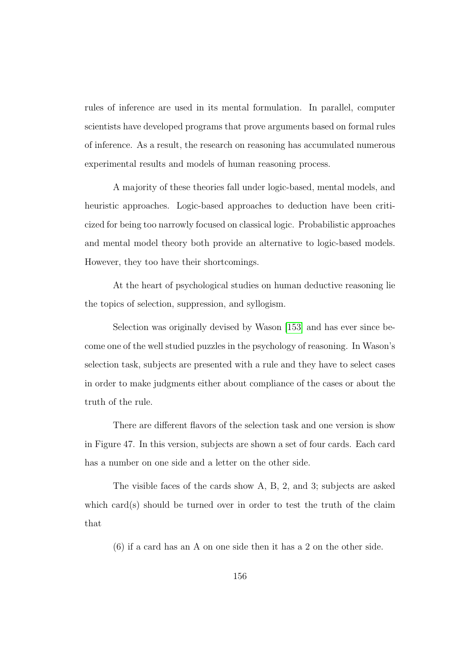rules of inference are used in its mental formulation. In parallel, computer scientists have developed programs that prove arguments based on formal rules of inference. As a result, the research on reasoning has accumulated numerous experimental results and models of human reasoning process.

A majority of these theories fall under logic-based, mental models, and heuristic approaches. Logic-based approaches to deduction have been criticized for being too narrowly focused on classical logic. Probabilistic approaches and mental model theory both provide an alternative to logic-based models. However, they too have their shortcomings.

At the heart of psychological studies on human deductive reasoning lie the topics of selection, suppression, and syllogism.

Selection was originally devised by Wason [\[153\]](#page-204-0) and has ever since become one of the well studied puzzles in the psychology of reasoning. In Wason's selection task, subjects are presented with a rule and they have to select cases in order to make judgments either about compliance of the cases or about the truth of the rule.

There are different flavors of the selection task and one version is show in Figure 47. In this version, subjects are shown a set of four cards. Each card has a number on one side and a letter on the other side.

The visible faces of the cards show A, B, 2, and 3; subjects are asked which card(s) should be turned over in order to test the truth of the claim that

(6) if a card has an A on one side then it has a 2 on the other side.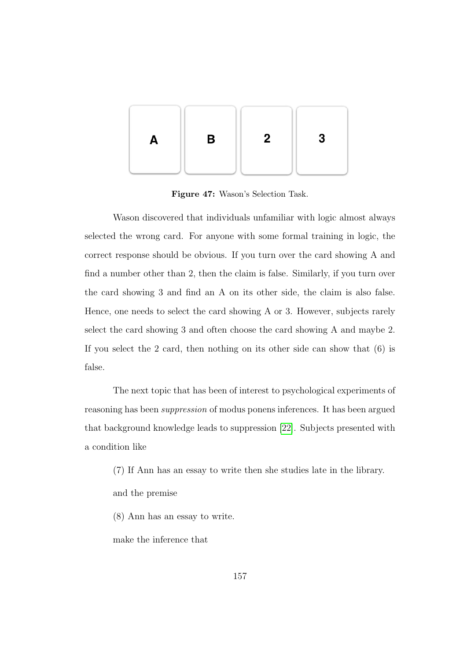

Figure 47: Wason's Selection Task.

Wason discovered that individuals unfamiliar with logic almost always selected the wrong card. For anyone with some formal training in logic, the correct response should be obvious. If you turn over the card showing A and find a number other than 2, then the claim is false. Similarly, if you turn over the card showing 3 and find an A on its other side, the claim is also false. Hence, one needs to select the card showing A or 3. However, subjects rarely select the card showing 3 and often choose the card showing A and maybe 2. If you select the 2 card, then nothing on its other side can show that (6) is false.

The next topic that has been of interest to psychological experiments of reasoning has been suppression of modus ponens inferences. It has been argued that background knowledge leads to suppression [\[22\]](#page-190-0). Subjects presented with a condition like

- (7) If Ann has an essay to write then she studies late in the library.
- and the premise
- (8) Ann has an essay to write.

make the inference that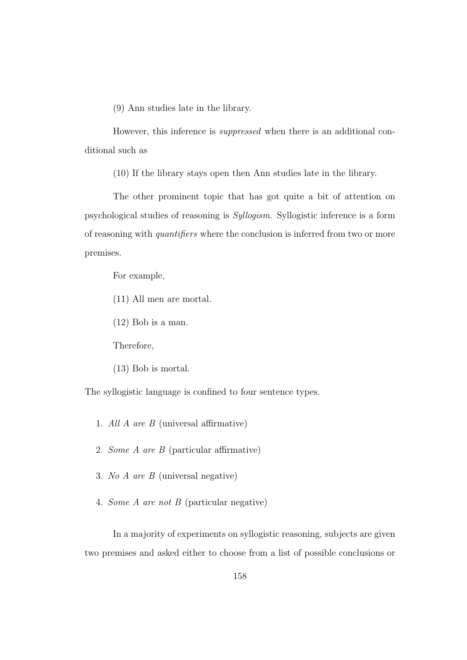(9) Ann studies late in the library.

However, this inference is suppressed when there is an additional conditional such as

(10) If the library stays open then Ann studies late in the library.

The other prominent topic that has got quite a bit of attention on psychological studies of reasoning is Syllogism. Syllogistic inference is a form of reasoning with quantifiers where the conclusion is inferred from two or more premises.

For example,

(11) All men are mortal.

(12) Bob is a man.

Therefore,

(13) Bob is mortal.

The syllogistic language is confined to four sentence types.

- 1. All A are B (universal affirmative)
- 2. Some A are B (particular affirmative)
- 3. No A are B (universal negative)
- 4. Some A are not B (particular negative)

In a majority of experiments on syllogistic reasoning, subjects are given two premises and asked either to choose from a list of possible conclusions or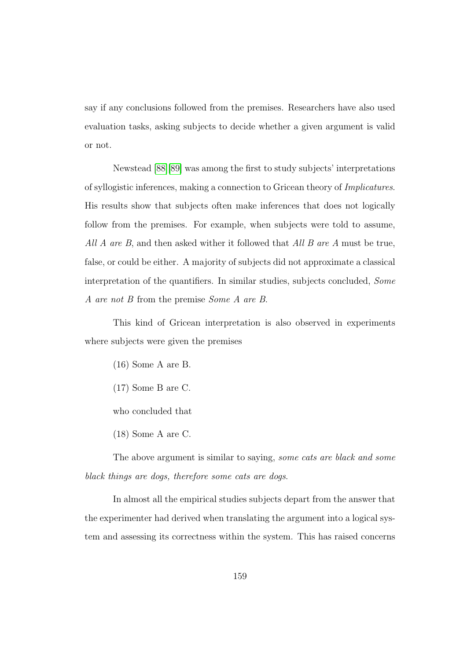say if any conclusions followed from the premises. Researchers have also used evaluation tasks, asking subjects to decide whether a given argument is valid or not.

Newstead [\[88\]](#page-197-0)[\[89\]](#page-197-1) was among the first to study subjects' interpretations of syllogistic inferences, making a connection to Gricean theory of Implicatures. His results show that subjects often make inferences that does not logically follow from the premises. For example, when subjects were told to assume, All A are B, and then asked wither it followed that All B are A must be true, false, or could be either. A majority of subjects did not approximate a classical interpretation of the quantifiers. In similar studies, subjects concluded, Some A are not B from the premise Some A are B.

This kind of Gricean interpretation is also observed in experiments where subjects were given the premises

(16) Some A are B.

(17) Some B are C.

who concluded that

(18) Some A are C.

The above argument is similar to saying, some cats are black and some black things are dogs, therefore some cats are dogs.

In almost all the empirical studies subjects depart from the answer that the experimenter had derived when translating the argument into a logical system and assessing its correctness within the system. This has raised concerns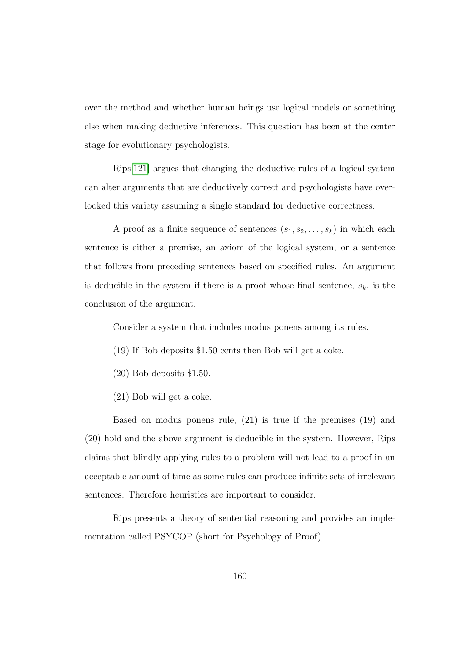over the method and whether human beings use logical models or something else when making deductive inferences. This question has been at the center stage for evolutionary psychologists.

Rips[\[121\]](#page-201-0) argues that changing the deductive rules of a logical system can alter arguments that are deductively correct and psychologists have overlooked this variety assuming a single standard for deductive correctness.

A proof as a finite sequence of sentences  $(s_1, s_2, \ldots, s_k)$  in which each sentence is either a premise, an axiom of the logical system, or a sentence that follows from preceding sentences based on specified rules. An argument is deducible in the system if there is a proof whose final sentence,  $s_k$ , is the conclusion of the argument.

Consider a system that includes modus ponens among its rules.

- (19) If Bob deposits \$1.50 cents then Bob will get a coke.
- (20) Bob deposits \$1.50.
- (21) Bob will get a coke.

Based on modus ponens rule, (21) is true if the premises (19) and (20) hold and the above argument is deducible in the system. However, Rips claims that blindly applying rules to a problem will not lead to a proof in an acceptable amount of time as some rules can produce infinite sets of irrelevant sentences. Therefore heuristics are important to consider.

Rips presents a theory of sentential reasoning and provides an implementation called PSYCOP (short for Psychology of Proof).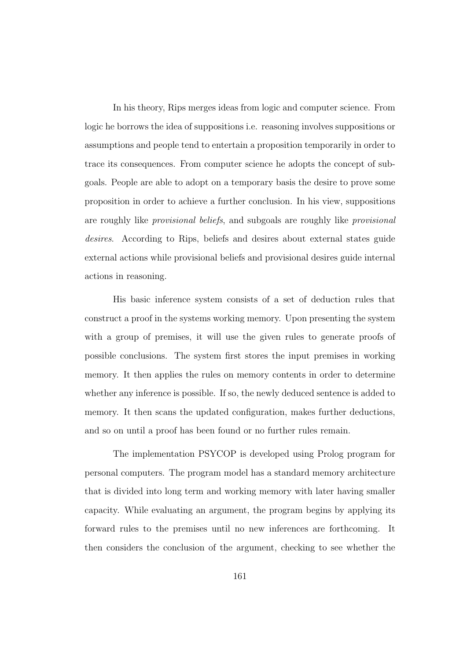In his theory, Rips merges ideas from logic and computer science. From logic he borrows the idea of suppositions i.e. reasoning involves suppositions or assumptions and people tend to entertain a proposition temporarily in order to trace its consequences. From computer science he adopts the concept of subgoals. People are able to adopt on a temporary basis the desire to prove some proposition in order to achieve a further conclusion. In his view, suppositions are roughly like provisional beliefs, and subgoals are roughly like provisional desires. According to Rips, beliefs and desires about external states guide external actions while provisional beliefs and provisional desires guide internal actions in reasoning.

His basic inference system consists of a set of deduction rules that construct a proof in the systems working memory. Upon presenting the system with a group of premises, it will use the given rules to generate proofs of possible conclusions. The system first stores the input premises in working memory. It then applies the rules on memory contents in order to determine whether any inference is possible. If so, the newly deduced sentence is added to memory. It then scans the updated configuration, makes further deductions, and so on until a proof has been found or no further rules remain.

The implementation PSYCOP is developed using Prolog program for personal computers. The program model has a standard memory architecture that is divided into long term and working memory with later having smaller capacity. While evaluating an argument, the program begins by applying its forward rules to the premises until no new inferences are forthcoming. It then considers the conclusion of the argument, checking to see whether the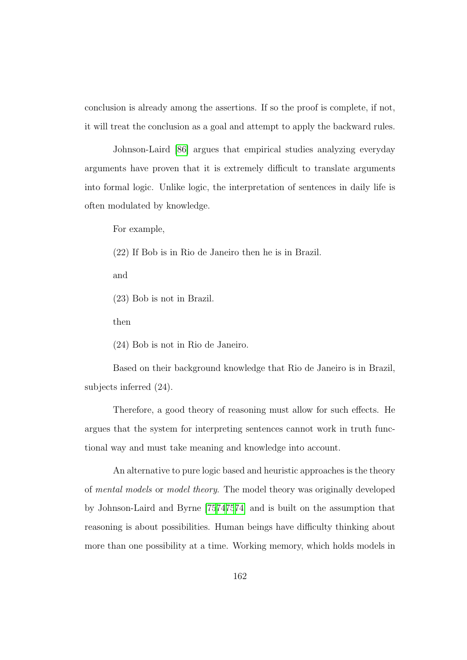conclusion is already among the assertions. If so the proof is complete, if not, it will treat the conclusion as a goal and attempt to apply the backward rules.

Johnson-Laird [\[86\]](#page-197-2) argues that empirical studies analyzing everyday arguments have proven that it is extremely difficult to translate arguments into formal logic. Unlike logic, the interpretation of sentences in daily life is often modulated by knowledge.

For example,

(22) If Bob is in Rio de Janeiro then he is in Brazil.

and

(23) Bob is not in Brazil.

then

(24) Bob is not in Rio de Janeiro.

Based on their background knowledge that Rio de Janeiro is in Brazil, subjects inferred (24).

Therefore, a good theory of reasoning must allow for such effects. He argues that the system for interpreting sentences cannot work in truth functional way and must take meaning and knowledge into account.

An alternative to pure logic based and heuristic approaches is the theory of mental models or model theory. The model theory was originally developed by Johnson-Laird and Byrne [\[75](#page-196-1)[74](#page-195-1)[75](#page-196-1)[74\]](#page-195-1) and is built on the assumption that reasoning is about possibilities. Human beings have difficulty thinking about more than one possibility at a time. Working memory, which holds models in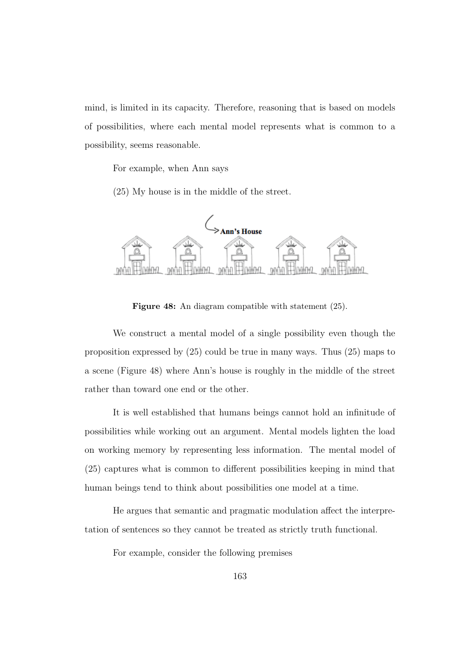mind, is limited in its capacity. Therefore, reasoning that is based on models of possibilities, where each mental model represents what is common to a possibility, seems reasonable.

For example, when Ann says

(25) My house is in the middle of the street.



Figure 48: An diagram compatible with statement (25).

We construct a mental model of a single possibility even though the proposition expressed by  $(25)$  could be true in many ways. Thus  $(25)$  maps to a scene (Figure 48) where Ann's house is roughly in the middle of the street rather than toward one end or the other.

It is well established that humans beings cannot hold an infinitude of possibilities while working out an argument. Mental models lighten the load on working memory by representing less information. The mental model of (25) captures what is common to different possibilities keeping in mind that human beings tend to think about possibilities one model at a time.

He argues that semantic and pragmatic modulation affect the interpretation of sentences so they cannot be treated as strictly truth functional.

For example, consider the following premises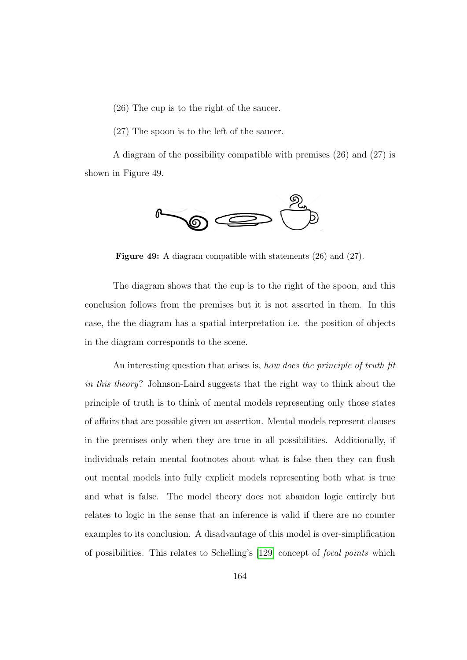- (26) The cup is to the right of the saucer.
- (27) The spoon is to the left of the saucer.

A diagram of the possibility compatible with premises (26) and (27) is shown in Figure 49.



Figure 49: A diagram compatible with statements (26) and (27).

The diagram shows that the cup is to the right of the spoon, and this conclusion follows from the premises but it is not asserted in them. In this case, the the diagram has a spatial interpretation i.e. the position of objects in the diagram corresponds to the scene.

An interesting question that arises is, how does the principle of truth fit in this theory? Johnson-Laird suggests that the right way to think about the principle of truth is to think of mental models representing only those states of affairs that are possible given an assertion. Mental models represent clauses in the premises only when they are true in all possibilities. Additionally, if individuals retain mental footnotes about what is false then they can flush out mental models into fully explicit models representing both what is true and what is false. The model theory does not abandon logic entirely but relates to logic in the sense that an inference is valid if there are no counter examples to its conclusion. A disadvantage of this model is over-simplification of possibilities. This relates to Schelling's [\[129\]](#page-201-1) concept of focal points which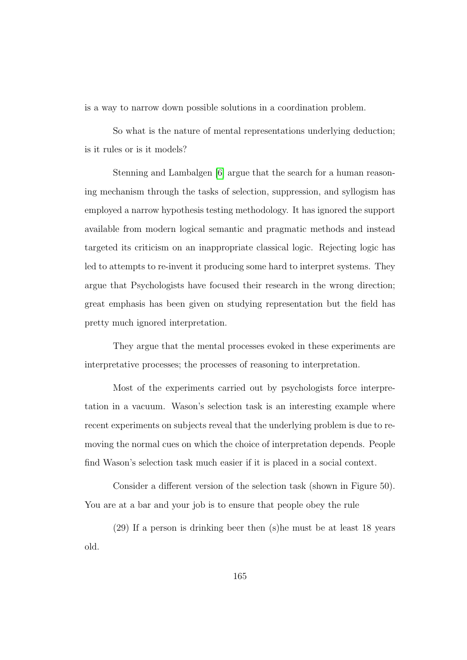is a way to narrow down possible solutions in a coordination problem.

So what is the nature of mental representations underlying deduction; is it rules or is it models?

Stenning and Lambalgen [\[6\]](#page-187-0) argue that the search for a human reasoning mechanism through the tasks of selection, suppression, and syllogism has employed a narrow hypothesis testing methodology. It has ignored the support available from modern logical semantic and pragmatic methods and instead targeted its criticism on an inappropriate classical logic. Rejecting logic has led to attempts to re-invent it producing some hard to interpret systems. They argue that Psychologists have focused their research in the wrong direction; great emphasis has been given on studying representation but the field has pretty much ignored interpretation.

They argue that the mental processes evoked in these experiments are interpretative processes; the processes of reasoning to interpretation.

Most of the experiments carried out by psychologists force interpretation in a vacuum. Wason's selection task is an interesting example where recent experiments on subjects reveal that the underlying problem is due to removing the normal cues on which the choice of interpretation depends. People find Wason's selection task much easier if it is placed in a social context.

Consider a different version of the selection task (shown in Figure 50). You are at a bar and your job is to ensure that people obey the rule

(29) If a person is drinking beer then (s)he must be at least 18 years old.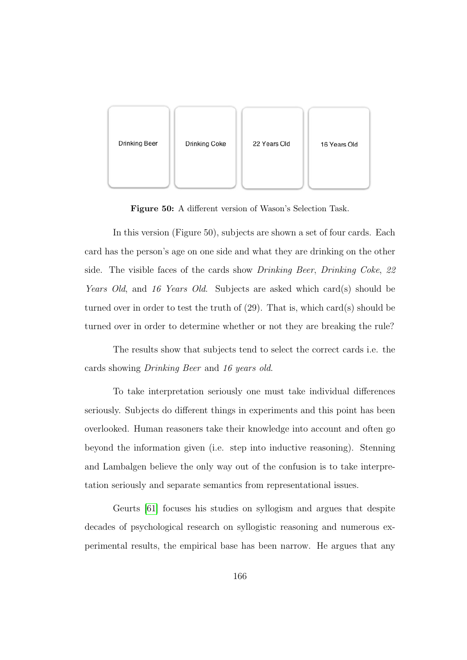

Figure 50: A different version of Wason's Selection Task.

In this version (Figure 50), subjects are shown a set of four cards. Each card has the person's age on one side and what they are drinking on the other side. The visible faces of the cards show *Drinking Beer*, *Drinking Coke*, 22 Years Old, and 16 Years Old. Subjects are asked which card(s) should be turned over in order to test the truth of (29). That is, which card(s) should be turned over in order to determine whether or not they are breaking the rule?

The results show that subjects tend to select the correct cards i.e. the cards showing Drinking Beer and 16 years old.

To take interpretation seriously one must take individual differences seriously. Subjects do different things in experiments and this point has been overlooked. Human reasoners take their knowledge into account and often go beyond the information given (i.e. step into inductive reasoning). Stenning and Lambalgen believe the only way out of the confusion is to take interpretation seriously and separate semantics from representational issues.

Geurts [\[61\]](#page-194-0) focuses his studies on syllogism and argues that despite decades of psychological research on syllogistic reasoning and numerous experimental results, the empirical base has been narrow. He argues that any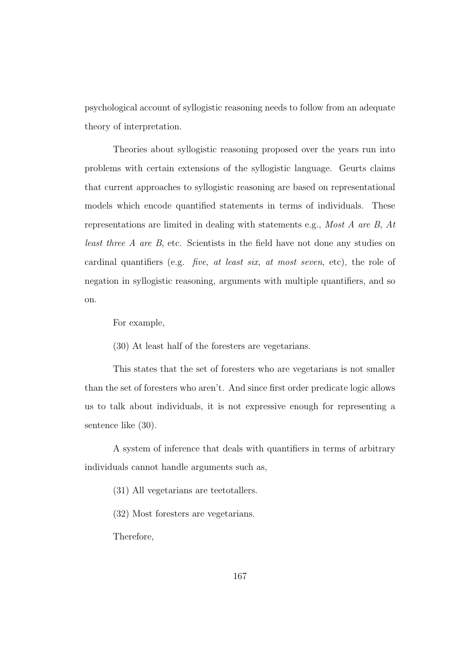psychological account of syllogistic reasoning needs to follow from an adequate theory of interpretation.

Theories about syllogistic reasoning proposed over the years run into problems with certain extensions of the syllogistic language. Geurts claims that current approaches to syllogistic reasoning are based on representational models which encode quantified statements in terms of individuals. These representations are limited in dealing with statements e.g., Most A are B, At least three A are B, etc. Scientists in the field have not done any studies on cardinal quantifiers (e.g. five, at least six, at most seven, etc), the role of negation in syllogistic reasoning, arguments with multiple quantifiers, and so on.

For example,

(30) At least half of the foresters are vegetarians.

This states that the set of foresters who are vegetarians is not smaller than the set of foresters who aren't. And since first order predicate logic allows us to talk about individuals, it is not expressive enough for representing a sentence like (30).

A system of inference that deals with quantifiers in terms of arbitrary individuals cannot handle arguments such as,

(31) All vegetarians are teetotallers.

(32) Most foresters are vegetarians.

Therefore,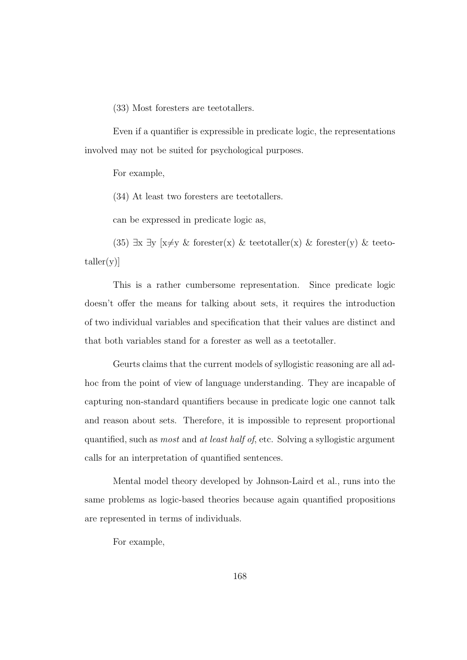(33) Most foresters are teetotallers.

Even if a quantifier is expressible in predicate logic, the representations involved may not be suited for psychological purposes.

For example,

(34) At least two foresters are teetotallers.

can be expressed in predicate logic as,

(35)  $\exists x \exists y$  [x≠y & forester(x) & teetotaller(x) & forester(y) & teeto $taller(v)$ ]

This is a rather cumbersome representation. Since predicate logic doesn't offer the means for talking about sets, it requires the introduction of two individual variables and specification that their values are distinct and that both variables stand for a forester as well as a teetotaller.

Geurts claims that the current models of syllogistic reasoning are all adhoc from the point of view of language understanding. They are incapable of capturing non-standard quantifiers because in predicate logic one cannot talk and reason about sets. Therefore, it is impossible to represent proportional quantified, such as most and at least half of, etc. Solving a syllogistic argument calls for an interpretation of quantified sentences.

Mental model theory developed by Johnson-Laird et al., runs into the same problems as logic-based theories because again quantified propositions are represented in terms of individuals.

For example,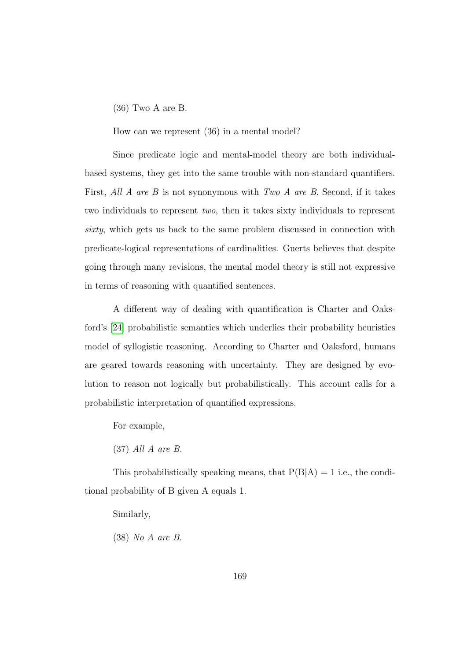## (36) Two A are B.

How can we represent (36) in a mental model?

Since predicate logic and mental-model theory are both individualbased systems, they get into the same trouble with non-standard quantifiers. First, All A are B is not synonymous with Two A are B. Second, if it takes two individuals to represent two, then it takes sixty individuals to represent sixty, which gets us back to the same problem discussed in connection with predicate-logical representations of cardinalities. Guerts believes that despite going through many revisions, the mental model theory is still not expressive in terms of reasoning with quantified sentences.

A different way of dealing with quantification is Charter and Oaksford's [\[24\]](#page-190-0) probabilistic semantics which underlies their probability heuristics model of syllogistic reasoning. According to Charter and Oaksford, humans are geared towards reasoning with uncertainty. They are designed by evolution to reason not logically but probabilistically. This account calls for a probabilistic interpretation of quantified expressions.

For example,

(37) All A are B.

This probabilistically speaking means, that  $P(B|A) = 1$  i.e., the conditional probability of B given A equals 1.

Similarly,

(38) No A are B.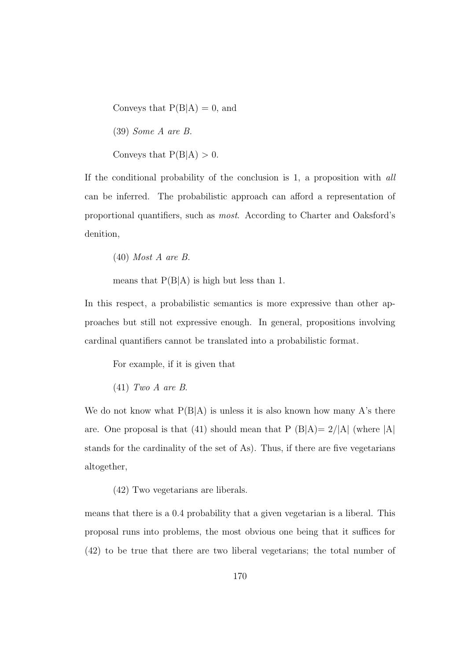Conveys that  $P(B|A) = 0$ , and

(39) Some A are B.

Conveys that  $P(B|A) > 0$ .

If the conditional probability of the conclusion is 1, a proposition with all can be inferred. The probabilistic approach can afford a representation of proportional quantifiers, such as most. According to Charter and Oaksford's denition,

(40) Most A are B.

means that  $P(B|A)$  is high but less than 1.

In this respect, a probabilistic semantics is more expressive than other approaches but still not expressive enough. In general, propositions involving cardinal quantifiers cannot be translated into a probabilistic format.

For example, if it is given that

(41) Two A are B.

We do not know what  $P(B|A)$  is unless it is also known how many A's there are. One proposal is that (41) should mean that  $P(B|A)=2/|A|$  (where  $|A|$ stands for the cardinality of the set of As). Thus, if there are five vegetarians altogether,

(42) Two vegetarians are liberals.

means that there is a 0.4 probability that a given vegetarian is a liberal. This proposal runs into problems, the most obvious one being that it suffices for (42) to be true that there are two liberal vegetarians; the total number of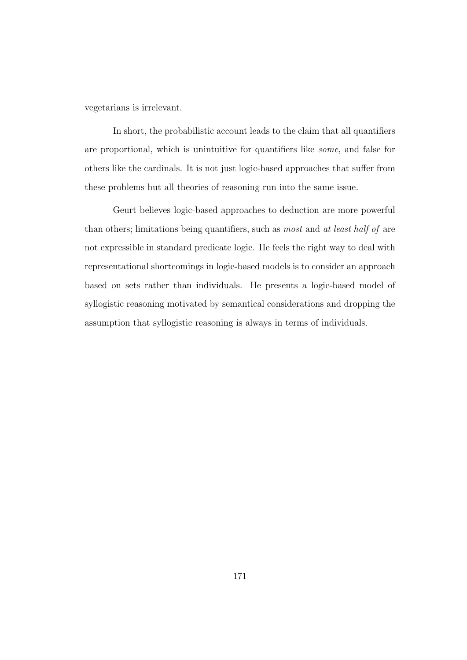vegetarians is irrelevant.

In short, the probabilistic account leads to the claim that all quantifiers are proportional, which is unintuitive for quantifiers like some, and false for others like the cardinals. It is not just logic-based approaches that suffer from these problems but all theories of reasoning run into the same issue.

Geurt believes logic-based approaches to deduction are more powerful than others; limitations being quantifiers, such as most and at least half of are not expressible in standard predicate logic. He feels the right way to deal with representational shortcomings in logic-based models is to consider an approach based on sets rather than individuals. He presents a logic-based model of syllogistic reasoning motivated by semantical considerations and dropping the assumption that syllogistic reasoning is always in terms of individuals.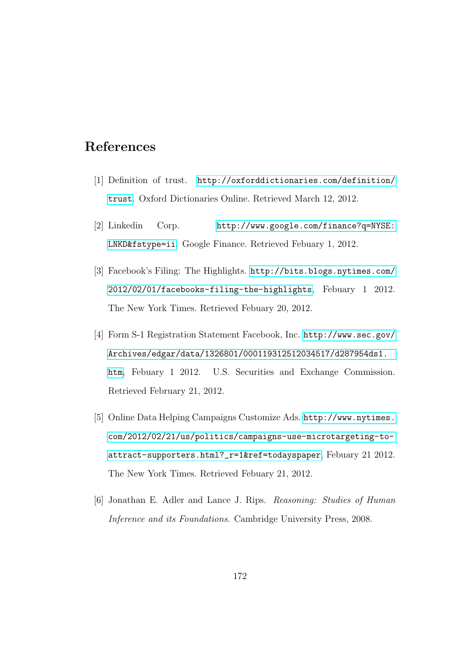## References

- [1] Definition of trust. [http://oxforddictionaries.com/definition/](http://oxforddictionaries.com/definition/trust) [trust](http://oxforddictionaries.com/definition/trust). Oxford Dictionaries Online. Retrieved March 12, 2012.
- [2] Linkedin Corp. [http://www.google.com/finance?q=NYSE:](http://www.google.com/finance?q=NYSE:LNKD&fstype=ii) [LNKD&fstype=ii](http://www.google.com/finance?q=NYSE:LNKD&fstype=ii). Google Finance. Retrieved Febuary 1, 2012.
- [3] Facebook's Filing: The Highlights. [http://bits.blogs.nytimes.com/](http://bits.blogs.nytimes.com/2012/02/01/facebooks-filing-the-highlights) [2012/02/01/facebooks-filing-the-highlights](http://bits.blogs.nytimes.com/2012/02/01/facebooks-filing-the-highlights), Febuary 1 2012. The New York Times. Retrieved Febuary 20, 2012.
- [4] Form S-1 Registration Statement Facebook, Inc. [http://www.sec.gov/](http://www.sec.gov/Archives/edgar/data/1326801/000119312512034517/d287954ds1.htm) [Archives/edgar/data/1326801/000119312512034517/d287954ds1.](http://www.sec.gov/Archives/edgar/data/1326801/000119312512034517/d287954ds1.htm) [htm](http://www.sec.gov/Archives/edgar/data/1326801/000119312512034517/d287954ds1.htm), Febuary 1 2012. U.S. Securities and Exchange Commission. Retrieved February 21, 2012.
- [5] Online Data Helping Campaigns Customize Ads. [http://www.nytimes.](http://www.nytimes.com/2012/02/21/us/politics/campaigns-use-microtargeting-to-attract-supporters.html?_r=1&ref=todayspaper) [com/2012/02/21/us/politics/campaigns-use-microtargeting-to](http://www.nytimes.com/2012/02/21/us/politics/campaigns-use-microtargeting-to-attract-supporters.html?_r=1&ref=todayspaper)[attract-supporters.html?\\_r=1&ref=todayspaper](http://www.nytimes.com/2012/02/21/us/politics/campaigns-use-microtargeting-to-attract-supporters.html?_r=1&ref=todayspaper), Febuary 21 2012. The New York Times. Retrieved Febuary 21, 2012.
- <span id="page-187-0"></span>[6] Jonathan E. Adler and Lance J. Rips. Reasoning: Studies of Human Inference and its Foundations. Cambridge University Press, 2008.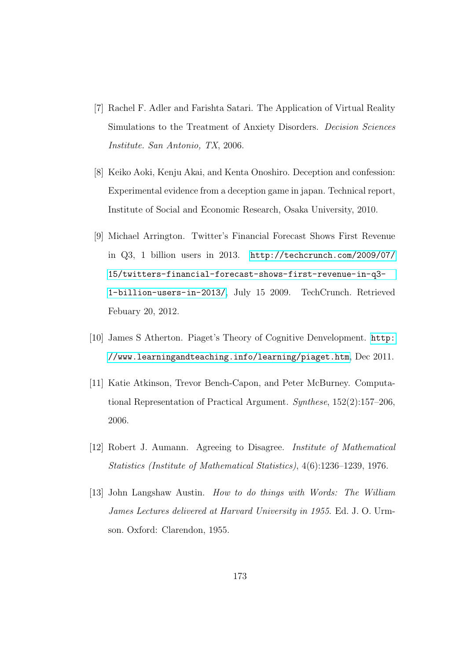- [7] Rachel F. Adler and Farishta Satari. The Application of Virtual Reality Simulations to the Treatment of Anxiety Disorders. Decision Sciences Institute. San Antonio, TX, 2006.
- [8] Keiko Aoki, Kenju Akai, and Kenta Onoshiro. Deception and confession: Experimental evidence from a deception game in japan. Technical report, Institute of Social and Economic Research, Osaka University, 2010.
- [9] Michael Arrington. Twitter's Financial Forecast Shows First Revenue in Q3, 1 billion users in 2013. [http://techcrunch.com/2009/07/](http://techcrunch.com/2009/07/15/twitters-financial-forecast-shows-first-revenue-in-q3-1-billion-users-in-2013/) [15/twitters-financial-forecast-shows-first-revenue-in-q3-](http://techcrunch.com/2009/07/15/twitters-financial-forecast-shows-first-revenue-in-q3-1-billion-users-in-2013/) [1-billion-users-in-2013/](http://techcrunch.com/2009/07/15/twitters-financial-forecast-shows-first-revenue-in-q3-1-billion-users-in-2013/), July 15 2009. TechCrunch. Retrieved Febuary 20, 2012.
- [10] James S Atherton. Piaget's Theory of Cognitive Denvelopment. [http:](http://www.learningandteaching.info/learning/piaget.htm) [//www.learningandteaching.info/learning/piaget.htm](http://www.learningandteaching.info/learning/piaget.htm), Dec 2011.
- [11] Katie Atkinson, Trevor Bench-Capon, and Peter McBurney. Computational Representation of Practical Argument. Synthese, 152(2):157–206, 2006.
- [12] Robert J. Aumann. Agreeing to Disagree. Institute of Mathematical Statistics (Institute of Mathematical Statistics), 4(6):1236–1239, 1976.
- [13] John Langshaw Austin. How to do things with Words: The William James Lectures delivered at Harvard University in 1955. Ed. J. O. Urmson. Oxford: Clarendon, 1955.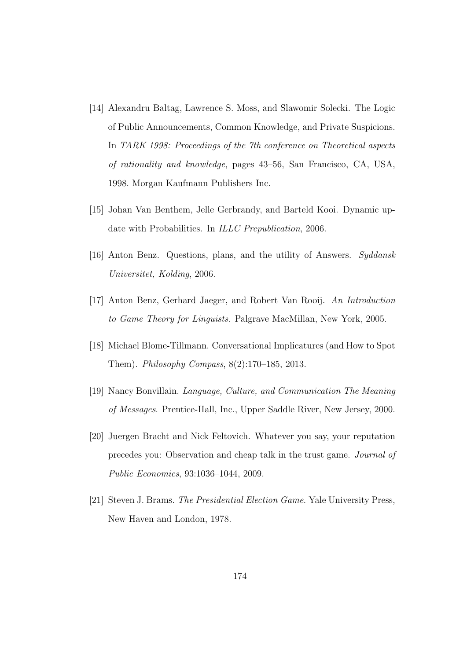- [14] Alexandru Baltag, Lawrence S. Moss, and Slawomir Solecki. The Logic of Public Announcements, Common Knowledge, and Private Suspicions. In TARK 1998: Proceedings of the 7th conference on Theoretical aspects of rationality and knowledge, pages 43–56, San Francisco, CA, USA, 1998. Morgan Kaufmann Publishers Inc.
- [15] Johan Van Benthem, Jelle Gerbrandy, and Barteld Kooi. Dynamic update with Probabilities. In ILLC Prepublication, 2006.
- [16] Anton Benz. Questions, plans, and the utility of Answers. Syddansk Universitet, Kolding, 2006.
- [17] Anton Benz, Gerhard Jaeger, and Robert Van Rooij. An Introduction to Game Theory for Linguists. Palgrave MacMillan, New York, 2005.
- [18] Michael Blome-Tillmann. Conversational Implicatures (and How to Spot Them). Philosophy Compass, 8(2):170–185, 2013.
- [19] Nancy Bonvillain. Language, Culture, and Communication The Meaning of Messages. Prentice-Hall, Inc., Upper Saddle River, New Jersey, 2000.
- [20] Juergen Bracht and Nick Feltovich. Whatever you say, your reputation precedes you: Observation and cheap talk in the trust game. Journal of Public Economics, 93:1036–1044, 2009.
- [21] Steven J. Brams. The Presidential Election Game. Yale University Press, New Haven and London, 1978.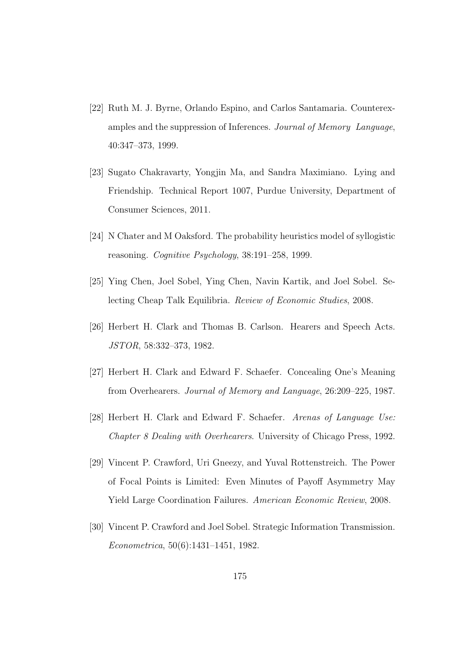- [22] Ruth M. J. Byrne, Orlando Espino, and Carlos Santamaria. Counterexamples and the suppression of Inferences. Journal of Memory Language, 40:347–373, 1999.
- [23] Sugato Chakravarty, Yongjin Ma, and Sandra Maximiano. Lying and Friendship. Technical Report 1007, Purdue University, Department of Consumer Sciences, 2011.
- <span id="page-190-0"></span>[24] N Chater and M Oaksford. The probability heuristics model of syllogistic reasoning. Cognitive Psychology, 38:191–258, 1999.
- [25] Ying Chen, Joel Sobel, Ying Chen, Navin Kartik, and Joel Sobel. Selecting Cheap Talk Equilibria. Review of Economic Studies, 2008.
- [26] Herbert H. Clark and Thomas B. Carlson. Hearers and Speech Acts. JSTOR, 58:332–373, 1982.
- [27] Herbert H. Clark and Edward F. Schaefer. Concealing One's Meaning from Overhearers. Journal of Memory and Language, 26:209–225, 1987.
- [28] Herbert H. Clark and Edward F. Schaefer. Arenas of Language Use: Chapter 8 Dealing with Overhearers. University of Chicago Press, 1992.
- [29] Vincent P. Crawford, Uri Gneezy, and Yuval Rottenstreich. The Power of Focal Points is Limited: Even Minutes of Payoff Asymmetry May Yield Large Coordination Failures. American Economic Review, 2008.
- [30] Vincent P. Crawford and Joel Sobel. Strategic Information Transmission. Econometrica, 50(6):1431–1451, 1982.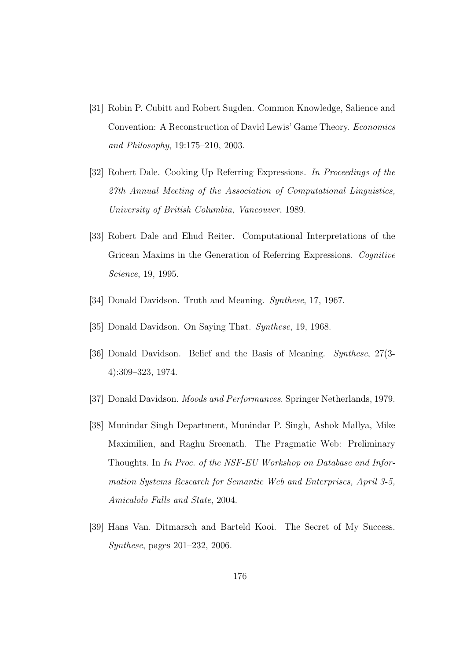- [31] Robin P. Cubitt and Robert Sugden. Common Knowledge, Salience and Convention: A Reconstruction of David Lewis' Game Theory. Economics and Philosophy, 19:175–210, 2003.
- [32] Robert Dale. Cooking Up Referring Expressions. In Proceedings of the 27th Annual Meeting of the Association of Computational Linguistics, University of British Columbia, Vancouver, 1989.
- [33] Robert Dale and Ehud Reiter. Computational Interpretations of the Gricean Maxims in the Generation of Referring Expressions. Cognitive Science, 19, 1995.
- [34] Donald Davidson. Truth and Meaning. Synthese, 17, 1967.
- [35] Donald Davidson. On Saying That. Synthese, 19, 1968.
- [36] Donald Davidson. Belief and the Basis of Meaning. Synthese, 27(3- 4):309–323, 1974.
- [37] Donald Davidson. *Moods and Performances*. Springer Netherlands, 1979.
- [38] Munindar Singh Department, Munindar P. Singh, Ashok Mallya, Mike Maximilien, and Raghu Sreenath. The Pragmatic Web: Preliminary Thoughts. In In Proc. of the NSF-EU Workshop on Database and Information Systems Research for Semantic Web and Enterprises, April 3-5, Amicalolo Falls and State, 2004.
- [39] Hans Van. Ditmarsch and Barteld Kooi. The Secret of My Success. Synthese, pages 201–232, 2006.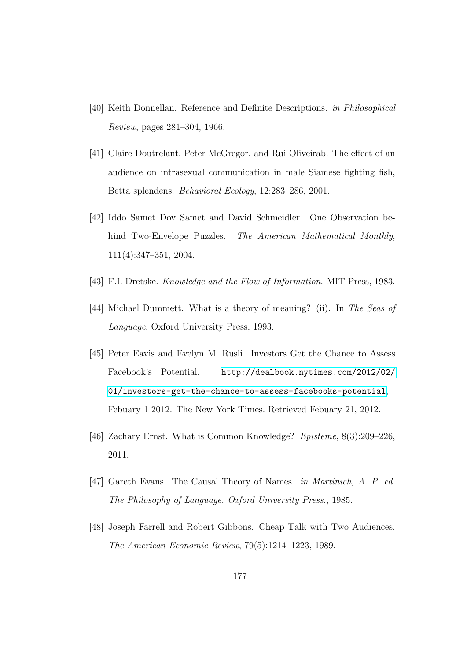- [40] Keith Donnellan. Reference and Definite Descriptions. in Philosophical Review, pages 281–304, 1966.
- [41] Claire Doutrelant, Peter McGregor, and Rui Oliveirab. The effect of an audience on intrasexual communication in male Siamese fighting fish, Betta splendens. Behavioral Ecology, 12:283–286, 2001.
- [42] Iddo Samet Dov Samet and David Schmeidler. One Observation behind Two-Envelope Puzzles. The American Mathematical Monthly, 111(4):347–351, 2004.
- [43] F.I. Dretske. *Knowledge and the Flow of Information*. MIT Press, 1983.
- [44] Michael Dummett. What is a theory of meaning? (ii). In The Seas of Language. Oxford University Press, 1993.
- [45] Peter Eavis and Evelyn M. Rusli. Investors Get the Chance to Assess Facebook's Potential. [http://dealbook.nytimes.com/2012/02/](http://dealbook.nytimes.com/2012/02/01/investors-get-the-chance-to-assess-facebooks-potential) [01/investors-get-the-chance-to-assess-facebooks-potential](http://dealbook.nytimes.com/2012/02/01/investors-get-the-chance-to-assess-facebooks-potential), Febuary 1 2012. The New York Times. Retrieved Febuary 21, 2012.
- [46] Zachary Ernst. What is Common Knowledge? Episteme, 8(3):209–226, 2011.
- [47] Gareth Evans. The Causal Theory of Names. in Martinich, A. P. ed. The Philosophy of Language. Oxford University Press., 1985.
- [48] Joseph Farrell and Robert Gibbons. Cheap Talk with Two Audiences. The American Economic Review, 79(5):1214–1223, 1989.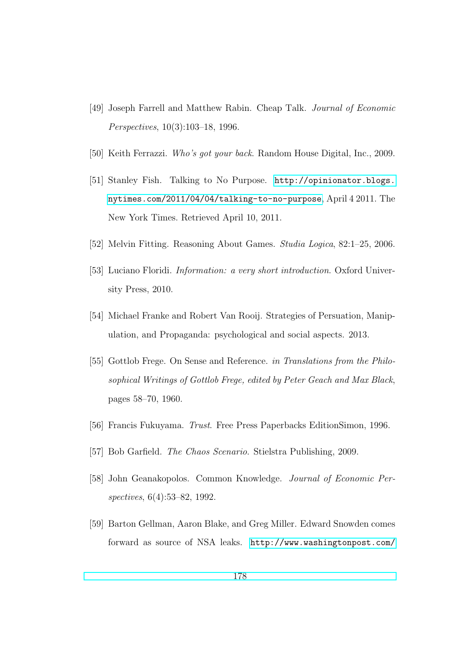- [49] Joseph Farrell and Matthew Rabin. Cheap Talk. Journal of Economic Perspectives, 10(3):103–18, 1996.
- [50] Keith Ferrazzi. Who's got your back. Random House Digital, Inc., 2009.
- [51] Stanley Fish. Talking to No Purpose. [http://opinionator.blogs.](http://opinionator.blogs.nytimes.com/2011/04/04/talking-to-no-purpose) [nytimes.com/2011/04/04/talking-to-no-purpose](http://opinionator.blogs.nytimes.com/2011/04/04/talking-to-no-purpose), April 4 2011. The New York Times. Retrieved April 10, 2011.
- [52] Melvin Fitting. Reasoning About Games. Studia Logica, 82:1–25, 2006.
- [53] Luciano Floridi. *Information: a very short introduction*. Oxford University Press, 2010.
- [54] Michael Franke and Robert Van Rooij. Strategies of Persuation, Manipulation, and Propaganda: psychological and social aspects. 2013.
- [55] Gottlob Frege. On Sense and Reference. *in Translations from the Philo*sophical Writings of Gottlob Frege, edited by Peter Geach and Max Black, pages 58–70, 1960.
- [56] Francis Fukuyama. Trust. Free Press Paperbacks EditionSimon, 1996.
- [57] Bob Garfield. The Chaos Scenario. Stielstra Publishing, 2009.
- [58] John Geanakopolos. Common Knowledge. Journal of Economic Perspectives, 6(4):53–82, 1992.
- [59] Barton Gellman, Aaron Blake, and Greg Miller. Edward Snowden comes forward as source of NSA leaks. [http://www.washingtonpost.com/](http://www.washingtonpost.com/politics/intelligence-leaders-push-back-on-leakers-media/2013/06/09/fff80160-d122-11e2-a73e-826d299ff459_story.html)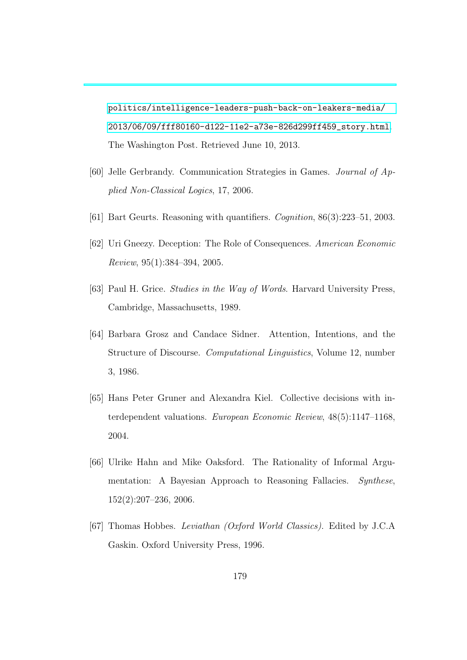[politics/intelligence-leaders-push-back-on-leakers-media/](http://www.washingtonpost.com/politics/intelligence-leaders-push-back-on-leakers-media/2013/06/09/fff80160-d122-11e2-a73e-826d299ff459_story.html) [2013/06/09/fff80160-d122-11e2-a73e-826d299ff459\\_story.html](http://www.washingtonpost.com/politics/intelligence-leaders-push-back-on-leakers-media/2013/06/09/fff80160-d122-11e2-a73e-826d299ff459_story.html). The Washington Post. Retrieved June 10, 2013.

- [60] Jelle Gerbrandy. Communication Strategies in Games. Journal of Applied Non-Classical Logics, 17, 2006.
- <span id="page-194-0"></span>[61] Bart Geurts. Reasoning with quantifiers. Cognition, 86(3):223–51, 2003.
- [62] Uri Gneezy. Deception: The Role of Consequences. American Economic Review, 95(1):384–394, 2005.
- [63] Paul H. Grice. Studies in the Way of Words. Harvard University Press, Cambridge, Massachusetts, 1989.
- [64] Barbara Grosz and Candace Sidner. Attention, Intentions, and the Structure of Discourse. Computational Linguistics, Volume 12, number 3, 1986.
- [65] Hans Peter Gruner and Alexandra Kiel. Collective decisions with interdependent valuations. European Economic Review, 48(5):1147–1168, 2004.
- [66] Ulrike Hahn and Mike Oaksford. The Rationality of Informal Argumentation: A Bayesian Approach to Reasoning Fallacies. Synthese, 152(2):207–236, 2006.
- [67] Thomas Hobbes. Leviathan (Oxford World Classics). Edited by J.C.A Gaskin. Oxford University Press, 1996.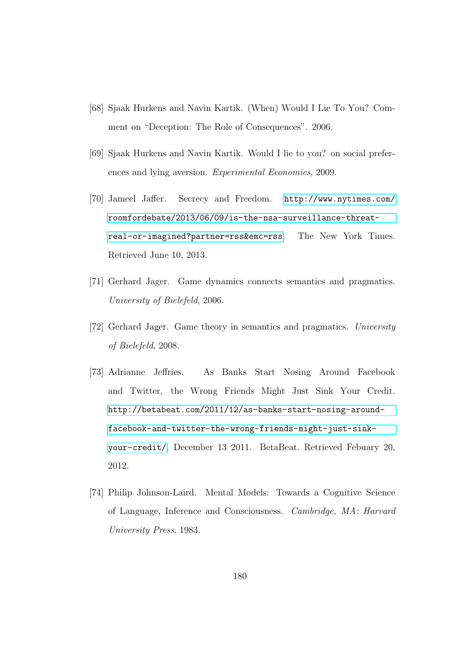- [68] Sjaak Hurkens and Navin Kartik. (When) Would I Lie To You? Comment on "Deception: The Role of Consequences". 2006.
- [69] Sjaak Hurkens and Navin Kartik. Would I lie to you? on social preferences and lying aversion. Experimental Economics, 2009.
- [70] Jameel Jaffer. Secrecy and Freedom. [http://www.nytimes.com/](http://www.nytimes.com/roomfordebate/2013/06/09/is-the-nsa-surveillance-threat-real-or-imagined?partner=rss&emc=rss) [roomfordebate/2013/06/09/is-the-nsa-surveillance-threat](http://www.nytimes.com/roomfordebate/2013/06/09/is-the-nsa-surveillance-threat-real-or-imagined?partner=rss&emc=rss)[real-or-imagined?partner=rss&emc=rss](http://www.nytimes.com/roomfordebate/2013/06/09/is-the-nsa-surveillance-threat-real-or-imagined?partner=rss&emc=rss). The New York Times. Retrieved June 10, 2013.
- [71] Gerhard Jager. Game dynamics connects semantics and pragmatics. University of Bielefeld, 2006.
- [72] Gerhard Jager. Game theory in semantics and pragmatics. University of Bielefeld, 2008.
- [73] Adrianne Jeffries. As Banks Start Nosing Around Facebook and Twitter, the Wrong Friends Might Just Sink Your Credit. [http://betabeat.com/2011/12/as-banks-start-nosing-around](http://betabeat.com/2011/12/as-banks-start-nosing-around-facebook-and-twitter-the-wrong-friends-might-just-sink-your-credit/)[facebook-and-twitter-the-wrong-friends-might-just-sink](http://betabeat.com/2011/12/as-banks-start-nosing-around-facebook-and-twitter-the-wrong-friends-might-just-sink-your-credit/)[your-credit/](http://betabeat.com/2011/12/as-banks-start-nosing-around-facebook-and-twitter-the-wrong-friends-might-just-sink-your-credit/), December 13 2011. BetaBeat. Retrieved Febuary 20, 2012.
- [74] Philip Johnson-Laird. Mental Models: Towards a Cognitive Science of Language, Inference and Consciousness. Cambridge, MA: Harvard University Press, 1983.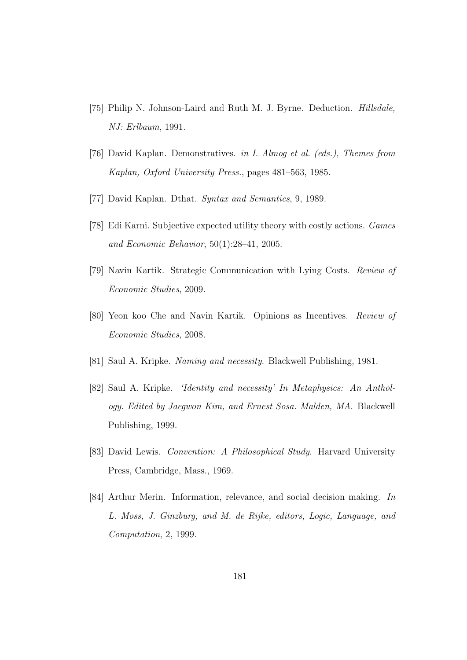- [75] Philip N. Johnson-Laird and Ruth M. J. Byrne. Deduction. *Hillsdale*, NJ: Erlbaum, 1991.
- [76] David Kaplan. Demonstratives. in I. Almog et al. (eds.), Themes from Kaplan, Oxford University Press., pages 481–563, 1985.
- [77] David Kaplan. Dthat. Syntax and Semantics, 9, 1989.
- [78] Edi Karni. Subjective expected utility theory with costly actions. Games and Economic Behavior, 50(1):28–41, 2005.
- [79] Navin Kartik. Strategic Communication with Lying Costs. Review of Economic Studies, 2009.
- [80] Yeon koo Che and Navin Kartik. Opinions as Incentives. Review of Economic Studies, 2008.
- [81] Saul A. Kripke. Naming and necessity. Blackwell Publishing, 1981.
- [82] Saul A. Kripke. 'Identity and necessity' In Metaphysics: An Anthology. Edited by Jaegwon Kim, and Ernest Sosa. Malden, MA. Blackwell Publishing, 1999.
- [83] David Lewis. Convention: A Philosophical Study. Harvard University Press, Cambridge, Mass., 1969.
- [84] Arthur Merin. Information, relevance, and social decision making. In L. Moss, J. Ginzburg, and M. de Rijke, editors, Logic, Language, and Computation, 2, 1999.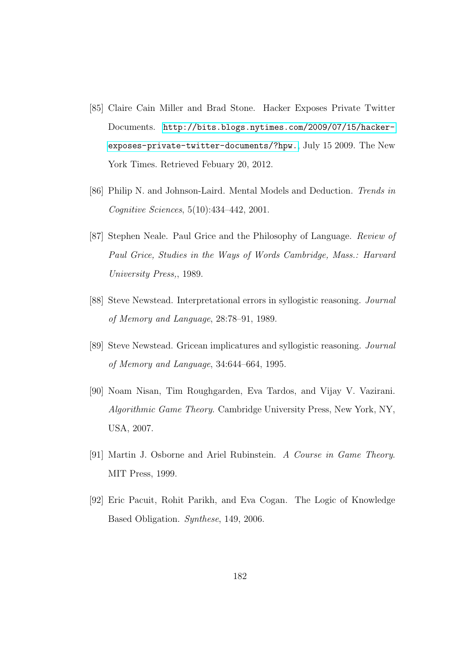- [85] Claire Cain Miller and Brad Stone. Hacker Exposes Private Twitter Documents. [http://bits.blogs.nytimes.com/2009/07/15/hacker](http://bits.blogs.nytimes.com/2009/07/15/hacker-exposes-private-twitter-documents/?hpw.)[exposes-private-twitter-documents/?hpw.](http://bits.blogs.nytimes.com/2009/07/15/hacker-exposes-private-twitter-documents/?hpw.), July 15 2009. The New York Times. Retrieved Febuary 20, 2012.
- [86] Philip N. and Johnson-Laird. Mental Models and Deduction. Trends in Cognitive Sciences, 5(10):434–442, 2001.
- [87] Stephen Neale. Paul Grice and the Philosophy of Language. Review of Paul Grice, Studies in the Ways of Words Cambridge, Mass.: Harvard University Press,, 1989.
- [88] Steve Newstead. Interpretational errors in syllogistic reasoning. Journal of Memory and Language, 28:78–91, 1989.
- [89] Steve Newstead. Gricean implicatures and syllogistic reasoning. Journal of Memory and Language, 34:644–664, 1995.
- [90] Noam Nisan, Tim Roughgarden, Eva Tardos, and Vijay V. Vazirani. Algorithmic Game Theory. Cambridge University Press, New York, NY, USA, 2007.
- [91] Martin J. Osborne and Ariel Rubinstein. A Course in Game Theory. MIT Press, 1999.
- [92] Eric Pacuit, Rohit Parikh, and Eva Cogan. The Logic of Knowledge Based Obligation. Synthese, 149, 2006.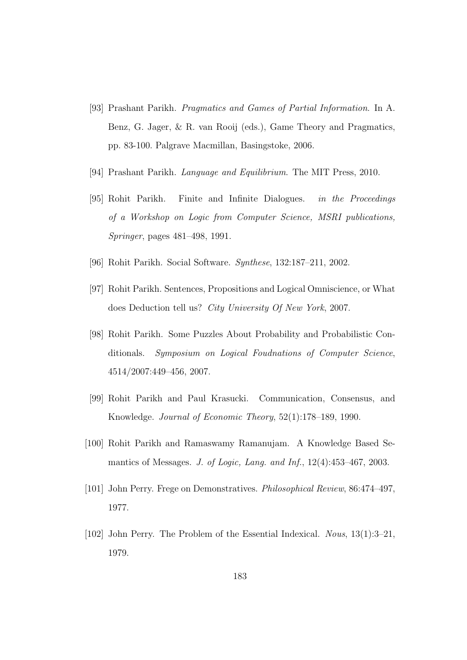- [93] Prashant Parikh. Pragmatics and Games of Partial Information. In A. Benz, G. Jager, & R. van Rooij (eds.), Game Theory and Pragmatics, pp. 83-100. Palgrave Macmillan, Basingstoke, 2006.
- [94] Prashant Parikh. Language and Equilibrium. The MIT Press, 2010.
- [95] Rohit Parikh. Finite and Infinite Dialogues. in the Proceedings of a Workshop on Logic from Computer Science, MSRI publications, Springer, pages 481–498, 1991.
- [96] Rohit Parikh. Social Software. Synthese, 132:187–211, 2002.
- [97] Rohit Parikh. Sentences, Propositions and Logical Omniscience, or What does Deduction tell us? City University Of New York, 2007.
- [98] Rohit Parikh. Some Puzzles About Probability and Probabilistic Conditionals. Symposium on Logical Foudnations of Computer Science, 4514/2007:449–456, 2007.
- [99] Rohit Parikh and Paul Krasucki. Communication, Consensus, and Knowledge. Journal of Economic Theory, 52(1):178–189, 1990.
- [100] Rohit Parikh and Ramaswamy Ramanujam. A Knowledge Based Semantics of Messages. J. of Logic, Lang. and Inf., 12(4):453–467, 2003.
- [101] John Perry. Frege on Demonstratives. Philosophical Review, 86:474–497, 1977.
- [102] John Perry. The Problem of the Essential Indexical. Nous, 13(1):3–21, 1979.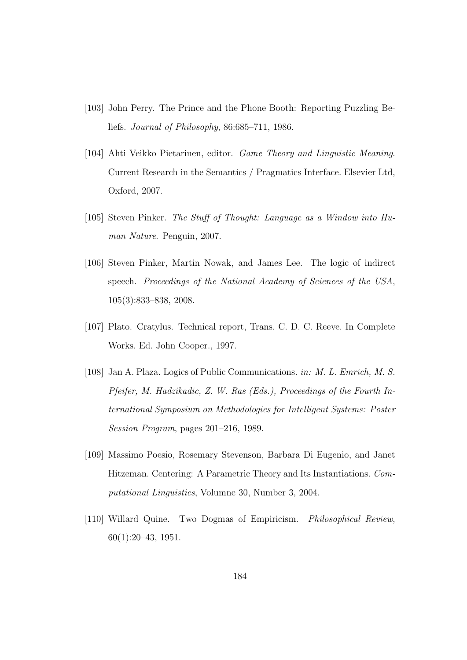- [103] John Perry. The Prince and the Phone Booth: Reporting Puzzling Beliefs. Journal of Philosophy, 86:685–711, 1986.
- [104] Ahti Veikko Pietarinen, editor. Game Theory and Linguistic Meaning. Current Research in the Semantics / Pragmatics Interface. Elsevier Ltd, Oxford, 2007.
- [105] Steven Pinker. The Stuff of Thought: Language as a Window into Human Nature. Penguin, 2007.
- [106] Steven Pinker, Martin Nowak, and James Lee. The logic of indirect speech. Proceedings of the National Academy of Sciences of the USA, 105(3):833–838, 2008.
- [107] Plato. Cratylus. Technical report, Trans. C. D. C. Reeve. In Complete Works. Ed. John Cooper., 1997.
- [108] Jan A. Plaza. Logics of Public Communications. in: M. L. Emrich, M. S. Pfeifer, M. Hadzikadic, Z. W. Ras (Eds.), Proceedings of the Fourth International Symposium on Methodologies for Intelligent Systems: Poster Session Program, pages 201–216, 1989.
- [109] Massimo Poesio, Rosemary Stevenson, Barbara Di Eugenio, and Janet Hitzeman. Centering: A Parametric Theory and Its Instantiations. Computational Linguistics, Volumne 30, Number 3, 2004.
- [110] Willard Quine. Two Dogmas of Empiricism. Philosophical Review, 60(1):20–43, 1951.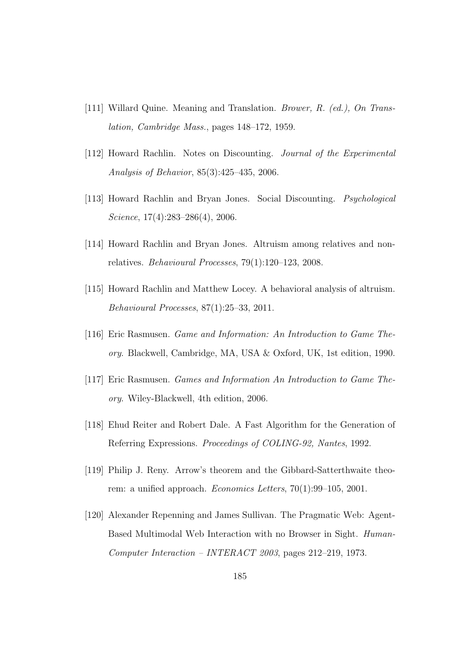- [111] Willard Quine. Meaning and Translation. Brower, R. (ed.), On Translation, Cambridge Mass., pages 148–172, 1959.
- [112] Howard Rachlin. Notes on Discounting. Journal of the Experimental Analysis of Behavior, 85(3):425–435, 2006.
- [113] Howard Rachlin and Bryan Jones. Social Discounting. Psychological Science,  $17(4):283-286(4)$ , 2006.
- [114] Howard Rachlin and Bryan Jones. Altruism among relatives and nonrelatives. Behavioural Processes, 79(1):120–123, 2008.
- [115] Howard Rachlin and Matthew Locey. A behavioral analysis of altruism. Behavioural Processes, 87(1):25–33, 2011.
- [116] Eric Rasmusen. Game and Information: An Introduction to Game Theory. Blackwell, Cambridge, MA, USA & Oxford, UK, 1st edition, 1990.
- [117] Eric Rasmusen. Games and Information An Introduction to Game Theory. Wiley-Blackwell, 4th edition, 2006.
- [118] Ehud Reiter and Robert Dale. A Fast Algorithm for the Generation of Referring Expressions. Proceedings of COLING-92, Nantes, 1992.
- [119] Philip J. Reny. Arrow's theorem and the Gibbard-Satterthwaite theorem: a unified approach. Economics Letters, 70(1):99–105, 2001.
- [120] Alexander Repenning and James Sullivan. The Pragmatic Web: Agent-Based Multimodal Web Interaction with no Browser in Sight. Human-Computer Interaction – INTERACT 2003, pages 212–219, 1973.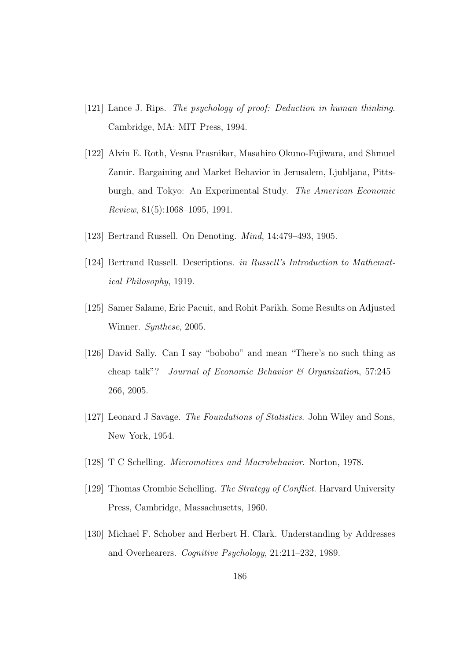- [121] Lance J. Rips. The psychology of proof: Deduction in human thinking. Cambridge, MA: MIT Press, 1994.
- [122] Alvin E. Roth, Vesna Prasnikar, Masahiro Okuno-Fujiwara, and Shmuel Zamir. Bargaining and Market Behavior in Jerusalem, Ljubljana, Pittsburgh, and Tokyo: An Experimental Study. The American Economic Review, 81(5):1068–1095, 1991.
- [123] Bertrand Russell. On Denoting. Mind, 14:479–493, 1905.
- [124] Bertrand Russell. Descriptions. in Russell's Introduction to Mathematical Philosophy, 1919.
- [125] Samer Salame, Eric Pacuit, and Rohit Parikh. Some Results on Adjusted Winner. Synthese, 2005.
- [126] David Sally. Can I say "bobobo" and mean "There's no such thing as cheap talk"? Journal of Economic Behavior & Organization, 57:245– 266, 2005.
- [127] Leonard J Savage. The Foundations of Statistics. John Wiley and Sons, New York, 1954.
- [128] T C Schelling. Micromotives and Macrobehavior. Norton, 1978.
- [129] Thomas Crombie Schelling. The Strategy of Conflict. Harvard University Press, Cambridge, Massachusetts, 1960.
- [130] Michael F. Schober and Herbert H. Clark. Understanding by Addresses and Overhearers. Cognitive Psychology, 21:211–232, 1989.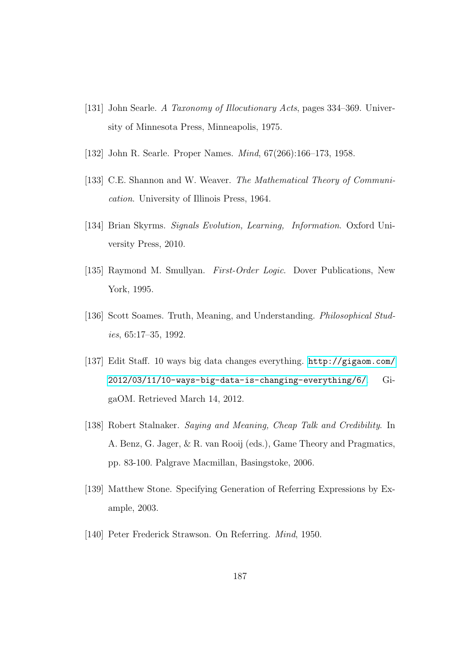- [131] John Searle. A Taxonomy of Illocutionary Acts, pages 334–369. University of Minnesota Press, Minneapolis, 1975.
- [132] John R. Searle. Proper Names. Mind, 67(266):166–173, 1958.
- [133] C.E. Shannon and W. Weaver. The Mathematical Theory of Communication. University of Illinois Press, 1964.
- [134] Brian Skyrms. Signals Evolution, Learning, Information. Oxford University Press, 2010.
- [135] Raymond M. Smullyan. First-Order Logic. Dover Publications, New York, 1995.
- [136] Scott Soames. Truth, Meaning, and Understanding. Philosophical Studies, 65:17–35, 1992.
- [137] Edit Staff. 10 ways big data changes everything. [http://gigaom.com/](http://gigaom.com/2012/03/11/10-ways-big-data-is-changing-everything/6/) [2012/03/11/10-ways-big-data-is-changing-everything/6/](http://gigaom.com/2012/03/11/10-ways-big-data-is-changing-everything/6/). GigaOM. Retrieved March 14, 2012.
- [138] Robert Stalnaker. Saying and Meaning, Cheap Talk and Credibility. In A. Benz, G. Jager, & R. van Rooij (eds.), Game Theory and Pragmatics, pp. 83-100. Palgrave Macmillan, Basingstoke, 2006.
- [139] Matthew Stone. Specifying Generation of Referring Expressions by Example, 2003.
- [140] Peter Frederick Strawson. On Referring. Mind, 1950.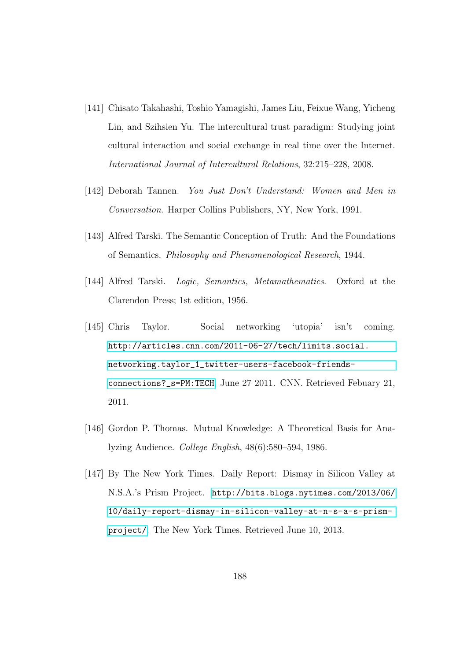- [141] Chisato Takahashi, Toshio Yamagishi, James Liu, Feixue Wang, Yicheng Lin, and Szihsien Yu. The intercultural trust paradigm: Studying joint cultural interaction and social exchange in real time over the Internet. International Journal of Intercultural Relations, 32:215–228, 2008.
- [142] Deborah Tannen. You Just Don't Understand: Women and Men in Conversation. Harper Collins Publishers, NY, New York, 1991.
- [143] Alfred Tarski. The Semantic Conception of Truth: And the Foundations of Semantics. Philosophy and Phenomenological Research, 1944.
- [144] Alfred Tarski. Logic, Semantics, Metamathematics. Oxford at the Clarendon Press; 1st edition, 1956.
- [145] Chris Taylor. Social networking 'utopia' isn't coming. [http://articles.cnn.com/2011-06-27/tech/limits.social.](http://articles.cnn.com/2011-06-27/tech/limits.social.networking.taylor_1_twitter-users-facebook-friends-connections?_s=PM:TECH) [networking.taylor\\_1\\_twitter-users-facebook-friends](http://articles.cnn.com/2011-06-27/tech/limits.social.networking.taylor_1_twitter-users-facebook-friends-connections?_s=PM:TECH)[connections?\\_s=PM:TECH](http://articles.cnn.com/2011-06-27/tech/limits.social.networking.taylor_1_twitter-users-facebook-friends-connections?_s=PM:TECH), June 27 2011. CNN. Retrieved Febuary 21, 2011.
- [146] Gordon P. Thomas. Mutual Knowledge: A Theoretical Basis for Analyzing Audience. College English, 48(6):580–594, 1986.
- [147] By The New York Times. Daily Report: Dismay in Silicon Valley at N.S.A.'s Prism Project. [http://bits.blogs.nytimes.com/2013/06/](http://bits.blogs.nytimes.com/2013/06/10/daily-report-dismay-in-silicon-valley-at-n-s-a-s-prism-project/) [10/daily-report-dismay-in-silicon-valley-at-n-s-a-s-prism](http://bits.blogs.nytimes.com/2013/06/10/daily-report-dismay-in-silicon-valley-at-n-s-a-s-prism-project/)[project/](http://bits.blogs.nytimes.com/2013/06/10/daily-report-dismay-in-silicon-valley-at-n-s-a-s-prism-project/). The New York Times. Retrieved June 10, 2013.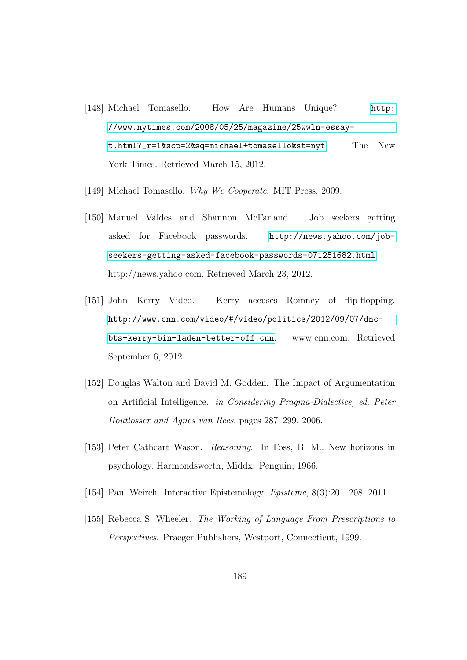- [148] Michael Tomasello. How Are Humans Unique? [http:](http://www.nytimes.com/2008/05/25/magazine/25wwln-essay-t.html?_r=1&scp=2&sq=michael+tomasello&st=nyt) [//www.nytimes.com/2008/05/25/magazine/25wwln-essay](http://www.nytimes.com/2008/05/25/magazine/25wwln-essay-t.html?_r=1&scp=2&sq=michael+tomasello&st=nyt)[t.html?\\_r=1&scp=2&sq=michael+tomasello&st=nyt](http://www.nytimes.com/2008/05/25/magazine/25wwln-essay-t.html?_r=1&scp=2&sq=michael+tomasello&st=nyt). The New York Times. Retrieved March 15, 2012.
- [149] Michael Tomasello. Why We Cooperate. MIT Press, 2009.
- [150] Manuel Valdes and Shannon McFarland. Job seekers getting asked for Facebook passwords. [http://news.yahoo.com/job](http://news.yahoo.com/job-seekers-getting-asked-facebook-passwords-071251682.html)[seekers-getting-asked-facebook-passwords-071251682.html](http://news.yahoo.com/job-seekers-getting-asked-facebook-passwords-071251682.html). http://news.yahoo.com. Retrieved March 23, 2012.
- [151] John Kerry Video. Kerry accuses Romney of flip-flopping. [http://www.cnn.com/video/#/video/politics/2012/09/07/dnc](http://www.cnn.com/video/#/video/politics/2012/09/07/dnc-bts-kerry-bin-laden-better-off.cnn)[bts-kerry-bin-laden-better-off.cnn](http://www.cnn.com/video/#/video/politics/2012/09/07/dnc-bts-kerry-bin-laden-better-off.cnn). www.cnn.com. Retrieved September 6, 2012.
- [152] Douglas Walton and David M. Godden. The Impact of Argumentation on Artificial Intelligence. in Considering Pragma-Dialectics, ed. Peter Houtlosser and Agnes van Rees, pages 287–299, 2006.
- [153] Peter Cathcart Wason. Reasoning. In Foss, B. M.. New horizons in psychology. Harmondsworth, Middx: Penguin, 1966.
- [154] Paul Weirch. Interactive Epistemology. Episteme, 8(3):201–208, 2011.
- [155] Rebecca S. Wheeler. The Working of Language From Prescriptions to Perspectives. Praeger Publishers, Westport, Connecticut, 1999.